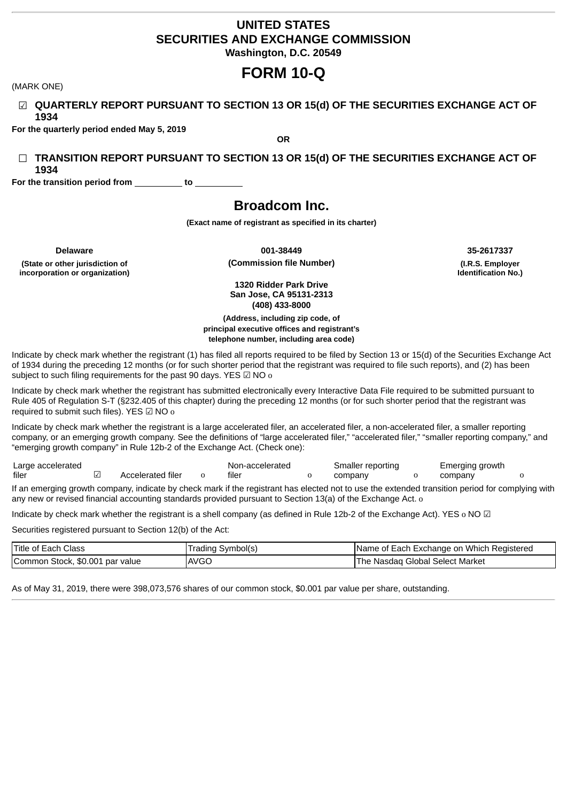# **UNITED STATES SECURITIES AND EXCHANGE COMMISSION Washington, D.C. 20549**

# **FORM 10-Q**

(MARK ONE)

☑ **QUARTERLY REPORT PURSUANT TO SECTION 13 OR 15(d) OF THE SECURITIES EXCHANGE ACT OF 1934**

**For the quarterly period ended May 5, 2019**

☐ **TRANSITION REPORT PURSUANT TO SECTION 13 OR 15(d) OF THE SECURITIES EXCHANGE ACT OF 1934**

**OR**

**For the transition period from to**

# **Broadcom Inc.**

**(Exact name of registrant as specified in its charter)**

**(State or other jurisdiction of incorporation or organization)**

**Delaware 001-38449 35-2617337 (Commission file Number) (I.R.S. Employer**

**Identification No.)**

**1320 Ridder Park Drive San Jose, CA 95131-2313 (408) 433-8000**

**(Address, including zip code, of principal executive offices and registrant's telephone number, including area code)**

Indicate by check mark whether the registrant (1) has filed all reports required to be filed by Section 13 or 15(d) of the Securities Exchange Act of 1934 during the preceding 12 months (or for such shorter period that the registrant was required to file such reports), and (2) has been subject to such filing requirements for the past 90 days. YES  $\boxtimes$  NO o

Indicate by check mark whether the registrant has submitted electronically every Interactive Data File required to be submitted pursuant to Rule 405 of Regulation S-T (§232.405 of this chapter) during the preceding 12 months (or for such shorter period that the registrant was required to submit such files). YES ☑ NO o

Indicate by check mark whether the registrant is a large accelerated filer, an accelerated filer, a non-accelerated filer, a smaller reporting company, or an emerging growth company. See the definitions of "large accelerated filer," "accelerated filer," "smaller reporting company," and "emerging growth company" in Rule 12b-2 of the Exchange Act. (Check one):

Large accelerated filer <u>○</u> Accelerated filer o Non-accelerated filer o Smaller reporting company Emerging growth company o

If an emerging growth company, indicate by check mark if the registrant has elected not to use the extended transition period for complying with any new or revised financial accounting standards provided pursuant to Section 13(a) of the Exchange Act. o

Indicate by check mark whether the registrant is a shell company (as defined in Rule 12b-2 of the Exchange Act). YES o NO ☑

Securities registered pursuant to Section 12(b) of the Act:

| <b>Title of Each Class</b>      | Trading Symbol(s) | Name of Each Exchange on Which Registered |
|---------------------------------|-------------------|-------------------------------------------|
| Common Stock, \$0.001 par value | <b>AVGO</b>       | The Nasdag Global Select Market           |

As of May 31, 2019, there were 398,073,576 shares of our common stock, \$0.001 par value per share, outstanding.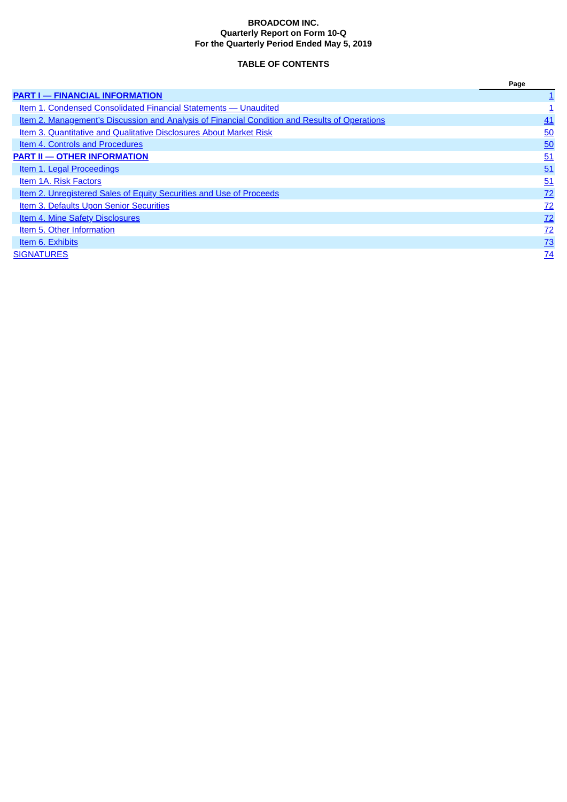### **BROADCOM INC. Quarterly Report on Form 10-Q For the Quarterly Period Ended May 5, 2019**

# **TABLE OF CONTENTS**

<span id="page-1-0"></span>

|                                                                                                      | Page            |
|------------------------------------------------------------------------------------------------------|-----------------|
| <b>PART I - FINANCIAL INFORMATION</b>                                                                |                 |
| Item 1. Condensed Consolidated Financial Statements — Unaudited                                      |                 |
| <u>Item 2. Management's Discussion and Analysis of Financial Condition and Results of Operations</u> | 41              |
| <b>Item 3. Quantitative and Qualitative Disclosures About Market Risk</b>                            | 50              |
| <b>Item 4. Controls and Procedures</b>                                                               | 50              |
| <b>PART II - OTHER INFORMATION</b>                                                                   | 51              |
| <b>Item 1. Legal Proceedings</b>                                                                     | 51              |
| Item 1A. Risk Factors                                                                                | 51              |
| Item 2. Unregistered Sales of Equity Securities and Use of Proceeds                                  | 72              |
| <b>Item 3. Defaults Upon Senior Securities</b>                                                       | 72              |
| <b>Item 4. Mine Safety Disclosures</b>                                                               | 72              |
| Item 5. Other Information                                                                            | 72              |
| Item 6. Exhibits                                                                                     | $\frac{73}{2}$  |
| <b>SIGNATURES</b>                                                                                    | $\overline{74}$ |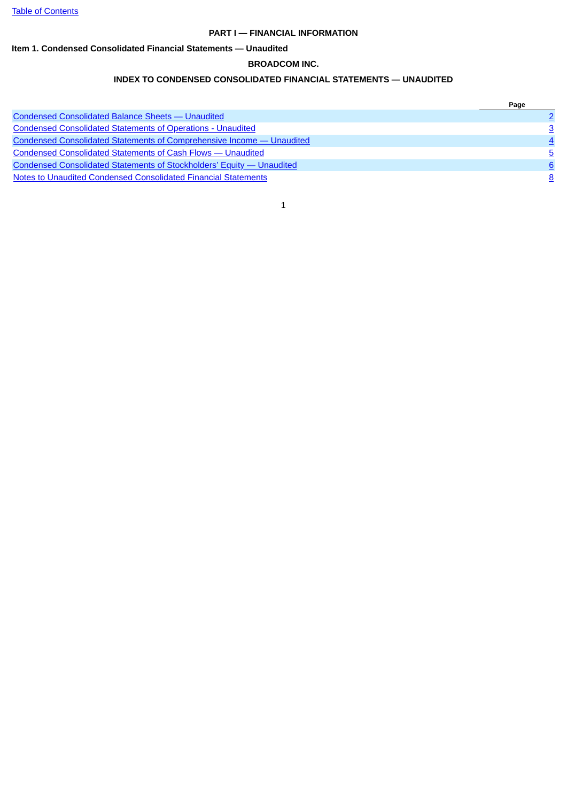### **PART I — FINANCIAL INFORMATION**

# <span id="page-2-1"></span><span id="page-2-0"></span>**Item 1. Condensed Consolidated Financial Statements — Unaudited**

### **BROADCOM INC.**

# **INDEX TO CONDENSED CONSOLIDATED FINANCIAL STATEMENTS — UNAUDITED**

|                                                                              | Page |
|------------------------------------------------------------------------------|------|
| <b>Condensed Consolidated Balance Sheets - Unaudited</b>                     |      |
| <b>Condensed Consolidated Statements of Operations - Unaudited</b>           |      |
| <b>Condensed Consolidated Statements of Comprehensive Income - Unaudited</b> |      |
| <b>Condensed Consolidated Statements of Cash Flows - Unaudited</b>           | 5.   |
| <b>Condensed Consolidated Statements of Stockholders' Equity - Unaudited</b> | 6    |
| Notes to Unaudited Condensed Consolidated Financial Statements               |      |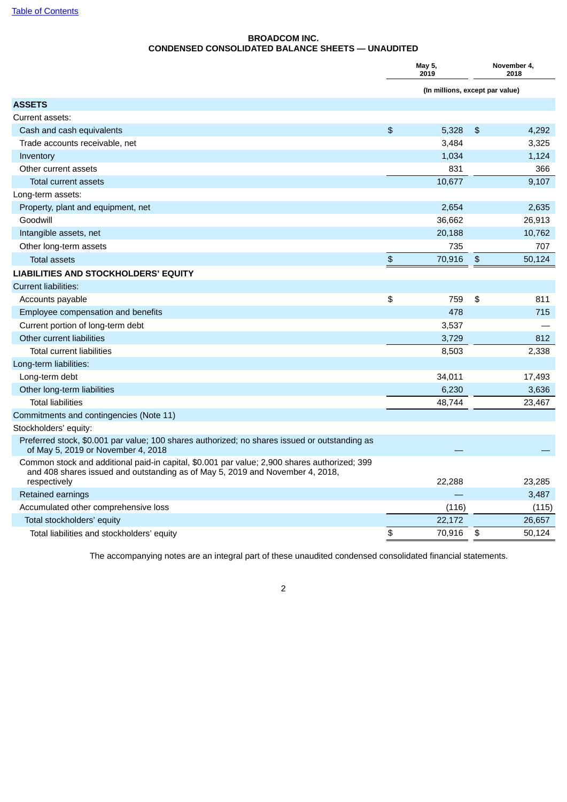# **BROADCOM INC. CONDENSED CONSOLIDATED BALANCE SHEETS — UNAUDITED**

<span id="page-3-0"></span>

|                                                                                                                                                                               | May 5,<br>2019 |                                 |    | November 4,<br>2018 |
|-------------------------------------------------------------------------------------------------------------------------------------------------------------------------------|----------------|---------------------------------|----|---------------------|
|                                                                                                                                                                               |                | (In millions, except par value) |    |                     |
| <b>ASSETS</b>                                                                                                                                                                 |                |                                 |    |                     |
| Current assets:                                                                                                                                                               |                |                                 |    |                     |
| Cash and cash equivalents                                                                                                                                                     | \$             | 5,328                           | \$ | 4,292               |
| Trade accounts receivable, net                                                                                                                                                |                | 3,484                           |    | 3,325               |
| Inventory                                                                                                                                                                     |                | 1,034                           |    | 1,124               |
| Other current assets                                                                                                                                                          |                | 831                             |    | 366                 |
| <b>Total current assets</b>                                                                                                                                                   |                | 10.677                          |    | 9.107               |
| Long-term assets:                                                                                                                                                             |                |                                 |    |                     |
| Property, plant and equipment, net                                                                                                                                            |                | 2,654                           |    | 2,635               |
| Goodwill                                                                                                                                                                      |                | 36,662                          |    | 26,913              |
| Intangible assets, net                                                                                                                                                        |                | 20,188                          |    | 10,762              |
| Other long-term assets                                                                                                                                                        |                | 735                             |    | 707                 |
| <b>Total assets</b>                                                                                                                                                           | $\mathfrak{D}$ | 70,916                          | \$ | 50,124              |
| LIABILITIES AND STOCKHOLDERS' EQUITY                                                                                                                                          |                |                                 |    |                     |
| <b>Current liabilities:</b>                                                                                                                                                   |                |                                 |    |                     |
| Accounts payable                                                                                                                                                              | \$             | 759                             | \$ | 811                 |
| Employee compensation and benefits                                                                                                                                            |                | 478                             |    | 715                 |
| Current portion of long-term debt                                                                                                                                             |                | 3,537                           |    |                     |
| Other current liabilities                                                                                                                                                     |                | 3,729                           |    | 812                 |
| <b>Total current liabilities</b>                                                                                                                                              |                | 8,503                           |    | 2,338               |
| Long-term liabilities:                                                                                                                                                        |                |                                 |    |                     |
| Long-term debt                                                                                                                                                                |                | 34,011                          |    | 17,493              |
| Other long-term liabilities                                                                                                                                                   |                | 6,230                           |    | 3,636               |
| <b>Total liabilities</b>                                                                                                                                                      |                | 48,744                          |    | 23,467              |
| Commitments and contingencies (Note 11)                                                                                                                                       |                |                                 |    |                     |
| Stockholders' equity:                                                                                                                                                         |                |                                 |    |                     |
| Preferred stock, \$0.001 par value; 100 shares authorized; no shares issued or outstanding as<br>of May 5, 2019 or November 4, 2018                                           |                |                                 |    |                     |
| Common stock and additional paid-in capital, \$0.001 par value; 2,900 shares authorized; 399<br>and 408 shares issued and outstanding as of May 5, 2019 and November 4, 2018, |                |                                 |    |                     |
| respectively                                                                                                                                                                  |                | 22,288                          |    | 23,285              |
| Retained earnings                                                                                                                                                             |                |                                 |    | 3,487               |
| Accumulated other comprehensive loss                                                                                                                                          |                | (116)                           |    | (115)               |
| Total stockholders' equity                                                                                                                                                    |                | 22,172                          |    | 26,657              |
| Total liabilities and stockholders' equity                                                                                                                                    | \$             | 70,916                          | \$ | 50,124              |

The accompanying notes are an integral part of these unaudited condensed consolidated financial statements.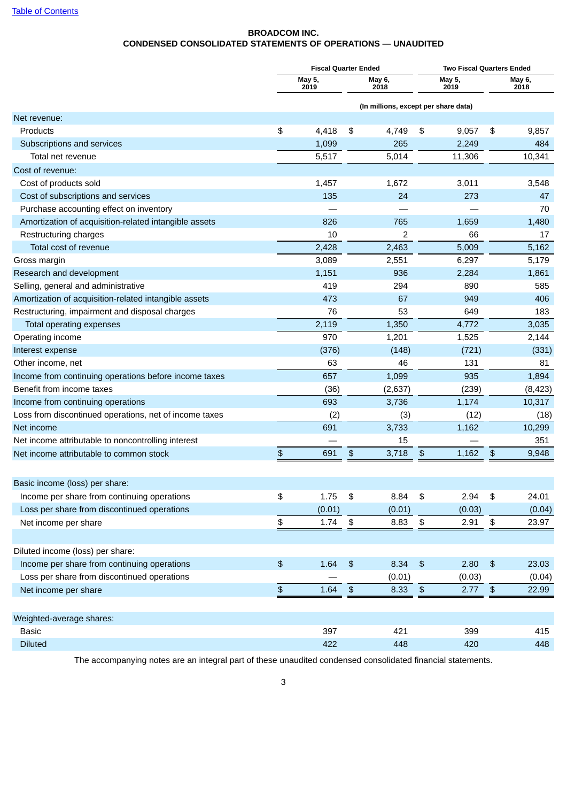# **BROADCOM INC. CONDENSED CONSOLIDATED STATEMENTS OF OPERATIONS — UNAUDITED**

<span id="page-4-0"></span>

|                                                        |            |                | <b>Fiscal Quarter Ended</b> |                                      |      | Two Fiscal Quarters Ended |                      |                |
|--------------------------------------------------------|------------|----------------|-----------------------------|--------------------------------------|------|---------------------------|----------------------|----------------|
|                                                        |            | May 5,<br>2019 |                             | May 6,<br>2018                       |      | May 5,<br>2019            |                      | May 6,<br>2018 |
|                                                        |            |                |                             | (In millions, except per share data) |      |                           |                      |                |
| Net revenue:                                           |            |                |                             |                                      |      |                           |                      |                |
| Products                                               | \$         | 4,418          | \$                          | 4,749                                | \$   | 9,057                     | \$                   | 9,857          |
| Subscriptions and services                             |            | 1,099          |                             | 265                                  |      | 2,249                     |                      | 484            |
| Total net revenue                                      |            | 5,517          |                             | 5,014                                |      | 11,306                    |                      | 10,341         |
| Cost of revenue:                                       |            |                |                             |                                      |      |                           |                      |                |
| Cost of products sold                                  |            | 1,457          |                             | 1,672                                |      | 3,011                     |                      | 3,548          |
| Cost of subscriptions and services                     |            | 135            |                             | 24                                   |      | 273                       |                      | 47             |
| Purchase accounting effect on inventory                |            |                |                             |                                      |      |                           |                      | 70             |
| Amortization of acquisition-related intangible assets  |            | 826            |                             | 765                                  |      | 1,659                     |                      | 1,480          |
| Restructuring charges                                  |            | 10             |                             | $\overline{c}$                       |      | 66                        |                      | 17             |
| Total cost of revenue                                  |            | 2,428          |                             | 2,463                                |      | 5,009                     |                      | 5,162          |
| Gross margin                                           |            | 3,089          |                             | 2,551                                |      | 6,297                     |                      | 5,179          |
| Research and development                               |            | 1,151          |                             | 936                                  |      | 2,284                     |                      | 1,861          |
| Selling, general and administrative                    |            | 419            |                             | 294                                  |      | 890                       |                      | 585            |
| Amortization of acquisition-related intangible assets  |            | 473            |                             | 67                                   |      | 949                       |                      | 406            |
| Restructuring, impairment and disposal charges         |            | 76             |                             | 53                                   |      | 649                       |                      | 183            |
| Total operating expenses                               |            | 2,119          |                             | 1,350                                |      | 4,772                     |                      | 3,035          |
| Operating income                                       |            | 970            |                             | 1,201                                |      | 1,525                     |                      | 2,144          |
| Interest expense                                       |            | (376)          |                             | (148)                                |      | (721)                     |                      | (331)          |
| Other income, net                                      |            | 63             |                             | 46                                   |      | 131                       |                      | 81             |
| Income from continuing operations before income taxes  |            | 657            |                             | 1,099                                |      | 935                       |                      | 1,894          |
| Benefit from income taxes                              |            | (36)           |                             | (2,637)                              |      | (239)                     |                      | (8, 423)       |
| Income from continuing operations                      |            | 693            |                             | 3,736                                |      | 1,174                     |                      | 10,317         |
| Loss from discontinued operations, net of income taxes |            | (2)            |                             | (3)                                  |      | (12)                      |                      | (18)           |
| Net income                                             |            | 691            |                             | 3,733                                |      | 1,162                     |                      | 10,299         |
| Net income attributable to noncontrolling interest     |            |                |                             | 15                                   |      |                           |                      | 351            |
| Net income attributable to common stock                | \$         | 691            | \$                          | 3,718                                | \$   | 1,162                     | \$                   | 9,948          |
|                                                        |            |                |                             |                                      |      |                           |                      |                |
| Basic income (loss) per share:                         |            |                |                             |                                      |      |                           |                      |                |
| Income per share from continuing operations            | \$         | 1.75           | $\pmb{\mathfrak{P}}$        | 8.84                                 | \$   | 2.94                      | $\pmb{\mathfrak{s}}$ | 24.01          |
| Loss per share from discontinued operations            |            | (0.01)         |                             | (0.01)                               |      | (0.03)                    |                      | (0.04)         |
| Net income per share                                   | \$         | 1.74           | $\pmb{\mathfrak{P}}$        | 8.83                                 | \$   | 2.91                      | $\pmb{\mathfrak{s}}$ | 23.97          |
|                                                        |            |                |                             |                                      |      |                           |                      |                |
| Diluted income (loss) per share:                       |            |                |                             |                                      |      |                           |                      |                |
| Income per share from continuing operations            | \$         | 1.64           | $\frac{1}{2}$               | 8.34                                 | \$   | 2.80                      | $\pmb{\mathfrak{P}}$ | 23.03          |
| Loss per share from discontinued operations            |            |                |                             | (0.01)                               |      | (0.03)                    |                      | (0.04)         |
| Net income per share                                   | $\, \, \$$ | 1.64           | $\sqrt{2}$                  | 8.33                                 | $\,$ | 2.77                      | $\sqrt{2}$           | 22.99          |
|                                                        |            |                |                             |                                      |      |                           |                      |                |
| Weighted-average shares:                               |            |                |                             |                                      |      |                           |                      |                |
| <b>Basic</b>                                           |            | 397            |                             | 421                                  |      | 399                       |                      | 415            |
| <b>Diluted</b>                                         |            | 422            |                             | 448                                  |      | 420                       |                      | 448            |

The accompanying notes are an integral part of these unaudited condensed consolidated financial statements.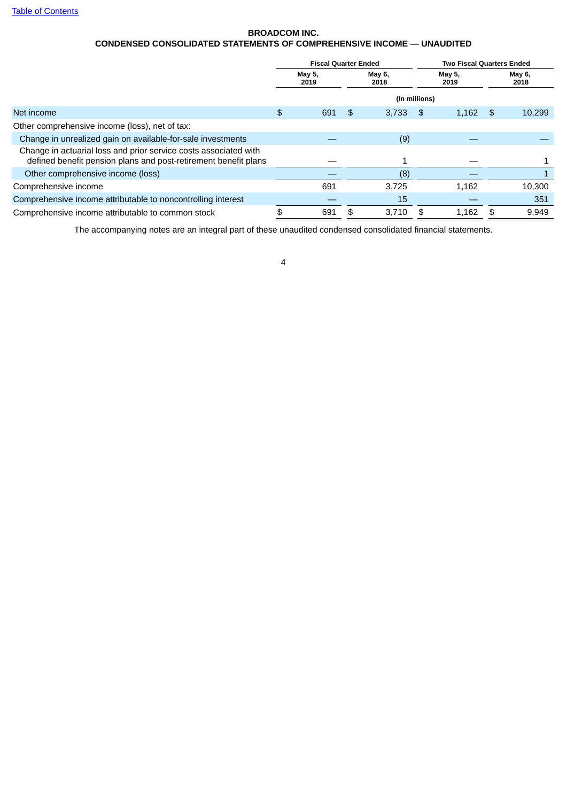# **BROADCOM INC. CONDENSED CONSOLIDATED STATEMENTS OF COMPREHENSIVE INCOME — UNAUDITED**

<span id="page-5-0"></span>

|                                                                                                                                     | <b>Fiscal Quarter Ended</b> |     |    |                | <b>Two Fiscal Quarters Ended</b> |    |                |  |
|-------------------------------------------------------------------------------------------------------------------------------------|-----------------------------|-----|----|----------------|----------------------------------|----|----------------|--|
|                                                                                                                                     | May 5,<br>2019              |     |    | May 6,<br>2018 | May 5,<br>2019                   |    | May 6,<br>2018 |  |
|                                                                                                                                     |                             |     |    | (In millions)  |                                  |    |                |  |
| Net income                                                                                                                          | \$                          | 691 | \$ | 3,733          | \$<br>1,162                      | \$ | 10,299         |  |
| Other comprehensive income (loss), net of tax:                                                                                      |                             |     |    |                |                                  |    |                |  |
| Change in unrealized gain on available-for-sale investments                                                                         |                             |     |    | (9)            |                                  |    |                |  |
| Change in actuarial loss and prior service costs associated with<br>defined benefit pension plans and post-retirement benefit plans |                             |     |    |                |                                  |    |                |  |
| Other comprehensive income (loss)                                                                                                   |                             |     |    | (8)            |                                  |    |                |  |
| Comprehensive income                                                                                                                |                             | 691 |    | 3,725          | 1,162                            |    | 10,300         |  |
| Comprehensive income attributable to noncontrolling interest                                                                        |                             |     |    | 15             |                                  |    | 351            |  |
| Comprehensive income attributable to common stock                                                                                   | \$                          | 691 | \$ | 3.710          | \$<br>1.162                      | \$ | 9,949          |  |

The accompanying notes are an integral part of these unaudited condensed consolidated financial statements.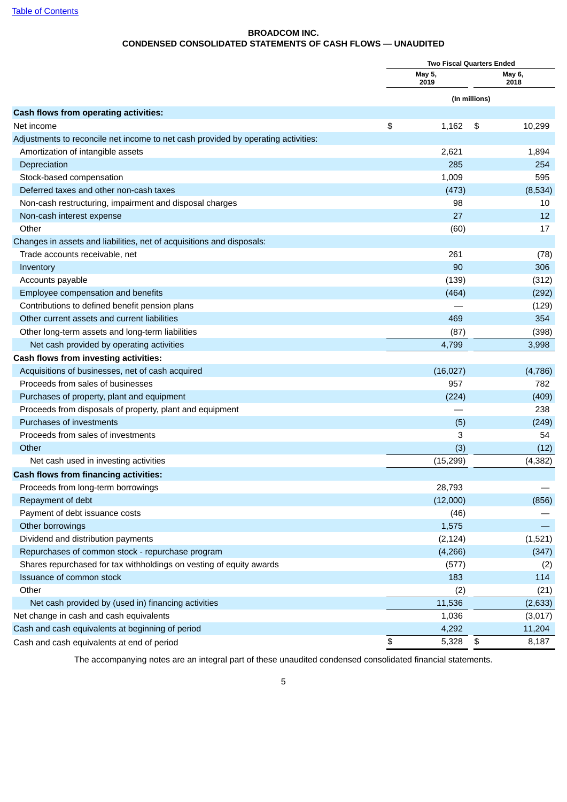## **BROADCOM INC. CONDENSED CONSOLIDATED STATEMENTS OF CASH FLOWS — UNAUDITED**

<span id="page-6-0"></span>

|                                                                                   | <b>Two Fiscal Quarters Ended</b> |               |                |  |
|-----------------------------------------------------------------------------------|----------------------------------|---------------|----------------|--|
|                                                                                   | May 5,<br>2019                   |               | May 6,<br>2018 |  |
|                                                                                   |                                  | (In millions) |                |  |
| Cash flows from operating activities:                                             |                                  |               |                |  |
| Net income                                                                        | \$<br>1,162                      | \$            | 10,299         |  |
| Adjustments to reconcile net income to net cash provided by operating activities: |                                  |               |                |  |
| Amortization of intangible assets                                                 | 2,621                            |               | 1,894          |  |
| Depreciation                                                                      | 285                              |               | 254            |  |
| Stock-based compensation                                                          | 1,009                            |               | 595            |  |
| Deferred taxes and other non-cash taxes                                           | (473)                            |               | (8,534)        |  |
| Non-cash restructuring, impairment and disposal charges                           | 98                               |               | 10             |  |
| Non-cash interest expense                                                         | 27                               |               | 12             |  |
| Other                                                                             | (60)                             |               | 17             |  |
| Changes in assets and liabilities, net of acquisitions and disposals:             |                                  |               |                |  |
| Trade accounts receivable, net                                                    | 261                              |               | (78)           |  |
| Inventory                                                                         | 90                               |               | 306            |  |
| Accounts payable                                                                  | (139)                            |               | (312)          |  |
| Employee compensation and benefits                                                | (464)                            |               | (292)          |  |
| Contributions to defined benefit pension plans                                    |                                  |               | (129)          |  |
| Other current assets and current liabilities                                      | 469                              |               | 354            |  |
| Other long-term assets and long-term liabilities                                  | (87)                             |               | (398)          |  |
| Net cash provided by operating activities                                         | 4,799                            |               | 3,998          |  |
| Cash flows from investing activities:                                             |                                  |               |                |  |
| Acquisitions of businesses, net of cash acquired                                  | (16, 027)                        |               | (4,786)        |  |
| Proceeds from sales of businesses                                                 | 957                              |               | 782            |  |
| Purchases of property, plant and equipment                                        | (224)                            |               | (409)          |  |
| Proceeds from disposals of property, plant and equipment                          |                                  |               | 238            |  |
| Purchases of investments                                                          | (5)                              |               | (249)          |  |
| Proceeds from sales of investments                                                | 3                                |               | 54             |  |
| Other                                                                             | (3)                              |               | (12)           |  |
| Net cash used in investing activities                                             | (15, 299)                        |               | (4, 382)       |  |
| Cash flows from financing activities:                                             |                                  |               |                |  |
| Proceeds from long-term borrowings                                                | 28,793                           |               |                |  |
| Repayment of debt                                                                 | (12,000)                         |               | (856)          |  |
| Payment of debt issuance costs                                                    | (46)                             |               |                |  |
| Other borrowings                                                                  | 1,575                            |               |                |  |
| Dividend and distribution payments                                                | (2, 124)                         |               | (1,521)        |  |
| Repurchases of common stock - repurchase program                                  | (4, 266)                         |               | (347)          |  |
| Shares repurchased for tax withholdings on vesting of equity awards               | (577)                            |               | (2)            |  |
| Issuance of common stock                                                          | 183                              |               | 114            |  |
| Other                                                                             | (2)                              |               | (21)           |  |
| Net cash provided by (used in) financing activities                               | 11,536                           |               | (2,633)        |  |
| Net change in cash and cash equivalents                                           | 1,036                            |               | (3,017)        |  |
| Cash and cash equivalents at beginning of period                                  | 4,292                            |               | 11,204         |  |
| Cash and cash equivalents at end of period                                        | \$<br>5,328                      | \$            | 8,187          |  |
|                                                                                   |                                  |               |                |  |

The accompanying notes are an integral part of these unaudited condensed consolidated financial statements.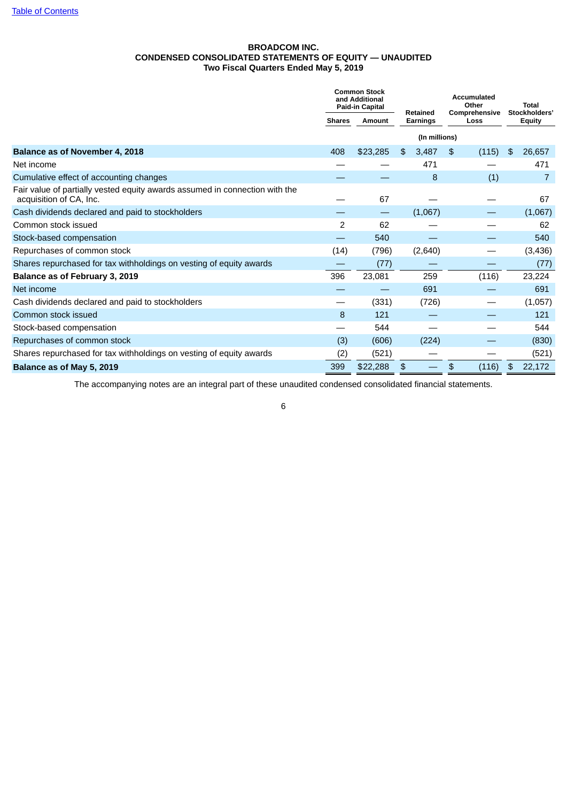### **BROADCOM INC. CONDENSED CONSOLIDATED STATEMENTS OF EQUITY — UNAUDITED Two Fiscal Quarters Ended May 5, 2019**

<span id="page-7-0"></span>

|                         |                          |                                                          |   |                                                                                |               | Total<br>Stockholders'                       |         |
|-------------------------|--------------------------|----------------------------------------------------------|---|--------------------------------------------------------------------------------|---------------|----------------------------------------------|---------|
| Amount<br><b>Shares</b> |                          | <b>Earnings</b>                                          |   | Loss                                                                           |               | <b>Equity</b>                                |         |
|                         |                          |                                                          |   |                                                                                |               |                                              |         |
| 408                     | \$23,285                 | \$                                                       |   | \$                                                                             | (115)         | \$                                           | 26,657  |
|                         |                          |                                                          |   |                                                                                |               |                                              | 471     |
|                         |                          |                                                          | 8 |                                                                                | (1)           |                                              | 7       |
|                         | 67                       |                                                          |   |                                                                                |               |                                              | 67      |
|                         | $\overline{\phantom{0}}$ |                                                          |   |                                                                                |               |                                              | (1,067) |
| $\overline{c}$          | 62                       |                                                          |   |                                                                                |               |                                              | 62      |
|                         | 540                      |                                                          |   |                                                                                |               |                                              | 540     |
| (14)                    | (796)                    |                                                          |   |                                                                                |               |                                              | (3,436) |
|                         | (77)                     |                                                          |   |                                                                                |               |                                              | (77)    |
| 396                     | 23,081                   |                                                          |   |                                                                                | (116)         |                                              | 23,224  |
|                         |                          |                                                          |   |                                                                                |               |                                              | 691     |
|                         | (331)                    |                                                          |   |                                                                                |               |                                              | (1,057) |
| 8                       | 121                      |                                                          |   |                                                                                |               |                                              | 121     |
|                         | 544                      |                                                          |   |                                                                                |               |                                              | 544     |
| (3)                     | (606)                    |                                                          |   |                                                                                |               |                                              | (830)   |
| (2)                     | (521)                    |                                                          |   |                                                                                |               |                                              | (521)   |
| 399                     | \$22,288                 | \$                                                       |   | \$                                                                             | (116)         | \$                                           | 22,172  |
|                         |                          | <b>Common Stock</b><br>and Additional<br>Paid-in Capital |   | Retained<br>3,487<br>471<br>(1,067)<br>(2,640)<br>259<br>691<br>(726)<br>(224) | (In millions) | <b>Accumulated</b><br>Other<br>Comprehensive |         |

The accompanying notes are an integral part of these unaudited condensed consolidated financial statements.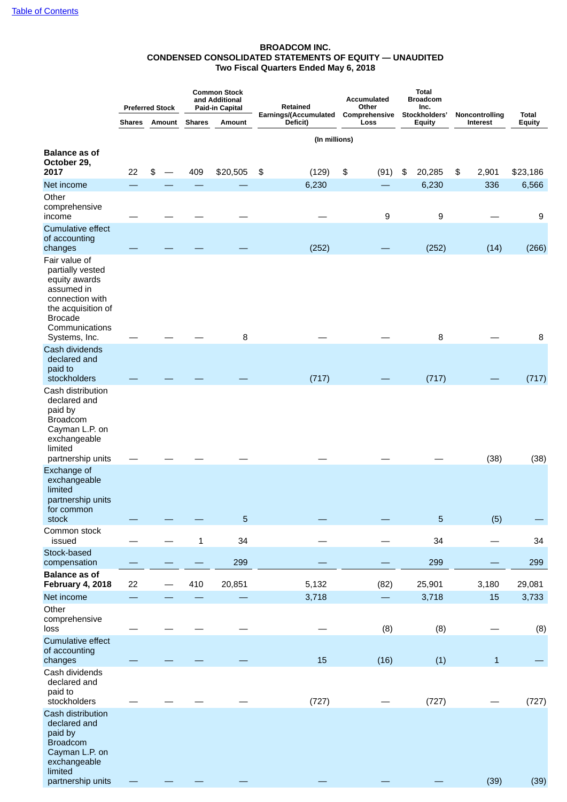### **BROADCOM INC. CONDENSED CONSOLIDATED STATEMENTS OF EQUITY — UNAUDITED Two Fiscal Quarters Ended May 6, 2018**

|                                                                                                                                               |               | <b>Preferred Stock</b> |               | <b>Common Stock</b><br>and Additional<br>Paid-in Capital | Retained                          |    | <b>Total</b><br><b>Accumulated</b><br><b>Broadcom</b><br>Other<br>Inc. |                       |                         |                            |                        |
|-----------------------------------------------------------------------------------------------------------------------------------------------|---------------|------------------------|---------------|----------------------------------------------------------|-----------------------------------|----|------------------------------------------------------------------------|-----------------------|-------------------------|----------------------------|------------------------|
|                                                                                                                                               | <b>Shares</b> | Amount                 | <b>Shares</b> | Amount                                                   | Earnings/(Accumulated<br>Deficit) |    | Comprehensive<br>Loss                                                  |                       | Stockholders'<br>Equity | Noncontrolling<br>Interest | <b>Total</b><br>Equity |
|                                                                                                                                               |               |                        |               |                                                          | (In millions)                     |    |                                                                        |                       |                         |                            |                        |
| <b>Balance as of</b><br>October 29,<br>2017                                                                                                   | 22            | \$                     | 409           | \$20,505                                                 | \$<br>(129)                       | \$ | (91)                                                                   | $\boldsymbol{\theta}$ | 20,285                  | 2,901<br>\$                | \$23,186               |
| Net income                                                                                                                                    |               |                        |               |                                                          | 6,230                             |    |                                                                        |                       | 6,230                   | 336                        | 6,566                  |
| Other<br>comprehensive<br>income                                                                                                              |               |                        |               |                                                          |                                   |    | 9                                                                      |                       | 9                       |                            | 9                      |
| <b>Cumulative effect</b><br>of accounting<br>changes                                                                                          |               |                        |               |                                                          | (252)                             |    |                                                                        |                       | (252)                   | (14)                       | (266)                  |
| Fair value of<br>partially vested<br>equity awards<br>assumed in<br>connection with<br>the acquisition of<br><b>Brocade</b><br>Communications |               |                        |               |                                                          |                                   |    |                                                                        |                       |                         |                            |                        |
| Systems, Inc.                                                                                                                                 |               |                        |               | 8                                                        |                                   |    |                                                                        |                       | 8                       |                            | 8                      |
| Cash dividends<br>declared and<br>paid to<br>stockholders                                                                                     |               |                        |               |                                                          | (717)                             |    |                                                                        |                       | (717)                   |                            | (717)                  |
| Cash distribution<br>declared and<br>paid by<br><b>Broadcom</b><br>Cayman L.P. on<br>exchangeable<br>limited<br>partnership units             |               |                        |               |                                                          |                                   |    |                                                                        |                       |                         | (38)                       | (38)                   |
| Exchange of<br>exchangeable<br>limited<br>partnership units<br>for common<br>stock                                                            |               |                        |               | 5                                                        |                                   |    |                                                                        |                       | 5                       | (5)                        |                        |
| Common stock<br>issued                                                                                                                        |               |                        | $\mathbf 1$   | 34                                                       |                                   |    |                                                                        |                       | 34                      |                            | 34                     |
| Stock-based<br>compensation                                                                                                                   |               |                        |               | 299                                                      |                                   |    |                                                                        |                       | 299                     |                            | 299                    |
| <b>Balance as of</b><br><b>February 4, 2018</b>                                                                                               | 22            |                        | 410           | 20,851                                                   | 5,132                             |    | (82)                                                                   |                       | 25,901                  | 3,180                      | 29,081                 |
| Net income                                                                                                                                    |               |                        |               |                                                          | 3,718                             |    |                                                                        |                       | 3,718                   | 15                         | 3,733                  |
| Other<br>comprehensive<br>loss                                                                                                                |               |                        |               |                                                          |                                   |    | (8)                                                                    |                       | (8)                     |                            | (8)                    |
| Cumulative effect<br>of accounting<br>changes                                                                                                 |               |                        |               |                                                          | 15                                |    | (16)                                                                   |                       | (1)                     | $\mathbf{1}$               |                        |
| Cash dividends<br>declared and<br>paid to<br>stockholders                                                                                     |               |                        |               |                                                          | (727)                             |    |                                                                        |                       | (727)                   |                            | (727)                  |
| Cash distribution<br>declared and<br>paid by<br><b>Broadcom</b><br>Cayman L.P. on<br>exchangeable<br>limited<br>partnership units             |               |                        |               |                                                          |                                   |    |                                                                        |                       |                         | (39)                       | (39)                   |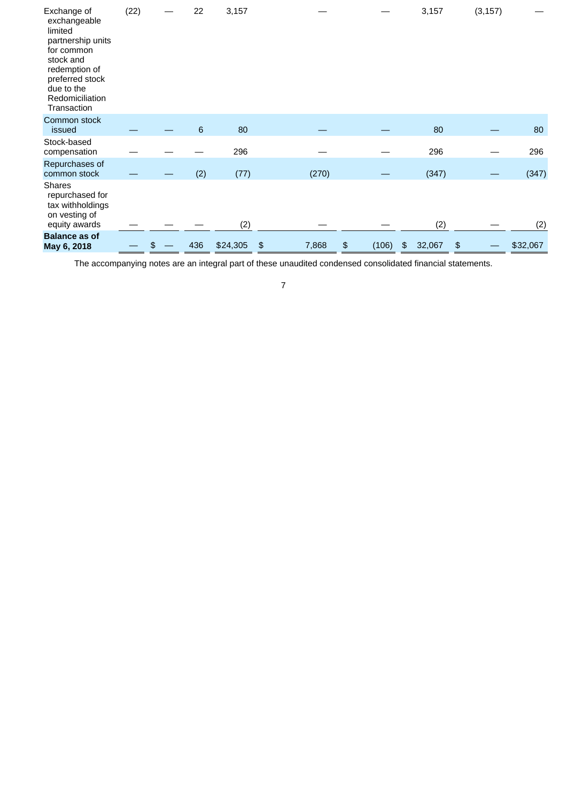| Exchange of<br>exchangeable<br>limited<br>partnership units<br>for common<br>stock and<br>redemption of<br>preferred stock<br>due to the<br>Redomiciliation<br>Transaction | (22) | 22    | 3,157    |             |             | 3,157        | (3, 157) |          |
|----------------------------------------------------------------------------------------------------------------------------------------------------------------------------|------|-------|----------|-------------|-------------|--------------|----------|----------|
| Common stock<br>issued                                                                                                                                                     |      | $\,6$ | 80       |             |             | 80           |          | 80       |
| Stock-based<br>compensation                                                                                                                                                |      |       | 296      |             |             | 296          |          | 296      |
| Repurchases of<br>common stock                                                                                                                                             |      | (2)   | (77)     | (270)       |             | (347)        |          | (347)    |
| <b>Shares</b><br>repurchased for<br>tax withholdings<br>on vesting of<br>equity awards                                                                                     |      |       | (2)      |             |             | (2)          |          | (2)      |
| <b>Balance as of</b><br>May 6, 2018                                                                                                                                        |      | 436   | \$24,305 | 7,868<br>\$ | \$<br>(106) | 32,067<br>\$ | \$       | \$32,067 |

The accompanying notes are an integral part of these unaudited condensed consolidated financial statements.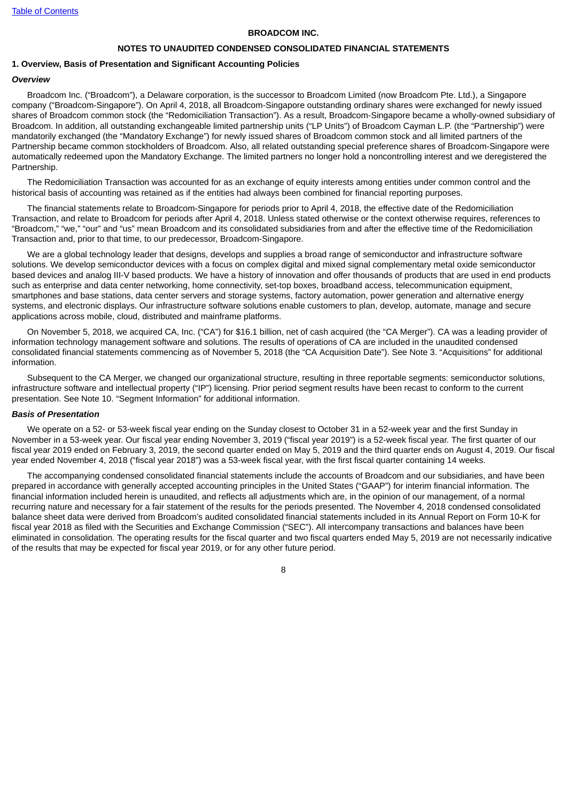### **BROADCOM INC.**

#### **NOTES TO UNAUDITED CONDENSED CONSOLIDATED FINANCIAL STATEMENTS**

#### <span id="page-10-0"></span>**1. Overview, Basis of Presentation and Significant Accounting Policies**

### *Overview*

Broadcom Inc. ("Broadcom"), a Delaware corporation, is the successor to Broadcom Limited (now Broadcom Pte. Ltd.), a Singapore company ("Broadcom-Singapore"). On April 4, 2018, all Broadcom-Singapore outstanding ordinary shares were exchanged for newly issued shares of Broadcom common stock (the "Redomiciliation Transaction"). As a result, Broadcom-Singapore became a wholly-owned subsidiary of Broadcom. In addition, all outstanding exchangeable limited partnership units ("LP Units") of Broadcom Cayman L.P. (the "Partnership") were mandatorily exchanged (the "Mandatory Exchange") for newly issued shares of Broadcom common stock and all limited partners of the Partnership became common stockholders of Broadcom. Also, all related outstanding special preference shares of Broadcom-Singapore were automatically redeemed upon the Mandatory Exchange. The limited partners no longer hold a noncontrolling interest and we deregistered the Partnership.

The Redomiciliation Transaction was accounted for as an exchange of equity interests among entities under common control and the historical basis of accounting was retained as if the entities had always been combined for financial reporting purposes.

The financial statements relate to Broadcom-Singapore for periods prior to April 4, 2018, the effective date of the Redomiciliation Transaction, and relate to Broadcom for periods after April 4, 2018. Unless stated otherwise or the context otherwise requires, references to "Broadcom," "we," "our" and "us" mean Broadcom and its consolidated subsidiaries from and after the effective time of the Redomiciliation Transaction and, prior to that time, to our predecessor, Broadcom-Singapore.

We are a global technology leader that designs, develops and supplies a broad range of semiconductor and infrastructure software solutions. We develop semiconductor devices with a focus on complex digital and mixed signal complementary metal oxide semiconductor based devices and analog III-V based products. We have a history of innovation and offer thousands of products that are used in end products such as enterprise and data center networking, home connectivity, set-top boxes, broadband access, telecommunication equipment, smartphones and base stations, data center servers and storage systems, factory automation, power generation and alternative energy systems, and electronic displays. Our infrastructure software solutions enable customers to plan, develop, automate, manage and secure applications across mobile, cloud, distributed and mainframe platforms.

On November 5, 2018, we acquired CA, Inc. ("CA") for \$16.1 billion, net of cash acquired (the "CA Merger"). CA was a leading provider of information technology management software and solutions. The results of operations of CA are included in the unaudited condensed consolidated financial statements commencing as of November 5, 2018 (the "CA Acquisition Date"). See Note 3. "Acquisitions" for additional information.

Subsequent to the CA Merger, we changed our organizational structure, resulting in three reportable segments: semiconductor solutions, infrastructure software and intellectual property ("IP") licensing. Prior period segment results have been recast to conform to the current presentation. See Note 10. "Segment Information" for additional information.

#### *Basis of Presentation*

We operate on a 52- or 53-week fiscal year ending on the Sunday closest to October 31 in a 52-week year and the first Sunday in November in a 53-week year. Our fiscal year ending November 3, 2019 ("fiscal year 2019") is a 52-week fiscal year. The first quarter of our fiscal year 2019 ended on February 3, 2019, the second quarter ended on May 5, 2019 and the third quarter ends on August 4, 2019. Our fiscal year ended November 4, 2018 ("fiscal year 2018") was a 53-week fiscal year, with the first fiscal quarter containing 14 weeks.

The accompanying condensed consolidated financial statements include the accounts of Broadcom and our subsidiaries, and have been prepared in accordance with generally accepted accounting principles in the United States ("GAAP") for interim financial information. The financial information included herein is unaudited, and reflects all adjustments which are, in the opinion of our management, of a normal recurring nature and necessary for a fair statement of the results for the periods presented. The November 4, 2018 condensed consolidated balance sheet data were derived from Broadcom's audited consolidated financial statements included in its Annual Report on Form 10-K for fiscal year 2018 as filed with the Securities and Exchange Commission ("SEC"). All intercompany transactions and balances have been eliminated in consolidation. The operating results for the fiscal quarter and two fiscal quarters ended May 5, 2019 are not necessarily indicative of the results that may be expected for fiscal year 2019, or for any other future period.

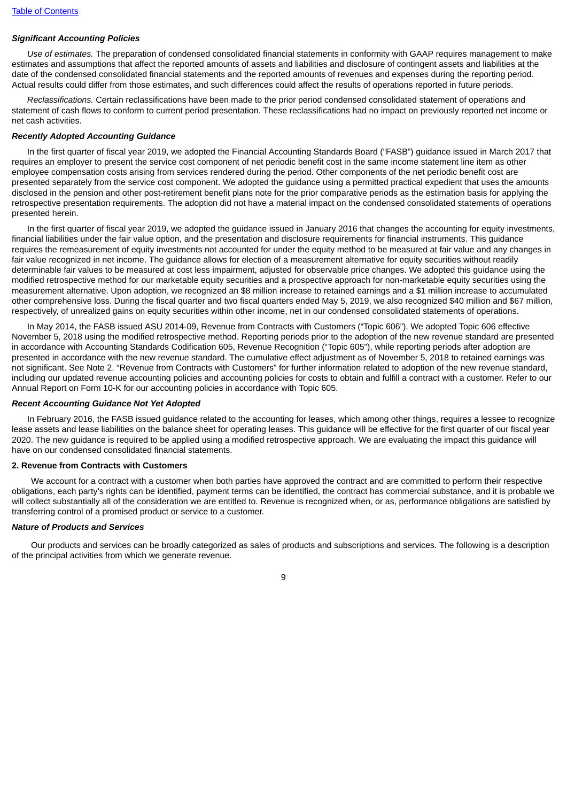### *Significant Accounting Policies*

*Use of estimates.* The preparation of condensed consolidated financial statements in conformity with GAAP requires management to make estimates and assumptions that affect the reported amounts of assets and liabilities and disclosure of contingent assets and liabilities at the date of the condensed consolidated financial statements and the reported amounts of revenues and expenses during the reporting period. Actual results could differ from those estimates, and such differences could affect the results of operations reported in future periods.

*Reclassifications.* Certain reclassifications have been made to the prior period condensed consolidated statement of operations and statement of cash flows to conform to current period presentation. These reclassifications had no impact on previously reported net income or net cash activities.

#### *Recently Adopted Accounting Guidance*

In the first quarter of fiscal year 2019, we adopted the Financial Accounting Standards Board ("FASB") guidance issued in March 2017 that requires an employer to present the service cost component of net periodic benefit cost in the same income statement line item as other employee compensation costs arising from services rendered during the period. Other components of the net periodic benefit cost are presented separately from the service cost component. We adopted the guidance using a permitted practical expedient that uses the amounts disclosed in the pension and other post-retirement benefit plans note for the prior comparative periods as the estimation basis for applying the retrospective presentation requirements. The adoption did not have a material impact on the condensed consolidated statements of operations presented herein.

In the first quarter of fiscal year 2019, we adopted the guidance issued in January 2016 that changes the accounting for equity investments, financial liabilities under the fair value option, and the presentation and disclosure requirements for financial instruments. This guidance requires the remeasurement of equity investments not accounted for under the equity method to be measured at fair value and any changes in fair value recognized in net income. The quidance allows for election of a measurement alternative for equity securities without readily determinable fair values to be measured at cost less impairment, adjusted for observable price changes. We adopted this guidance using the modified retrospective method for our marketable equity securities and a prospective approach for non-marketable equity securities using the measurement alternative. Upon adoption, we recognized an \$8 million increase to retained earnings and a \$1 million increase to accumulated other comprehensive loss. During the fiscal quarter and two fiscal quarters ended May 5, 2019, we also recognized \$40 million and \$67 million, respectively, of unrealized gains on equity securities within other income, net in our condensed consolidated statements of operations.

In May 2014, the FASB issued ASU 2014-09, Revenue from Contracts with Customers ("Topic 606"). We adopted Topic 606 effective November 5, 2018 using the modified retrospective method. Reporting periods prior to the adoption of the new revenue standard are presented in accordance with Accounting Standards Codification 605, Revenue Recognition ("Topic 605"), while reporting periods after adoption are presented in accordance with the new revenue standard. The cumulative effect adjustment as of November 5, 2018 to retained earnings was not significant. See Note 2. "Revenue from Contracts with Customers" for further information related to adoption of the new revenue standard, including our updated revenue accounting policies and accounting policies for costs to obtain and fulfill a contract with a customer. Refer to our Annual Report on Form 10-K for our accounting policies in accordance with Topic 605.

### *Recent Accounting Guidance Not Yet Adopted*

In February 2016, the FASB issued guidance related to the accounting for leases, which among other things, requires a lessee to recognize lease assets and lease liabilities on the balance sheet for operating leases. This guidance will be effective for the first quarter of our fiscal year 2020. The new guidance is required to be applied using a modified retrospective approach. We are evaluating the impact this guidance will have on our condensed consolidated financial statements.

### **2. Revenue from Contracts with Customers**

We account for a contract with a customer when both parties have approved the contract and are committed to perform their respective obligations, each party's rights can be identified, payment terms can be identified, the contract has commercial substance, and it is probable we will collect substantially all of the consideration we are entitled to. Revenue is recognized when, or as, performance obligations are satisfied by transferring control of a promised product or service to a customer.

### *Nature of Products and Services*

Our products and services can be broadly categorized as sales of products and subscriptions and services. The following is a description of the principal activities from which we generate revenue.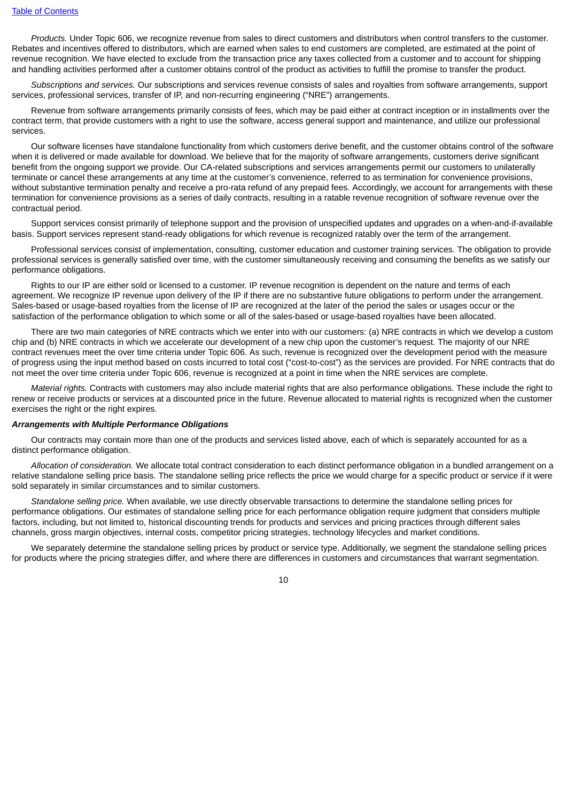*Products.* Under Topic 606, we recognize revenue from sales to direct customers and distributors when control transfers to the customer. Rebates and incentives offered to distributors, which are earned when sales to end customers are completed, are estimated at the point of revenue recognition. We have elected to exclude from the transaction price any taxes collected from a customer and to account for shipping and handling activities performed after a customer obtains control of the product as activities to fulfill the promise to transfer the product.

*Subscriptions and services.* Our subscriptions and services revenue consists of sales and royalties from software arrangements, support services, professional services, transfer of IP, and non-recurring engineering ("NRE") arrangements.

Revenue from software arrangements primarily consists of fees, which may be paid either at contract inception or in installments over the contract term, that provide customers with a right to use the software, access general support and maintenance, and utilize our professional services.

Our software licenses have standalone functionality from which customers derive benefit, and the customer obtains control of the software when it is delivered or made available for download. We believe that for the majority of software arrangements, customers derive significant benefit from the ongoing support we provide. Our CA-related subscriptions and services arrangements permit our customers to unilaterally terminate or cancel these arrangements at any time at the customer's convenience, referred to as termination for convenience provisions, without substantive termination penalty and receive a pro-rata refund of any prepaid fees. Accordingly, we account for arrangements with these termination for convenience provisions as a series of daily contracts, resulting in a ratable revenue recognition of software revenue over the contractual period.

Support services consist primarily of telephone support and the provision of unspecified updates and upgrades on a when-and-if-available basis. Support services represent stand-ready obligations for which revenue is recognized ratably over the term of the arrangement.

Professional services consist of implementation, consulting, customer education and customer training services. The obligation to provide professional services is generally satisfied over time, with the customer simultaneously receiving and consuming the benefits as we satisfy our performance obligations.

Rights to our IP are either sold or licensed to a customer. IP revenue recognition is dependent on the nature and terms of each agreement. We recognize IP revenue upon delivery of the IP if there are no substantive future obligations to perform under the arrangement. Sales-based or usage-based royalties from the license of IP are recognized at the later of the period the sales or usages occur or the satisfaction of the performance obligation to which some or all of the sales-based or usage-based royalties have been allocated.

There are two main categories of NRE contracts which we enter into with our customers: (a) NRE contracts in which we develop a custom chip and (b) NRE contracts in which we accelerate our development of a new chip upon the customer's request. The majority of our NRE contract revenues meet the over time criteria under Topic 606. As such, revenue is recognized over the development period with the measure of progress using the input method based on costs incurred to total cost ("cost-to-cost") as the services are provided. For NRE contracts that do not meet the over time criteria under Topic 606, revenue is recognized at a point in time when the NRE services are complete.

*Material rights.* Contracts with customers may also include material rights that are also performance obligations. These include the right to renew or receive products or services at a discounted price in the future. Revenue allocated to material rights is recognized when the customer exercises the right or the right expires.

#### *Arrangements with Multiple Performance Obligations*

Our contracts may contain more than one of the products and services listed above, each of which is separately accounted for as a distinct performance obligation.

*Allocation of consideration.* We allocate total contract consideration to each distinct performance obligation in a bundled arrangement on a relative standalone selling price basis. The standalone selling price reflects the price we would charge for a specific product or service if it were sold separately in similar circumstances and to similar customers.

*Standalone selling price.* When available, we use directly observable transactions to determine the standalone selling prices for performance obligations. Our estimates of standalone selling price for each performance obligation require judgment that considers multiple factors, including, but not limited to, historical discounting trends for products and services and pricing practices through different sales channels, gross margin objectives, internal costs, competitor pricing strategies, technology lifecycles and market conditions.

We separately determine the standalone selling prices by product or service type. Additionally, we segment the standalone selling prices for products where the pricing strategies differ, and where there are differences in customers and circumstances that warrant segmentation.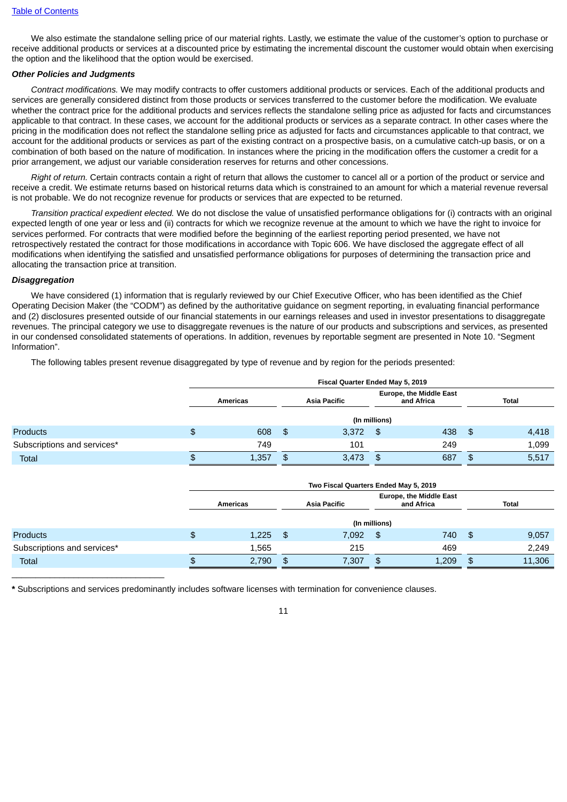We also estimate the standalone selling price of our material rights. Lastly, we estimate the value of the customer's option to purchase or receive additional products or services at a discounted price by estimating the incremental discount the customer would obtain when exercising the option and the likelihood that the option would be exercised.

### *Other Policies and Judgments*

*Contract modifications.* We may modify contracts to offer customers additional products or services. Each of the additional products and services are generally considered distinct from those products or services transferred to the customer before the modification. We evaluate whether the contract price for the additional products and services reflects the standalone selling price as adjusted for facts and circumstances applicable to that contract. In these cases, we account for the additional products or services as a separate contract. In other cases where the pricing in the modification does not reflect the standalone selling price as adjusted for facts and circumstances applicable to that contract, we account for the additional products or services as part of the existing contract on a prospective basis, on a cumulative catch-up basis, or on a combination of both based on the nature of modification. In instances where the pricing in the modification offers the customer a credit for a prior arrangement, we adjust our variable consideration reserves for returns and other concessions.

*Right of return.* Certain contracts contain a right of return that allows the customer to cancel all or a portion of the product or service and receive a credit. We estimate returns based on historical returns data which is constrained to an amount for which a material revenue reversal is not probable. We do not recognize revenue for products or services that are expected to be returned.

*Transition practical expedient elected.* We do not disclose the value of unsatisfied performance obligations for (i) contracts with an original expected length of one year or less and (ii) contracts for which we recognize revenue at the amount to which we have the right to invoice for services performed. For contracts that were modified before the beginning of the earliest reporting period presented, we have not retrospectively restated the contract for those modifications in accordance with Topic 606. We have disclosed the aggregate effect of all modifications when identifying the satisfied and unsatisfied performance obligations for purposes of determining the transaction price and allocating the transaction price at transition.

### *Disaggregation*

We have considered (1) information that is regularly reviewed by our Chief Executive Officer, who has been identified as the Chief Operating Decision Maker (the "CODM") as defined by the authoritative guidance on segment reporting, in evaluating financial performance and (2) disclosures presented outside of our financial statements in our earnings releases and used in investor presentations to disaggregate revenues. The principal category we use to disaggregate revenues is the nature of our products and subscriptions and services, as presented in our condensed consolidated statements of operations. In addition, revenues by reportable segment are presented in Note 10. "Segment Information".

The following tables present revenue disaggregated by type of revenue and by region for the periods presented:

|                             | Fiscal Quarter Ended May 5, 2019 |     |                     |                                              |     |     |       |  |  |  |
|-----------------------------|----------------------------------|-----|---------------------|----------------------------------------------|-----|-----|-------|--|--|--|
|                             | <b>Americas</b>                  |     | <b>Asia Pacific</b> | <b>Europe, the Middle East</b><br>and Africa |     |     |       |  |  |  |
|                             |                                  |     |                     | (In millions)                                |     |     |       |  |  |  |
| <b>Products</b>             | \$<br>608                        | -\$ | 3,372               | \$                                           | 438 | -\$ | 4,418 |  |  |  |
| Subscriptions and services* | 749                              |     | 101                 |                                              | 249 |     | 1,099 |  |  |  |
| <b>Total</b>                | 1,357                            | \$. | 3.473               | \$                                           | 687 | \$  | 5,517 |  |  |  |

|                             | Two Fiscal Quarters Ended May 5, 2019 |           |                     |               |                                              |      |        |  |  |  |
|-----------------------------|---------------------------------------|-----------|---------------------|---------------|----------------------------------------------|------|--------|--|--|--|
|                             | <b>Americas</b>                       |           | <b>Asia Pacific</b> |               | <b>Europe, the Middle East</b><br>and Africa |      | Total  |  |  |  |
|                             |                                       |           |                     | (In millions) |                                              |      |        |  |  |  |
| <b>Products</b>             | \$<br>1,225                           | <b>S</b>  | 7,092               | -\$           | 740                                          | - SS | 9,057  |  |  |  |
| Subscriptions and services* | 1.565                                 |           | 215                 |               | 469                                          |      | 2,249  |  |  |  |
| <b>Total</b>                | 2,790                                 | <b>\$</b> | 7.307               | \$            | 1.209                                        | -S.  | 11,306 |  |  |  |
|                             |                                       |           |                     |               |                                              |      |        |  |  |  |

**\*** Subscriptions and services predominantly includes software licenses with termination for convenience clauses.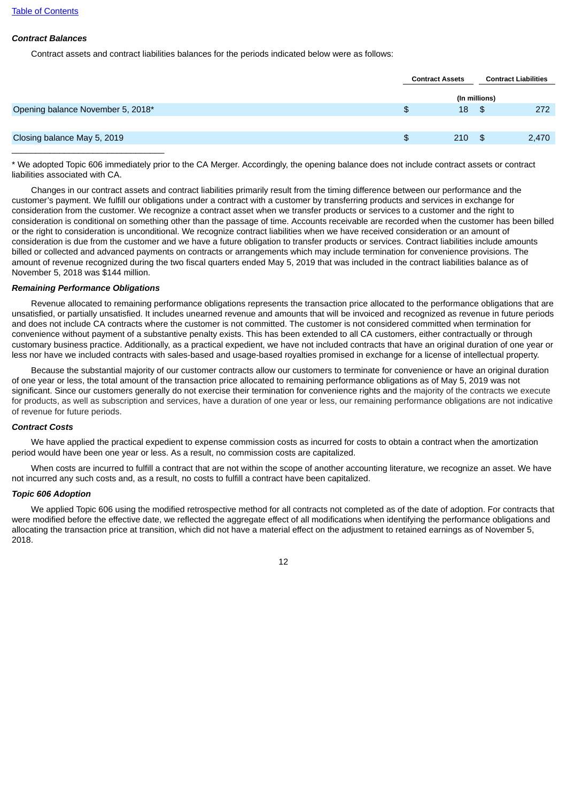# *Contract Balances*

Contract assets and contract liabilities balances for the periods indicated below were as follows:

|                                   | <b>Contract Assets</b> |               | <b>Contract Liabilities</b> |
|-----------------------------------|------------------------|---------------|-----------------------------|
|                                   |                        | (In millions) |                             |
| Opening balance November 5, 2018* | \$<br>18               | - \$          | 272                         |
|                                   |                        |               |                             |
| Closing balance May 5, 2019       | \$<br>210              | - \$          | 2,470                       |
|                                   |                        |               |                             |

\* We adopted Topic 606 immediately prior to the CA Merger. Accordingly, the opening balance does not include contract assets or contract liabilities associated with CA.

Changes in our contract assets and contract liabilities primarily result from the timing difference between our performance and the customer's payment. We fulfill our obligations under a contract with a customer by transferring products and services in exchange for consideration from the customer. We recognize a contract asset when we transfer products or services to a customer and the right to consideration is conditional on something other than the passage of time. Accounts receivable are recorded when the customer has been billed or the right to consideration is unconditional. We recognize contract liabilities when we have received consideration or an amount of consideration is due from the customer and we have a future obligation to transfer products or services. Contract liabilities include amounts billed or collected and advanced payments on contracts or arrangements which may include termination for convenience provisions. The amount of revenue recognized during the two fiscal quarters ended May 5, 2019 that was included in the contract liabilities balance as of November 5, 2018 was \$144 million.

### *Remaining Performance Obligations*

Revenue allocated to remaining performance obligations represents the transaction price allocated to the performance obligations that are unsatisfied, or partially unsatisfied. It includes unearned revenue and amounts that will be invoiced and recognized as revenue in future periods and does not include CA contracts where the customer is not committed. The customer is not considered committed when termination for convenience without payment of a substantive penalty exists. This has been extended to all CA customers, either contractually or through customary business practice. Additionally, as a practical expedient, we have not included contracts that have an original duration of one year or less nor have we included contracts with sales-based and usage-based royalties promised in exchange for a license of intellectual property.

Because the substantial majority of our customer contracts allow our customers to terminate for convenience or have an original duration of one year or less, the total amount of the transaction price allocated to remaining performance obligations as of May 5, 2019 was not significant. Since our customers generally do not exercise their termination for convenience rights and the majority of the contracts we execute for products, as well as subscription and services, have a duration of one year or less, our remaining performance obligations are not indicative of revenue for future periods.

### *Contract Costs*

We have applied the practical expedient to expense commission costs as incurred for costs to obtain a contract when the amortization period would have been one year or less. As a result, no commission costs are capitalized.

When costs are incurred to fulfill a contract that are not within the scope of another accounting literature, we recognize an asset. We have not incurred any such costs and, as a result, no costs to fulfill a contract have been capitalized.

### *Topic 606 Adoption*

We applied Topic 606 using the modified retrospective method for all contracts not completed as of the date of adoption. For contracts that were modified before the effective date, we reflected the aggregate effect of all modifications when identifying the performance obligations and allocating the transaction price at transition, which did not have a material effect on the adjustment to retained earnings as of November 5, 2018.

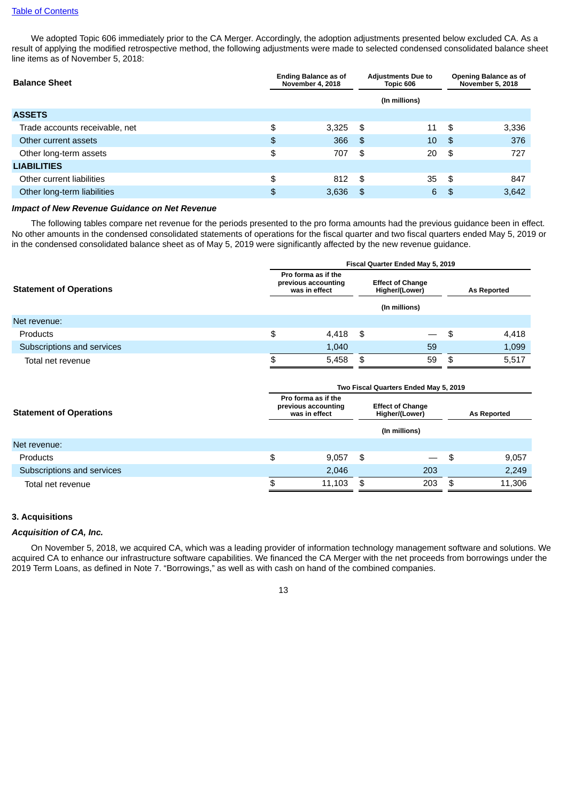### Table of [Contents](#page-1-0)

We adopted Topic 606 immediately prior to the CA Merger. Accordingly, the adoption adjustments presented below excluded CA. As a result of applying the modified retrospective method, the following adjustments were made to selected condensed consolidated balance sheet line items as of November 5, 2018:

| <b>Balance Sheet</b>           |    | <b>Ending Balance as of</b><br><b>November 4, 2018</b> | <b>Adjustments Due to</b><br>Topic 606 |    | Opening Balance as of<br><b>November 5, 2018</b> |       |
|--------------------------------|----|--------------------------------------------------------|----------------------------------------|----|--------------------------------------------------|-------|
|                                |    |                                                        | (In millions)                          |    |                                                  |       |
| <b>ASSETS</b>                  |    |                                                        |                                        |    |                                                  |       |
| Trade accounts receivable, net | \$ | 3,325                                                  | -\$                                    | 11 | -\$                                              | 3,336 |
| Other current assets           | \$ | 366                                                    | -\$                                    | 10 | \$                                               | 376   |
| Other long-term assets         | \$ | 707                                                    | \$                                     | 20 | \$                                               | 727   |
| <b>LIABILITIES</b>             |    |                                                        |                                        |    |                                                  |       |
| Other current liabilities      | \$ | 812                                                    | - \$                                   | 35 | - \$                                             | 847   |
| Other long-term liabilities    | \$ | 3,636                                                  | \$                                     | 6  | \$                                               | 3,642 |

#### *Impact of New Revenue Guidance on Net Revenue*

The following tables compare net revenue for the periods presented to the pro forma amounts had the previous guidance been in effect. No other amounts in the condensed consolidated statements of operations for the fiscal quarter and two fiscal quarters ended May 5, 2019 or in the condensed consolidated balance sheet as of May 5, 2019 were significantly affected by the new revenue guidance.

|                                | Fiscal Quarter Ended May 5, 2019                                                                                          |       |    |                          |                    |       |  |  |
|--------------------------------|---------------------------------------------------------------------------------------------------------------------------|-------|----|--------------------------|--------------------|-------|--|--|
| <b>Statement of Operations</b> | Pro forma as if the<br><b>Effect of Change</b><br>previous accounting<br>was in effect<br>Higher/(Lower)<br>(In millions) |       |    |                          | <b>As Reported</b> |       |  |  |
| Net revenue:                   |                                                                                                                           |       |    |                          |                    |       |  |  |
| <b>Products</b>                | \$                                                                                                                        | 4,418 | \$ | $\overline{\phantom{0}}$ | -S                 | 4,418 |  |  |
| Subscriptions and services     |                                                                                                                           | 1,040 |    | 59                       |                    | 1,099 |  |  |
| Total net revenue              | \$                                                                                                                        | 5,458 | \$ | 59                       | \$                 | 5,517 |  |  |

|                                | Two Fiscal Quarters Ended May 5, 2019 |                                                             |                                           |                          |     |                    |  |  |
|--------------------------------|---------------------------------------|-------------------------------------------------------------|-------------------------------------------|--------------------------|-----|--------------------|--|--|
| <b>Statement of Operations</b> |                                       | Pro forma as if the<br>previous accounting<br>was in effect | <b>Effect of Change</b><br>Higher/(Lower) |                          |     | <b>As Reported</b> |  |  |
|                                |                                       |                                                             |                                           | (In millions)            |     |                    |  |  |
| Net revenue:                   |                                       |                                                             |                                           |                          |     |                    |  |  |
| <b>Products</b>                | \$                                    | 9.057                                                       | \$                                        | $\overline{\phantom{0}}$ | \$  | 9,057              |  |  |
| Subscriptions and services     |                                       | 2,046                                                       |                                           | 203                      |     | 2,249              |  |  |
| Total net revenue              | Φ                                     | 11,103                                                      | \$                                        | 203                      | -SG | 11,306             |  |  |

# **3. Acquisitions**

#### *Acquisition of CA, Inc.*

On November 5, 2018, we acquired CA, which was a leading provider of information technology management software and solutions. We acquired CA to enhance our infrastructure software capabilities. We financed the CA Merger with the net proceeds from borrowings under the 2019 Term Loans, as defined in Note 7. "Borrowings," as well as with cash on hand of the combined companies.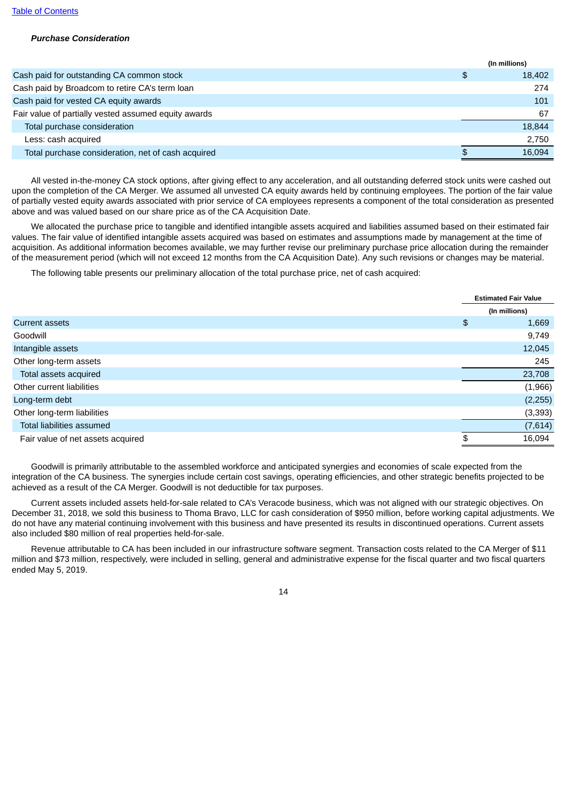### *Purchase Consideration*

|                                                      | (In millions) |
|------------------------------------------------------|---------------|
| Cash paid for outstanding CA common stock            | \$<br>18,402  |
| Cash paid by Broadcom to retire CA's term loan       | 274           |
| Cash paid for vested CA equity awards                | 101           |
| Fair value of partially vested assumed equity awards | 67            |
| Total purchase consideration                         | 18,844        |
| Less: cash acquired                                  | 2.750         |
| Total purchase consideration, net of cash acquired   | 16.094        |

All vested in-the-money CA stock options, after giving effect to any acceleration, and all outstanding deferred stock units were cashed out upon the completion of the CA Merger. We assumed all unvested CA equity awards held by continuing employees. The portion of the fair value of partially vested equity awards associated with prior service of CA employees represents a component of the total consideration as presented above and was valued based on our share price as of the CA Acquisition Date.

We allocated the purchase price to tangible and identified intangible assets acquired and liabilities assumed based on their estimated fair values. The fair value of identified intangible assets acquired was based on estimates and assumptions made by management at the time of acquisition. As additional information becomes available, we may further revise our preliminary purchase price allocation during the remainder of the measurement period (which will not exceed 12 months from the CA Acquisition Date). Any such revisions or changes may be material.

The following table presents our preliminary allocation of the total purchase price, net of cash acquired:

|                                   | <b>Estimated Fair Value</b> |
|-----------------------------------|-----------------------------|
|                                   | (In millions)               |
| <b>Current assets</b>             | \$<br>1,669                 |
| Goodwill                          | 9,749                       |
| Intangible assets                 | 12,045                      |
| Other long-term assets            | 245                         |
| Total assets acquired             | 23,708                      |
| Other current liabilities         | (1,966)                     |
| Long-term debt                    | (2, 255)                    |
| Other long-term liabilities       | (3, 393)                    |
| Total liabilities assumed         | (7,614)                     |
| Fair value of net assets acquired | \$<br>16,094                |

Goodwill is primarily attributable to the assembled workforce and anticipated synergies and economies of scale expected from the integration of the CA business. The synergies include certain cost savings, operating efficiencies, and other strategic benefits projected to be achieved as a result of the CA Merger. Goodwill is not deductible for tax purposes.

Current assets included assets held-for-sale related to CA's Veracode business, which was not aligned with our strategic objectives. On December 31, 2018, we sold this business to Thoma Bravo, LLC for cash consideration of \$950 million, before working capital adjustments. We do not have any material continuing involvement with this business and have presented its results in discontinued operations. Current assets also included \$80 million of real properties held-for-sale.

Revenue attributable to CA has been included in our infrastructure software segment. Transaction costs related to the CA Merger of \$11 million and \$73 million, respectively, were included in selling, general and administrative expense for the fiscal quarter and two fiscal quarters ended May 5, 2019.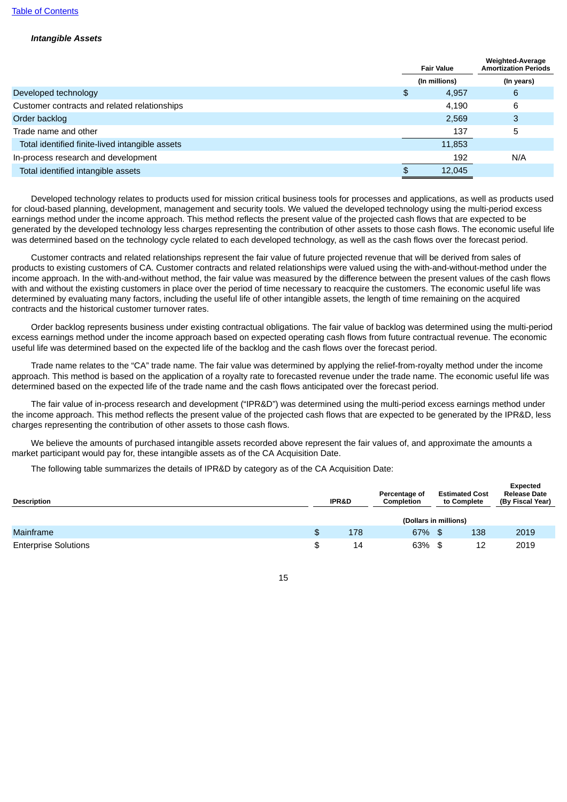### *Intangible Assets*

| <b>Fair Value</b><br>(In millions) |        | <b>Weighted-Average</b><br><b>Amortization Periods</b> |  |
|------------------------------------|--------|--------------------------------------------------------|--|
|                                    |        | (In years)                                             |  |
| \$                                 | 4,957  | 6                                                      |  |
|                                    | 4,190  | 6                                                      |  |
|                                    | 2,569  | 3                                                      |  |
|                                    | 137    | 5                                                      |  |
|                                    | 11,853 |                                                        |  |
|                                    | 192    | N/A                                                    |  |
|                                    | 12,045 |                                                        |  |
|                                    |        |                                                        |  |

Developed technology relates to products used for mission critical business tools for processes and applications, as well as products used for cloud-based planning, development, management and security tools. We valued the developed technology using the multi-period excess earnings method under the income approach. This method reflects the present value of the projected cash flows that are expected to be generated by the developed technology less charges representing the contribution of other assets to those cash flows. The economic useful life was determined based on the technology cycle related to each developed technology, as well as the cash flows over the forecast period.

Customer contracts and related relationships represent the fair value of future projected revenue that will be derived from sales of products to existing customers of CA. Customer contracts and related relationships were valued using the with-and-without-method under the income approach. In the with-and-without method, the fair value was measured by the difference between the present values of the cash flows with and without the existing customers in place over the period of time necessary to reacquire the customers. The economic useful life was determined by evaluating many factors, including the useful life of other intangible assets, the length of time remaining on the acquired contracts and the historical customer turnover rates.

Order backlog represents business under existing contractual obligations. The fair value of backlog was determined using the multi-period excess earnings method under the income approach based on expected operating cash flows from future contractual revenue. The economic useful life was determined based on the expected life of the backlog and the cash flows over the forecast period.

Trade name relates to the "CA" trade name. The fair value was determined by applying the relief-from-royalty method under the income approach. This method is based on the application of a royalty rate to forecasted revenue under the trade name. The economic useful life was determined based on the expected life of the trade name and the cash flows anticipated over the forecast period.

The fair value of in-process research and development ("IPR&D") was determined using the multi-period excess earnings method under the income approach. This method reflects the present value of the projected cash flows that are expected to be generated by the IPR&D, less charges representing the contribution of other assets to those cash flows.

We believe the amounts of purchased intangible assets recorded above represent the fair values of, and approximate the amounts a market participant would pay for, these intangible assets as of the CA Acquisition Date.

The following table summarizes the details of IPR&D by category as of the CA Acquisition Date:

| <b>Description</b>          | <b>IPR&amp;D</b> | Percentage of<br><b>Completion</b> | <b>Estimated Cost</b><br>to Complete | Expected<br><b>Release Date</b><br>(By Fiscal Year) |  |  |  |  |
|-----------------------------|------------------|------------------------------------|--------------------------------------|-----------------------------------------------------|--|--|--|--|
|                             |                  | (Dollars in millions)              |                                      |                                                     |  |  |  |  |
| <b>Mainframe</b>            | \$<br>178        | 67% \$                             | 138                                  | 2019                                                |  |  |  |  |
| <b>Enterprise Solutions</b> | \$<br>14         | 63% \$                             | 12                                   | 2019                                                |  |  |  |  |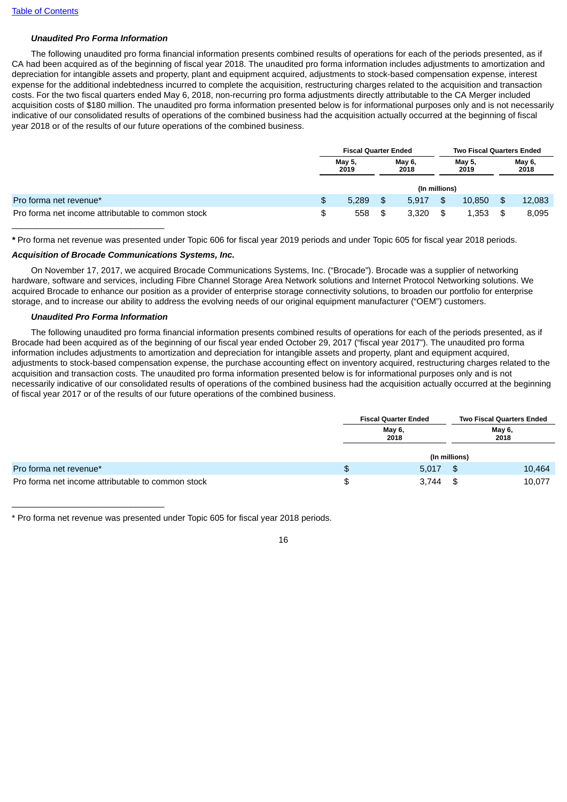### *Unaudited Pro Forma Information*

The following unaudited pro forma financial information presents combined results of operations for each of the periods presented, as if CA had been acquired as of the beginning of fiscal year 2018. The unaudited pro forma information includes adjustments to amortization and depreciation for intangible assets and property, plant and equipment acquired, adjustments to stock-based compensation expense, interest expense for the additional indebtedness incurred to complete the acquisition, restructuring charges related to the acquisition and transaction costs. For the two fiscal quarters ended May 6, 2018, non-recurring pro forma adjustments directly attributable to the CA Merger included acquisition costs of \$180 million. The unaudited pro forma information presented below is for informational purposes only and is not necessarily indicative of our consolidated results of operations of the combined business had the acquisition actually occurred at the beginning of fiscal year 2018 or of the results of our future operations of the combined business.

|                                                   |    | <b>Fiscal Quarter Ended</b> |    |                | <b>Two Fiscal Quarters Ended</b> |                |                |        |
|---------------------------------------------------|----|-----------------------------|----|----------------|----------------------------------|----------------|----------------|--------|
|                                                   |    | May 5,<br>2019              |    | May 6,<br>2018 |                                  | May 5,<br>2019 | May 6,<br>2018 |        |
|                                                   |    |                             |    |                | (In millions)                    |                |                |        |
| Pro forma net revenue*                            | \$ | 5,289                       | \$ | 5.917          | \$                               | 10.850         | \$             | 12,083 |
| Pro forma net income attributable to common stock | S  | 558                         | \$ | 3.320          | -\$                              | 1.353          | \$             | 8,095  |

*\** Pro forma net revenue was presented under Topic 606 for fiscal year 2019 periods and under Topic 605 for fiscal year 2018 periods.

#### *Acquisition of Brocade Communications Systems, Inc.*

On November 17, 2017, we acquired Brocade Communications Systems, Inc. ("Brocade"). Brocade was a supplier of networking hardware, software and services, including Fibre Channel Storage Area Network solutions and Internet Protocol Networking solutions. We acquired Brocade to enhance our position as a provider of enterprise storage connectivity solutions, to broaden our portfolio for enterprise storage, and to increase our ability to address the evolving needs of our original equipment manufacturer ("OEM") customers.

#### *Unaudited Pro Forma Information*

 $\mathcal{L}_\text{max}$  , and the set of the set of the set of the set of the set of the set of the set of the set of the set of the set of the set of the set of the set of the set of the set of the set of the set of the set of the

The following unaudited pro forma financial information presents combined results of operations for each of the periods presented, as if Brocade had been acquired as of the beginning of our fiscal year ended October 29, 2017 ("fiscal year 2017"). The unaudited pro forma information includes adjustments to amortization and depreciation for intangible assets and property, plant and equipment acquired, adjustments to stock-based compensation expense, the purchase accounting effect on inventory acquired, restructuring charges related to the acquisition and transaction costs. The unaudited pro forma information presented below is for informational purposes only and is not necessarily indicative of our consolidated results of operations of the combined business had the acquisition actually occurred at the beginning of fiscal year 2017 or of the results of our future operations of the combined business.

|                                                   | <b>Fiscal Quarter Ended</b> | <b>Two Fiscal Quarters Ended</b><br>May 6,<br>2018 |        |  |
|---------------------------------------------------|-----------------------------|----------------------------------------------------|--------|--|
|                                                   | May 6,<br>2018              |                                                    |        |  |
|                                                   |                             | (In millions)                                      |        |  |
| Pro forma net revenue*                            | \$<br>5.017                 |                                                    | 10,464 |  |
| Pro forma net income attributable to common stock | \$<br>3,744                 |                                                    | 10,077 |  |

\* Pro forma net revenue was presented under Topic 605 for fiscal year 2018 periods.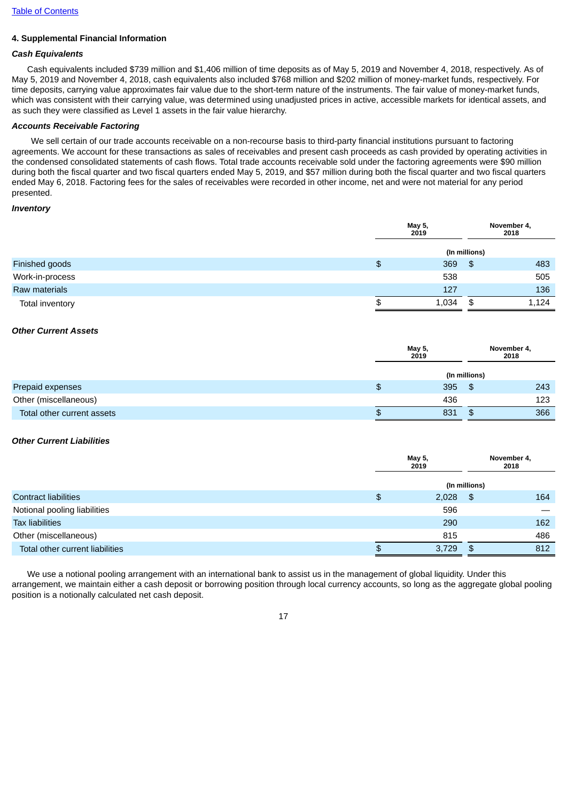# **4. Supplemental Financial Information**

# *Cash Equivalents*

Cash equivalents included \$739 million and \$1,406 million of time deposits as of May 5, 2019 and November 4, 2018, respectively. As of May 5, 2019 and November 4, 2018, cash equivalents also included \$768 million and \$202 million of money-market funds, respectively. For time deposits, carrying value approximates fair value due to the short-term nature of the instruments. The fair value of money-market funds, which was consistent with their carrying value, was determined using unadjusted prices in active, accessible markets for identical assets, and as such they were classified as Level 1 assets in the fair value hierarchy.

# *Accounts Receivable Factoring*

We sell certain of our trade accounts receivable on a non-recourse basis to third-party financial institutions pursuant to factoring agreements. We account for these transactions as sales of receivables and present cash proceeds as cash provided by operating activities in the condensed consolidated statements of cash flows. Total trade accounts receivable sold under the factoring agreements were \$90 million during both the fiscal quarter and two fiscal quarters ended May 5, 2019, and \$57 million during both the fiscal quarter and two fiscal quarters ended May 6, 2018. Factoring fees for the sales of receivables were recorded in other income, net and were not material for any period presented.

### *Inventory*

|                 | May 5,<br>2019 | November 4,<br>2018 |       |
|-----------------|----------------|---------------------|-------|
|                 |                | (In millions)       |       |
| Finished goods  | \$<br>369      | \$                  | 483   |
| Work-in-process | 538            |                     | 505   |
| Raw materials   | 127            |                     | 136   |
| Total inventory | \$<br>1,034    | \$                  | 1,124 |

### *Other Current Assets*

|                            |   | May 5,<br>2019 |               | November 4,<br>2018 |
|----------------------------|---|----------------|---------------|---------------------|
|                            |   |                | (In millions) |                     |
| Prepaid expenses           | Φ | 395            | <b>\$</b>     | 243                 |
| Other (miscellaneous)      |   | 436            |               | 123                 |
| Total other current assets | Ф | 831            |               | 366                 |

### *Other Current Liabilities*

|                                 | May 5,<br>2019 |               | November 4,<br>2018 |  |  |
|---------------------------------|----------------|---------------|---------------------|--|--|
|                                 |                | (In millions) |                     |  |  |
| <b>Contract liabilities</b>     | \$<br>2,028    | -\$           | 164                 |  |  |
| Notional pooling liabilities    | 596            |               |                     |  |  |
| <b>Tax liabilities</b>          | 290            |               | 162                 |  |  |
| Other (miscellaneous)           | 815            |               | 486                 |  |  |
| Total other current liabilities | 3,729          | \$            | 812                 |  |  |

We use a notional pooling arrangement with an international bank to assist us in the management of global liquidity. Under this arrangement, we maintain either a cash deposit or borrowing position through local currency accounts, so long as the aggregate global pooling position is a notionally calculated net cash deposit.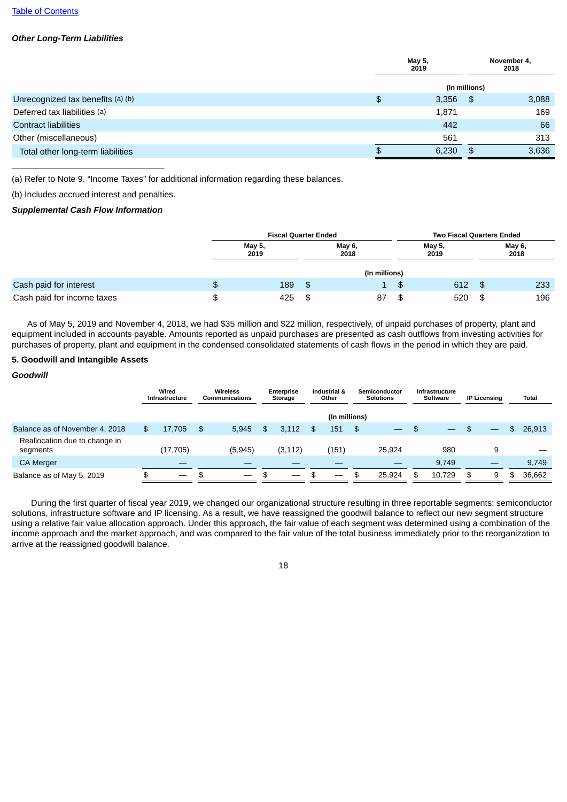### *Other Long-Term Liabilities*

|                                   | May 5,<br>2019 |               | November 4,<br>2018 |  |  |
|-----------------------------------|----------------|---------------|---------------------|--|--|
|                                   |                | (In millions) |                     |  |  |
| Unrecognized tax benefits (a) (b) | \$<br>3,356    | -\$           | 3,088               |  |  |
| Deferred tax liabilities (a)      | 1,871          |               | 169                 |  |  |
| <b>Contract liabilities</b>       | 442            |               | 66                  |  |  |
| Other (miscellaneous)             | 561            |               | 313                 |  |  |
| Total other long-term liabilities | \$<br>6,230    | \$            | 3,636               |  |  |
|                                   |                |               |                     |  |  |

(a) Refer to Note 9. "Income Taxes" for additional information regarding these balances.

(b) Includes accrued interest and penalties.

### *Supplemental Cash Flow Information*

|                            |   | <b>Fiscal Quarter Ended</b> |    |                | <b>Two Fiscal Quarters Ended</b> |    |                |  |  |
|----------------------------|---|-----------------------------|----|----------------|----------------------------------|----|----------------|--|--|
|                            |   | May 5,<br>2019              |    | May 6,<br>2018 | May 5,<br>2019                   |    | May 6,<br>2018 |  |  |
|                            |   |                             |    | (In millions)  |                                  |    |                |  |  |
| Cash paid for interest     | ₽ | 189                         | \$ |                | \$<br>612                        | £. | 233            |  |  |
| Cash paid for income taxes |   | 425                         |    | 87             | \$<br>520                        |    | 196            |  |  |

As of May 5, 2019 and November 4, 2018, we had \$35 million and \$22 million, respectively, of unpaid purchases of property, plant and equipment included in accounts payable. Amounts reported as unpaid purchases are presented as cash outflows from investing activities for purchases of property, plant and equipment in the condensed consolidated statements of cash flows in the period in which they are paid.

### **5. Goodwill and Intangible Assets**

### *Goodwill*

|                                           | Wired<br><b>Infrastructure</b> | Wireless<br><b>Communications</b> | <b>Enterprise</b><br>Storage |          | Industrial &<br>Other |                          | Semiconductor<br><b>Solutions</b> |        | <b>Infrastructure</b><br>Software |        | <b>IP Licensing</b> |    | Total        |
|-------------------------------------------|--------------------------------|-----------------------------------|------------------------------|----------|-----------------------|--------------------------|-----------------------------------|--------|-----------------------------------|--------|---------------------|----|--------------|
|                                           |                                |                                   |                              |          |                       | (In millions)            |                                   |        |                                   |        |                     |    |              |
| Balance as of November 4, 2018            | \$<br>17.705                   | \$<br>5.945                       | \$                           | 3.112    | \$                    | 151                      | - \$                              |        | - \$                              |        |                     |    | \$<br>26,913 |
| Reallocation due to change in<br>segments | (17, 705)                      | (5,945)                           |                              | (3, 112) |                       | (151)                    |                                   | 25.924 |                                   | 980    |                     | 9  |              |
| <b>CA Merger</b>                          | __                             |                                   |                              |          |                       |                          |                                   |        |                                   | 9.749  |                     | __ | 9.749        |
| Balance as of May 5, 2019                 | \$                             |                                   |                              |          | \$                    | $\overline{\phantom{0}}$ | \$                                | 25.924 | \$                                | 10.729 | \$.                 | 9  | \$<br>36,662 |

During the first quarter of fiscal year 2019, we changed our organizational structure resulting in three reportable segments: semiconductor solutions, infrastructure software and IP licensing. As a result, we have reassigned the goodwill balance to reflect our new segment structure using a relative fair value allocation approach. Under this approach, the fair value of each segment was determined using a combination of the income approach and the market approach, and was compared to the fair value of the total business immediately prior to the reorganization to arrive at the reassigned goodwill balance.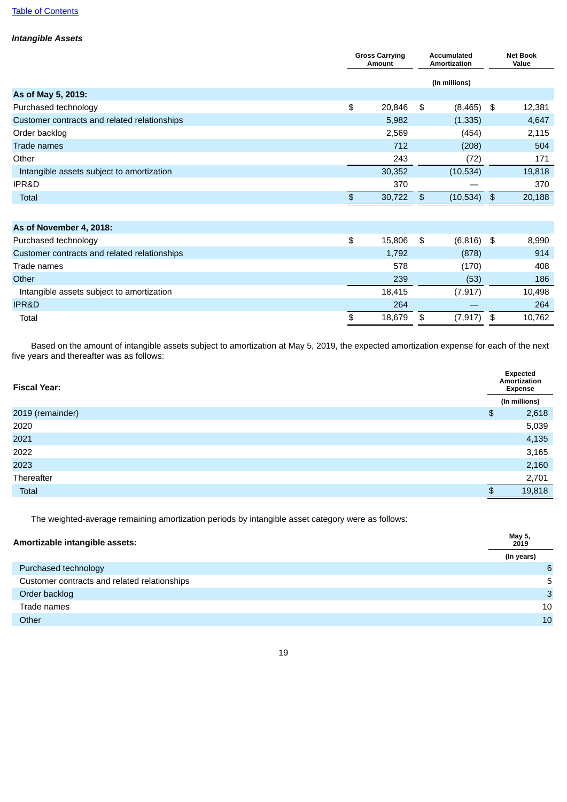### **Table of [Contents](#page-1-0)**

# *Intangible Assets*

|                                              | <b>Gross Carrying</b><br>Amount |    | <b>Accumulated</b><br>Amortization |               | <b>Net Book</b><br>Value |  |
|----------------------------------------------|---------------------------------|----|------------------------------------|---------------|--------------------------|--|
|                                              |                                 |    | (In millions)                      |               |                          |  |
| As of May 5, 2019:                           |                                 |    |                                    |               |                          |  |
| Purchased technology                         | \$<br>20,846                    | \$ | (8, 465)                           | \$            | 12,381                   |  |
| Customer contracts and related relationships | 5,982                           |    | (1, 335)                           |               | 4,647                    |  |
| Order backlog                                | 2,569                           |    | (454)                              |               | 2,115                    |  |
| <b>Trade names</b>                           | 712                             |    | (208)                              |               | 504                      |  |
| Other                                        | 243                             |    | (72)                               |               | 171                      |  |
| Intangible assets subject to amortization    | 30,352                          |    | (10, 534)                          |               | 19,818                   |  |
| IPR&D                                        | 370                             |    |                                    |               | 370                      |  |
| Total                                        | \$<br>30,722                    | \$ | (10, 534)                          | $\frac{4}{5}$ | 20,188                   |  |
|                                              |                                 |    |                                    |               |                          |  |
| As of November 4, 2018:                      |                                 |    |                                    |               |                          |  |
| Purchased technology                         | \$<br>15,806                    | \$ | $(6,816)$ \$                       |               | 8,990                    |  |
| Customer contracts and related relationships | 1,792                           |    | (878)                              |               | 914                      |  |
| Trade names                                  | 570                             |    | (170)                              |               | $\Delta$                 |  |

| Trade names                               | 578    | (170)          | 408    |
|-------------------------------------------|--------|----------------|--------|
| Other                                     | 239    | (53)           | 186    |
| Intangible assets subject to amortization | 18,415 | (7, 917)       | 10,498 |
| <b>IPR&amp;D</b>                          | 264    |                | 264    |
| Total                                     | 18.679 | (7, 917)<br>\$ | 10.762 |

Based on the amount of intangible assets subject to amortization at May 5, 2019, the expected amortization expense for each of the next five years and thereafter was as follows:

| <b>Fiscal Year:</b> |                      | Expected<br>Amortization<br><b>Expense</b> |  |  |
|---------------------|----------------------|--------------------------------------------|--|--|
|                     |                      | (In millions)                              |  |  |
| 2019 (remainder)    | $\pmb{\mathfrak{P}}$ | 2,618                                      |  |  |
| 2020                |                      | 5,039                                      |  |  |
| 2021                |                      | 4,135                                      |  |  |
| 2022                |                      | 3,165                                      |  |  |
| 2023                |                      | 2,160                                      |  |  |
| Thereafter          |                      | 2,701                                      |  |  |
| Total               | \$                   | 19,818                                     |  |  |

The weighted-average remaining amortization periods by intangible asset category were as follows:

| Amortizable intangible assets:               | May 5,<br>2019 |
|----------------------------------------------|----------------|
|                                              | (In years)     |
| Purchased technology                         | 6              |
| Customer contracts and related relationships | 5              |
| Order backlog                                | 3              |
| Trade names                                  | 10             |
| Other                                        | 10             |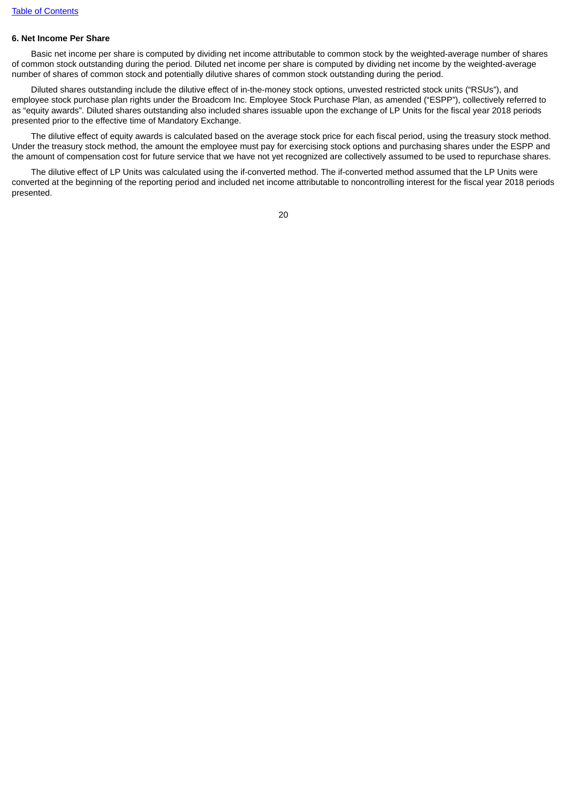### **6. Net Income Per Share**

Basic net income per share is computed by dividing net income attributable to common stock by the weighted-average number of shares of common stock outstanding during the period. Diluted net income per share is computed by dividing net income by the weighted-average number of shares of common stock and potentially dilutive shares of common stock outstanding during the period.

Diluted shares outstanding include the dilutive effect of in-the-money stock options, unvested restricted stock units ("RSUs"), and employee stock purchase plan rights under the Broadcom Inc. Employee Stock Purchase Plan, as amended ("ESPP"), collectively referred to as "equity awards". Diluted shares outstanding also included shares issuable upon the exchange of LP Units for the fiscal year 2018 periods presented prior to the effective time of Mandatory Exchange.

The dilutive effect of equity awards is calculated based on the average stock price for each fiscal period, using the treasury stock method. Under the treasury stock method, the amount the employee must pay for exercising stock options and purchasing shares under the ESPP and the amount of compensation cost for future service that we have not yet recognized are collectively assumed to be used to repurchase shares.

The dilutive effect of LP Units was calculated using the if-converted method. The if-converted method assumed that the LP Units were converted at the beginning of the reporting period and included net income attributable to noncontrolling interest for the fiscal year 2018 periods presented.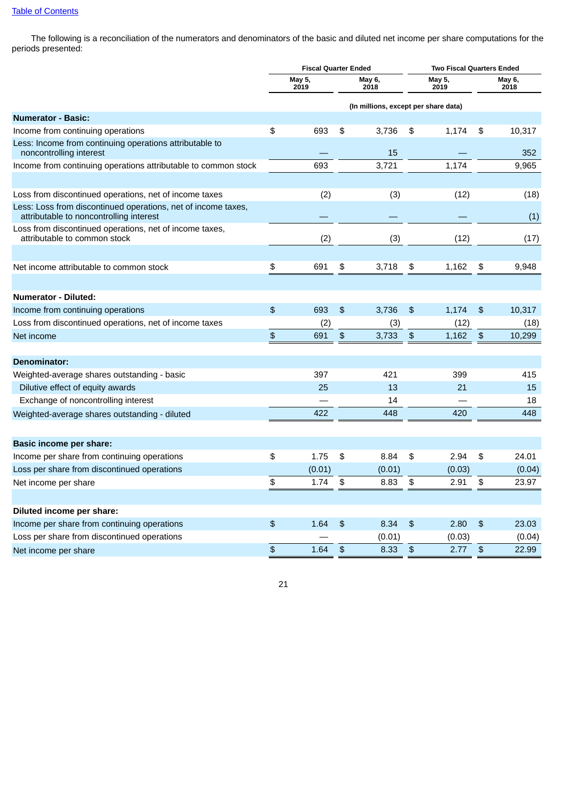The following is a reconciliation of the numerators and denominators of the basic and diluted net income per share computations for the periods presented:

|                                                                                                          | <b>Fiscal Quarter Ended</b> |                |                           |                                      |                       | <b>Two Fiscal Quarters Ended</b> |                       |                |
|----------------------------------------------------------------------------------------------------------|-----------------------------|----------------|---------------------------|--------------------------------------|-----------------------|----------------------------------|-----------------------|----------------|
|                                                                                                          |                             | May 5,<br>2019 |                           | May 6,<br>2018                       |                       | May 5,<br>2019                   |                       | May 6,<br>2018 |
|                                                                                                          |                             |                |                           | (In millions, except per share data) |                       |                                  |                       |                |
| <b>Numerator - Basic:</b>                                                                                |                             |                |                           |                                      |                       |                                  |                       |                |
| Income from continuing operations                                                                        | \$                          | 693            | \$                        | 3,736                                | \$                    | 1,174                            | \$                    | 10,317         |
| Less: Income from continuing operations attributable to<br>noncontrolling interest                       |                             |                |                           | 15                                   |                       |                                  |                       | 352            |
| Income from continuing operations attributable to common stock                                           |                             | 693            |                           | 3,721                                |                       | 1,174                            |                       | 9,965          |
| Loss from discontinued operations, net of income taxes                                                   |                             | (2)            |                           | (3)                                  |                       | (12)                             |                       | (18)           |
| Less: Loss from discontinued operations, net of income taxes,<br>attributable to noncontrolling interest |                             |                |                           |                                      |                       |                                  |                       | (1)            |
| Loss from discontinued operations, net of income taxes,<br>attributable to common stock                  |                             | (2)            |                           | (3)                                  |                       | (12)                             |                       | (17)           |
| Net income attributable to common stock                                                                  | \$                          | 691            | \$                        | 3,718                                | \$                    | 1,162                            | \$                    | 9,948          |
|                                                                                                          |                             |                |                           |                                      |                       |                                  |                       |                |
| <b>Numerator - Diluted:</b>                                                                              |                             |                |                           |                                      |                       |                                  |                       |                |
| Income from continuing operations                                                                        | \$                          | 693            | $\mathfrak{P}$            | 3,736                                | \$                    | 1.174                            | \$                    | 10,317         |
| Loss from discontinued operations, net of income taxes                                                   |                             | (2)            |                           | (3)                                  |                       | (12)                             |                       | (18)           |
| Net income                                                                                               | $\boldsymbol{\theta}$       | 691            | $\pmb{\$}$                | 3,733                                | $\boldsymbol{\theta}$ | 1,162                            | $\boldsymbol{\theta}$ | 10,299         |
| Denominator:                                                                                             |                             |                |                           |                                      |                       |                                  |                       |                |
| Weighted-average shares outstanding - basic                                                              |                             | 397            |                           | 421                                  |                       | 399                              |                       | 415            |
| Dilutive effect of equity awards                                                                         |                             | 25             |                           | 13                                   |                       | 21                               |                       | 15             |
| Exchange of noncontrolling interest                                                                      |                             |                |                           | 14                                   |                       |                                  |                       | 18             |
| Weighted-average shares outstanding - diluted                                                            |                             | 422            |                           | 448                                  |                       | 420                              |                       | 448            |
| Basic income per share:                                                                                  |                             |                |                           |                                      |                       |                                  |                       |                |
| Income per share from continuing operations                                                              | \$                          | 1.75           | \$                        | 8.84                                 | \$                    | 2.94                             | \$                    | 24.01          |
| Loss per share from discontinued operations                                                              |                             | (0.01)         |                           | (0.01)                               |                       | (0.03)                           |                       | (0.04)         |
| Net income per share                                                                                     | \$                          | 1.74           | \$                        | 8.83                                 | \$                    | 2.91                             | \$                    | 23.97          |
|                                                                                                          |                             |                |                           |                                      |                       |                                  |                       |                |
| Diluted income per share:                                                                                |                             |                |                           |                                      |                       |                                  |                       |                |
| Income per share from continuing operations                                                              | $\mathfrak{P}$              | 1.64           | $\frac{4}{5}$             | 8.34                                 | \$                    | 2.80                             | \$                    | 23.03          |
| Loss per share from discontinued operations                                                              |                             |                |                           | (0.01)                               |                       | (0.03)                           |                       | (0.04)         |
| Net income per share                                                                                     | \$                          | 1.64           | $\boldsymbol{\hat{\phi}}$ | 8.33                                 | \$                    | 2.77                             | \$                    | 22.99          |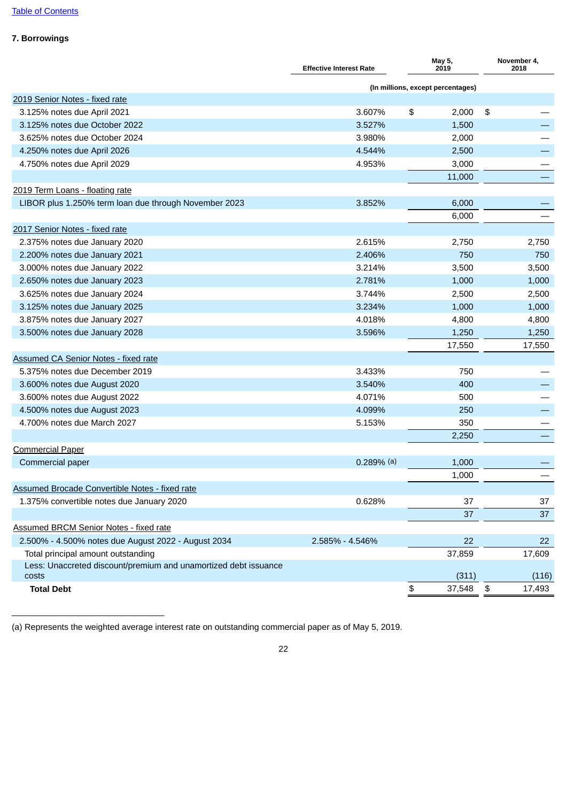# **7. Borrowings**

|                                                                          | <b>Effective Interest Rate</b>    | May 5,<br>2019 |                      | November 4,<br>2018 |
|--------------------------------------------------------------------------|-----------------------------------|----------------|----------------------|---------------------|
|                                                                          | (In millions, except percentages) |                |                      |                     |
| 2019 Senior Notes - fixed rate                                           |                                   |                |                      |                     |
| 3.125% notes due April 2021                                              | 3.607%                            | \$<br>2,000    | \$                   |                     |
| 3.125% notes due October 2022                                            | 3.527%                            | 1,500          |                      |                     |
| 3.625% notes due October 2024                                            | 3.980%                            | 2,000          |                      |                     |
| 4.250% notes due April 2026                                              | 4.544%                            | 2,500          |                      |                     |
| 4.750% notes due April 2029                                              | 4.953%                            | 3,000          |                      |                     |
|                                                                          |                                   | 11,000         |                      |                     |
| 2019 Term Loans - floating rate                                          |                                   |                |                      |                     |
| LIBOR plus 1.250% term loan due through November 2023                    | 3.852%                            | 6,000          |                      |                     |
|                                                                          |                                   | 6,000          |                      |                     |
| 2017 Senior Notes - fixed rate                                           |                                   |                |                      |                     |
| 2.375% notes due January 2020                                            | 2.615%                            | 2,750          |                      | 2,750               |
| 2.200% notes due January 2021                                            | 2.406%                            | 750            |                      | 750                 |
| 3.000% notes due January 2022                                            | 3.214%                            | 3,500          |                      | 3,500               |
| 2.650% notes due January 2023                                            | 2.781%                            | 1,000          |                      | 1,000               |
| 3.625% notes due January 2024                                            | 3.744%                            | 2,500          |                      | 2,500               |
| 3.125% notes due January 2025                                            | 3.234%                            | 1,000          |                      | 1,000               |
| 3.875% notes due January 2027                                            | 4.018%                            | 4,800          |                      | 4,800               |
| 3.500% notes due January 2028                                            | 3.596%                            | 1,250          |                      | 1,250               |
|                                                                          |                                   | 17,550         |                      | 17,550              |
| <b>Assumed CA Senior Notes - fixed rate</b>                              |                                   |                |                      |                     |
| 5.375% notes due December 2019                                           | 3.433%                            | 750            |                      |                     |
| 3.600% notes due August 2020                                             | 3.540%                            | 400            |                      |                     |
| 3.600% notes due August 2022                                             | 4.071%                            | 500            |                      |                     |
| 4.500% notes due August 2023                                             | 4.099%                            | 250            |                      |                     |
| 4.700% notes due March 2027                                              | 5.153%                            | 350            |                      |                     |
|                                                                          |                                   | 2,250          |                      |                     |
| <b>Commercial Paper</b>                                                  |                                   |                |                      |                     |
| Commercial paper                                                         | $0.289%$ (a)                      | 1,000          |                      |                     |
|                                                                          |                                   | 1,000          |                      |                     |
| <b>Assumed Brocade Convertible Notes - fixed rate</b>                    |                                   |                |                      |                     |
| 1.375% convertible notes due January 2020                                | 0.628%                            | 37             |                      | 37                  |
|                                                                          |                                   | 37             |                      | 37                  |
| <b>Assumed BRCM Senior Notes - fixed rate</b>                            |                                   |                |                      |                     |
| 2.500% - 4.500% notes due August 2022 - August 2034                      | 2.585% - 4.546%                   | 22             |                      | 22                  |
| Total principal amount outstanding                                       |                                   | 37,859         |                      | 17,609              |
| Less: Unaccreted discount/premium and unamortized debt issuance<br>costs |                                   | (311)          |                      | (116)               |
| <b>Total Debt</b>                                                        |                                   | \$<br>37,548   | $\pmb{\mathfrak{P}}$ | 17,493              |

(a) Represents the weighted average interest rate on outstanding commercial paper as of May 5, 2019.

 $\mathcal{L}_\text{max}$  , and the set of the set of the set of the set of the set of the set of the set of the set of the set of the set of the set of the set of the set of the set of the set of the set of the set of the set of the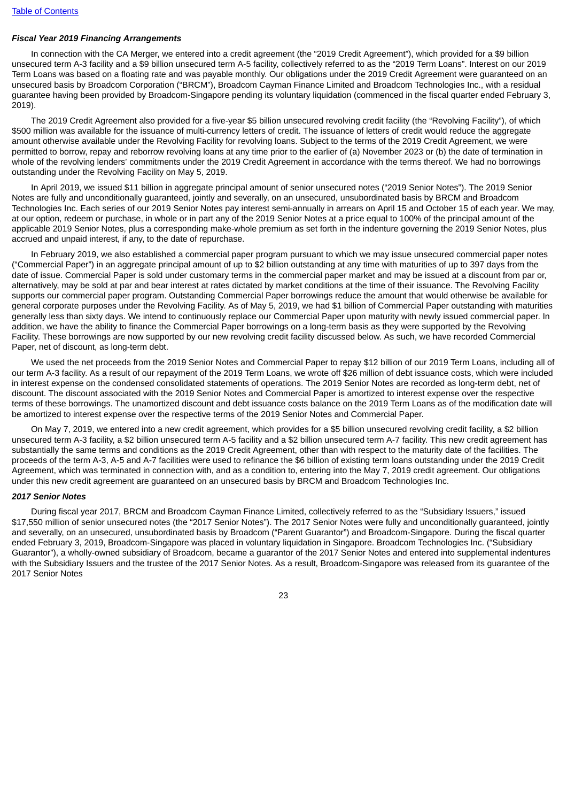### *Fiscal Year 2019 Financing Arrangements*

In connection with the CA Merger, we entered into a credit agreement (the "2019 Credit Agreement"), which provided for a \$9 billion unsecured term A-3 facility and a \$9 billion unsecured term A-5 facility, collectively referred to as the "2019 Term Loans". Interest on our 2019 Term Loans was based on a floating rate and was payable monthly. Our obligations under the 2019 Credit Agreement were guaranteed on an unsecured basis by Broadcom Corporation ("BRCM"), Broadcom Cayman Finance Limited and Broadcom Technologies Inc., with a residual guarantee having been provided by Broadcom-Singapore pending its voluntary liquidation (commenced in the fiscal quarter ended February 3, 2019).

The 2019 Credit Agreement also provided for a five-year \$5 billion unsecured revolving credit facility (the "Revolving Facility"), of which \$500 million was available for the issuance of multi-currency letters of credit. The issuance of letters of credit would reduce the aggregate amount otherwise available under the Revolving Facility for revolving loans. Subject to the terms of the 2019 Credit Agreement, we were permitted to borrow, repay and reborrow revolving loans at any time prior to the earlier of (a) November 2023 or (b) the date of termination in whole of the revolving lenders' commitments under the 2019 Credit Agreement in accordance with the terms thereof. We had no borrowings outstanding under the Revolving Facility on May 5, 2019.

In April 2019, we issued \$11 billion in aggregate principal amount of senior unsecured notes ("2019 Senior Notes"). The 2019 Senior Notes are fully and unconditionally guaranteed, jointly and severally, on an unsecured, unsubordinated basis by BRCM and Broadcom Technologies Inc. Each series of our 2019 Senior Notes pay interest semi-annually in arrears on April 15 and October 15 of each year. We may, at our option, redeem or purchase, in whole or in part any of the 2019 Senior Notes at a price equal to 100% of the principal amount of the applicable 2019 Senior Notes, plus a corresponding make-whole premium as set forth in the indenture governing the 2019 Senior Notes, plus accrued and unpaid interest, if any, to the date of repurchase.

In February 2019, we also established a commercial paper program pursuant to which we may issue unsecured commercial paper notes ("Commercial Paper") in an aggregate principal amount of up to \$2 billion outstanding at any time with maturities of up to 397 days from the date of issue. Commercial Paper is sold under customary terms in the commercial paper market and may be issued at a discount from par or, alternatively, may be sold at par and bear interest at rates dictated by market conditions at the time of their issuance. The Revolving Facility supports our commercial paper program. Outstanding Commercial Paper borrowings reduce the amount that would otherwise be available for general corporate purposes under the Revolving Facility. As of May 5, 2019, we had \$1 billion of Commercial Paper outstanding with maturities generally less than sixty days. We intend to continuously replace our Commercial Paper upon maturity with newly issued commercial paper. In addition, we have the ability to finance the Commercial Paper borrowings on a long-term basis as they were supported by the Revolving Facility. These borrowings are now supported by our new revolving credit facility discussed below. As such, we have recorded Commercial Paper, net of discount, as long-term debt.

We used the net proceeds from the 2019 Senior Notes and Commercial Paper to repay \$12 billion of our 2019 Term Loans, including all of our term A-3 facility. As a result of our repayment of the 2019 Term Loans, we wrote off \$26 million of debt issuance costs, which were included in interest expense on the condensed consolidated statements of operations. The 2019 Senior Notes are recorded as long-term debt, net of discount. The discount associated with the 2019 Senior Notes and Commercial Paper is amortized to interest expense over the respective terms of these borrowings. The unamortized discount and debt issuance costs balance on the 2019 Term Loans as of the modification date will be amortized to interest expense over the respective terms of the 2019 Senior Notes and Commercial Paper.

On May 7, 2019, we entered into a new credit agreement, which provides for a \$5 billion unsecured revolving credit facility, a \$2 billion unsecured term A-3 facility, a \$2 billion unsecured term A-5 facility and a \$2 billion unsecured term A-7 facility. This new credit agreement has substantially the same terms and conditions as the 2019 Credit Agreement, other than with respect to the maturity date of the facilities. The proceeds of the term A-3, A-5 and A-7 facilities were used to refinance the \$6 billion of existing term loans outstanding under the 2019 Credit Agreement, which was terminated in connection with, and as a condition to, entering into the May 7, 2019 credit agreement. Our obligations under this new credit agreement are guaranteed on an unsecured basis by BRCM and Broadcom Technologies Inc.

#### *2017 Senior Notes*

During fiscal year 2017, BRCM and Broadcom Cayman Finance Limited, collectively referred to as the "Subsidiary Issuers," issued \$17,550 million of senior unsecured notes (the "2017 Senior Notes"). The 2017 Senior Notes were fully and unconditionally guaranteed, jointly and severally, on an unsecured, unsubordinated basis by Broadcom ("Parent Guarantor") and Broadcom-Singapore. During the fiscal quarter ended February 3, 2019, Broadcom-Singapore was placed in voluntary liquidation in Singapore. Broadcom Technologies Inc. ("Subsidiary Guarantor"), a wholly-owned subsidiary of Broadcom, became a guarantor of the 2017 Senior Notes and entered into supplemental indentures with the Subsidiary Issuers and the trustee of the 2017 Senior Notes. As a result, Broadcom-Singapore was released from its guarantee of the 2017 Senior Notes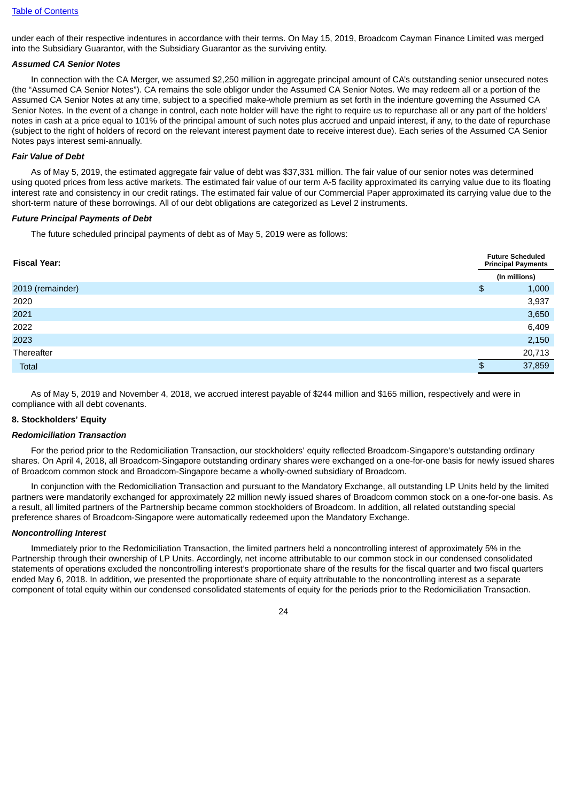under each of their respective indentures in accordance with their terms. On May 15, 2019, Broadcom Cayman Finance Limited was merged into the Subsidiary Guarantor, with the Subsidiary Guarantor as the surviving entity.

#### *Assumed CA Senior Notes*

In connection with the CA Merger, we assumed \$2,250 million in aggregate principal amount of CA's outstanding senior unsecured notes (the "Assumed CA Senior Notes"). CA remains the sole obligor under the Assumed CA Senior Notes. We may redeem all or a portion of the Assumed CA Senior Notes at any time, subject to a specified make-whole premium as set forth in the indenture governing the Assumed CA Senior Notes. In the event of a change in control, each note holder will have the right to require us to repurchase all or any part of the holders' notes in cash at a price equal to 101% of the principal amount of such notes plus accrued and unpaid interest, if any, to the date of repurchase (subject to the right of holders of record on the relevant interest payment date to receive interest due). Each series of the Assumed CA Senior Notes pays interest semi-annually.

#### *Fair Value of Debt*

As of May 5, 2019, the estimated aggregate fair value of debt was \$37,331 million. The fair value of our senior notes was determined using quoted prices from less active markets. The estimated fair value of our term A-5 facility approximated its carrying value due to its floating interest rate and consistency in our credit ratings. The estimated fair value of our Commercial Paper approximated its carrying value due to the short-term nature of these borrowings. All of our debt obligations are categorized as Level 2 instruments.

#### *Future Principal Payments of Debt*

The future scheduled principal payments of debt as of May 5, 2019 were as follows:

| <b>Fiscal Year:</b> |               | <b>Future Scheduled</b><br><b>Principal Payments</b> |  |  |  |
|---------------------|---------------|------------------------------------------------------|--|--|--|
|                     |               | (In millions)                                        |  |  |  |
| 2019 (remainder)    | $\frac{1}{2}$ | 1,000                                                |  |  |  |
| 2020                |               | 3,937                                                |  |  |  |
| 2021                |               | 3,650                                                |  |  |  |
| 2022                |               | 6,409                                                |  |  |  |
| 2023                |               | 2,150                                                |  |  |  |
| Thereafter          |               | 20,713                                               |  |  |  |
| Total               | \$.           | 37,859                                               |  |  |  |

As of May 5, 2019 and November 4, 2018, we accrued interest payable of \$244 million and \$165 million, respectively and were in compliance with all debt covenants.

#### **8. Stockholders' Equity**

#### *Redomiciliation Transaction*

For the period prior to the Redomiciliation Transaction, our stockholders' equity reflected Broadcom-Singapore's outstanding ordinary shares. On April 4, 2018, all Broadcom-Singapore outstanding ordinary shares were exchanged on a one-for-one basis for newly issued shares of Broadcom common stock and Broadcom-Singapore became a wholly-owned subsidiary of Broadcom.

In conjunction with the Redomiciliation Transaction and pursuant to the Mandatory Exchange, all outstanding LP Units held by the limited partners were mandatorily exchanged for approximately 22 million newly issued shares of Broadcom common stock on a one-for-one basis. As a result, all limited partners of the Partnership became common stockholders of Broadcom. In addition, all related outstanding special preference shares of Broadcom-Singapore were automatically redeemed upon the Mandatory Exchange.

#### *Noncontrolling Interest*

Immediately prior to the Redomiciliation Transaction, the limited partners held a noncontrolling interest of approximately 5% in the Partnership through their ownership of LP Units. Accordingly, net income attributable to our common stock in our condensed consolidated statements of operations excluded the noncontrolling interest's proportionate share of the results for the fiscal quarter and two fiscal quarters ended May 6, 2018. In addition, we presented the proportionate share of equity attributable to the noncontrolling interest as a separate component of total equity within our condensed consolidated statements of equity for the periods prior to the Redomiciliation Transaction.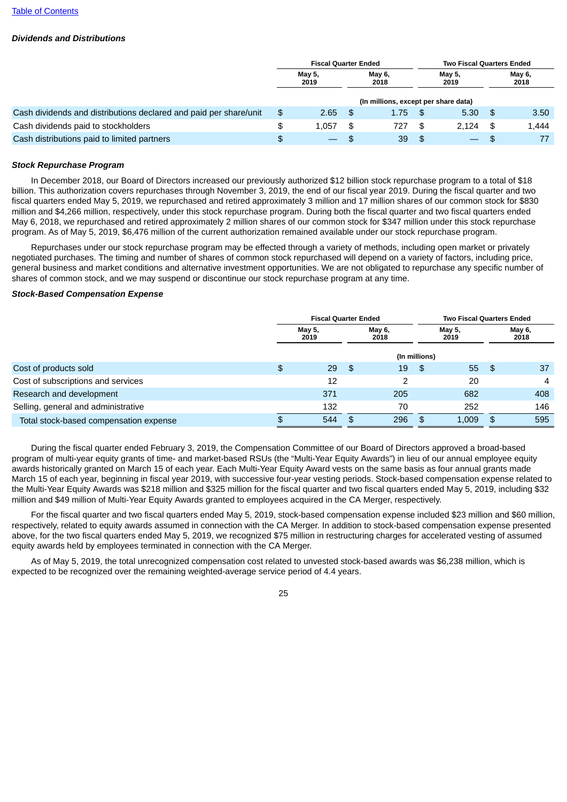### *Dividends and Distributions*

|                                                                   | <b>Fiscal Quarter Ended</b> |        |                                  |                                      |      | <b>Two Fiscal Quarters Ended</b> |     |       |  |
|-------------------------------------------------------------------|-----------------------------|--------|----------------------------------|--------------------------------------|------|----------------------------------|-----|-------|--|
|                                                                   | <b>May 5,</b><br>2019       |        | May 6,<br>May 5,<br>2018<br>2019 |                                      |      | May 6,<br>2018                   |     |       |  |
|                                                                   |                             |        |                                  | (In millions, except per share data) |      |                                  |     |       |  |
| Cash dividends and distributions declared and paid per share/unit | \$                          | 2.65   | <b>S</b>                         | 1.75                                 | - \$ | 5.30                             | -\$ | 3.50  |  |
| Cash dividends paid to stockholders                               |                             | 1.057  | - SG                             | 727                                  | \$   | 2.124                            | \$  | 1.444 |  |
| Cash distributions paid to limited partners                       | \$                          | $\sim$ | \$.                              | 39                                   | \$   | $\overline{\phantom{0}}$         | \$. | 77    |  |

### *Stock Repurchase Program*

In December 2018, our Board of Directors increased our previously authorized \$12 billion stock repurchase program to a total of \$18 billion. This authorization covers repurchases through November 3, 2019, the end of our fiscal year 2019. During the fiscal quarter and two fiscal quarters ended May 5, 2019, we repurchased and retired approximately 3 million and 17 million shares of our common stock for \$830 million and \$4,266 million, respectively, under this stock repurchase program. During both the fiscal quarter and two fiscal quarters ended May 6, 2018, we repurchased and retired approximately 2 million shares of our common stock for \$347 million under this stock repurchase program. As of May 5, 2019, \$6,476 million of the current authorization remained available under our stock repurchase program.

Repurchases under our stock repurchase program may be effected through a variety of methods, including open market or privately negotiated purchases. The timing and number of shares of common stock repurchased will depend on a variety of factors, including price, general business and market conditions and alternative investment opportunities. We are not obligated to repurchase any specific number of shares of common stock, and we may suspend or discontinue our stock repurchase program at any time.

#### *Stock-Based Compensation Expense*

|                                        |    | <b>Fiscal Quarter Ended</b> |      |                |               | <b>Two Fiscal Quarters Ended</b> |    |                |  |  |
|----------------------------------------|----|-----------------------------|------|----------------|---------------|----------------------------------|----|----------------|--|--|
|                                        |    | <b>May 5,</b><br>2019       |      | May 6,<br>2018 |               | May 5,<br>2019                   |    | May 6,<br>2018 |  |  |
|                                        |    |                             |      |                | (In millions) |                                  |    |                |  |  |
| Cost of products sold                  | \$ | 29                          | - \$ | 19             | \$            | 55 \$                            |    | 37             |  |  |
| Cost of subscriptions and services     |    | 12                          |      | 2              |               | 20                               |    | 4              |  |  |
| Research and development               |    | 371                         |      | 205            |               | 682                              |    | 408            |  |  |
| Selling, general and administrative    |    | 132                         |      | 70             |               | 252                              |    | 146            |  |  |
| Total stock-based compensation expense | ۰D | 544                         |      | 296            | \$.           | 1,009                            | \$ | 595            |  |  |

During the fiscal quarter ended February 3, 2019, the Compensation Committee of our Board of Directors approved a broad-based program of multi-year equity grants of time- and market-based RSUs (the "Multi-Year Equity Awards") in lieu of our annual employee equity awards historically granted on March 15 of each year. Each Multi-Year Equity Award vests on the same basis as four annual grants made March 15 of each year, beginning in fiscal year 2019, with successive four-year vesting periods. Stock-based compensation expense related to the Multi-Year Equity Awards was \$218 million and \$325 million for the fiscal quarter and two fiscal quarters ended May 5, 2019, including \$32 million and \$49 million of Multi-Year Equity Awards granted to employees acquired in the CA Merger, respectively.

For the fiscal quarter and two fiscal quarters ended May 5, 2019, stock-based compensation expense included \$23 million and \$60 million, respectively, related to equity awards assumed in connection with the CA Merger. In addition to stock-based compensation expense presented above, for the two fiscal quarters ended May 5, 2019, we recognized \$75 million in restructuring charges for accelerated vesting of assumed equity awards held by employees terminated in connection with the CA Merger.

As of May 5, 2019, the total unrecognized compensation cost related to unvested stock-based awards was \$6,238 million, which is expected to be recognized over the remaining weighted-average service period of 4.4 years.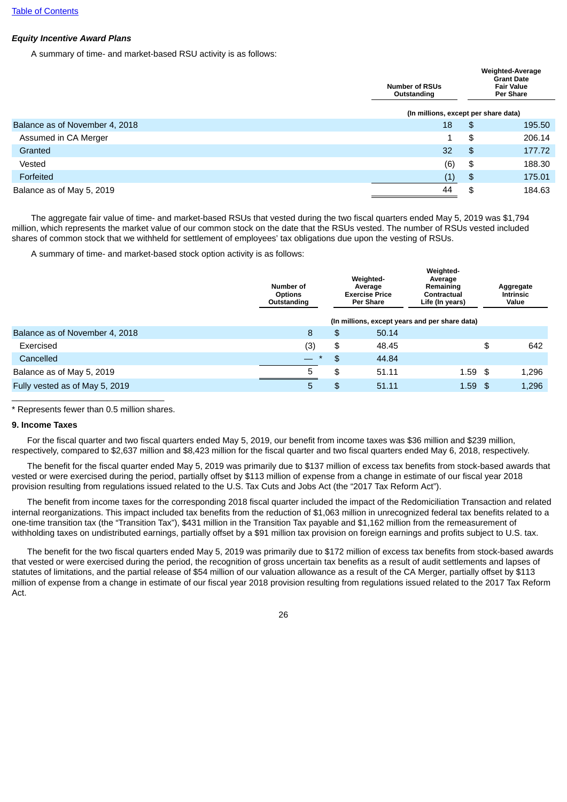# *Equity Incentive Award Plans*

A summary of time- and market-based RSU activity is as follows:

|                                | <b>Number of RSUs</b><br>Outstanding |               | <b>Weighted-Average</b><br><b>Grant Date</b><br><b>Fair Value</b><br><b>Per Share</b> |  |  |  |  |
|--------------------------------|--------------------------------------|---------------|---------------------------------------------------------------------------------------|--|--|--|--|
|                                | (In millions, except per share data) |               |                                                                                       |  |  |  |  |
| Balance as of November 4, 2018 | 18                                   | \$            | 195.50                                                                                |  |  |  |  |
| Assumed in CA Merger           | 1                                    | \$            | 206.14                                                                                |  |  |  |  |
| Granted                        | 32                                   | \$            | 177.72                                                                                |  |  |  |  |
| Vested                         | (6)                                  | \$            | 188.30                                                                                |  |  |  |  |
| Forfeited                      | (1)                                  | $\frac{3}{2}$ | 175.01                                                                                |  |  |  |  |
| Balance as of May 5, 2019      | 44                                   | \$            | 184.63                                                                                |  |  |  |  |

The aggregate fair value of time- and market-based RSUs that vested during the two fiscal quarters ended May 5, 2019 was \$1,794 million, which represents the market value of our common stock on the date that the RSUs vested. The number of RSUs vested included shares of common stock that we withheld for settlement of employees' tax obligations due upon the vesting of RSUs.

A summary of time- and market-based stock option activity is as follows:

|                                | Number of<br><b>Options</b><br>Outstanding | Weighted-<br>Average<br><b>Exercise Price</b><br><b>Per Share</b> |       | Weighted-<br>Average<br>Remaining<br>Contractual<br>Life (In years) | Aggregate<br><b>Intrinsic</b><br>Value |
|--------------------------------|--------------------------------------------|-------------------------------------------------------------------|-------|---------------------------------------------------------------------|----------------------------------------|
|                                |                                            |                                                                   |       | (In millions, except years and per share data)                      |                                        |
| Balance as of November 4, 2018 | 8                                          | \$                                                                | 50.14 |                                                                     |                                        |
| Exercised                      | (3)                                        | \$                                                                | 48.45 |                                                                     | \$<br>642                              |
| Cancelled                      | $\frac{1}{2}$<br>$\star$                   | \$                                                                | 44.84 |                                                                     |                                        |
| Balance as of May 5, 2019      | 5                                          | \$                                                                | 51.11 | $1.59$ \$                                                           | 1.296                                  |
| Fully vested as of May 5, 2019 | 5                                          | \$                                                                | 51.11 | $1.59$ \$                                                           | 1,296                                  |
|                                |                                            |                                                                   |       |                                                                     |                                        |

\* Represents fewer than 0.5 million shares.

### **9. Income Taxes**

For the fiscal quarter and two fiscal quarters ended May 5, 2019, our benefit from income taxes was \$36 million and \$239 million, respectively, compared to \$2,637 million and \$8,423 million for the fiscal quarter and two fiscal quarters ended May 6, 2018, respectively.

The benefit for the fiscal quarter ended May 5, 2019 was primarily due to \$137 million of excess tax benefits from stock-based awards that vested or were exercised during the period, partially offset by \$113 million of expense from a change in estimate of our fiscal year 2018 provision resulting from regulations issued related to the U.S. Tax Cuts and Jobs Act (the "2017 Tax Reform Act").

The benefit from income taxes for the corresponding 2018 fiscal quarter included the impact of the Redomiciliation Transaction and related internal reorganizations. This impact included tax benefits from the reduction of \$1,063 million in unrecognized federal tax benefits related to a one-time transition tax (the "Transition Tax"), \$431 million in the Transition Tax payable and \$1,162 million from the remeasurement of withholding taxes on undistributed earnings, partially offset by a \$91 million tax provision on foreign earnings and profits subject to U.S. tax.

The benefit for the two fiscal quarters ended May 5, 2019 was primarily due to \$172 million of excess tax benefits from stock-based awards that vested or were exercised during the period, the recognition of gross uncertain tax benefits as a result of audit settlements and lapses of statutes of limitations, and the partial release of \$54 million of our valuation allowance as a result of the CA Merger, partially offset by \$113 million of expense from a change in estimate of our fiscal year 2018 provision resulting from regulations issued related to the 2017 Tax Reform Act.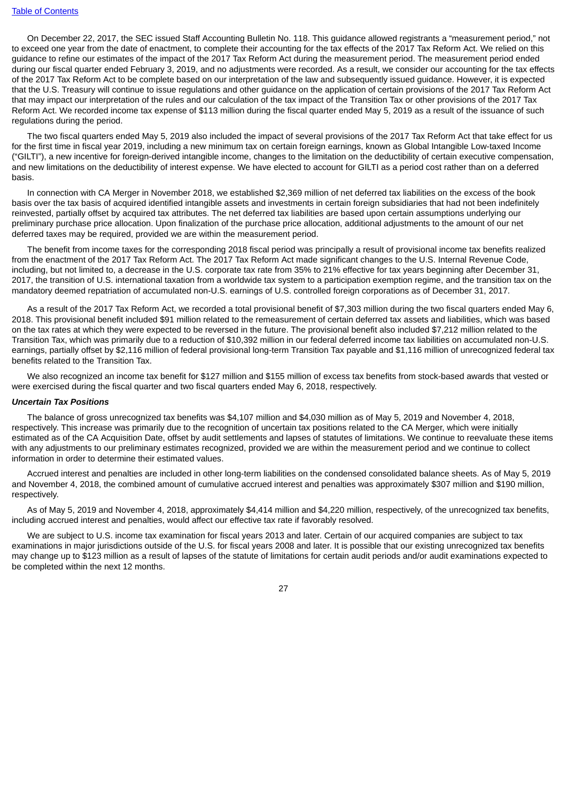On December 22, 2017, the SEC issued Staff Accounting Bulletin No. 118. This guidance allowed registrants a "measurement period," not to exceed one year from the date of enactment, to complete their accounting for the tax effects of the 2017 Tax Reform Act. We relied on this guidance to refine our estimates of the impact of the 2017 Tax Reform Act during the measurement period. The measurement period ended during our fiscal quarter ended February 3, 2019, and no adjustments were recorded. As a result, we consider our accounting for the tax effects of the 2017 Tax Reform Act to be complete based on our interpretation of the law and subsequently issued guidance. However, it is expected that the U.S. Treasury will continue to issue regulations and other guidance on the application of certain provisions of the 2017 Tax Reform Act that may impact our interpretation of the rules and our calculation of the tax impact of the Transition Tax or other provisions of the 2017 Tax Reform Act. We recorded income tax expense of \$113 million during the fiscal quarter ended May 5, 2019 as a result of the issuance of such regulations during the period.

The two fiscal quarters ended May 5, 2019 also included the impact of several provisions of the 2017 Tax Reform Act that take effect for us for the first time in fiscal year 2019, including a new minimum tax on certain foreign earnings, known as Global Intangible Low-taxed Income ("GILTI"), a new incentive for foreign-derived intangible income, changes to the limitation on the deductibility of certain executive compensation, and new limitations on the deductibility of interest expense. We have elected to account for GILTI as a period cost rather than on a deferred basis.

In connection with CA Merger in November 2018, we established \$2,369 million of net deferred tax liabilities on the excess of the book basis over the tax basis of acquired identified intangible assets and investments in certain foreign subsidiaries that had not been indefinitely reinvested, partially offset by acquired tax attributes. The net deferred tax liabilities are based upon certain assumptions underlying our preliminary purchase price allocation. Upon finalization of the purchase price allocation, additional adjustments to the amount of our net deferred taxes may be required, provided we are within the measurement period.

The benefit from income taxes for the corresponding 2018 fiscal period was principally a result of provisional income tax benefits realized from the enactment of the 2017 Tax Reform Act. The 2017 Tax Reform Act made significant changes to the U.S. Internal Revenue Code, including, but not limited to, a decrease in the U.S. corporate tax rate from 35% to 21% effective for tax years beginning after December 31, 2017, the transition of U.S. international taxation from a worldwide tax system to a participation exemption regime, and the transition tax on the mandatory deemed repatriation of accumulated non-U.S. earnings of U.S. controlled foreign corporations as of December 31, 2017.

As a result of the 2017 Tax Reform Act, we recorded a total provisional benefit of \$7,303 million during the two fiscal quarters ended May 6, 2018. This provisional benefit included \$91 million related to the remeasurement of certain deferred tax assets and liabilities, which was based on the tax rates at which they were expected to be reversed in the future. The provisional benefit also included \$7,212 million related to the Transition Tax, which was primarily due to a reduction of \$10,392 million in our federal deferred income tax liabilities on accumulated non-U.S. earnings, partially offset by \$2,116 million of federal provisional long-term Transition Tax payable and \$1,116 million of unrecognized federal tax benefits related to the Transition Tax.

We also recognized an income tax benefit for \$127 million and \$155 million of excess tax benefits from stock-based awards that vested or were exercised during the fiscal quarter and two fiscal quarters ended May 6, 2018, respectively.

#### *Uncertain Tax Positions*

The balance of gross unrecognized tax benefits was \$4,107 million and \$4,030 million as of May 5, 2019 and November 4, 2018, respectively. This increase was primarily due to the recognition of uncertain tax positions related to the CA Merger, which were initially estimated as of the CA Acquisition Date, offset by audit settlements and lapses of statutes of limitations. We continue to reevaluate these items with any adjustments to our preliminary estimates recognized, provided we are within the measurement period and we continue to collect information in order to determine their estimated values.

Accrued interest and penalties are included in other long-term liabilities on the condensed consolidated balance sheets. As of May 5, 2019 and November 4, 2018, the combined amount of cumulative accrued interest and penalties was approximately \$307 million and \$190 million, respectively.

As of May 5, 2019 and November 4, 2018, approximately \$4,414 million and \$4,220 million, respectively, of the unrecognized tax benefits, including accrued interest and penalties, would affect our effective tax rate if favorably resolved.

We are subject to U.S. income tax examination for fiscal years 2013 and later. Certain of our acquired companies are subject to tax examinations in major jurisdictions outside of the U.S. for fiscal years 2008 and later. It is possible that our existing unrecognized tax benefits may change up to \$123 million as a result of lapses of the statute of limitations for certain audit periods and/or audit examinations expected to be completed within the next 12 months.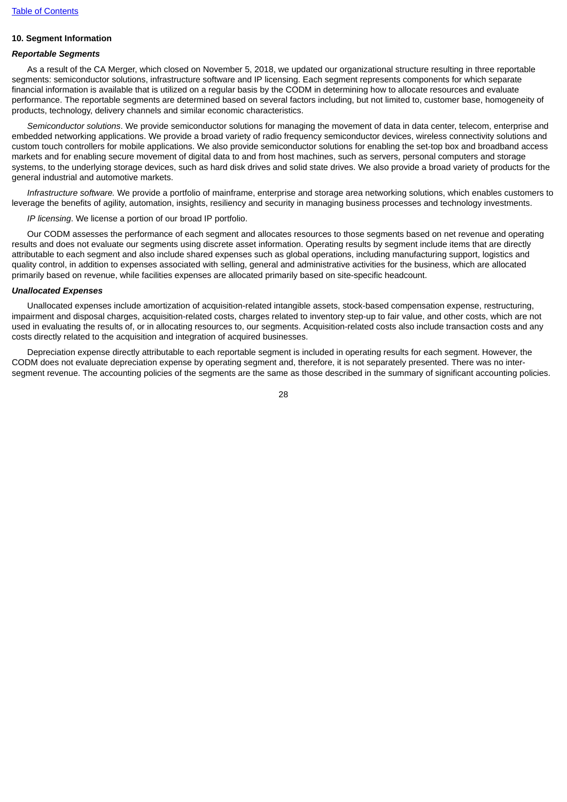# **10. Segment Information**

### *Reportable Segments*

As a result of the CA Merger, which closed on November 5, 2018, we updated our organizational structure resulting in three reportable segments: semiconductor solutions, infrastructure software and IP licensing. Each segment represents components for which separate financial information is available that is utilized on a regular basis by the CODM in determining how to allocate resources and evaluate performance. The reportable segments are determined based on several factors including, but not limited to, customer base, homogeneity of products, technology, delivery channels and similar economic characteristics.

*Semiconductor solutions*. We provide semiconductor solutions for managing the movement of data in data center, telecom, enterprise and embedded networking applications. We provide a broad variety of radio frequency semiconductor devices, wireless connectivity solutions and custom touch controllers for mobile applications. We also provide semiconductor solutions for enabling the set-top box and broadband access markets and for enabling secure movement of digital data to and from host machines, such as servers, personal computers and storage systems, to the underlying storage devices, such as hard disk drives and solid state drives. We also provide a broad variety of products for the general industrial and automotive markets.

*Infrastructure software.* We provide a portfolio of mainframe, enterprise and storage area networking solutions, which enables customers to leverage the benefits of agility, automation, insights, resiliency and security in managing business processes and technology investments.

*IP licensing*. We license a portion of our broad IP portfolio.

Our CODM assesses the performance of each segment and allocates resources to those segments based on net revenue and operating results and does not evaluate our segments using discrete asset information. Operating results by segment include items that are directly attributable to each segment and also include shared expenses such as global operations, including manufacturing support, logistics and quality control, in addition to expenses associated with selling, general and administrative activities for the business, which are allocated primarily based on revenue, while facilities expenses are allocated primarily based on site-specific headcount.

#### *Unallocated Expenses*

Unallocated expenses include amortization of acquisition-related intangible assets, stock-based compensation expense, restructuring, impairment and disposal charges, acquisition-related costs, charges related to inventory step-up to fair value, and other costs, which are not used in evaluating the results of, or in allocating resources to, our segments. Acquisition-related costs also include transaction costs and any costs directly related to the acquisition and integration of acquired businesses.

Depreciation expense directly attributable to each reportable segment is included in operating results for each segment. However, the CODM does not evaluate depreciation expense by operating segment and, therefore, it is not separately presented. There was no intersegment revenue. The accounting policies of the segments are the same as those described in the summary of significant accounting policies.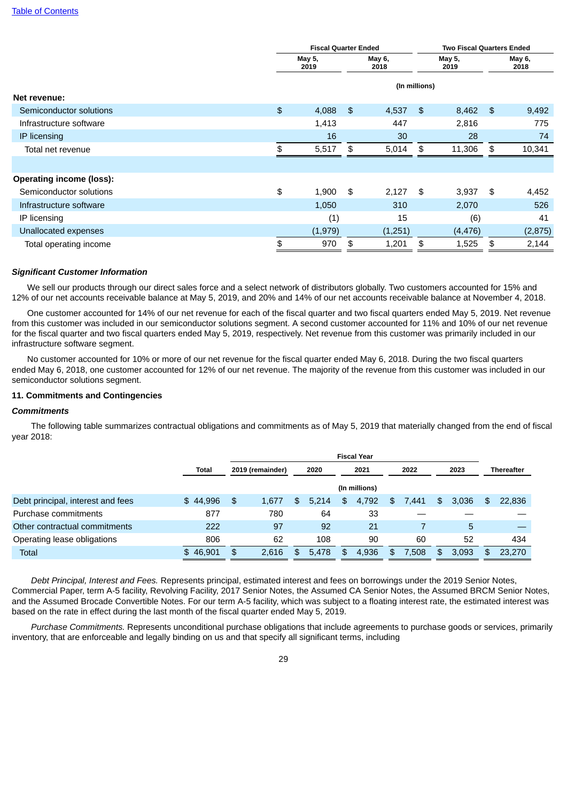|                                 |                | <b>Fiscal Quarter Ended</b>      |                | <b>Two Fiscal Quarters Ended</b> |                |          |    |                |  |
|---------------------------------|----------------|----------------------------------|----------------|----------------------------------|----------------|----------|----|----------------|--|
|                                 |                | May 5,<br>May 6,<br>2019<br>2018 |                |                                  | May 5,<br>2019 |          |    | May 6,<br>2018 |  |
|                                 |                | (In millions)                    |                |                                  |                |          |    |                |  |
| Net revenue:                    |                |                                  |                |                                  |                |          |    |                |  |
| Semiconductor solutions         | $\mathfrak{P}$ | 4,088                            | $\mathfrak{L}$ | 4,537                            | \$             | 8,462    | \$ | 9,492          |  |
| Infrastructure software         |                | 1,413                            |                | 447                              |                | 2,816    |    | 775            |  |
| IP licensing                    |                | 16                               |                | 30                               |                | 28       |    | 74             |  |
| Total net revenue               | \$             | 5,517                            | \$             | 5,014                            | \$             | 11,306   | \$ | 10,341         |  |
|                                 |                |                                  |                |                                  |                |          |    |                |  |
| <b>Operating income (loss):</b> |                |                                  |                |                                  |                |          |    |                |  |
| Semiconductor solutions         | \$             | 1,900                            | \$             | 2,127                            | \$             | 3,937    | \$ | 4,452          |  |
| Infrastructure software         |                | 1,050                            |                | 310                              |                | 2,070    |    | 526            |  |
| IP licensing                    |                | (1)                              |                | 15                               |                | (6)      |    | 41             |  |
| Unallocated expenses            |                | (1,979)                          |                | (1,251)                          |                | (4, 476) |    | (2, 875)       |  |
| Total operating income          | \$             | 970                              | \$             | 1,201                            | \$             | 1,525    | \$ | 2,144          |  |
|                                 |                |                                  |                |                                  |                |          |    |                |  |

#### *Significant Customer Information*

We sell our products through our direct sales force and a select network of distributors globally. Two customers accounted for 15% and 12% of our net accounts receivable balance at May 5, 2019, and 20% and 14% of our net accounts receivable balance at November 4, 2018.

One customer accounted for 14% of our net revenue for each of the fiscal quarter and two fiscal quarters ended May 5, 2019. Net revenue from this customer was included in our semiconductor solutions segment. A second customer accounted for 11% and 10% of our net revenue for the fiscal quarter and two fiscal quarters ended May 5, 2019, respectively. Net revenue from this customer was primarily included in our infrastructure software segment.

No customer accounted for 10% or more of our net revenue for the fiscal quarter ended May 6, 2018. During the two fiscal quarters ended May 6, 2018, one customer accounted for 12% of our net revenue. The majority of the revenue from this customer was included in our semiconductor solutions segment.

#### **11. Commitments and Contingencies**

### *Commitments*

The following table summarizes contractual obligations and commitments as of May 5, 2019 that materially changed from the end of fiscal year 2018:

|                                   |              | <b>Fiscal Year</b> |                  |     |       |    |               |     |       |    |       |     |                   |
|-----------------------------------|--------------|--------------------|------------------|-----|-------|----|---------------|-----|-------|----|-------|-----|-------------------|
|                                   | <b>Total</b> |                    | 2019 (remainder) |     | 2020  |    | 2021          |     | 2022  |    | 2023  |     | <b>Thereafter</b> |
|                                   |              |                    |                  |     |       |    | (In millions) |     |       |    |       |     |                   |
| Debt principal, interest and fees | \$44,996     | \$                 | 1.677            | SS. | 5.214 | \$ | 4.792         | \$. | 7.441 | \$ | 3,036 | \$. | 22,836            |
| Purchase commitments              | 877          |                    | 780              |     | 64    |    | 33            |     |       |    |       |     |                   |
| Other contractual commitments     | 222          |                    | 97               |     | 92    |    | 21            |     |       |    | 5     |     |                   |
| Operating lease obligations       | 806          |                    | 62               |     | 108   |    | 90            |     | 60    |    | 52    |     | 434               |
| Total                             | \$46,901     | \$                 | 2,616            | \$  | 5.478 | \$ | 4,936         | \$  | 7,508 | \$ | 3,093 | \$  | 23,270            |

*Debt Principal, Interest and Fees.* Represents principal, estimated interest and fees on borrowings under the 2019 Senior Notes, Commercial Paper, term A-5 facility, Revolving Facility, 2017 Senior Notes, the Assumed CA Senior Notes, the Assumed BRCM Senior Notes, and the Assumed Brocade Convertible Notes. For our term A-5 facility, which was subject to a floating interest rate, the estimated interest was based on the rate in effect during the last month of the fiscal quarter ended May 5, 2019.

*Purchase Commitments.* Represents unconditional purchase obligations that include agreements to purchase goods or services, primarily inventory, that are enforceable and legally binding on us and that specify all significant terms, including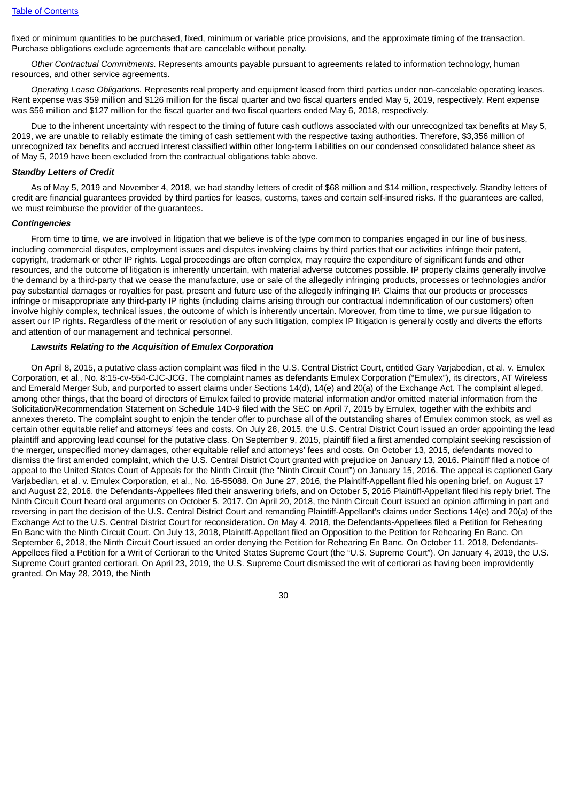fixed or minimum quantities to be purchased, fixed, minimum or variable price provisions, and the approximate timing of the transaction. Purchase obligations exclude agreements that are cancelable without penalty.

*Other Contractual Commitments.* Represents amounts payable pursuant to agreements related to information technology, human resources, and other service agreements.

*Operating Lease Obligations.* Represents real property and equipment leased from third parties under non-cancelable operating leases. Rent expense was \$59 million and \$126 million for the fiscal quarter and two fiscal quarters ended May 5, 2019, respectively. Rent expense was \$56 million and \$127 million for the fiscal quarter and two fiscal quarters ended May 6, 2018, respectively.

Due to the inherent uncertainty with respect to the timing of future cash outflows associated with our unrecognized tax benefits at May 5. 2019, we are unable to reliably estimate the timing of cash settlement with the respective taxing authorities. Therefore, \$3,356 million of unrecognized tax benefits and accrued interest classified within other long-term liabilities on our condensed consolidated balance sheet as of May 5, 2019 have been excluded from the contractual obligations table above.

### *Standby Letters of Credit*

As of May 5, 2019 and November 4, 2018, we had standby letters of credit of \$68 million and \$14 million, respectively. Standby letters of credit are financial guarantees provided by third parties for leases, customs, taxes and certain self-insured risks. If the guarantees are called, we must reimburse the provider of the guarantees.

#### *Contingencies*

From time to time, we are involved in litigation that we believe is of the type common to companies engaged in our line of business, including commercial disputes, employment issues and disputes involving claims by third parties that our activities infringe their patent, copyright, trademark or other IP rights. Legal proceedings are often complex, may require the expenditure of significant funds and other resources, and the outcome of litigation is inherently uncertain, with material adverse outcomes possible. IP property claims generally involve the demand by a third-party that we cease the manufacture, use or sale of the allegedly infringing products, processes or technologies and/or pay substantial damages or royalties for past, present and future use of the allegedly infringing IP. Claims that our products or processes infringe or misappropriate any third-party IP rights (including claims arising through our contractual indemnification of our customers) often involve highly complex, technical issues, the outcome of which is inherently uncertain. Moreover, from time to time, we pursue litigation to assert our IP rights. Regardless of the merit or resolution of any such litigation, complex IP litigation is generally costly and diverts the efforts and attention of our management and technical personnel.

#### *Lawsuits Relating to the Acquisition of Emulex Corporation*

On April 8, 2015, a putative class action complaint was filed in the U.S. Central District Court, entitled Gary Varjabedian, et al. v. Emulex Corporation, et al., No. 8:15-cv-554-CJC-JCG. The complaint names as defendants Emulex Corporation ("Emulex"), its directors, AT Wireless and Emerald Merger Sub, and purported to assert claims under Sections 14(d), 14(e) and 20(a) of the Exchange Act. The complaint alleged, among other things, that the board of directors of Emulex failed to provide material information and/or omitted material information from the Solicitation/Recommendation Statement on Schedule 14D-9 filed with the SEC on April 7, 2015 by Emulex, together with the exhibits and annexes thereto. The complaint sought to enjoin the tender offer to purchase all of the outstanding shares of Emulex common stock, as well as certain other equitable relief and attorneys' fees and costs. On July 28, 2015, the U.S. Central District Court issued an order appointing the lead plaintiff and approving lead counsel for the putative class. On September 9, 2015, plaintiff filed a first amended complaint seeking rescission of the merger, unspecified money damages, other equitable relief and attorneys' fees and costs. On October 13, 2015, defendants moved to dismiss the first amended complaint, which the U.S. Central District Court granted with prejudice on January 13, 2016. Plaintiff filed a notice of appeal to the United States Court of Appeals for the Ninth Circuit (the "Ninth Circuit Court") on January 15, 2016. The appeal is captioned Gary Varjabedian, et al. v. Emulex Corporation, et al., No. 16-55088. On June 27, 2016, the Plaintiff-Appellant filed his opening brief, on August 17 and August 22, 2016, the Defendants-Appellees filed their answering briefs, and on October 5, 2016 Plaintiff-Appellant filed his reply brief. The Ninth Circuit Court heard oral arguments on October 5, 2017. On April 20, 2018, the Ninth Circuit Court issued an opinion affirming in part and reversing in part the decision of the U.S. Central District Court and remanding Plaintiff-Appellant's claims under Sections 14(e) and 20(a) of the Exchange Act to the U.S. Central District Court for reconsideration. On May 4, 2018, the Defendants-Appellees filed a Petition for Rehearing En Banc with the Ninth Circuit Court. On July 13, 2018, Plaintiff-Appellant filed an Opposition to the Petition for Rehearing En Banc. On September 6, 2018, the Ninth Circuit Court issued an order denying the Petition for Rehearing En Banc. On October 11, 2018, Defendants-Appellees filed a Petition for a Writ of Certiorari to the United States Supreme Court (the "U.S. Supreme Court"). On January 4, 2019, the U.S. Supreme Court granted certiorari. On April 23, 2019, the U.S. Supreme Court dismissed the writ of certiorari as having been improvidently granted. On May 28, 2019, the Ninth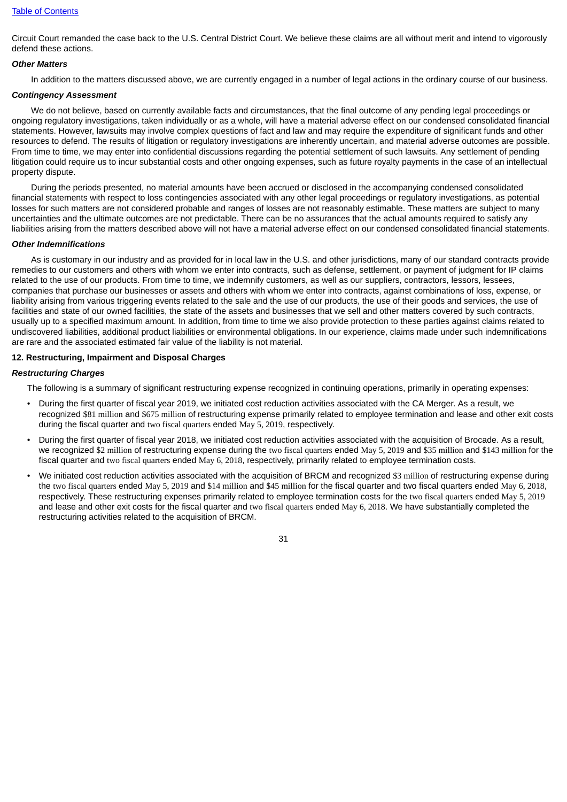Circuit Court remanded the case back to the U.S. Central District Court. We believe these claims are all without merit and intend to vigorously defend these actions.

#### *Other Matters*

In addition to the matters discussed above, we are currently engaged in a number of legal actions in the ordinary course of our business.

### *Contingency Assessment*

We do not believe, based on currently available facts and circumstances, that the final outcome of any pending legal proceedings or ongoing regulatory investigations, taken individually or as a whole, will have a material adverse effect on our condensed consolidated financial statements. However, lawsuits may involve complex questions of fact and law and may require the expenditure of significant funds and other resources to defend. The results of litigation or regulatory investigations are inherently uncertain, and material adverse outcomes are possible. From time to time, we may enter into confidential discussions regarding the potential settlement of such lawsuits. Any settlement of pending litigation could require us to incur substantial costs and other ongoing expenses, such as future royalty payments in the case of an intellectual property dispute.

During the periods presented, no material amounts have been accrued or disclosed in the accompanying condensed consolidated financial statements with respect to loss contingencies associated with any other legal proceedings or regulatory investigations, as potential losses for such matters are not considered probable and ranges of losses are not reasonably estimable. These matters are subject to many uncertainties and the ultimate outcomes are not predictable. There can be no assurances that the actual amounts required to satisfy any liabilities arising from the matters described above will not have a material adverse effect on our condensed consolidated financial statements.

### *Other Indemnifications*

As is customary in our industry and as provided for in local law in the U.S. and other jurisdictions, many of our standard contracts provide remedies to our customers and others with whom we enter into contracts, such as defense, settlement, or payment of judgment for IP claims related to the use of our products. From time to time, we indemnify customers, as well as our suppliers, contractors, lessors, lessees, companies that purchase our businesses or assets and others with whom we enter into contracts, against combinations of loss, expense, or liability arising from various triggering events related to the sale and the use of our products, the use of their goods and services, the use of facilities and state of our owned facilities, the state of the assets and businesses that we sell and other matters covered by such contracts, usually up to a specified maximum amount. In addition, from time to time we also provide protection to these parties against claims related to undiscovered liabilities, additional product liabilities or environmental obligations. In our experience, claims made under such indemnifications are rare and the associated estimated fair value of the liability is not material.

### **12. Restructuring, Impairment and Disposal Charges**

#### *Restructuring Charges*

The following is a summary of significant restructuring expense recognized in continuing operations, primarily in operating expenses:

- During the first quarter of fiscal year 2019, we initiated cost reduction activities associated with the CA Merger. As a result, we recognized \$81 million and \$675 million of restructuring expense primarily related to employee termination and lease and other exit costs during the fiscal quarter and two fiscal quarters ended May 5, 2019, respectively.
- During the first quarter of fiscal year 2018, we initiated cost reduction activities associated with the acquisition of Brocade. As a result, we recognized \$2 million of restructuring expense during the two fiscal quarters ended May 5, 2019 and \$35 million and \$143 million for the fiscal quarter and two fiscal quarters ended May 6, 2018, respectively, primarily related to employee termination costs.
- We initiated cost reduction activities associated with the acquisition of BRCM and recognized \$3 million of restructuring expense during the two fiscal quarters ended May 5, 2019 and \$14 million and \$45 million for the fiscal quarter and two fiscal quarters ended May 6, 2018, respectively. These restructuring expenses primarily related to employee termination costs for the two fiscal quarters ended May 5, 2019 and lease and other exit costs for the fiscal quarter and two fiscal quarters ended May 6, 2018. We have substantially completed the restructuring activities related to the acquisition of BRCM.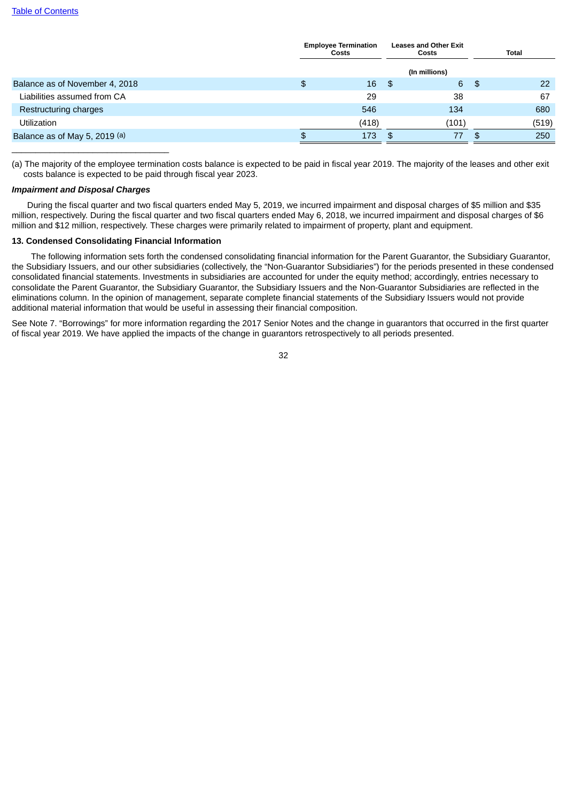|                                | <b>Employee Termination</b><br><b>Costs</b> |     | <b>Leases and Other Exit</b><br>Costs |      | Total |
|--------------------------------|---------------------------------------------|-----|---------------------------------------|------|-------|
|                                |                                             |     | (In millions)                         |      |       |
| Balance as of November 4, 2018 | \$<br>$16 \quad $$                          |     | 6                                     | - \$ | 22    |
| Liabilities assumed from CA    | 29                                          |     | 38                                    |      | 67    |
| Restructuring charges          | 546                                         |     | 134                                   |      | 680   |
| <b>Utilization</b>             | (418)                                       |     | (101)                                 |      | (519) |
| Balance as of May 5, 2019 (a)  | 173                                         | -\$ | 77                                    | -SS  | 250   |
|                                |                                             |     |                                       |      |       |

(a) The majority of the employee termination costs balance is expected to be paid in fiscal year 2019. The majority of the leases and other exit costs balance is expected to be paid through fiscal year 2023.

### *Impairment and Disposal Charges*

During the fiscal quarter and two fiscal quarters ended May 5, 2019, we incurred impairment and disposal charges of \$5 million and \$35 million, respectively. During the fiscal quarter and two fiscal quarters ended May 6, 2018, we incurred impairment and disposal charges of \$6 million and \$12 million, respectively. These charges were primarily related to impairment of property, plant and equipment.

### **13. Condensed Consolidating Financial Information**

The following information sets forth the condensed consolidating financial information for the Parent Guarantor, the Subsidiary Guarantor, the Subsidiary Issuers, and our other subsidiaries (collectively, the "Non-Guarantor Subsidiaries") for the periods presented in these condensed consolidated financial statements. Investments in subsidiaries are accounted for under the equity method; accordingly, entries necessary to consolidate the Parent Guarantor, the Subsidiary Guarantor, the Subsidiary Issuers and the Non-Guarantor Subsidiaries are reflected in the eliminations column. In the opinion of management, separate complete financial statements of the Subsidiary Issuers would not provide additional material information that would be useful in assessing their financial composition.

See Note 7. "Borrowings" for more information regarding the 2017 Senior Notes and the change in guarantors that occurred in the first quarter of fiscal year 2019. We have applied the impacts of the change in guarantors retrospectively to all periods presented.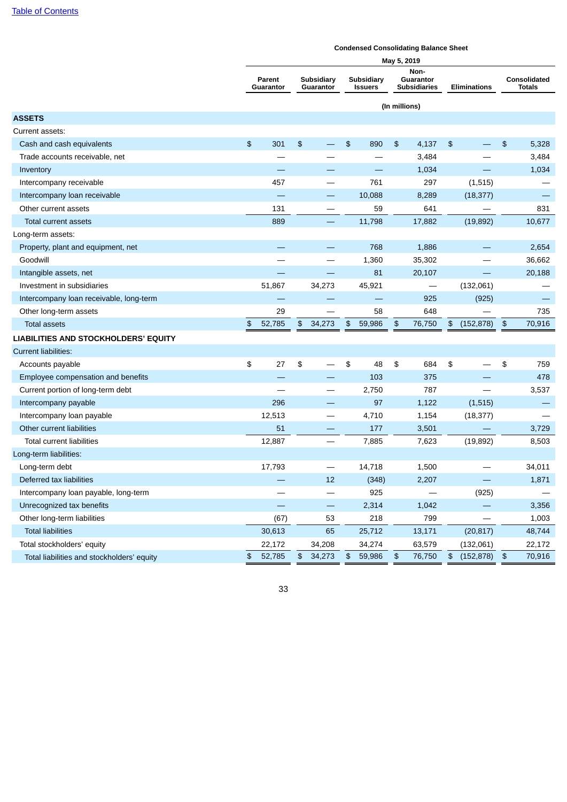|                                            |               |                     |    |                          |               |                              |                      | onachsca consonaating Balance oncet      |                           |                          |                           |                               |
|--------------------------------------------|---------------|---------------------|----|--------------------------|---------------|------------------------------|----------------------|------------------------------------------|---------------------------|--------------------------|---------------------------|-------------------------------|
|                                            |               |                     |    |                          |               |                              | May 5, 2019          |                                          |                           |                          |                           |                               |
|                                            |               | Parent<br>Guarantor |    | Subsidiary<br>Guarantor  |               | Subsidiary<br><b>Issuers</b> |                      | Non-<br>Guarantor<br><b>Subsidiaries</b> |                           | <b>Eliminations</b>      |                           | Consolidated<br><b>Totals</b> |
|                                            |               |                     |    |                          | (In millions) |                              |                      |                                          |                           |                          |                           |                               |
| <b>ASSETS</b>                              |               |                     |    |                          |               |                              |                      |                                          |                           |                          |                           |                               |
| Current assets:                            |               |                     |    |                          |               |                              |                      |                                          |                           |                          |                           |                               |
| Cash and cash equivalents                  | $\frac{2}{3}$ | 301                 | \$ |                          | \$            | 890                          | $\frac{2}{3}$        | 4,137                                    | $\frac{1}{2}$             |                          | \$                        | 5,328                         |
| Trade accounts receivable, net             |               |                     |    |                          |               |                              |                      | 3,484                                    |                           |                          |                           | 3,484                         |
| Inventory                                  |               |                     |    |                          |               |                              |                      | 1,034                                    |                           |                          |                           | 1,034                         |
| Intercompany receivable                    |               | 457                 |    |                          |               | 761                          |                      | 297                                      |                           | (1, 515)                 |                           |                               |
| Intercompany loan receivable               |               |                     |    |                          |               | 10,088                       |                      | 8,289                                    |                           | (18, 377)                |                           |                               |
| Other current assets                       |               | 131                 |    |                          |               | 59                           |                      | 641                                      |                           |                          |                           | 831                           |
| Total current assets                       |               | 889                 |    |                          |               | 11,798                       |                      | 17,882                                   |                           | (19, 892)                |                           | 10,677                        |
| Long-term assets:                          |               |                     |    |                          |               |                              |                      |                                          |                           |                          |                           |                               |
| Property, plant and equipment, net         |               |                     |    |                          |               | 768                          |                      | 1,886                                    |                           |                          |                           | 2,654                         |
| Goodwill                                   |               |                     |    |                          |               | 1,360                        |                      | 35,302                                   |                           |                          |                           | 36,662                        |
| Intangible assets, net                     |               |                     |    |                          |               | 81                           |                      | 20,107                                   |                           |                          |                           | 20,188                        |
| Investment in subsidiaries                 |               | 51,867              |    | 34,273                   |               | 45,921                       |                      | $\overbrace{\phantom{13333}}$            |                           | (132,061)                |                           |                               |
| Intercompany loan receivable, long-term    |               |                     |    |                          |               | $\overline{\phantom{0}}$     |                      | 925                                      |                           | (925)                    |                           |                               |
| Other long-term assets                     |               | 29                  |    |                          |               | 58                           |                      | 648                                      |                           |                          |                           | 735                           |
| <b>Total assets</b>                        | \$            | 52,785              | \$ | 34,273                   | $\frac{2}{3}$ | 59,986                       | \$                   | 76,750                                   | $\frac{1}{2}$             | (152, 878)               | $\boldsymbol{\mathsf{D}}$ | 70,916                        |
| LIABILITIES AND STOCKHOLDERS' EQUITY       |               |                     |    |                          |               |                              |                      |                                          |                           |                          |                           |                               |
| <b>Current liabilities:</b>                |               |                     |    |                          |               |                              |                      |                                          |                           |                          |                           |                               |
| Accounts payable                           | \$            | 27                  | \$ |                          | \$            | 48                           | \$                   | 684                                      | \$                        |                          | \$                        | 759                           |
| Employee compensation and benefits         |               |                     |    |                          |               | 103                          |                      | 375                                      |                           |                          |                           | 478                           |
| Current portion of long-term debt          |               |                     |    |                          |               | 2,750                        |                      | 787                                      |                           |                          |                           | 3,537                         |
| Intercompany payable                       |               | 296                 |    |                          |               | 97                           |                      | 1,122                                    |                           | (1, 515)                 |                           |                               |
| Intercompany loan payable                  |               | 12,513              |    | $\qquad \qquad -$        |               | 4,710                        |                      | 1,154                                    |                           | (18, 377)                |                           |                               |
| Other current liabilities                  |               | 51                  |    | $\overline{\phantom{0}}$ |               | 177                          |                      | 3,501                                    |                           |                          |                           | 3,729                         |
| <b>Total current liabilities</b>           |               | 12,887              |    | $\overline{\phantom{0}}$ |               | 7,885                        |                      | 7,623                                    |                           | (19, 892)                |                           | 8,503                         |
| Long-term liabilities:                     |               |                     |    |                          |               |                              |                      |                                          |                           |                          |                           |                               |
| Long-term debt                             |               | 17,793              |    |                          |               | 14,718                       |                      | 1,500                                    |                           |                          |                           | 34,011                        |
| Deferred tax liabilities                   |               |                     |    | $12\,$                   |               | (348)                        |                      | 2,207                                    |                           | $\overline{\phantom{0}}$ |                           | 1,871                         |
| Intercompany loan payable, long-term       |               |                     |    |                          |               | 925                          |                      |                                          |                           | (925)                    |                           |                               |
| Unrecognized tax benefits                  |               |                     |    |                          |               | 2,314                        |                      | 1,042                                    |                           |                          |                           | 3,356                         |
| Other long-term liabilities                |               | (67)                |    | 53                       |               | 218                          |                      | 799                                      |                           |                          |                           | 1,003                         |
| <b>Total liabilities</b>                   |               | 30,613              |    | 65                       |               | 25,712                       |                      | 13,171                                   |                           | (20, 817)                |                           | 48,744                        |
| Total stockholders' equity                 |               | 22,172              |    | 34,208                   |               | 34,274                       |                      | 63,579                                   |                           | (132,061)                |                           | 22,172                        |
| Total liabilities and stockholders' equity | \$            | 52,785              | \$ | 34,273                   | $\frac{2}{3}$ | 59,986                       | $\pmb{\mathfrak{P}}$ | 76,750                                   | $\boldsymbol{\mathsf{D}}$ | $(152, 878)$ \$          |                           | 70,916                        |

### **Condensed Consolidating Balance Sheet**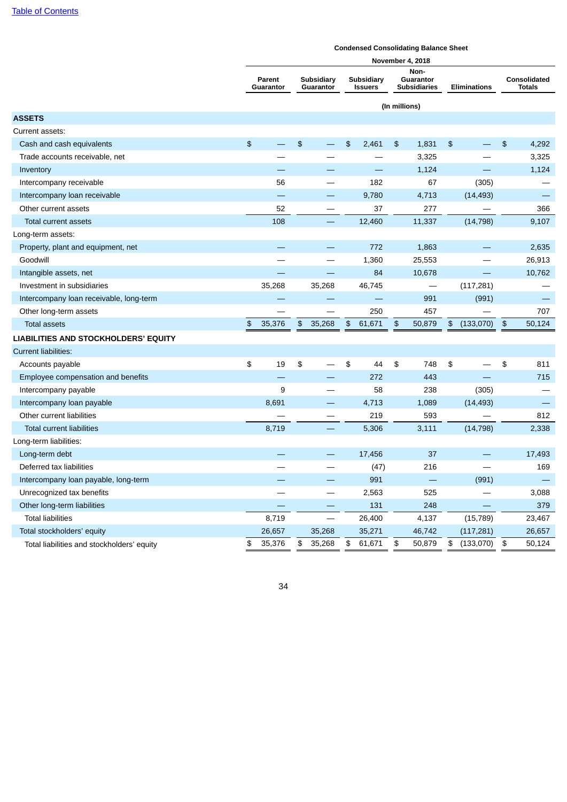|                                            | Condensed Consondating Dalance Sheet<br><b>November 4, 2018</b> |                     |                             |                         |      |                                     |               |                                  |                      |                     |               |                               |
|--------------------------------------------|-----------------------------------------------------------------|---------------------|-----------------------------|-------------------------|------|-------------------------------------|---------------|----------------------------------|----------------------|---------------------|---------------|-------------------------------|
|                                            |                                                                 |                     |                             |                         |      |                                     |               | Non-                             |                      |                     |               |                               |
|                                            |                                                                 | Parent<br>Guarantor |                             | Subsidiary<br>Guarantor |      | <b>Subsidiary</b><br><b>Issuers</b> |               | Guarantor<br><b>Subsidiaries</b> |                      | <b>Eliminations</b> |               | Consolidated<br><b>Totals</b> |
|                                            |                                                                 |                     |                             |                         |      |                                     | (In millions) |                                  |                      |                     |               |                               |
| <b>ASSETS</b>                              |                                                                 |                     |                             |                         |      |                                     |               |                                  |                      |                     |               |                               |
| Current assets:                            |                                                                 |                     |                             |                         |      |                                     |               |                                  |                      |                     |               |                               |
| Cash and cash equivalents                  | \$                                                              |                     | $\frac{4}{5}$               |                         | \$   | 2,461                               | $\frac{2}{3}$ | 1,831                            | \$                   |                     | $\frac{2}{3}$ | 4,292                         |
| Trade accounts receivable, net             |                                                                 |                     |                             |                         |      |                                     |               | 3,325                            |                      |                     |               | 3,325                         |
| Inventory                                  |                                                                 |                     |                             |                         |      |                                     |               | 1,124                            |                      |                     |               | 1,124                         |
| Intercompany receivable                    |                                                                 | 56                  |                             | ÷,                      |      | 182                                 |               | 67                               |                      | (305)               |               |                               |
| Intercompany loan receivable               |                                                                 |                     |                             |                         |      | 9,780                               |               | 4,713                            |                      | (14, 493)           |               |                               |
| Other current assets                       |                                                                 | 52                  |                             |                         |      | 37                                  |               | 277                              |                      |                     |               | 366                           |
| Total current assets                       |                                                                 | 108                 |                             |                         |      | 12,460                              |               | 11,337                           |                      | (14, 798)           |               | 9,107                         |
| Long-term assets:                          |                                                                 |                     |                             |                         |      |                                     |               |                                  |                      |                     |               |                               |
| Property, plant and equipment, net         |                                                                 |                     |                             |                         |      | 772                                 |               | 1,863                            |                      |                     |               | 2,635                         |
| Goodwill                                   |                                                                 |                     |                             |                         |      | 1,360                               |               | 25,553                           |                      |                     |               | 26,913                        |
| Intangible assets, net                     |                                                                 |                     |                             |                         |      | 84                                  |               | 10,678                           |                      |                     |               | 10,762                        |
| Investment in subsidiaries                 |                                                                 | 35,268              |                             | 35,268                  |      | 46,745                              |               |                                  |                      | (117, 281)          |               |                               |
| Intercompany loan receivable, long-term    |                                                                 |                     |                             |                         |      |                                     |               | 991                              |                      | (991)               |               |                               |
| Other long-term assets                     |                                                                 |                     |                             |                         |      | 250                                 |               | 457                              |                      |                     |               | 707                           |
| <b>Total assets</b>                        | $\, \, \$$                                                      | 35,376              | $\boldsymbol{\mathfrak{s}}$ | 35,268                  | $\,$ | 61,671                              | $\frac{4}{5}$ | 50,879                           | $\pmb{\mathfrak{P}}$ | $(133,070)$ \$      |               | 50,124                        |
| LIABILITIES AND STOCKHOLDERS' EQUITY       |                                                                 |                     |                             |                         |      |                                     |               |                                  |                      |                     |               |                               |
| <b>Current liabilities:</b>                |                                                                 |                     |                             |                         |      |                                     |               |                                  |                      |                     |               |                               |
| Accounts payable                           | \$                                                              | 19                  | \$                          |                         | \$   | 44                                  | \$            | 748                              | \$                   |                     | \$            | 811                           |
| Employee compensation and benefits         |                                                                 |                     |                             |                         |      | 272                                 |               | 443                              |                      |                     |               | 715                           |
| Intercompany payable                       |                                                                 | 9                   |                             |                         |      | 58                                  |               | 238                              |                      | (305)               |               |                               |
| Intercompany loan payable                  |                                                                 | 8,691               |                             |                         |      | 4,713                               |               | 1,089                            |                      | (14, 493)           |               |                               |
| Other current liabilities                  |                                                                 |                     |                             |                         |      | 219                                 |               | 593                              |                      |                     |               | 812                           |
| <b>Total current liabilities</b>           |                                                                 | 8,719               |                             |                         |      | 5,306                               |               | 3,111                            |                      | (14, 798)           |               | 2,338                         |
| Long-term liabilities:                     |                                                                 |                     |                             |                         |      |                                     |               |                                  |                      |                     |               |                               |
| Long-term debt                             |                                                                 |                     |                             |                         |      | 17,456                              |               | 37                               |                      |                     |               | 17,493                        |
| Deferred tax liabilities                   |                                                                 |                     |                             |                         |      | (47)                                |               | 216                              |                      |                     |               | 169                           |
| Intercompany loan payable, long-term       |                                                                 |                     |                             |                         |      | 991                                 |               |                                  |                      | (991)               |               |                               |
| Unrecognized tax benefits                  |                                                                 |                     |                             | ÷,                      |      | 2,563                               |               | 525                              |                      |                     |               | 3,088                         |
| Other long-term liabilities                |                                                                 |                     |                             |                         |      | 131                                 |               | 248                              |                      |                     |               | 379                           |
| <b>Total liabilities</b>                   |                                                                 | 8,719               |                             |                         |      | 26,400                              |               | 4,137                            |                      | (15, 789)           |               | 23,467                        |
| Total stockholders' equity                 |                                                                 | 26,657              |                             | 35,268                  |      | 35,271                              |               | 46,742                           |                      | (117, 281)          |               | 26,657                        |
| Total liabilities and stockholders' equity | \$                                                              | 35,376              | \$                          | 35,268                  | \$   | 61,671                              | \$            | 50,879                           | \$                   | (133,070)           | $\frac{1}{2}$ | 50,124                        |

# **Condensed Consolidating Balance Sheet**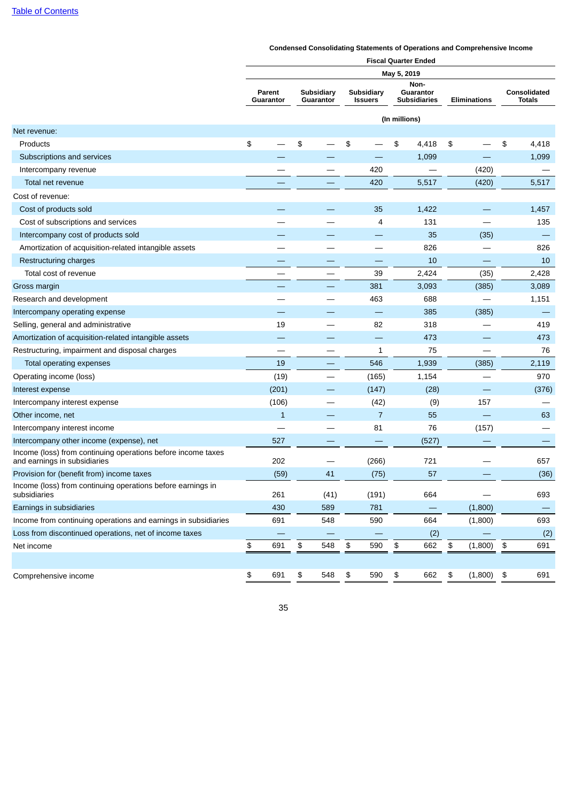|                                                                                              | <b>Fiscal Quarter Ended</b> |                            |    |                         |    |                              |               |                                          |    |                     |    |                                      |  |
|----------------------------------------------------------------------------------------------|-----------------------------|----------------------------|----|-------------------------|----|------------------------------|---------------|------------------------------------------|----|---------------------|----|--------------------------------------|--|
|                                                                                              |                             |                            |    |                         |    |                              | May 5, 2019   |                                          |    |                     |    |                                      |  |
|                                                                                              |                             | <b>Parent</b><br>Guarantor |    | Subsidiary<br>Guarantor |    | Subsidiary<br><b>Issuers</b> |               | Non-<br>Guarantor<br><b>Subsidiaries</b> |    | <b>Eliminations</b> |    | <b>Consolidated</b><br><b>Totals</b> |  |
|                                                                                              |                             |                            |    |                         |    |                              | (In millions) |                                          |    |                     |    |                                      |  |
| Net revenue:                                                                                 |                             |                            |    |                         |    |                              |               |                                          |    |                     |    |                                      |  |
| Products                                                                                     | \$                          |                            | \$ |                         | \$ |                              | \$            | 4,418                                    | \$ |                     | \$ | 4,418                                |  |
| Subscriptions and services                                                                   |                             |                            |    |                         |    |                              |               | 1,099                                    |    |                     |    | 1,099                                |  |
| Intercompany revenue                                                                         |                             |                            |    |                         |    | 420                          |               |                                          |    | (420)               |    |                                      |  |
| Total net revenue                                                                            |                             |                            |    |                         |    | 420                          |               | 5,517                                    |    | (420)               |    | 5,517                                |  |
| Cost of revenue:                                                                             |                             |                            |    |                         |    |                              |               |                                          |    |                     |    |                                      |  |
| Cost of products sold                                                                        |                             |                            |    |                         |    | 35                           |               | 1,422                                    |    |                     |    | 1,457                                |  |
| Cost of subscriptions and services                                                           |                             |                            |    |                         |    | 4                            |               | 131                                      |    |                     |    | 135                                  |  |
| Intercompany cost of products sold                                                           |                             |                            |    |                         |    |                              |               | 35                                       |    | (35)                |    |                                      |  |
| Amortization of acquisition-related intangible assets                                        |                             |                            |    |                         |    |                              |               | 826                                      |    |                     |    | 826                                  |  |
| Restructuring charges                                                                        |                             |                            |    |                         |    |                              |               | 10                                       |    |                     |    | 10                                   |  |
| Total cost of revenue                                                                        |                             |                            |    |                         |    | 39                           |               | 2,424                                    |    | (35)                |    | 2,428                                |  |
| Gross margin                                                                                 |                             |                            |    |                         |    | 381                          |               | 3,093                                    |    | (385)               |    | 3,089                                |  |
| Research and development                                                                     |                             |                            |    |                         |    | 463                          |               | 688                                      |    |                     |    | 1,151                                |  |
| Intercompany operating expense                                                               |                             |                            |    |                         |    |                              |               | 385                                      |    | (385)               |    |                                      |  |
| Selling, general and administrative                                                          |                             | 19                         |    |                         |    | 82                           |               | 318                                      |    |                     |    | 419                                  |  |
| Amortization of acquisition-related intangible assets                                        |                             |                            |    |                         |    | —                            |               | 473                                      |    |                     |    | 473                                  |  |
| Restructuring, impairment and disposal charges                                               |                             |                            |    |                         |    | 1                            |               | 75                                       |    |                     |    | 76                                   |  |
| Total operating expenses                                                                     |                             | 19                         |    |                         |    | 546                          |               | 1,939                                    |    | (385)               |    | 2,119                                |  |
| Operating income (loss)                                                                      |                             | (19)                       |    |                         |    | (165)                        |               | 1,154                                    |    |                     |    | 970                                  |  |
| Interest expense                                                                             |                             | (201)                      |    |                         |    | (147)                        |               | (28)                                     |    |                     |    | (376)                                |  |
| Intercompany interest expense                                                                |                             | (106)                      |    |                         |    | (42)                         |               | (9)                                      |    | 157                 |    |                                      |  |
| Other income, net                                                                            |                             | $\mathbf{1}$               |    |                         |    | $\overline{7}$               |               | 55                                       |    |                     |    | 63                                   |  |
| Intercompany interest income                                                                 |                             |                            |    |                         |    | 81                           |               | 76                                       |    | (157)               |    |                                      |  |
| Intercompany other income (expense), net                                                     |                             | 527                        |    |                         |    |                              |               | (527)                                    |    |                     |    |                                      |  |
| Income (loss) from continuing operations before income taxes<br>and earnings in subsidiaries |                             | 202                        |    |                         |    | (266)                        |               | 721                                      |    |                     |    | 657                                  |  |
| Provision for (benefit from) income taxes                                                    |                             | (59)                       |    | 41                      |    | (75)                         |               | 57                                       |    |                     |    | (36)                                 |  |
| Income (loss) from continuing operations before earnings in<br>subsidiaries                  |                             | 261                        |    | (41)                    |    | (191)                        |               | 664                                      |    |                     |    | 693                                  |  |
| Earnings in subsidiaries                                                                     |                             | 430                        |    | 589                     |    | 781                          |               |                                          |    | (1,800)             |    | $\overline{\phantom{0}}$             |  |
| Income from continuing operations and earnings in subsidiaries                               |                             | 691                        |    | 548                     |    | 590                          |               | 664                                      |    | (1,800)             |    | 693                                  |  |
| Loss from discontinued operations, net of income taxes                                       |                             |                            |    |                         |    |                              |               | (2)                                      |    |                     |    | (2)                                  |  |
| Net income                                                                                   | $\,$                        | 691                        | \$ | 548                     | \$ | 590                          | \$            | 662                                      | \$ | (1,800)             | \$ | 691                                  |  |
|                                                                                              |                             |                            |    |                         |    |                              |               |                                          |    |                     |    |                                      |  |
| Comprehensive income                                                                         | \$                          | 691                        | \$ | 548                     | \$ | 590                          | \$            | 662                                      | \$ | (1,800)             | \$ | 691                                  |  |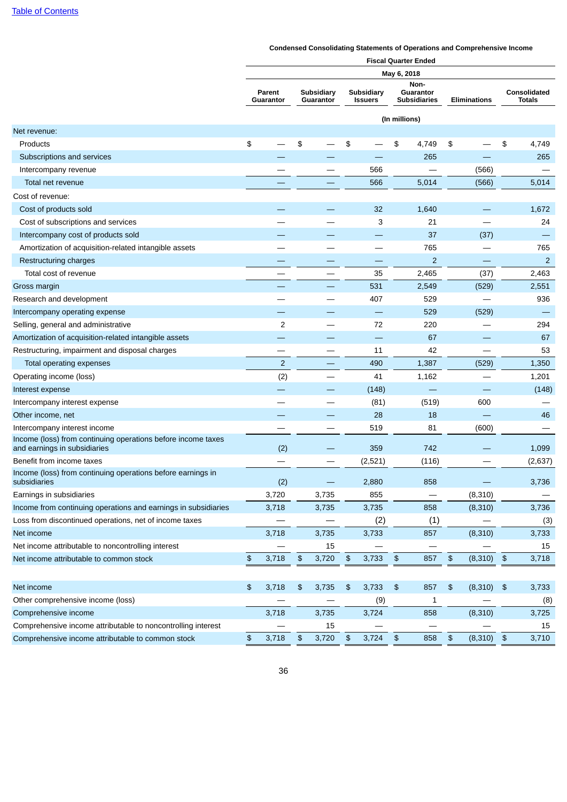|                                                                                              | <b>Fiscal Quarter Ended</b> |                     |    |                         |            |                              |               |                                          |            |                     |                    |                               |
|----------------------------------------------------------------------------------------------|-----------------------------|---------------------|----|-------------------------|------------|------------------------------|---------------|------------------------------------------|------------|---------------------|--------------------|-------------------------------|
|                                                                                              | May 6, 2018                 |                     |    |                         |            |                              |               |                                          |            |                     |                    |                               |
|                                                                                              |                             | Parent<br>Guarantor |    | Subsidiary<br>Guarantor |            | Subsidiary<br><b>Issuers</b> |               | Non-<br>Guarantor<br><b>Subsidiaries</b> |            | <b>Eliminations</b> |                    | Consolidated<br><b>Totals</b> |
|                                                                                              |                             |                     |    |                         |            |                              | (In millions) |                                          |            |                     |                    |                               |
| Net revenue:                                                                                 |                             |                     |    |                         |            |                              |               |                                          |            |                     |                    |                               |
| Products                                                                                     | \$                          |                     | \$ |                         | \$         |                              | \$            | 4,749                                    | \$         |                     | \$                 | 4,749                         |
| Subscriptions and services                                                                   |                             |                     |    |                         |            |                              |               | 265                                      |            |                     |                    | 265                           |
| Intercompany revenue                                                                         |                             |                     |    |                         |            | 566                          |               |                                          |            | (566)               |                    |                               |
| Total net revenue                                                                            |                             |                     |    |                         |            | 566                          |               | 5,014                                    |            | (566)               |                    | 5,014                         |
| Cost of revenue:                                                                             |                             |                     |    |                         |            |                              |               |                                          |            |                     |                    |                               |
| Cost of products sold                                                                        |                             |                     |    |                         |            | 32                           |               | 1,640                                    |            |                     |                    | 1,672                         |
| Cost of subscriptions and services                                                           |                             |                     |    |                         |            | 3                            |               | 21                                       |            |                     |                    | 24                            |
| Intercompany cost of products sold                                                           |                             |                     |    |                         |            |                              |               | 37                                       |            | (37)                |                    |                               |
| Amortization of acquisition-related intangible assets                                        |                             |                     |    |                         |            |                              |               | 765                                      |            |                     |                    | 765                           |
| Restructuring charges                                                                        |                             |                     |    |                         |            |                              |               | $\overline{c}$                           |            |                     |                    | $\overline{2}$                |
| Total cost of revenue                                                                        |                             |                     |    |                         |            | 35                           |               | 2,465                                    |            | (37)                |                    | 2,463                         |
| Gross margin                                                                                 |                             |                     |    |                         |            | 531                          |               | 2,549                                    |            | (529)               |                    | 2,551                         |
| Research and development                                                                     |                             |                     |    |                         |            | 407                          |               | 529                                      |            |                     |                    | 936                           |
| Intercompany operating expense                                                               |                             |                     |    |                         |            |                              |               | 529                                      |            | (529)               |                    |                               |
| Selling, general and administrative                                                          |                             | $\overline{c}$      |    |                         |            | 72                           |               | 220                                      |            |                     |                    | 294                           |
| Amortization of acquisition-related intangible assets                                        |                             |                     |    |                         |            | —                            |               | 67                                       |            |                     |                    | 67                            |
| Restructuring, impairment and disposal charges                                               |                             |                     |    |                         |            | 11                           |               | 42                                       |            |                     |                    | 53                            |
| Total operating expenses                                                                     |                             | $\overline{c}$      |    |                         |            | 490                          |               | 1,387                                    |            | (529)               |                    | 1,350                         |
| Operating income (loss)                                                                      |                             | (2)                 |    |                         |            | 41                           |               | 1,162                                    |            |                     |                    | 1,201                         |
| Interest expense                                                                             |                             |                     |    |                         |            | (148)                        |               |                                          |            |                     |                    | (148)                         |
| Intercompany interest expense                                                                |                             |                     |    |                         |            | (81)                         |               | (519)                                    |            | 600                 |                    |                               |
| Other income, net                                                                            |                             |                     |    |                         | 28         |                              |               | 18                                       |            |                     |                    | 46                            |
| Intercompany interest income                                                                 |                             |                     |    |                         |            | 519                          |               | 81                                       |            | (600)               |                    |                               |
| Income (loss) from continuing operations before income taxes<br>and earnings in subsidiaries |                             | (2)                 |    |                         |            | 359                          |               | 742                                      |            |                     |                    | 1,099                         |
| Benefit from income taxes                                                                    |                             |                     |    |                         |            | (2,521)                      |               | (116)                                    |            |                     |                    | (2,637)                       |
| Income (loss) from continuing operations before earnings in<br>subsidiaries                  |                             | (2)                 |    |                         |            | 2,880                        |               | 858                                      |            |                     |                    | 3,736                         |
| Earnings in subsidiaries                                                                     |                             | 3,720               |    | 3,735                   |            | 855                          |               |                                          |            | (8, 310)            |                    |                               |
| Income from continuing operations and earnings in subsidiaries                               |                             | 3,718               |    | 3,735                   |            | 3,735                        |               | 858                                      |            | (8,310)             |                    | 3,736                         |
| Loss from discontinued operations, net of income taxes                                       |                             |                     |    |                         |            | (2)                          |               | (1)                                      |            |                     |                    | (3)                           |
| Net income                                                                                   |                             | 3,718               |    | 3,735                   |            | 3,733                        |               | 857                                      |            | (8,310)             |                    | 3,733                         |
| Net income attributable to noncontrolling interest                                           |                             |                     |    | 15                      |            |                              |               |                                          |            |                     |                    | 15                            |
| Net income attributable to common stock                                                      | \$                          | 3,718               | \$ | 3,720                   | \$         | 3,733                        | $\,$          | 857                                      | $\, \, \$$ | (8,310)             | $\, \, \mathsf{S}$ | 3,718                         |
|                                                                                              |                             |                     |    |                         |            |                              |               |                                          |            |                     |                    |                               |
| Net income                                                                                   | $\frac{1}{2}$               | 3,718               | \$ | 3,735                   | \$         | 3,733                        | \$            | 857                                      | \$         | (8,310)             | $\frac{1}{2}$      | 3,733                         |
| Other comprehensive income (loss)                                                            |                             |                     |    |                         |            | (9)                          |               | $\mathbf{1}$                             |            |                     |                    | (8)                           |
| Comprehensive income                                                                         |                             | 3,718               |    | 3,735                   |            | 3,724                        |               | 858                                      |            | (8,310)             |                    | 3,725                         |
| Comprehensive income attributable to noncontrolling interest                                 |                             |                     |    | 15                      |            |                              |               |                                          |            |                     |                    | 15                            |
| Comprehensive income attributable to common stock                                            | \$                          | 3,718               | \$ | 3,720                   | $\pmb{\$}$ | 3,724                        | $\frac{2}{3}$ | 858                                      | \$         | (8,310)             | $\,$ $\,$          | 3,710                         |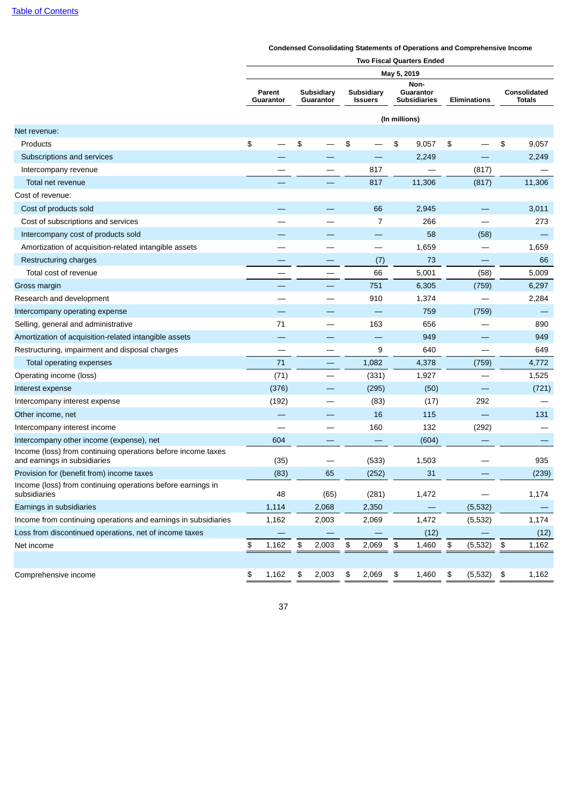|                                                                                              | <b>Two Fiscal Quarters Ended</b> |                     |    |                         |    |                              |               |                                          |    |                     |                      |                               |  |
|----------------------------------------------------------------------------------------------|----------------------------------|---------------------|----|-------------------------|----|------------------------------|---------------|------------------------------------------|----|---------------------|----------------------|-------------------------------|--|
|                                                                                              |                                  |                     |    |                         |    |                              | May 5, 2019   |                                          |    |                     |                      |                               |  |
|                                                                                              |                                  | Parent<br>Guarantor |    | Subsidiary<br>Guarantor |    | Subsidiary<br><b>Issuers</b> |               | Non-<br>Guarantor<br><b>Subsidiaries</b> |    | <b>Eliminations</b> |                      | Consolidated<br><b>Totals</b> |  |
|                                                                                              |                                  |                     |    |                         |    |                              | (In millions) |                                          |    |                     |                      |                               |  |
| Net revenue:                                                                                 |                                  |                     |    |                         |    |                              |               |                                          |    |                     |                      |                               |  |
| Products                                                                                     | \$                               |                     | \$ |                         | \$ |                              | \$            | 9,057                                    | \$ |                     | \$                   | 9,057                         |  |
| Subscriptions and services                                                                   |                                  |                     |    |                         |    |                              |               | 2,249                                    |    |                     |                      | 2,249                         |  |
| Intercompany revenue                                                                         |                                  |                     |    |                         |    | 817                          |               |                                          |    | (817)               |                      |                               |  |
| Total net revenue                                                                            |                                  |                     |    |                         |    | 817                          |               | 11,306                                   |    | (817)               |                      | 11,306                        |  |
| Cost of revenue:                                                                             |                                  |                     |    |                         |    |                              |               |                                          |    |                     |                      |                               |  |
| Cost of products sold                                                                        |                                  |                     |    |                         |    | 66                           |               | 2,945                                    |    |                     |                      | 3,011                         |  |
| Cost of subscriptions and services                                                           |                                  |                     |    |                         |    | 7                            |               | 266                                      |    |                     |                      | 273                           |  |
| Intercompany cost of products sold                                                           |                                  |                     |    |                         |    |                              |               | 58                                       |    | (58)                |                      |                               |  |
| Amortization of acquisition-related intangible assets                                        |                                  |                     |    |                         |    | $\overline{\phantom{0}}$     |               | 1,659                                    |    |                     |                      | 1,659                         |  |
| Restructuring charges                                                                        |                                  |                     |    |                         |    | (7)                          |               | 73                                       |    |                     |                      | 66                            |  |
| Total cost of revenue                                                                        |                                  |                     |    |                         |    | 66                           |               | 5,001                                    |    | (58)                |                      | 5,009                         |  |
| Gross margin                                                                                 |                                  |                     |    |                         |    | 751                          |               | 6,305                                    |    | (759)               |                      | 6,297                         |  |
| Research and development                                                                     |                                  |                     |    |                         |    | 910                          |               | 1,374                                    |    |                     |                      | 2,284                         |  |
| Intercompany operating expense                                                               |                                  |                     |    |                         |    |                              |               | 759                                      |    | (759)               |                      |                               |  |
| Selling, general and administrative                                                          |                                  | 71                  |    |                         |    | 163                          |               | 656                                      |    |                     |                      | 890                           |  |
| Amortization of acquisition-related intangible assets                                        |                                  |                     |    |                         |    |                              |               | 949                                      |    |                     |                      | 949                           |  |
| Restructuring, impairment and disposal charges                                               |                                  |                     |    |                         |    | 9                            |               | 640                                      |    |                     |                      | 649                           |  |
| Total operating expenses                                                                     |                                  | 71                  |    |                         |    | 1,082                        |               | 4,378                                    |    | (759)               |                      | 4,772                         |  |
| Operating income (loss)                                                                      |                                  | (71)                |    |                         |    | (331)                        |               | 1,927                                    |    |                     |                      | 1,525                         |  |
| Interest expense                                                                             |                                  | (376)               |    |                         |    | (295)                        |               | (50)                                     |    |                     |                      | (721)                         |  |
| Intercompany interest expense                                                                |                                  | (192)               |    |                         |    | (83)                         |               | (17)                                     |    | 292                 |                      |                               |  |
| Other income, net                                                                            |                                  |                     |    |                         |    | 16                           |               | 115                                      |    |                     |                      | 131                           |  |
| Intercompany interest income                                                                 |                                  |                     |    |                         |    | 160                          |               | 132                                      |    | (292)               |                      |                               |  |
| Intercompany other income (expense), net                                                     |                                  | 604                 |    |                         |    |                              |               | (604)                                    |    |                     |                      |                               |  |
| Income (loss) from continuing operations before income taxes<br>and earnings in subsidiaries |                                  | (35)                |    |                         |    | (533)                        |               | 1,503                                    |    |                     |                      | 935                           |  |
| Provision for (benefit from) income taxes                                                    |                                  | (83)                |    | 65                      |    | (252)                        |               | 31                                       |    |                     |                      | (239)                         |  |
| Income (loss) from continuing operations before earnings in<br>subsidiaries                  |                                  | 48                  |    | (65)                    |    | (281)                        |               | 1,472                                    |    |                     |                      | 1,174                         |  |
| Earnings in subsidiaries                                                                     |                                  | 1,114               |    | 2,068                   |    | 2,350                        |               |                                          |    | (5, 532)            |                      |                               |  |
| Income from continuing operations and earnings in subsidiaries                               |                                  | 1,162               |    | 2,003                   |    | 2,069                        |               | 1,472                                    |    | (5, 532)            |                      | 1,174                         |  |
| Loss from discontinued operations, net of income taxes                                       |                                  |                     |    |                         |    |                              |               | (12)                                     |    |                     |                      | (12)                          |  |
| Net income                                                                                   | \$                               | 1,162               | \$ | 2,003                   | \$ | 2,069                        | \$            | 1,460                                    | \$ | (5, 532)            | $\pmb{\mathfrak{P}}$ | 1,162                         |  |
|                                                                                              |                                  |                     |    |                         |    |                              |               |                                          |    |                     |                      |                               |  |
| Comprehensive income                                                                         | \$                               | 1,162               | \$ | 2,003                   | \$ | 2,069                        | \$            | 1,460                                    | \$ | (5, 532)            | \$                   | 1,162                         |  |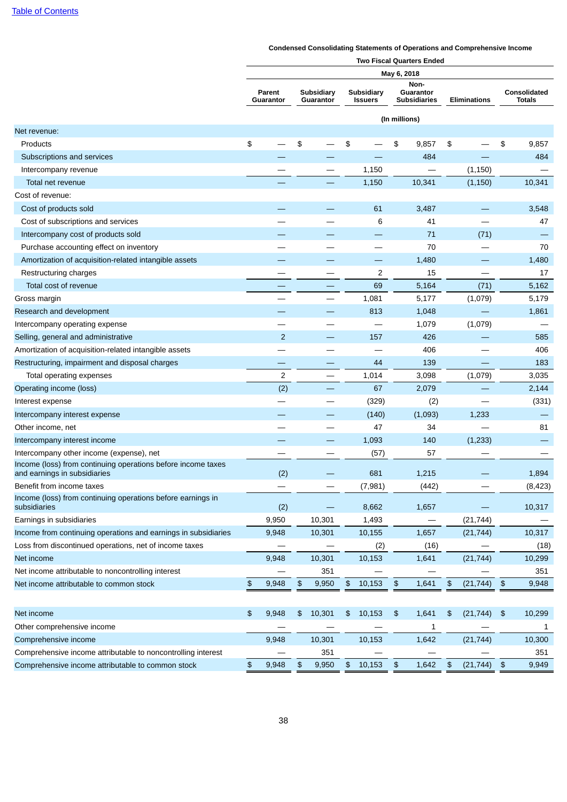|                                                                                              | <b>Two Fiscal Quarters Ended</b> |                     |                      |                         |               |                              |               |                                          |    |              |               |                               |
|----------------------------------------------------------------------------------------------|----------------------------------|---------------------|----------------------|-------------------------|---------------|------------------------------|---------------|------------------------------------------|----|--------------|---------------|-------------------------------|
|                                                                                              |                                  |                     |                      |                         |               |                              | May 6, 2018   |                                          |    |              |               |                               |
|                                                                                              |                                  | Parent<br>Guarantor |                      | Subsidiary<br>Guarantor |               | Subsidiary<br><b>Issuers</b> |               | Non-<br>Guarantor<br><b>Subsidiaries</b> |    | Eliminations |               | Consolidated<br><b>Totals</b> |
|                                                                                              |                                  |                     |                      |                         |               |                              | (In millions) |                                          |    |              |               |                               |
| Net revenue:                                                                                 |                                  |                     |                      |                         |               |                              |               |                                          |    |              |               |                               |
| Products                                                                                     | \$                               |                     | \$                   |                         | \$            |                              | \$            | 9,857                                    | \$ |              | \$            | 9,857                         |
| Subscriptions and services                                                                   |                                  |                     |                      |                         |               |                              |               | 484                                      |    |              |               | 484                           |
| Intercompany revenue                                                                         |                                  |                     |                      |                         |               | 1,150                        |               |                                          |    | (1, 150)     |               |                               |
| Total net revenue                                                                            |                                  |                     |                      |                         |               | 1,150                        |               | 10,341                                   |    | (1,150)      |               | 10,341                        |
| Cost of revenue:                                                                             |                                  |                     |                      |                         |               |                              |               |                                          |    |              |               |                               |
| Cost of products sold                                                                        |                                  |                     |                      |                         |               | 61                           |               | 3,487                                    |    |              |               | 3,548                         |
| Cost of subscriptions and services                                                           |                                  |                     |                      |                         |               | 6                            |               | 41                                       |    |              |               | 47                            |
| Intercompany cost of products sold                                                           |                                  |                     |                      |                         |               |                              |               | 71                                       |    | (71)         |               |                               |
| Purchase accounting effect on inventory                                                      |                                  |                     |                      |                         |               |                              |               | 70                                       |    |              |               | 70                            |
| Amortization of acquisition-related intangible assets                                        |                                  |                     |                      |                         |               |                              |               | 1,480                                    |    |              |               | 1,480                         |
| Restructuring charges                                                                        |                                  |                     |                      |                         |               | $\overline{c}$               |               | 15                                       |    |              |               | 17                            |
| Total cost of revenue                                                                        |                                  |                     |                      |                         |               | 69                           |               | 5,164                                    |    | (71)         |               | 5,162                         |
| Gross margin                                                                                 |                                  |                     |                      |                         |               | 1,081                        |               | 5,177                                    |    | (1,079)      |               | 5,179                         |
| Research and development                                                                     |                                  |                     |                      |                         |               | 813                          |               | 1,048                                    |    |              |               | 1,861                         |
| Intercompany operating expense                                                               |                                  |                     |                      |                         |               |                              |               | 1,079                                    |    | (1,079)      |               |                               |
| Selling, general and administrative                                                          |                                  | $\overline{2}$      |                      |                         |               | 157                          |               | 426                                      |    |              |               | 585                           |
| Amortization of acquisition-related intangible assets                                        |                                  |                     |                      |                         |               |                              |               | 406                                      |    |              |               | 406                           |
| Restructuring, impairment and disposal charges                                               |                                  |                     |                      |                         |               | 44                           |               | 139                                      |    |              |               | 183                           |
| Total operating expenses                                                                     |                                  | $\overline{c}$      |                      |                         |               | 1,014                        |               | 3,098                                    |    | (1,079)      |               | 3,035                         |
| Operating income (loss)                                                                      |                                  | (2)                 |                      |                         |               | 67                           |               | 2,079                                    |    | —            |               | 2,144                         |
| Interest expense                                                                             |                                  |                     |                      |                         |               | (329)                        |               | (2)                                      |    | —            |               | (331)                         |
| Intercompany interest expense                                                                |                                  |                     |                      |                         |               | (140)                        |               | (1,093)                                  |    | 1,233        |               |                               |
| Other income, net                                                                            |                                  |                     |                      |                         |               | 47                           |               | 34                                       |    |              |               | 81                            |
| Intercompany interest income                                                                 |                                  |                     |                      |                         |               | 1,093                        |               | 140                                      |    | (1,233)      |               |                               |
| Intercompany other income (expense), net                                                     |                                  |                     |                      |                         |               | (57)                         |               | 57                                       |    |              |               |                               |
| Income (loss) from continuing operations before income taxes<br>and earnings in subsidiaries |                                  | (2)                 |                      |                         |               | 681                          |               | 1,215                                    |    |              |               | 1,894                         |
| Benefit from income taxes                                                                    |                                  |                     |                      |                         |               | (7,981)                      |               | (442)                                    |    |              |               | (8, 423)                      |
| Income (loss) from continuing operations before earnings in<br>subsidiaries                  |                                  | (2)                 |                      |                         |               | 8,662                        |               | 1,657                                    |    |              |               | 10,317                        |
| Earnings in subsidiaries                                                                     |                                  | 9,950               |                      | 10,301                  |               | 1,493                        |               |                                          |    | (21, 744)    |               |                               |
| Income from continuing operations and earnings in subsidiaries                               |                                  | 9,948               |                      | 10,301                  |               | 10,155                       |               | 1,657                                    |    | (21, 744)    |               | 10,317                        |
| Loss from discontinued operations, net of income taxes                                       |                                  |                     |                      |                         |               | (2)                          |               | (16)                                     |    |              |               | (18)                          |
| Net income                                                                                   |                                  | 9,948               |                      | 10,301                  |               | 10,153                       |               | 1,641                                    |    | (21, 744)    |               | 10,299                        |
| Net income attributable to noncontrolling interest                                           |                                  |                     |                      | 351                     |               |                              |               |                                          |    |              |               | 351                           |
| Net income attributable to common stock                                                      | \$                               | 9,948               | \$                   | 9,950                   | \$            | 10,153                       | \$            | 1,641                                    | \$ | (21, 744)    | $\frac{1}{2}$ | 9,948                         |
|                                                                                              |                                  |                     |                      |                         |               |                              |               |                                          |    |              |               |                               |
| Net income                                                                                   | \$                               | 9,948               | \$                   | 10,301                  | \$            | 10,153                       | $\frac{1}{2}$ | 1,641                                    | \$ | (21, 744)    | $\frac{1}{2}$ | 10,299                        |
| Other comprehensive income                                                                   |                                  |                     |                      |                         |               |                              |               | 1                                        |    |              |               | 1                             |
| Comprehensive income                                                                         |                                  | 9,948               |                      | 10,301                  |               | 10,153                       |               | 1,642                                    |    | (21, 744)    |               | 10,300                        |
| Comprehensive income attributable to noncontrolling interest                                 |                                  |                     |                      | 351                     |               |                              |               |                                          |    |              |               | 351                           |
| Comprehensive income attributable to common stock                                            | \$                               | 9,948               | $\pmb{\mathfrak{P}}$ | 9,950                   | $\frac{1}{2}$ | 10,153                       | $\frac{2}{3}$ | 1,642                                    | \$ | (21, 744)    | $\frac{1}{2}$ | 9,949                         |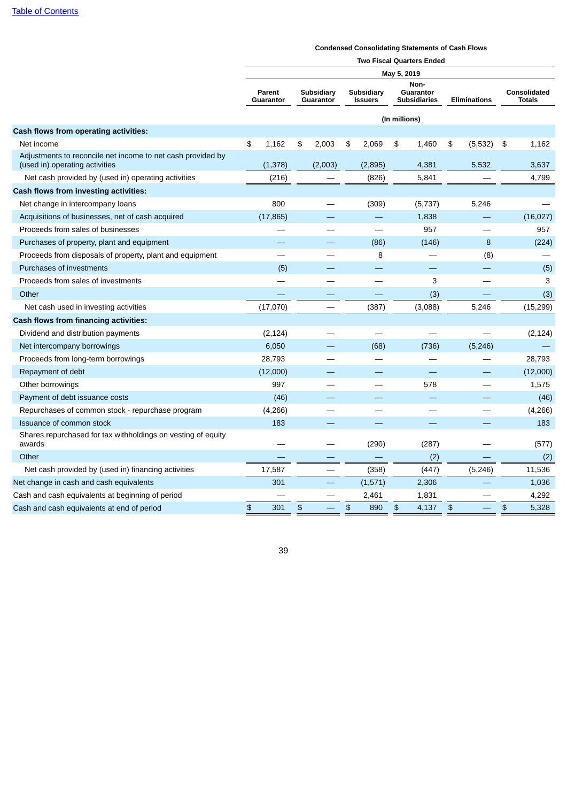# **Condensed Consolidating Statements of Cash Flows**

|                                                                                               | <b>Two Fiscal Quarters Ended</b> |                     |    |                         |    |                              |               |                                  |                                                      |    |                               |  |  |
|-----------------------------------------------------------------------------------------------|----------------------------------|---------------------|----|-------------------------|----|------------------------------|---------------|----------------------------------|------------------------------------------------------|----|-------------------------------|--|--|
|                                                                                               | May 5, 2019<br>Non-              |                     |    |                         |    |                              |               |                                  |                                                      |    |                               |  |  |
|                                                                                               |                                  | Parent<br>Guarantor |    | Subsidiary<br>Guarantor |    | Subsidiary<br><b>Issuers</b> |               | Guarantor<br><b>Subsidiaries</b> | <b>Eliminations</b>                                  |    | <b>Consolidated</b><br>Totals |  |  |
|                                                                                               |                                  |                     |    |                         |    |                              | (In millions) |                                  |                                                      |    |                               |  |  |
| Cash flows from operating activities:                                                         |                                  |                     |    |                         |    |                              |               |                                  |                                                      |    |                               |  |  |
| Net income                                                                                    | \$                               | 1,162               | \$ | 2,003                   | \$ | 2,069                        | \$            | 1,460                            | \$<br>(5,532)                                        | \$ | 1,162                         |  |  |
| Adjustments to reconcile net income to net cash provided by<br>(used in) operating activities |                                  | (1,378)             |    | (2,003)                 |    | (2,895)                      |               | 4,381                            | 5,532                                                |    | 3,637                         |  |  |
| Net cash provided by (used in) operating activities                                           |                                  | (216)               |    |                         |    | (826)                        |               | 5,841                            |                                                      |    | 4,799                         |  |  |
| Cash flows from investing activities:                                                         |                                  |                     |    |                         |    |                              |               |                                  |                                                      |    |                               |  |  |
| Net change in intercompany loans                                                              |                                  | 800                 |    |                         |    | (309)                        |               | (5,737)                          | 5,246                                                |    |                               |  |  |
| Acquisitions of businesses, net of cash acquired                                              |                                  | (17, 865)           |    |                         |    |                              |               | 1,838                            |                                                      |    | (16, 027)                     |  |  |
| Proceeds from sales of businesses                                                             |                                  |                     |    |                         |    |                              |               | 957                              |                                                      |    | 957                           |  |  |
| Purchases of property, plant and equipment                                                    |                                  |                     |    |                         |    | (86)                         |               | (146)                            | 8                                                    |    | (224)                         |  |  |
| Proceeds from disposals of property, plant and equipment                                      |                                  |                     |    |                         |    | 8                            |               |                                  | (8)                                                  |    |                               |  |  |
| Purchases of investments                                                                      |                                  | (5)                 |    |                         |    |                              |               |                                  |                                                      |    | (5)                           |  |  |
| Proceeds from sales of investments                                                            |                                  |                     |    |                         |    | and the                      |               | 3                                | ▃                                                    |    | 3                             |  |  |
| Other                                                                                         |                                  |                     |    |                         |    |                              |               | (3)                              |                                                      |    | (3)                           |  |  |
| Net cash used in investing activities                                                         |                                  | (17,070)            |    |                         |    | (387)                        |               | (3,088)                          | 5,246                                                |    | (15, 299)                     |  |  |
| Cash flows from financing activities:                                                         |                                  |                     |    |                         |    |                              |               |                                  |                                                      |    |                               |  |  |
| Dividend and distribution payments                                                            |                                  | (2, 124)            |    |                         |    |                              |               |                                  |                                                      |    | (2, 124)                      |  |  |
| Net intercompany borrowings                                                                   |                                  | 6,050               |    |                         |    | (68)                         |               | (736)                            | (5, 246)                                             |    |                               |  |  |
| Proceeds from long-term borrowings                                                            |                                  | 28,793              |    |                         |    |                              |               |                                  |                                                      |    | 28,793                        |  |  |
| Repayment of debt                                                                             |                                  | (12,000)            |    |                         |    |                              |               |                                  |                                                      |    | (12,000)                      |  |  |
| Other borrowings                                                                              |                                  | 997                 |    |                         |    |                              |               | 578                              |                                                      |    | 1,575                         |  |  |
| Payment of debt issuance costs                                                                |                                  | (46)                |    |                         |    |                              |               |                                  |                                                      |    | (46)                          |  |  |
| Repurchases of common stock - repurchase program                                              |                                  | (4, 266)            |    |                         |    |                              |               |                                  |                                                      |    | (4, 266)                      |  |  |
| Issuance of common stock                                                                      |                                  | 183                 |    |                         |    |                              |               |                                  |                                                      |    | 183                           |  |  |
| Shares repurchased for tax withholdings on vesting of equity<br>awards                        |                                  |                     |    |                         |    | (290)                        |               | (287)                            |                                                      |    | (577)                         |  |  |
| Other                                                                                         |                                  |                     |    |                         |    |                              |               | (2)                              |                                                      |    | (2)                           |  |  |
| Net cash provided by (used in) financing activities                                           |                                  | 17,587              |    |                         |    | (358)                        |               | (447)                            | (5, 246)                                             |    | 11,536                        |  |  |
| Net change in cash and cash equivalents                                                       |                                  | 301                 |    |                         |    | (1, 571)                     |               | 2,306                            |                                                      |    | 1,036                         |  |  |
| Cash and cash equivalents at beginning of period                                              |                                  |                     |    |                         |    | 2,461                        |               | 1,831                            |                                                      |    | 4,292                         |  |  |
| Cash and cash equivalents at end of period                                                    | \$                               | 301                 | \$ |                         | \$ | 890                          | $\,$          | 4,137                            | $\, \, \raisebox{1ex}{\hspace{-1.5ex}{\rm\emph{s}}}$ | \$ | 5,328                         |  |  |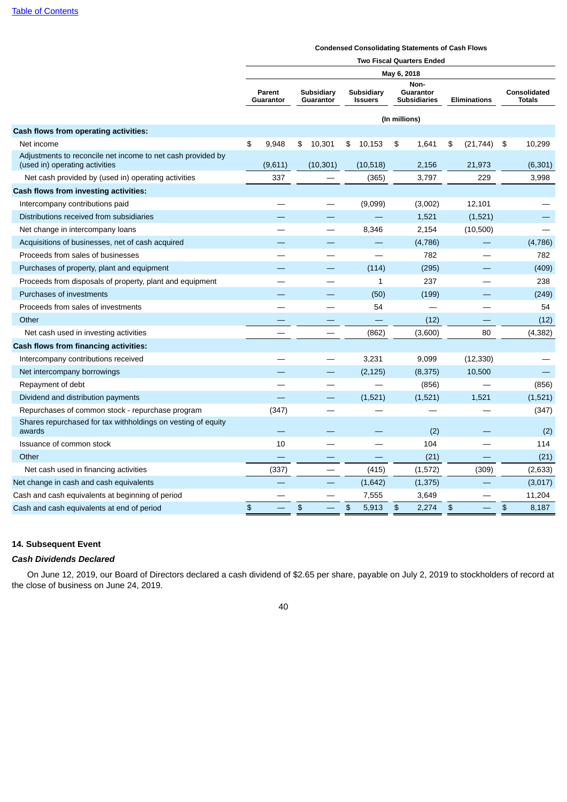### **Condensed Consolidating Statements of Cash Flows**

|                                                                                               | <b>Two Fiscal Quarters Ended</b> |                            |    |                          |    |                              |               |                                          |    |                     |    |                                      |  |
|-----------------------------------------------------------------------------------------------|----------------------------------|----------------------------|----|--------------------------|----|------------------------------|---------------|------------------------------------------|----|---------------------|----|--------------------------------------|--|
|                                                                                               |                                  |                            |    |                          |    |                              | May 6, 2018   |                                          |    |                     |    |                                      |  |
|                                                                                               |                                  | <b>Parent</b><br>Guarantor |    | Subsidiary<br>Guarantor  |    | Subsidiary<br><b>Issuers</b> |               | Non-<br>Guarantor<br><b>Subsidiaries</b> |    | <b>Eliminations</b> |    | <b>Consolidated</b><br><b>Totals</b> |  |
|                                                                                               |                                  |                            |    |                          |    |                              | (In millions) |                                          |    |                     |    |                                      |  |
| Cash flows from operating activities:                                                         |                                  |                            |    |                          |    |                              |               |                                          |    |                     |    |                                      |  |
| Net income                                                                                    | \$                               | 9,948                      | \$ | 10,301                   | \$ | 10,153                       | \$            | 1,641                                    | \$ | (21, 744)           | \$ | 10,299                               |  |
| Adjustments to reconcile net income to net cash provided by<br>(used in) operating activities |                                  | (9,611)                    |    | (10, 301)                |    | (10,518)                     |               | 2,156                                    |    | 21,973              |    | (6, 301)                             |  |
| Net cash provided by (used in) operating activities                                           |                                  | 337                        |    |                          |    | (365)                        |               | 3,797                                    |    | 229                 |    | 3,998                                |  |
| Cash flows from investing activities:                                                         |                                  |                            |    |                          |    |                              |               |                                          |    |                     |    |                                      |  |
| Intercompany contributions paid                                                               |                                  |                            |    |                          |    | (9,099)                      |               | (3,002)                                  |    | 12,101              |    |                                      |  |
| Distributions received from subsidiaries                                                      |                                  |                            |    |                          |    |                              |               | 1,521                                    |    | (1,521)             |    |                                      |  |
| Net change in intercompany loans                                                              |                                  |                            |    |                          |    | 8,346                        |               | 2,154                                    |    | (10, 500)           |    |                                      |  |
| Acquisitions of businesses, net of cash acquired                                              |                                  |                            |    |                          |    |                              |               | (4,786)                                  |    |                     |    | (4,786)                              |  |
| Proceeds from sales of businesses                                                             |                                  |                            |    |                          |    | $\overline{\phantom{0}}$     |               | 782                                      |    |                     |    | 782                                  |  |
| Purchases of property, plant and equipment                                                    |                                  |                            |    |                          |    | (114)                        |               | (295)                                    |    |                     |    | (409)                                |  |
| Proceeds from disposals of property, plant and equipment                                      |                                  |                            |    |                          |    | 1                            |               | 237                                      |    |                     |    | 238                                  |  |
| Purchases of investments                                                                      |                                  |                            |    | —                        |    | (50)                         |               | (199)                                    |    |                     |    | (249)                                |  |
| Proceeds from sales of investments                                                            |                                  |                            |    | $\overline{\phantom{0}}$ |    | 54                           |               |                                          |    |                     |    | 54                                   |  |
| Other                                                                                         |                                  |                            |    |                          |    |                              |               | (12)                                     |    |                     |    | (12)                                 |  |
| Net cash used in investing activities                                                         |                                  |                            |    |                          |    | (862)                        |               | (3,600)                                  |    | 80                  |    | (4, 382)                             |  |
| Cash flows from financing activities:                                                         |                                  |                            |    |                          |    |                              |               |                                          |    |                     |    |                                      |  |
| Intercompany contributions received                                                           |                                  |                            |    | $\overline{\phantom{0}}$ |    | 3,231                        |               | 9,099                                    |    | (12, 330)           |    |                                      |  |
| Net intercompany borrowings                                                                   |                                  |                            |    |                          |    | (2, 125)                     |               | (8, 375)                                 |    | 10,500              |    |                                      |  |
| Repayment of debt                                                                             |                                  |                            |    |                          |    |                              |               | (856)                                    |    |                     |    | (856)                                |  |
| Dividend and distribution payments                                                            |                                  |                            |    | —                        |    | (1,521)                      |               | (1, 521)                                 |    | 1,521               |    | (1,521)                              |  |
| Repurchases of common stock - repurchase program                                              |                                  | (347)                      |    |                          |    |                              |               |                                          |    |                     |    | (347)                                |  |
| Shares repurchased for tax withholdings on vesting of equity<br>awards                        |                                  |                            |    |                          |    |                              |               | (2)                                      |    |                     |    | (2)                                  |  |
| Issuance of common stock                                                                      |                                  | 10                         |    |                          |    |                              |               | 104                                      |    |                     |    | 114                                  |  |
| Other                                                                                         |                                  |                            |    |                          |    |                              |               | (21)                                     |    |                     |    | (21)                                 |  |
| Net cash used in financing activities                                                         |                                  | (337)                      |    |                          |    | (415)                        |               | (1,572)                                  |    | (309)               |    | (2,633)                              |  |
| Net change in cash and cash equivalents                                                       |                                  |                            |    |                          |    | (1,642)                      |               | (1, 375)                                 |    |                     |    | (3,017)                              |  |
| Cash and cash equivalents at beginning of period                                              |                                  |                            |    |                          |    | 7,555                        |               | 3,649                                    |    |                     |    | 11,204                               |  |
| Cash and cash equivalents at end of period                                                    | $\mathfrak{S}$                   |                            | \$ |                          | \$ | 5,913                        | \$            | 2,274                                    | \$ |                     | \$ | 8,187                                |  |

# **14. Subsequent Event**

# *Cash Dividends Declared*

On June 12, 2019, our Board of Directors declared a cash dividend of \$2.65 per share, payable on July 2, 2019 to stockholders of record at the close of business on June 24, 2019.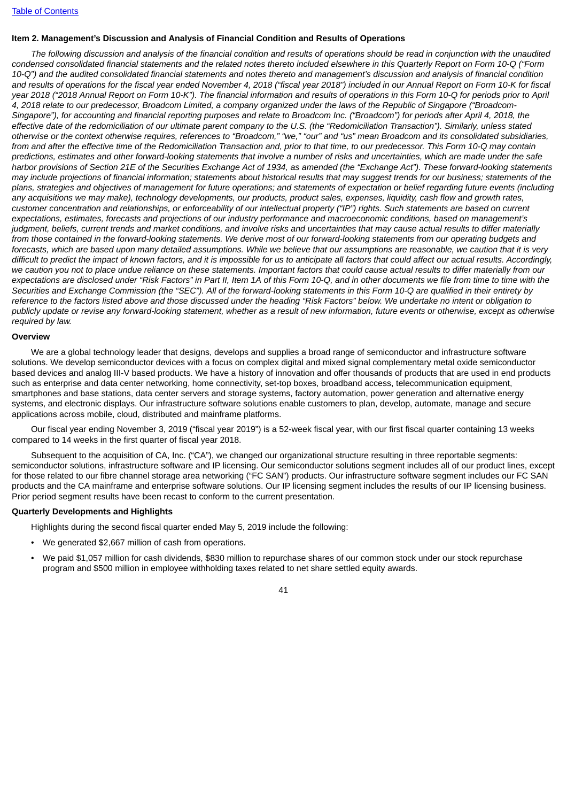# **Item 2. Management's Discussion and Analysis of Financial Condition and Results of Operations**

The following discussion and analysis of the financial condition and results of operations should be read in conjunction with the unaudited condensed consolidated financial statements and the related notes thereto included elsewhere in this Ouarterly Report on Form 10-O ("Form 10-O") and the audited consolidated financial statements and notes thereto and management's discussion and analysis of financial condition and results of operations for the fiscal year ended November 4, 2018 ("fiscal year 2018") included in our Annual Report on Form 10-K for fiscal year 2018 ("2018 Annual Report on Form 10-K"). The financial information and results of operations in this Form 10-Q for periods prior to April 4, 2018 relate to our predecessor, Broadcom Limited, a company organized under the laws of the Republic of Singapore ("Broadcom-Singapore"), for accounting and financial reporting purposes and relate to Broadcom Inc. ("Broadcom") for periods after April 4, 2018, the effective date of the redomiciliation of our ultimate parent company to the U.S. (the "Redomiciliation Transaction"). Similarly, unless stated otherwise or the context otherwise requires, references to "Broadcom," "we," "our" and "us" mean Broadcom and its consolidated subsidiaries, from and after the effective time of the Redomiciliation Transaction and, prior to that time, to our predecessor. This Form 10-Q may contain predictions, estimates and other forward-looking statements that involve a number of risks and uncertainties, which are made under the safe harbor provisions of Section 21E of the Securities Exchange Act of 1934, as amended (the "Exchange Act"). These forward-looking statements may include projections of financial information; statements about historical results that may suggest trends for our business; statements of the plans, strategies and objectives of management for future operations; and statements of expectation or belief regarding future events (including any acquisitions we may make), technology developments, our products, product sales, expenses, liquidity, cash flow and growth rates. customer concentration and relationships, or enforceability of our intellectual property ("IP") rights. Such statements are based on current expectations, estimates, forecasts and projections of our industry performance and macroeconomic conditions, based on management's judgment, beliefs, current trends and market conditions, and involve risks and uncertainties that may cause actual results to differ materially from those contained in the forward-looking statements. We derive most of our forward-looking statements from our operating budgets and forecasts, which are based upon many detailed assumptions. While we believe that our assumptions are reasonable, we caution that it is very difficult to predict the impact of known factors, and it is impossible for us to anticipate all factors that could affect our actual results. Accordingly, we caution you not to place undue reliance on these statements. Important factors that could cause actual results to differ materially from our expectations are disclosed under "Risk Factors" in Part II, Item 1A of this Form 10-Q, and in other documents we file from time to time with the Securities and Exchange Commission (the "SEC"). All of the forward-looking statements in this Form 10-O are qualified in their entirety by reference to the factors listed above and those discussed under the heading "Risk Factors" below. We undertake no intent or obligation to publicly update or revise any forward-looking statement, whether as a result of new information, future events or otherwise, except as otherwise *required by law.*

#### **Overview**

We are a global technology leader that designs, develops and supplies a broad range of semiconductor and infrastructure software solutions. We develop semiconductor devices with a focus on complex digital and mixed signal complementary metal oxide semiconductor based devices and analog III-V based products. We have a history of innovation and offer thousands of products that are used in end products such as enterprise and data center networking, home connectivity, set-top boxes, broadband access, telecommunication equipment, smartphones and base stations, data center servers and storage systems, factory automation, power generation and alternative energy systems, and electronic displays. Our infrastructure software solutions enable customers to plan, develop, automate, manage and secure applications across mobile, cloud, distributed and mainframe platforms.

Our fiscal year ending November 3, 2019 ("fiscal year 2019") is a 52-week fiscal year, with our first fiscal quarter containing 13 weeks compared to 14 weeks in the first quarter of fiscal year 2018.

Subsequent to the acquisition of CA, Inc. ("CA"), we changed our organizational structure resulting in three reportable segments: semiconductor solutions, infrastructure software and IP licensing. Our semiconductor solutions segment includes all of our product lines, except for those related to our fibre channel storage area networking ("FC SAN") products. Our infrastructure software segment includes our FC SAN products and the CA mainframe and enterprise software solutions. Our IP licensing segment includes the results of our IP licensing business. Prior period segment results have been recast to conform to the current presentation.

#### **Quarterly Developments and Highlights**

Highlights during the second fiscal quarter ended May 5, 2019 include the following:

- We generated \$2,667 million of cash from operations.
- We paid \$1,057 million for cash dividends, \$830 million to repurchase shares of our common stock under our stock repurchase program and \$500 million in employee withholding taxes related to net share settled equity awards.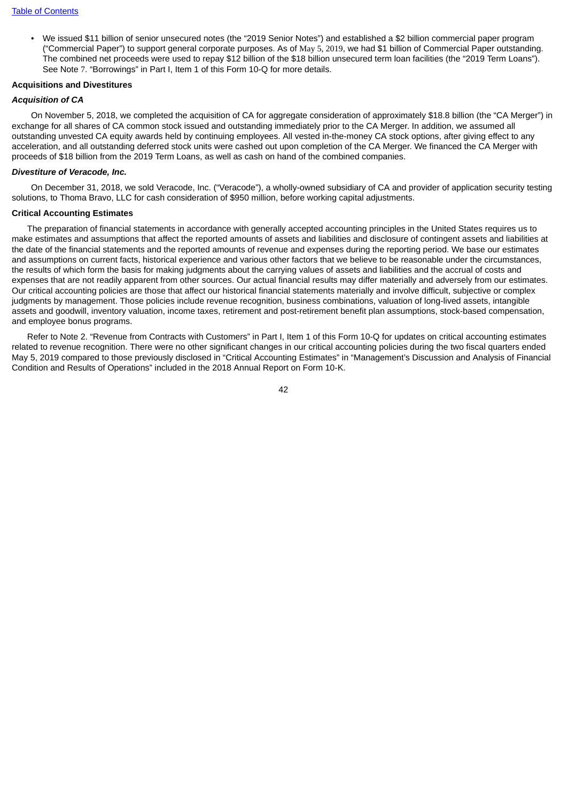• We issued \$11 billion of senior unsecured notes (the "2019 Senior Notes") and established a \$2 billion commercial paper program ("Commercial Paper") to support general corporate purposes. As of May 5, 2019, we had \$1 billion of Commercial Paper outstanding. The combined net proceeds were used to repay \$12 billion of the \$18 billion unsecured term loan facilities (the "2019 Term Loans"). See Note 7. "Borrowings" in Part I, Item 1 of this Form 10-Q for more details.

#### **Acquisitions and Divestitures**

### *Acquisition of CA*

On November 5, 2018, we completed the acquisition of CA for aggregate consideration of approximately \$18.8 billion (the "CA Merger") in exchange for all shares of CA common stock issued and outstanding immediately prior to the CA Merger. In addition, we assumed all outstanding unvested CA equity awards held by continuing employees. All vested in-the-money CA stock options, after giving effect to any acceleration, and all outstanding deferred stock units were cashed out upon completion of the CA Merger. We financed the CA Merger with proceeds of \$18 billion from the 2019 Term Loans, as well as cash on hand of the combined companies.

#### *Divestiture of Veracode, Inc.*

On December 31, 2018, we sold Veracode, Inc. ("Veracode"), a wholly-owned subsidiary of CA and provider of application security testing solutions, to Thoma Bravo, LLC for cash consideration of \$950 million, before working capital adjustments.

#### **Critical Accounting Estimates**

The preparation of financial statements in accordance with generally accepted accounting principles in the United States requires us to make estimates and assumptions that affect the reported amounts of assets and liabilities and disclosure of contingent assets and liabilities at the date of the financial statements and the reported amounts of revenue and expenses during the reporting period. We base our estimates and assumptions on current facts, historical experience and various other factors that we believe to be reasonable under the circumstances, the results of which form the basis for making judgments about the carrying values of assets and liabilities and the accrual of costs and expenses that are not readily apparent from other sources. Our actual financial results may differ materially and adversely from our estimates. Our critical accounting policies are those that affect our historical financial statements materially and involve difficult, subjective or complex judgments by management. Those policies include revenue recognition, business combinations, valuation of long-lived assets, intangible assets and goodwill, inventory valuation, income taxes, retirement and post-retirement benefit plan assumptions, stock-based compensation, and employee bonus programs.

Refer to Note 2. "Revenue from Contracts with Customers" in Part I, Item 1 of this Form 10-Q for updates on critical accounting estimates related to revenue recognition. There were no other significant changes in our critical accounting policies during the two fiscal quarters ended May 5, 2019 compared to those previously disclosed in "Critical Accounting Estimates" in "Management's Discussion and Analysis of Financial Condition and Results of Operations" included in the 2018 Annual Report on Form 10-K.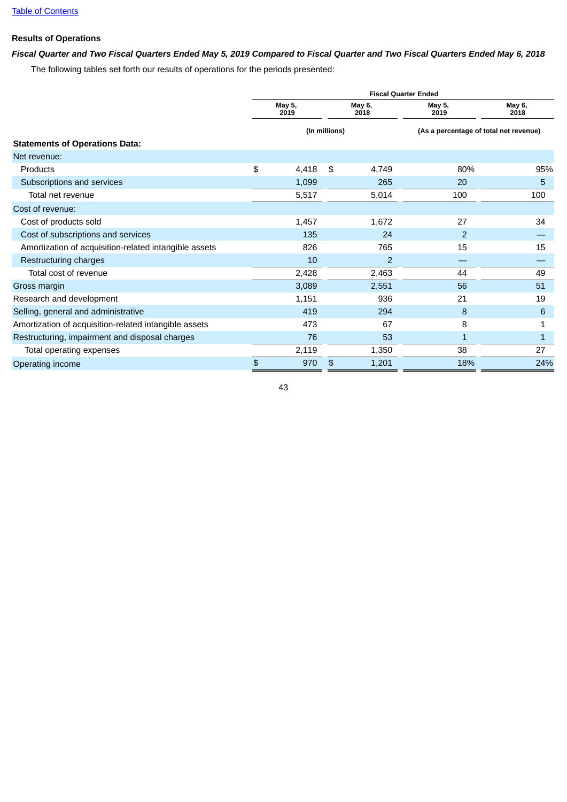# **Results of Operations**

# Fiscal Quarter and Two Fiscal Quarters Ended May 5, 2019 Compared to Fiscal Quarter and Two Fiscal Quarters Ended May 6, 2018

The following tables set forth our results of operations for the periods presented:

|                                                       | <b>Fiscal Quarter Ended</b> |                |               |                |                                        |                |  |  |  |  |  |  |  |
|-------------------------------------------------------|-----------------------------|----------------|---------------|----------------|----------------------------------------|----------------|--|--|--|--|--|--|--|
|                                                       |                             | May 5,<br>2019 |               | May 6,<br>2018 | May 5,<br>2019                         | May 6,<br>2018 |  |  |  |  |  |  |  |
|                                                       |                             |                | (In millions) |                | (As a percentage of total net revenue) |                |  |  |  |  |  |  |  |
| <b>Statements of Operations Data:</b>                 |                             |                |               |                |                                        |                |  |  |  |  |  |  |  |
| Net revenue:                                          |                             |                |               |                |                                        |                |  |  |  |  |  |  |  |
| Products                                              | \$                          | 4,418          | \$            | 4,749          | 80%                                    | 95%            |  |  |  |  |  |  |  |
| Subscriptions and services                            |                             | 1,099          |               | 265            | 20                                     | 5              |  |  |  |  |  |  |  |
| Total net revenue                                     |                             | 5,517          |               | 5,014          | 100                                    | 100            |  |  |  |  |  |  |  |
| Cost of revenue:                                      |                             |                |               |                |                                        |                |  |  |  |  |  |  |  |
| Cost of products sold                                 |                             | 1,457          |               | 1,672          | 27                                     | 34             |  |  |  |  |  |  |  |
| Cost of subscriptions and services                    |                             | 135            |               | 24             | 2                                      |                |  |  |  |  |  |  |  |
| Amortization of acquisition-related intangible assets |                             | 826            |               | 765            | 15                                     | 15             |  |  |  |  |  |  |  |
| Restructuring charges                                 |                             | 10             |               | 2              |                                        |                |  |  |  |  |  |  |  |
| Total cost of revenue                                 |                             | 2,428          |               | 2,463          | 44                                     | 49             |  |  |  |  |  |  |  |
| Gross margin                                          |                             | 3,089          |               | 2,551          | 56                                     | 51             |  |  |  |  |  |  |  |
| Research and development                              |                             | 1,151          |               | 936            | 21                                     | 19             |  |  |  |  |  |  |  |
| Selling, general and administrative                   |                             | 419            |               | 294            | 8                                      | 6              |  |  |  |  |  |  |  |
| Amortization of acquisition-related intangible assets |                             | 473            |               | 67             | 8                                      |                |  |  |  |  |  |  |  |
| Restructuring, impairment and disposal charges        |                             | 76             |               | 53             | 1                                      | 1              |  |  |  |  |  |  |  |
| Total operating expenses                              |                             | 2,119          |               | 1,350          | 38                                     | 27             |  |  |  |  |  |  |  |
| Operating income                                      | \$                          | 970            | \$            | 1,201          | 18%                                    | 24%            |  |  |  |  |  |  |  |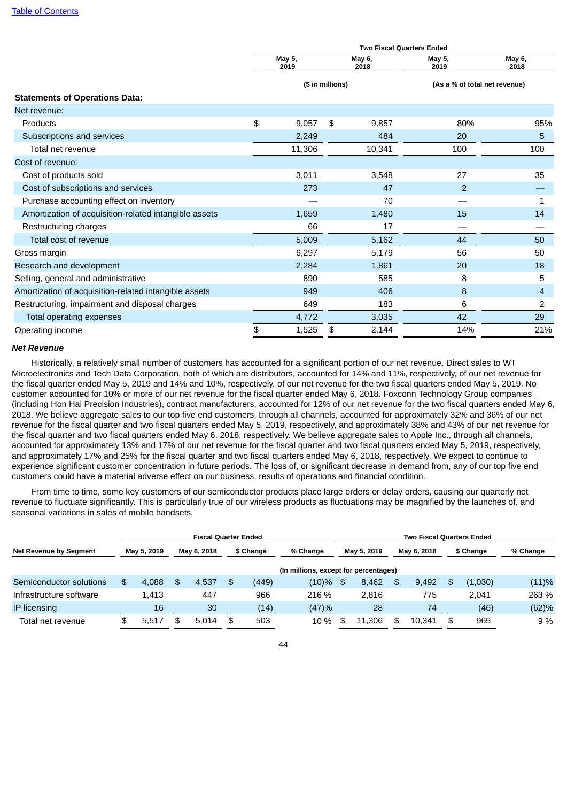|                                                       | <b>Two Fiscal Quarters Ended</b> |                |                  |                |                               |                |  |  |  |  |  |  |
|-------------------------------------------------------|----------------------------------|----------------|------------------|----------------|-------------------------------|----------------|--|--|--|--|--|--|
|                                                       |                                  | May 5,<br>2019 |                  | May 6,<br>2018 | May 5,<br>2019                | May 6,<br>2018 |  |  |  |  |  |  |
|                                                       |                                  |                | (\$ in millions) |                | (As a % of total net revenue) |                |  |  |  |  |  |  |
| <b>Statements of Operations Data:</b>                 |                                  |                |                  |                |                               |                |  |  |  |  |  |  |
| Net revenue:                                          |                                  |                |                  |                |                               |                |  |  |  |  |  |  |
| <b>Products</b>                                       | \$                               | 9.057          | \$               | 9,857          | 80%                           | 95%            |  |  |  |  |  |  |
| Subscriptions and services                            |                                  | 2,249          |                  | 484            | 20                            | 5              |  |  |  |  |  |  |
| Total net revenue                                     |                                  | 11,306         |                  | 10,341         | 100                           | 100            |  |  |  |  |  |  |
| Cost of revenue:                                      |                                  |                |                  |                |                               |                |  |  |  |  |  |  |
| Cost of products sold                                 |                                  | 3,011          |                  | 3,548          | 27                            | 35             |  |  |  |  |  |  |
| Cost of subscriptions and services                    |                                  | 273            |                  | 47             | $\overline{c}$                |                |  |  |  |  |  |  |
| Purchase accounting effect on inventory               |                                  |                |                  | 70             |                               | 1              |  |  |  |  |  |  |
| Amortization of acquisition-related intangible assets |                                  | 1,659          |                  | 1,480          | 15                            | 14             |  |  |  |  |  |  |
| Restructuring charges                                 |                                  | 66             |                  | 17             |                               |                |  |  |  |  |  |  |
| Total cost of revenue                                 |                                  | 5,009          |                  | 5,162          | 44                            | 50             |  |  |  |  |  |  |
| Gross margin                                          |                                  | 6,297          |                  | 5,179          | 56                            | 50             |  |  |  |  |  |  |
| Research and development                              |                                  | 2,284          |                  | 1,861          | 20                            | 18             |  |  |  |  |  |  |
| Selling, general and administrative                   |                                  | 890            |                  | 585            | 8                             | 5              |  |  |  |  |  |  |
| Amortization of acquisition-related intangible assets |                                  | 949            |                  | 406            | 8                             | 4              |  |  |  |  |  |  |
| Restructuring, impairment and disposal charges        |                                  | 649            |                  | 183            | 6                             | 2              |  |  |  |  |  |  |
| Total operating expenses                              |                                  | 4,772          |                  | 3,035          | 42                            | 29             |  |  |  |  |  |  |
| Operating income                                      | \$                               | 1,525          | \$               | 2,144          | 14%                           | 21%            |  |  |  |  |  |  |

#### *Net Revenue*

Historically, a relatively small number of customers has accounted for a significant portion of our net revenue. Direct sales to WT Microelectronics and Tech Data Corporation, both of which are distributors, accounted for 14% and 11%, respectively, of our net revenue for the fiscal quarter ended May 5, 2019 and 14% and 10%, respectively, of our net revenue for the two fiscal quarters ended May 5, 2019. No customer accounted for 10% or more of our net revenue for the fiscal quarter ended May 6, 2018. Foxconn Technology Group companies (including Hon Hai Precision Industries), contract manufacturers, accounted for 12% of our net revenue for the two fiscal quarters ended May 6, 2018. We believe aggregate sales to our top five end customers, through all channels, accounted for approximately 32% and 36% of our net revenue for the fiscal quarter and two fiscal quarters ended May 5, 2019, respectively, and approximately 38% and 43% of our net revenue for the fiscal quarter and two fiscal quarters ended May 6, 2018, respectively. We believe aggregate sales to Apple Inc., through all channels, accounted for approximately 13% and 17% of our net revenue for the fiscal quarter and two fiscal quarters ended May 5, 2019, respectively, and approximately 17% and 25% for the fiscal quarter and two fiscal quarters ended May 6, 2018, respectively. We expect to continue to experience significant customer concentration in future periods. The loss of, or significant decrease in demand from, any of our top five end customers could have a material adverse effect on our business, results of operations and financial condition.

From time to time, some key customers of our semiconductor products place large orders or delay orders, causing our quarterly net revenue to fluctuate significantly. This is particularly true of our wireless products as fluctuations may be magnified by the launches of, and seasonal variations in sales of mobile handsets.

|                               | <b>Fiscal Quarter Ended</b> |             |  |             |                                       |           |          |    | <b>Two Fiscal Quarters Ended</b> |  |             |    |           |          |  |  |  |
|-------------------------------|-----------------------------|-------------|--|-------------|---------------------------------------|-----------|----------|----|----------------------------------|--|-------------|----|-----------|----------|--|--|--|
| <b>Net Revenue by Segment</b> |                             | May 5, 2019 |  | May 6, 2018 |                                       | \$ Change | % Change |    | May 5, 2019                      |  | May 6, 2018 |    | \$ Change | % Change |  |  |  |
|                               |                             |             |  |             | (In millions, except for percentages) |           |          |    |                                  |  |             |    |           |          |  |  |  |
| Semiconductor solutions       |                             | 4.088       |  | 4.537       | \$                                    | (449)     | $(10)\%$ | \$ | 8.462                            |  | 9.492       |    | (1,030)   | (11)%    |  |  |  |
| Infrastructure software       |                             | 1.413       |  | 447         |                                       | 966       | 216 %    |    | 2.816                            |  | 775         |    | 2.041     | 263 %    |  |  |  |
| <b>IP</b> licensing           |                             | 16          |  | 30          |                                       | (14)      | (47)%    |    | 28                               |  | 74          |    | (46)      | (62)%    |  |  |  |
| Total net revenue             |                             | 5.517       |  | 5.014       | \$.                                   | 503       | 10 %     | \$ | 11.306                           |  | 10.341      | \$ | 965       | 9 %      |  |  |  |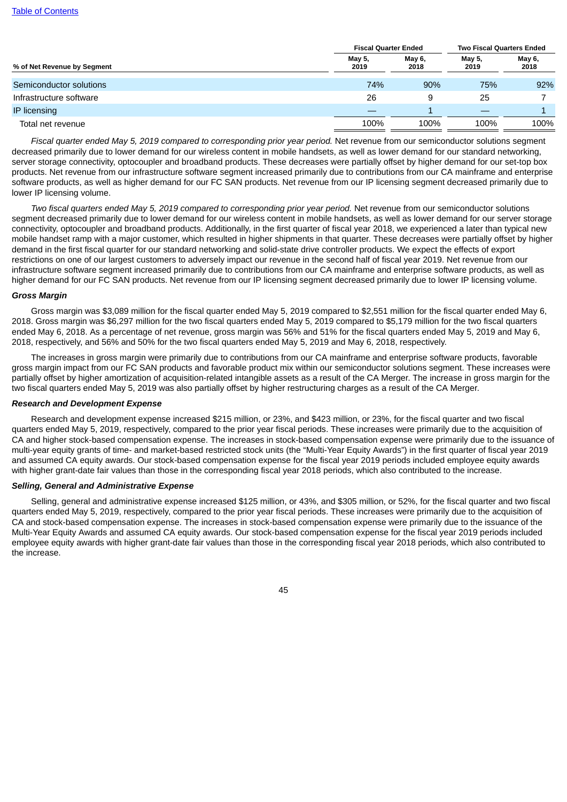|                             | <b>Fiscal Quarter Ended</b> |                | <b>Two Fiscal Quarters Ended</b> |                |  |
|-----------------------------|-----------------------------|----------------|----------------------------------|----------------|--|
| % of Net Revenue by Segment | May 5,<br>2019              | May 6,<br>2018 | May 5,<br>2019                   | May 6,<br>2018 |  |
| Semiconductor solutions     | 74%                         | 90%            | 75%                              | 92%            |  |
| Infrastructure software     | 26                          | 9              | 25                               |                |  |
| IP licensing                |                             |                |                                  |                |  |
| Total net revenue           | 100%                        | 100%           | 100%                             | 100%           |  |

*Fiscal quarter ended May 5, 2019 compared to corresponding prior year period.* Net revenue from our semiconductor solutions segment decreased primarily due to lower demand for our wireless content in mobile handsets, as well as lower demand for our standard networking, server storage connectivity, optocoupler and broadband products. These decreases were partially offset by higher demand for our set-top box products. Net revenue from our infrastructure software segment increased primarily due to contributions from our CA mainframe and enterprise software products, as well as higher demand for our FC SAN products. Net revenue from our IP licensing segment decreased primarily due to lower IP licensing volume.

*Two fiscal quarters ended May 5, 2019 compared to corresponding prior year period.* Net revenue from our semiconductor solutions segment decreased primarily due to lower demand for our wireless content in mobile handsets, as well as lower demand for our server storage connectivity, optocoupler and broadband products. Additionally, in the first quarter of fiscal year 2018, we experienced a later than typical new mobile handset ramp with a major customer, which resulted in higher shipments in that quarter. These decreases were partially offset by higher demand in the first fiscal quarter for our standard networking and solid-state drive controller products. We expect the effects of export restrictions on one of our largest customers to adversely impact our revenue in the second half of fiscal year 2019. Net revenue from our infrastructure software segment increased primarily due to contributions from our CA mainframe and enterprise software products, as well as higher demand for our FC SAN products. Net revenue from our IP licensing segment decreased primarily due to lower IP licensing volume.

#### *Gross Margin*

Gross margin was \$3,089 million for the fiscal quarter ended May 5, 2019 compared to \$2,551 million for the fiscal quarter ended May 6, 2018. Gross margin was \$6,297 million for the two fiscal quarters ended May 5, 2019 compared to \$5,179 million for the two fiscal quarters ended May 6, 2018. As a percentage of net revenue, gross margin was 56% and 51% for the fiscal quarters ended May 5, 2019 and May 6, 2018, respectively, and 56% and 50% for the two fiscal quarters ended May 5, 2019 and May 6, 2018, respectively.

The increases in gross margin were primarily due to contributions from our CA mainframe and enterprise software products, favorable gross margin impact from our FC SAN products and favorable product mix within our semiconductor solutions segment. These increases were partially offset by higher amortization of acquisition-related intangible assets as a result of the CA Merger. The increase in gross margin for the two fiscal quarters ended May 5, 2019 was also partially offset by higher restructuring charges as a result of the CA Merger.

### *Research and Development Expense*

Research and development expense increased \$215 million, or 23%, and \$423 million, or 23%, for the fiscal quarter and two fiscal quarters ended May 5, 2019, respectively, compared to the prior year fiscal periods. These increases were primarily due to the acquisition of CA and higher stock-based compensation expense. The increases in stock-based compensation expense were primarily due to the issuance of multi-year equity grants of time- and market-based restricted stock units (the "Multi-Year Equity Awards") in the first quarter of fiscal year 2019 and assumed CA equity awards. Our stock-based compensation expense for the fiscal year 2019 periods included employee equity awards with higher grant-date fair values than those in the corresponding fiscal year 2018 periods, which also contributed to the increase.

### *Selling, General and Administrative Expense*

Selling, general and administrative expense increased \$125 million, or 43%, and \$305 million, or 52%, for the fiscal quarter and two fiscal quarters ended May 5, 2019, respectively, compared to the prior year fiscal periods. These increases were primarily due to the acquisition of CA and stock-based compensation expense. The increases in stock-based compensation expense were primarily due to the issuance of the Multi-Year Equity Awards and assumed CA equity awards. Our stock-based compensation expense for the fiscal year 2019 periods included employee equity awards with higher grant-date fair values than those in the corresponding fiscal year 2018 periods, which also contributed to the increase.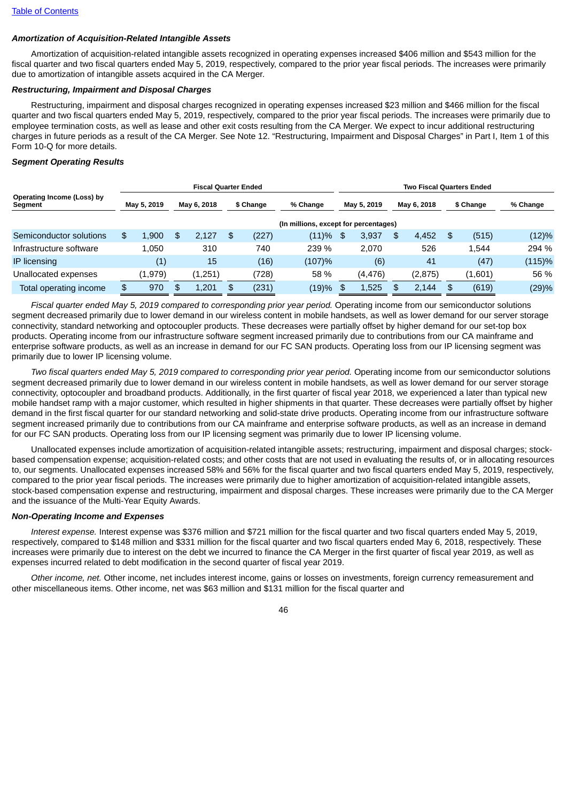### *Amortization of Acquisition-Related Intangible Assets*

Amortization of acquisition-related intangible assets recognized in operating expenses increased \$406 million and \$543 million for the fiscal quarter and two fiscal quarters ended May 5, 2019, respectively, compared to the prior year fiscal periods. The increases were primarily due to amortization of intangible assets acquired in the CA Merger.

### *Restructuring, Impairment and Disposal Charges*

Restructuring, impairment and disposal charges recognized in operating expenses increased \$23 million and \$466 million for the fiscal quarter and two fiscal quarters ended May 5, 2019, respectively, compared to the prior year fiscal periods. The increases were primarily due to employee termination costs, as well as lease and other exit costs resulting from the CA Merger. We expect to incur additional restructuring charges in future periods as a result of the CA Merger. See Note 12. "Restructuring, Impairment and Disposal Charges" in Part I, Item 1 of this Form 10-Q for more details.

### *Segment Operating Results*

|                                       |             |         |             | <b>Fiscal Quarter Ended</b> |           |       |                                       | <b>Two Fiscal Quarters Ended</b> |             |     |             |    |           |          |  |
|---------------------------------------|-------------|---------|-------------|-----------------------------|-----------|-------|---------------------------------------|----------------------------------|-------------|-----|-------------|----|-----------|----------|--|
| Operating Income (Loss) by<br>Segment | May 5, 2019 |         | May 6, 2018 |                             | \$ Change |       | % Change                              |                                  | May 5, 2019 |     | May 6, 2018 |    | \$ Change | % Change |  |
|                                       |             |         |             |                             |           |       | (In millions, except for percentages) |                                  |             |     |             |    |           |          |  |
| Semiconductor solutions               | \$          | 1.900   | \$          | 2.127                       | \$        | (227) | (11)%                                 | \$                               | 3,937       | \$. | 4,452       | \$ | (515)     | (12)%    |  |
| Infrastructure software               |             | 1.050   |             | 310                         |           | 740   | 239 %                                 |                                  | 2.070       |     | 526         |    | 1.544     | 294 %    |  |
| <b>IP</b> licensing                   |             | (1)     |             | 15                          |           | (16)  | (107)%                                |                                  | (6)         |     | 41          |    | (47)      | (115)%   |  |
| Unallocated expenses                  |             | (1,979) |             | (1,251)                     |           | (728) | 58 %                                  |                                  | (4,476)     |     | (2, 875)    |    | (1,601)   | 56 %     |  |
| Total operating income                | \$          | 970     | \$          | 1.201                       | \$        | (231) | (19)%                                 | £.                               | 1,525       |     | 2.144       | \$ | (619)     | (29)%    |  |

*Fiscal quarter ended May 5, 2019 compared to corresponding prior year period.* Operating income from our semiconductor solutions segment decreased primarily due to lower demand in our wireless content in mobile handsets, as well as lower demand for our server storage connectivity, standard networking and optocoupler products. These decreases were partially offset by higher demand for our set-top box products. Operating income from our infrastructure software segment increased primarily due to contributions from our CA mainframe and enterprise software products, as well as an increase in demand for our FC SAN products. Operating loss from our IP licensing segment was primarily due to lower IP licensing volume.

*Two fiscal quarters ended May 5, 2019 compared to corresponding prior year period.* Operating income from our semiconductor solutions segment decreased primarily due to lower demand in our wireless content in mobile handsets, as well as lower demand for our server storage connectivity, optocoupler and broadband products. Additionally, in the first quarter of fiscal year 2018, we experienced a later than typical new mobile handset ramp with a major customer, which resulted in higher shipments in that quarter. These decreases were partially offset by higher demand in the first fiscal quarter for our standard networking and solid-state drive products. Operating income from our infrastructure software segment increased primarily due to contributions from our CA mainframe and enterprise software products, as well as an increase in demand for our FC SAN products. Operating loss from our IP licensing segment was primarily due to lower IP licensing volume.

Unallocated expenses include amortization of acquisition-related intangible assets; restructuring, impairment and disposal charges; stockbased compensation expense; acquisition-related costs; and other costs that are not used in evaluating the results of, or in allocating resources to, our segments. Unallocated expenses increased 58% and 56% for the fiscal quarter and two fiscal quarters ended May 5, 2019, respectively, compared to the prior year fiscal periods. The increases were primarily due to higher amortization of acquisition-related intangible assets, stock-based compensation expense and restructuring, impairment and disposal charges. These increases were primarily due to the CA Merger and the issuance of the Multi-Year Equity Awards.

### *Non-Operating Income and Expenses*

*Interest expense.* Interest expense was \$376 million and \$721 million for the fiscal quarter and two fiscal quarters ended May 5, 2019, respectively, compared to \$148 million and \$331 million for the fiscal quarter and two fiscal quarters ended May 6, 2018, respectively. These increases were primarily due to interest on the debt we incurred to finance the CA Merger in the first quarter of fiscal year 2019, as well as expenses incurred related to debt modification in the second quarter of fiscal year 2019.

*Other income, net.* Other income, net includes interest income, gains or losses on investments, foreign currency remeasurement and other miscellaneous items. Other income, net was \$63 million and \$131 million for the fiscal quarter and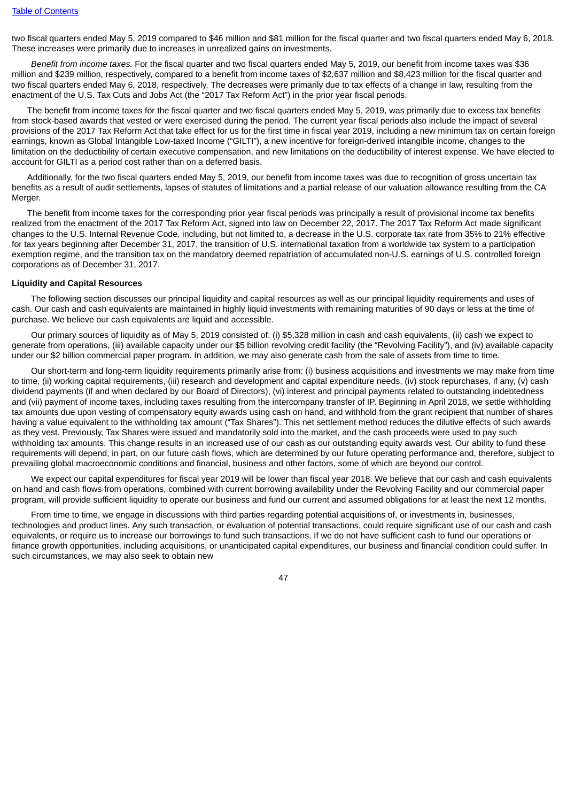two fiscal quarters ended May 5, 2019 compared to \$46 million and \$81 million for the fiscal quarter and two fiscal quarters ended May 6, 2018. These increases were primarily due to increases in unrealized gains on investments.

*Benefit from income taxes.* For the fiscal quarter and two fiscal quarters ended May 5, 2019, our benefit from income taxes was \$36 million and \$239 million, respectively, compared to a benefit from income taxes of \$2,637 million and \$8,423 million for the fiscal quarter and two fiscal quarters ended May 6, 2018, respectively. The decreases were primarily due to tax effects of a change in law, resulting from the enactment of the U.S. Tax Cuts and Jobs Act (the "2017 Tax Reform Act") in the prior year fiscal periods.

The benefit from income taxes for the fiscal quarter and two fiscal quarters ended May 5, 2019, was primarily due to excess tax benefits from stock-based awards that vested or were exercised during the period. The current year fiscal periods also include the impact of several provisions of the 2017 Tax Reform Act that take effect for us for the first time in fiscal year 2019, including a new minimum tax on certain foreign earnings, known as Global Intangible Low-taxed Income ("GILTI"), a new incentive for foreign-derived intangible income, changes to the limitation on the deductibility of certain executive compensation, and new limitations on the deductibility of interest expense. We have elected to account for GILTI as a period cost rather than on a deferred basis.

Additionally, for the two fiscal quarters ended May 5, 2019, our benefit from income taxes was due to recognition of gross uncertain tax benefits as a result of audit settlements, lapses of statutes of limitations and a partial release of our valuation allowance resulting from the CA Merger.

The benefit from income taxes for the corresponding prior year fiscal periods was principally a result of provisional income tax benefits realized from the enactment of the 2017 Tax Reform Act, signed into law on December 22, 2017. The 2017 Tax Reform Act made significant changes to the U.S. Internal Revenue Code, including, but not limited to, a decrease in the U.S. corporate tax rate from 35% to 21% effective for tax years beginning after December 31, 2017, the transition of U.S. international taxation from a worldwide tax system to a participation exemption regime, and the transition tax on the mandatory deemed repatriation of accumulated non-U.S. earnings of U.S. controlled foreign corporations as of December 31, 2017.

#### **Liquidity and Capital Resources**

The following section discusses our principal liquidity and capital resources as well as our principal liquidity requirements and uses of cash. Our cash and cash equivalents are maintained in highly liquid investments with remaining maturities of 90 days or less at the time of purchase. We believe our cash equivalents are liquid and accessible.

Our primary sources of liquidity as of May 5, 2019 consisted of: (i) \$5,328 million in cash and cash equivalents, (ii) cash we expect to generate from operations, (iii) available capacity under our \$5 billion revolving credit facility (the "Revolving Facility"), and (iv) available capacity under our \$2 billion commercial paper program. In addition, we may also generate cash from the sale of assets from time to time.

Our short-term and long-term liquidity requirements primarily arise from: (i) business acquisitions and investments we may make from time to time, (ii) working capital requirements, (iii) research and development and capital expenditure needs, (iv) stock repurchases, if any, (v) cash dividend payments (if and when declared by our Board of Directors), (vi) interest and principal payments related to outstanding indebtedness and (vii) payment of income taxes, including taxes resulting from the intercompany transfer of IP. Beginning in April 2018, we settle withholding tax amounts due upon vesting of compensatory equity awards using cash on hand, and withhold from the grant recipient that number of shares having a value equivalent to the withholding tax amount ("Tax Shares"). This net settlement method reduces the dilutive effects of such awards as they vest. Previously, Tax Shares were issued and mandatorily sold into the market, and the cash proceeds were used to pay such withholding tax amounts. This change results in an increased use of our cash as our outstanding equity awards vest. Our ability to fund these requirements will depend, in part, on our future cash flows, which are determined by our future operating performance and, therefore, subject to prevailing global macroeconomic conditions and financial, business and other factors, some of which are beyond our control.

We expect our capital expenditures for fiscal year 2019 will be lower than fiscal year 2018. We believe that our cash and cash equivalents on hand and cash flows from operations, combined with current borrowing availability under the Revolving Facility and our commercial paper program, will provide sufficient liquidity to operate our business and fund our current and assumed obligations for at least the next 12 months.

From time to time, we engage in discussions with third parties regarding potential acquisitions of, or investments in, businesses, technologies and product lines. Any such transaction, or evaluation of potential transactions, could require significant use of our cash and cash equivalents, or require us to increase our borrowings to fund such transactions. If we do not have sufficient cash to fund our operations or finance growth opportunities, including acquisitions, or unanticipated capital expenditures, our business and financial condition could suffer. In such circumstances, we may also seek to obtain new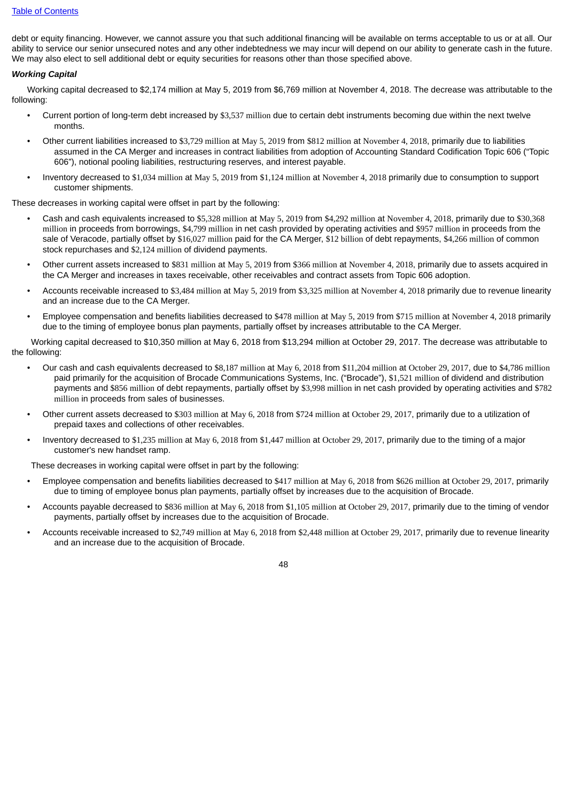debt or equity financing. However, we cannot assure you that such additional financing will be available on terms acceptable to us or at all. Our ability to service our senior unsecured notes and any other indebtedness we may incur will depend on our ability to generate cash in the future. We may also elect to sell additional debt or equity securities for reasons other than those specified above.

### *Working Capital*

Working capital decreased to \$2,174 million at May 5, 2019 from \$6,769 million at November 4, 2018. The decrease was attributable to the following:

- Current portion of long-term debt increased by \$3,537 million due to certain debt instruments becoming due within the next twelve months.
- Other current liabilities increased to \$3,729 million at May 5, 2019 from \$812 million at November 4, 2018, primarily due to liabilities assumed in the CA Merger and increases in contract liabilities from adoption of Accounting Standard Codification Topic 606 ("Topic 606"), notional pooling liabilities, restructuring reserves, and interest payable.
- Inventory decreased to \$1,034 million at May 5, 2019 from \$1,124 million at November 4, 2018 primarily due to consumption to support customer shipments.

These decreases in working capital were offset in part by the following:

- Cash and cash equivalents increased to \$5,328 million at May 5, 2019 from \$4,292 million at November 4, 2018, primarily due to \$30,368 million in proceeds from borrowings, \$4,799 million in net cash provided by operating activities and \$957 million in proceeds from the sale of Veracode, partially offset by \$16,027 million paid for the CA Merger, \$12 billion of debt repayments, \$4,266 million of common stock repurchases and \$2,124 million of dividend payments.
- Other current assets increased to \$831 million at May 5, 2019 from \$366 million at November 4, 2018, primarily due to assets acquired in the CA Merger and increases in taxes receivable, other receivables and contract assets from Topic 606 adoption.
- Accounts receivable increased to \$3,484 million at May 5, 2019 from \$3,325 million at November 4, 2018 primarily due to revenue linearity and an increase due to the CA Merger.
- Employee compensation and benefits liabilities decreased to \$478 million at May 5, 2019 from \$715 million at November 4, 2018 primarily due to the timing of employee bonus plan payments, partially offset by increases attributable to the CA Merger.

Working capital decreased to \$10,350 million at May 6, 2018 from \$13,294 million at October 29, 2017. The decrease was attributable to the following:

- Our cash and cash equivalents decreased to \$8,187 million at May 6, 2018 from \$11,204 million at October 29, 2017, due to \$4,786 million paid primarily for the acquisition of Brocade Communications Systems, Inc. ("Brocade"), \$1,521 million of dividend and distribution payments and \$856 million of debt repayments, partially offset by \$3,998 million in net cash provided by operating activities and \$782 million in proceeds from sales of businesses.
- Other current assets decreased to \$303 million at May 6, 2018 from \$724 million at October 29, 2017, primarily due to a utilization of prepaid taxes and collections of other receivables.
- Inventory decreased to \$1,235 million at May 6, 2018 from \$1,447 million at October 29, 2017, primarily due to the timing of a major customer's new handset ramp.

These decreases in working capital were offset in part by the following:

- Employee compensation and benefits liabilities decreased to \$417 million at May 6, 2018 from \$626 million at October 29, 2017, primarily due to timing of employee bonus plan payments, partially offset by increases due to the acquisition of Brocade.
- Accounts payable decreased to \$836 million at May 6, 2018 from \$1,105 million at October 29, 2017, primarily due to the timing of vendor payments, partially offset by increases due to the acquisition of Brocade.
- Accounts receivable increased to \$2,749 million at May 6, 2018 from \$2,448 million at October 29, 2017, primarily due to revenue linearity and an increase due to the acquisition of Brocade.

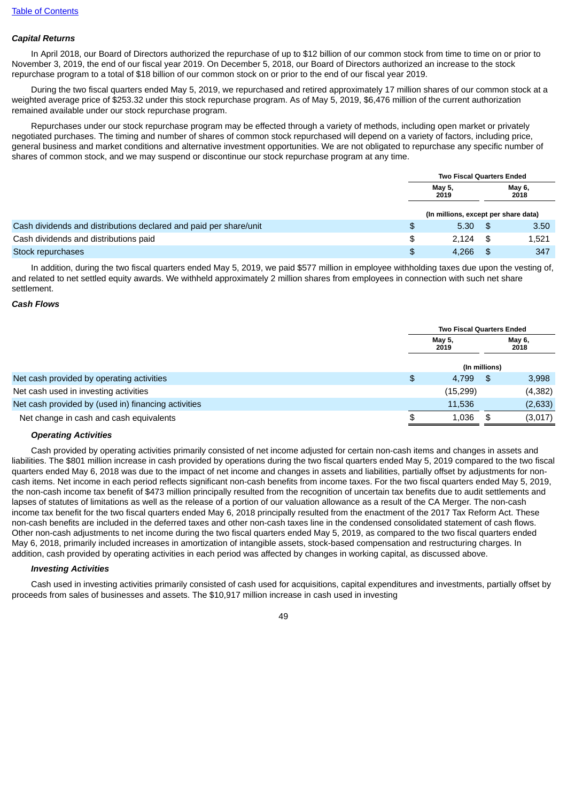### *Capital Returns*

In April 2018, our Board of Directors authorized the repurchase of up to \$12 billion of our common stock from time to time on or prior to November 3, 2019, the end of our fiscal year 2019. On December 5, 2018, our Board of Directors authorized an increase to the stock repurchase program to a total of \$18 billion of our common stock on or prior to the end of our fiscal year 2019.

During the two fiscal quarters ended May 5, 2019, we repurchased and retired approximately 17 million shares of our common stock at a weighted average price of \$253.32 under this stock repurchase program. As of May 5, 2019, \$6,476 million of the current authorization remained available under our stock repurchase program.

Repurchases under our stock repurchase program may be effected through a variety of methods, including open market or privately negotiated purchases. The timing and number of shares of common stock repurchased will depend on a variety of factors, including price, general business and market conditions and alternative investment opportunities. We are not obligated to repurchase any specific number of shares of common stock, and we may suspend or discontinue our stock repurchase program at any time.

|                                                                   | <b>Two Fiscal Quarters Ended</b>     |      |                |  |
|-------------------------------------------------------------------|--------------------------------------|------|----------------|--|
|                                                                   | May 5,<br>2019                       |      | May 6,<br>2018 |  |
|                                                                   | (In millions, except per share data) |      |                |  |
| Cash dividends and distributions declared and paid per share/unit | \$<br>5.30                           | - \$ | 3.50           |  |
| Cash dividends and distributions paid                             | \$<br>2.124                          | - \$ | 1,521          |  |
| Stock repurchases                                                 | \$<br>4.266                          | 8 S  | 347            |  |

In addition, during the two fiscal quarters ended May 5, 2019, we paid \$577 million in employee withholding taxes due upon the vesting of, and related to net settled equity awards. We withheld approximately 2 million shares from employees in connection with such net share settlement.

#### *Cash Flows*

|                                                     |                | <b>Two Fiscal Quarters Ended</b> |                |          |  |
|-----------------------------------------------------|----------------|----------------------------------|----------------|----------|--|
|                                                     | May 5,<br>2019 |                                  | May 6,<br>2018 |          |  |
|                                                     |                | (In millions)                    |                |          |  |
| Net cash provided by operating activities           | \$             | 4,799                            | -SG            | 3,998    |  |
| Net cash used in investing activities               |                | (15, 299)                        |                | (4, 382) |  |
| Net cash provided by (used in) financing activities |                | 11.536                           |                | (2,633)  |  |
| Net change in cash and cash equivalents             |                | 1,036                            | S              | (3,017)  |  |

#### *Operating Activities*

Cash provided by operating activities primarily consisted of net income adjusted for certain non-cash items and changes in assets and liabilities. The \$801 million increase in cash provided by operations during the two fiscal quarters ended May 5, 2019 compared to the two fiscal quarters ended May 6, 2018 was due to the impact of net income and changes in assets and liabilities, partially offset by adjustments for noncash items. Net income in each period reflects significant non-cash benefits from income taxes. For the two fiscal quarters ended May 5, 2019, the non-cash income tax benefit of \$473 million principally resulted from the recognition of uncertain tax benefits due to audit settlements and lapses of statutes of limitations as well as the release of a portion of our valuation allowance as a result of the CA Merger. The non-cash income tax benefit for the two fiscal quarters ended May 6, 2018 principally resulted from the enactment of the 2017 Tax Reform Act. These non-cash benefits are included in the deferred taxes and other non-cash taxes line in the condensed consolidated statement of cash flows. Other non-cash adjustments to net income during the two fiscal quarters ended May 5, 2019, as compared to the two fiscal quarters ended May 6, 2018, primarily included increases in amortization of intangible assets, stock-based compensation and restructuring charges. In addition, cash provided by operating activities in each period was affected by changes in working capital, as discussed above.

#### *Investing Activities*

Cash used in investing activities primarily consisted of cash used for acquisitions, capital expenditures and investments, partially offset by proceeds from sales of businesses and assets. The \$10,917 million increase in cash used in investing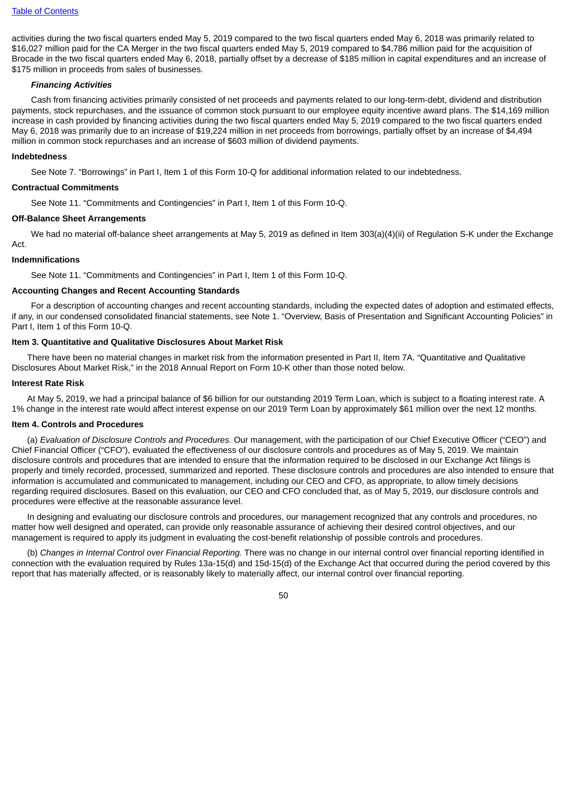activities during the two fiscal quarters ended May 5, 2019 compared to the two fiscal quarters ended May 6, 2018 was primarily related to \$16,027 million paid for the CA Merger in the two fiscal quarters ended May 5, 2019 compared to \$4,786 million paid for the acquisition of Brocade in the two fiscal quarters ended May 6, 2018, partially offset by a decrease of \$185 million in capital expenditures and an increase of \$175 million in proceeds from sales of businesses.

#### *Financing Activities*

Cash from financing activities primarily consisted of net proceeds and payments related to our long-term-debt, dividend and distribution payments, stock repurchases, and the issuance of common stock pursuant to our employee equity incentive award plans. The \$14,169 million increase in cash provided by financing activities during the two fiscal quarters ended May 5, 2019 compared to the two fiscal quarters ended May 6, 2018 was primarily due to an increase of \$19,224 million in net proceeds from borrowings, partially offset by an increase of \$4,494 million in common stock repurchases and an increase of \$603 million of dividend payments.

#### **Indebtedness**

See Note 7. "Borrowings" in Part I, Item 1 of this Form 10-Q for additional information related to our indebtedness.

#### **Contractual Commitments**

See Note 11. "Commitments and Contingencies" in Part I, Item 1 of this Form 10-Q.

#### **Off-Balance Sheet Arrangements**

We had no material off-balance sheet arrangements at May 5, 2019 as defined in Item 303(a)(4)(ii) of Regulation S-K under the Exchange Act.

#### **Indemnifications**

See Note 11. "Commitments and Contingencies" in Part I, Item 1 of this Form 10-Q.

#### **Accounting Changes and Recent Accounting Standards**

For a description of accounting changes and recent accounting standards, including the expected dates of adoption and estimated effects, if any, in our condensed consolidated financial statements, see Note 1. "Overview, Basis of Presentation and Significant Accounting Policies" in Part I, Item 1 of this Form 10-Q.

#### **Item 3. Quantitative and Qualitative Disclosures About Market Risk**

There have been no material changes in market risk from the information presented in Part II, Item 7A. "Quantitative and Qualitative Disclosures About Market Risk," in the 2018 Annual Report on Form 10-K other than those noted below.

#### **Interest Rate Risk**

At May 5, 2019, we had a principal balance of \$6 billion for our outstanding 2019 Term Loan, which is subject to a floating interest rate. A 1% change in the interest rate would affect interest expense on our 2019 Term Loan by approximately \$61 million over the next 12 months.

#### **Item 4. Controls and Procedures**

(a) *Evaluation of Disclosure Controls and Procedures.* Our management, with the participation of our Chief Executive Officer ("CEO") and Chief Financial Officer ("CFO"), evaluated the effectiveness of our disclosure controls and procedures as of May 5, 2019. We maintain disclosure controls and procedures that are intended to ensure that the information required to be disclosed in our Exchange Act filings is properly and timely recorded, processed, summarized and reported. These disclosure controls and procedures are also intended to ensure that information is accumulated and communicated to management, including our CEO and CFO, as appropriate, to allow timely decisions regarding required disclosures. Based on this evaluation, our CEO and CFO concluded that, as of May 5, 2019, our disclosure controls and procedures were effective at the reasonable assurance level.

In designing and evaluating our disclosure controls and procedures, our management recognized that any controls and procedures, no matter how well designed and operated, can provide only reasonable assurance of achieving their desired control objectives, and our management is required to apply its judgment in evaluating the cost-benefit relationship of possible controls and procedures.

(b) *Changes in Internal Control over Financial Reporting.* There was no change in our internal control over financial reporting identified in connection with the evaluation required by Rules 13a-15(d) and 15d-15(d) of the Exchange Act that occurred during the period covered by this report that has materially affected, or is reasonably likely to materially affect, our internal control over financial reporting.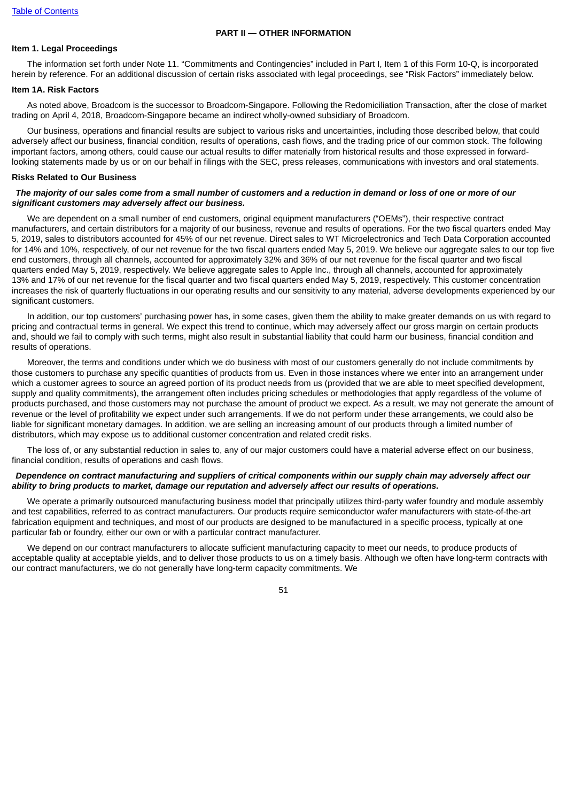#### **PART II — OTHER INFORMATION**

### **Item 1. Legal Proceedings**

The information set forth under Note 11. "Commitments and Contingencies" included in Part I, Item 1 of this Form 10-Q, is incorporated herein by reference. For an additional discussion of certain risks associated with legal proceedings, see "Risk Factors" immediately below.

### **Item 1A. Risk Factors**

As noted above, Broadcom is the successor to Broadcom-Singapore. Following the Redomiciliation Transaction, after the close of market trading on April 4, 2018, Broadcom-Singapore became an indirect wholly-owned subsidiary of Broadcom.

Our business, operations and financial results are subject to various risks and uncertainties, including those described below, that could adversely affect our business, financial condition, results of operations, cash flows, and the trading price of our common stock. The following important factors, among others, could cause our actual results to differ materially from historical results and those expressed in forwardlooking statements made by us or on our behalf in filings with the SEC, press releases, communications with investors and oral statements.

#### **Risks Related to Our Business**

### The majority of our sales come from a small number of customers and a reduction in demand or loss of one or more of our *significant customers may adversely affect our business.*

We are dependent on a small number of end customers, original equipment manufacturers ("OEMs"), their respective contract manufacturers, and certain distributors for a majority of our business, revenue and results of operations. For the two fiscal quarters ended May 5, 2019, sales to distributors accounted for 45% of our net revenue. Direct sales to WT Microelectronics and Tech Data Corporation accounted for 14% and 10%, respectively, of our net revenue for the two fiscal quarters ended May 5, 2019. We believe our aggregate sales to our top five end customers, through all channels, accounted for approximately 32% and 36% of our net revenue for the fiscal quarter and two fiscal quarters ended May 5, 2019, respectively. We believe aggregate sales to Apple Inc., through all channels, accounted for approximately 13% and 17% of our net revenue for the fiscal quarter and two fiscal quarters ended May 5, 2019, respectively. This customer concentration increases the risk of quarterly fluctuations in our operating results and our sensitivity to any material, adverse developments experienced by our significant customers.

In addition, our top customers' purchasing power has, in some cases, given them the ability to make greater demands on us with regard to pricing and contractual terms in general. We expect this trend to continue, which may adversely affect our gross margin on certain products and, should we fail to comply with such terms, might also result in substantial liability that could harm our business, financial condition and results of operations.

Moreover, the terms and conditions under which we do business with most of our customers generally do not include commitments by those customers to purchase any specific quantities of products from us. Even in those instances where we enter into an arrangement under which a customer agrees to source an agreed portion of its product needs from us (provided that we are able to meet specified development, supply and quality commitments), the arrangement often includes pricing schedules or methodologies that apply regardless of the volume of products purchased, and those customers may not purchase the amount of product we expect. As a result, we may not generate the amount of revenue or the level of profitability we expect under such arrangements. If we do not perform under these arrangements, we could also be liable for significant monetary damages. In addition, we are selling an increasing amount of our products through a limited number of distributors, which may expose us to additional customer concentration and related credit risks.

The loss of, or any substantial reduction in sales to, any of our major customers could have a material adverse effect on our business, financial condition, results of operations and cash flows.

### Dependence on contract manufacturing and suppliers of critical components within our supply chain may adversely affect our *ability to bring products to market, damage our reputation and adversely affect our results of operations.*

We operate a primarily outsourced manufacturing business model that principally utilizes third-party wafer foundry and module assembly and test capabilities, referred to as contract manufacturers. Our products require semiconductor wafer manufacturers with state-of-the-art fabrication equipment and techniques, and most of our products are designed to be manufactured in a specific process, typically at one particular fab or foundry, either our own or with a particular contract manufacturer.

We depend on our contract manufacturers to allocate sufficient manufacturing capacity to meet our needs, to produce products of acceptable quality at acceptable yields, and to deliver those products to us on a timely basis. Although we often have long-term contracts with our contract manufacturers, we do not generally have long-term capacity commitments. We

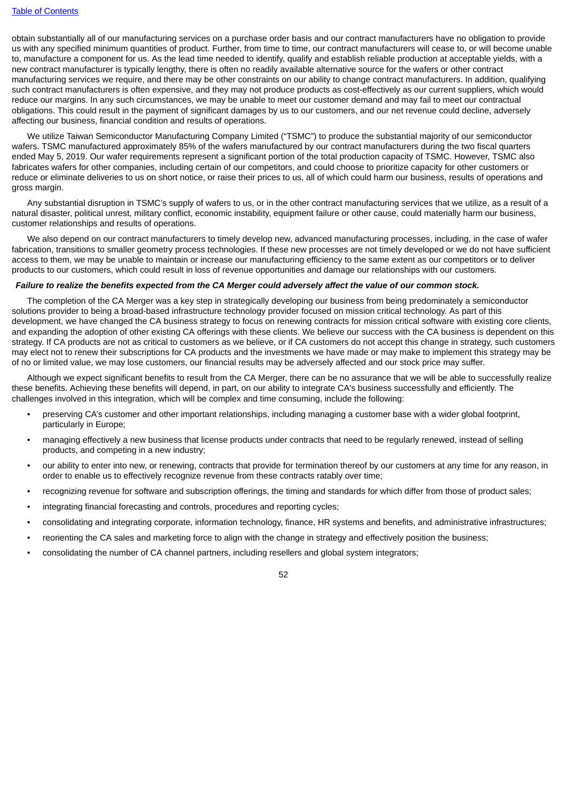obtain substantially all of our manufacturing services on a purchase order basis and our contract manufacturers have no obligation to provide us with any specified minimum quantities of product. Further, from time to time, our contract manufacturers will cease to, or will become unable to, manufacture a component for us. As the lead time needed to identify, qualify and establish reliable production at acceptable yields, with a new contract manufacturer is typically lengthy, there is often no readily available alternative source for the wafers or other contract manufacturing services we require, and there may be other constraints on our ability to change contract manufacturers. In addition, qualifying such contract manufacturers is often expensive, and they may not produce products as cost-effectively as our current suppliers, which would reduce our margins. In any such circumstances, we may be unable to meet our customer demand and may fail to meet our contractual obligations. This could result in the payment of significant damages by us to our customers, and our net revenue could decline, adversely affecting our business, financial condition and results of operations.

We utilize Taiwan Semiconductor Manufacturing Company Limited ("TSMC") to produce the substantial majority of our semiconductor wafers. TSMC manufactured approximately 85% of the wafers manufactured by our contract manufacturers during the two fiscal quarters ended May 5, 2019. Our wafer requirements represent a significant portion of the total production capacity of TSMC. However, TSMC also fabricates wafers for other companies, including certain of our competitors, and could choose to prioritize capacity for other customers or reduce or eliminate deliveries to us on short notice, or raise their prices to us, all of which could harm our business, results of operations and gross margin.

Any substantial disruption in TSMC's supply of wafers to us, or in the other contract manufacturing services that we utilize, as a result of a natural disaster, political unrest, military conflict, economic instability, equipment failure or other cause, could materially harm our business, customer relationships and results of operations.

We also depend on our contract manufacturers to timely develop new, advanced manufacturing processes, including, in the case of wafer fabrication, transitions to smaller geometry process technologies. If these new processes are not timely developed or we do not have sufficient access to them, we may be unable to maintain or increase our manufacturing efficiency to the same extent as our competitors or to deliver products to our customers, which could result in loss of revenue opportunities and damage our relationships with our customers.

# Failure to realize the benefits expected from the CA Merger could adversely affect the value of our common stock.

The completion of the CA Merger was a key step in strategically developing our business from being predominately a semiconductor solutions provider to being a broad-based infrastructure technology provider focused on mission critical technology. As part of this development, we have changed the CA business strategy to focus on renewing contracts for mission critical software with existing core clients. and expanding the adoption of other existing CA offerings with these clients. We believe our success with the CA business is dependent on this strategy. If CA products are not as critical to customers as we believe, or if CA customers do not accept this change in strategy, such customers may elect not to renew their subscriptions for CA products and the investments we have made or may make to implement this strategy may be of no or limited value, we may lose customers, our financial results may be adversely affected and our stock price may suffer.

Although we expect significant benefits to result from the CA Merger, there can be no assurance that we will be able to successfully realize these benefits. Achieving these benefits will depend, in part, on our ability to integrate CA's business successfully and efficiently. The challenges involved in this integration, which will be complex and time consuming, include the following:

- preserving CA's customer and other important relationships, including managing a customer base with a wider global footprint, particularly in Europe;
- managing effectively a new business that license products under contracts that need to be regularly renewed, instead of selling products, and competing in a new industry;
- our ability to enter into new, or renewing, contracts that provide for termination thereof by our customers at any time for any reason, in order to enable us to effectively recognize revenue from these contracts ratably over time;
- recognizing revenue for software and subscription offerings, the timing and standards for which differ from those of product sales;
- integrating financial forecasting and controls, procedures and reporting cycles;
- consolidating and integrating corporate, information technology, finance, HR systems and benefits, and administrative infrastructures;
- reorienting the CA sales and marketing force to align with the change in strategy and effectively position the business;
- consolidating the number of CA channel partners, including resellers and global system integrators;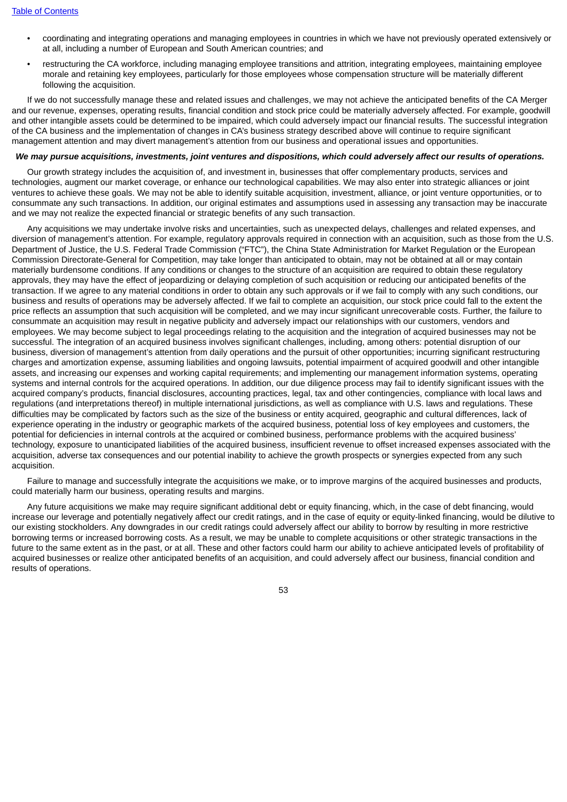- coordinating and integrating operations and managing employees in countries in which we have not previously operated extensively or at all, including a number of European and South American countries; and
- restructuring the CA workforce, including managing employee transitions and attrition, integrating employees, maintaining employee morale and retaining key employees, particularly for those employees whose compensation structure will be materially different following the acquisition.

If we do not successfully manage these and related issues and challenges, we may not achieve the anticipated benefits of the CA Merger and our revenue, expenses, operating results, financial condition and stock price could be materially adversely affected. For example, goodwill and other intangible assets could be determined to be impaired, which could adversely impact our financial results. The successful integration of the CA business and the implementation of changes in CA's business strategy described above will continue to require significant management attention and may divert management's attention from our business and operational issues and opportunities.

### We may pursue acquisitions, investments, joint ventures and dispositions, which could adversely affect our results of operations.

Our growth strategy includes the acquisition of, and investment in, businesses that offer complementary products, services and technologies, augment our market coverage, or enhance our technological capabilities. We may also enter into strategic alliances or joint ventures to achieve these goals. We may not be able to identify suitable acquisition, investment, alliance, or joint venture opportunities, or to consummate any such transactions. In addition, our original estimates and assumptions used in assessing any transaction may be inaccurate and we may not realize the expected financial or strategic benefits of any such transaction.

Any acquisitions we may undertake involve risks and uncertainties, such as unexpected delays, challenges and related expenses, and diversion of management's attention. For example, regulatory approvals required in connection with an acquisition, such as those from the U.S. Department of Justice, the U.S. Federal Trade Commission ("FTC"), the China State Administration for Market Regulation or the European Commission Directorate-General for Competition, may take longer than anticipated to obtain, may not be obtained at all or may contain materially burdensome conditions. If any conditions or changes to the structure of an acquisition are required to obtain these regulatory approvals, they may have the effect of jeopardizing or delaying completion of such acquisition or reducing our anticipated benefits of the transaction. If we agree to any material conditions in order to obtain any such approvals or if we fail to comply with any such conditions, our business and results of operations may be adversely affected. If we fail to complete an acquisition, our stock price could fall to the extent the price reflects an assumption that such acquisition will be completed, and we may incur significant unrecoverable costs. Further, the failure to consummate an acquisition may result in negative publicity and adversely impact our relationships with our customers, vendors and employees. We may become subject to legal proceedings relating to the acquisition and the integration of acquired businesses may not be successful. The integration of an acquired business involves significant challenges, including, among others: potential disruption of our business, diversion of management's attention from daily operations and the pursuit of other opportunities; incurring significant restructuring charges and amortization expense, assuming liabilities and ongoing lawsuits, potential impairment of acquired goodwill and other intangible assets, and increasing our expenses and working capital requirements; and implementing our management information systems, operating systems and internal controls for the acquired operations. In addition, our due diligence process may fail to identify significant issues with the acquired company's products, financial disclosures, accounting practices, legal, tax and other contingencies, compliance with local laws and regulations (and interpretations thereof) in multiple international jurisdictions, as well as compliance with U.S. laws and regulations. These difficulties may be complicated by factors such as the size of the business or entity acquired, geographic and cultural differences, lack of experience operating in the industry or geographic markets of the acquired business, potential loss of key employees and customers, the potential for deficiencies in internal controls at the acquired or combined business, performance problems with the acquired business' technology, exposure to unanticipated liabilities of the acquired business, insufficient revenue to offset increased expenses associated with the acquisition, adverse tax consequences and our potential inability to achieve the growth prospects or synergies expected from any such acquisition.

Failure to manage and successfully integrate the acquisitions we make, or to improve margins of the acquired businesses and products, could materially harm our business, operating results and margins.

Any future acquisitions we make may require significant additional debt or equity financing, which, in the case of debt financing, would increase our leverage and potentially negatively affect our credit ratings, and in the case of equity or equity-linked financing, would be dilutive to our existing stockholders. Any downgrades in our credit ratings could adversely affect our ability to borrow by resulting in more restrictive borrowing terms or increased borrowing costs. As a result, we may be unable to complete acquisitions or other strategic transactions in the future to the same extent as in the past, or at all. These and other factors could harm our ability to achieve anticipated levels of profitability of acquired businesses or realize other anticipated benefits of an acquisition, and could adversely affect our business, financial condition and results of operations.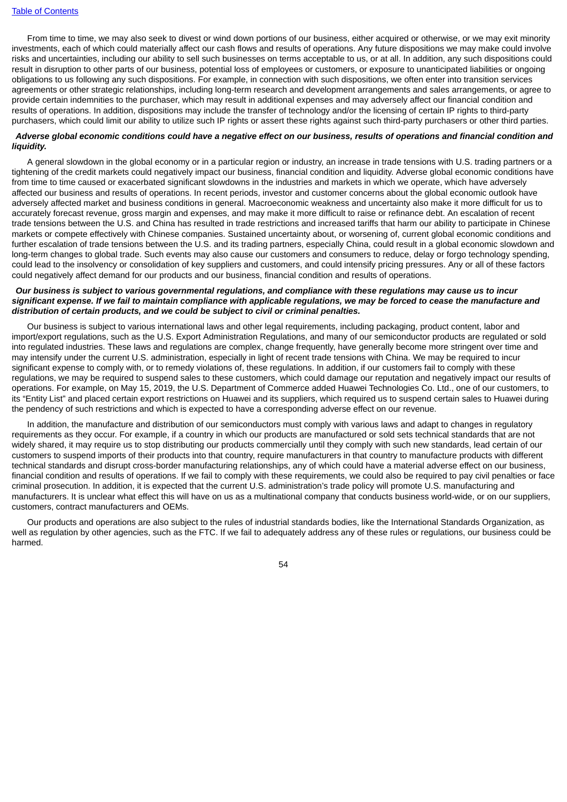From time to time, we may also seek to divest or wind down portions of our business, either acquired or otherwise, or we may exit minority investments, each of which could materially affect our cash flows and results of operations. Any future dispositions we may make could involve risks and uncertainties, including our ability to sell such businesses on terms acceptable to us, or at all. In addition, any such dispositions could result in disruption to other parts of our business, potential loss of employees or customers, or exposure to unanticipated liabilities or ongoing obligations to us following any such dispositions. For example, in connection with such dispositions, we often enter into transition services agreements or other strategic relationships, including long-term research and development arrangements and sales arrangements, or agree to provide certain indemnities to the purchaser, which may result in additional expenses and may adversely affect our financial condition and results of operations. In addition, dispositions may include the transfer of technology and/or the licensing of certain IP rights to third-party purchasers, which could limit our ability to utilize such IP rights or assert these rights against such third-party purchasers or other third parties.

### Adverse global economic conditions could have a negative effect on our business, results of operations and financial condition and *liquidity.*

A general slowdown in the global economy or in a particular region or industry, an increase in trade tensions with U.S. trading partners or a tightening of the credit markets could negatively impact our business, financial condition and liquidity. Adverse global economic conditions have from time to time caused or exacerbated significant slowdowns in the industries and markets in which we operate, which have adversely affected our business and results of operations. In recent periods, investor and customer concerns about the global economic outlook have adversely affected market and business conditions in general. Macroeconomic weakness and uncertainty also make it more difficult for us to accurately forecast revenue, gross margin and expenses, and may make it more difficult to raise or refinance debt. An escalation of recent trade tensions between the U.S. and China has resulted in trade restrictions and increased tariffs that harm our ability to participate in Chinese markets or compete effectively with Chinese companies. Sustained uncertainty about, or worsening of, current global economic conditions and further escalation of trade tensions between the U.S. and its trading partners, especially China, could result in a global economic slowdown and long-term changes to global trade. Such events may also cause our customers and consumers to reduce, delay or forgo technology spending, could lead to the insolvency or consolidation of key suppliers and customers, and could intensify pricing pressures. Any or all of these factors could negatively affect demand for our products and our business, financial condition and results of operations.

## Our business is subject to various governmental regulations, and compliance with these regulations may cause us to incur significant expense. If we fail to maintain compliance with applicable regulations, we may be forced to cease the manufacture and *distribution of certain products, and we could be subject to civil or criminal penalties.*

Our business is subject to various international laws and other legal requirements, including packaging, product content, labor and import/export regulations, such as the U.S. Export Administration Regulations, and many of our semiconductor products are regulated or sold into regulated industries. These laws and regulations are complex, change frequently, have generally become more stringent over time and may intensify under the current U.S. administration, especially in light of recent trade tensions with China. We may be required to incur significant expense to comply with, or to remedy violations of, these regulations. In addition, if our customers fail to comply with these regulations, we may be required to suspend sales to these customers, which could damage our reputation and negatively impact our results of operations. For example, on May 15, 2019, the U.S. Department of Commerce added Huawei Technologies Co. Ltd., one of our customers, to its "Entity List" and placed certain export restrictions on Huawei and its suppliers, which required us to suspend certain sales to Huawei during the pendency of such restrictions and which is expected to have a corresponding adverse effect on our revenue.

In addition, the manufacture and distribution of our semiconductors must comply with various laws and adapt to changes in regulatory requirements as they occur. For example, if a country in which our products are manufactured or sold sets technical standards that are not widely shared, it may require us to stop distributing our products commercially until they comply with such new standards, lead certain of our customers to suspend imports of their products into that country, require manufacturers in that country to manufacture products with different technical standards and disrupt cross-border manufacturing relationships, any of which could have a material adverse effect on our business, financial condition and results of operations. If we fail to comply with these requirements, we could also be required to pay civil penalties or face criminal prosecution. In addition, it is expected that the current U.S. administration's trade policy will promote U.S. manufacturing and manufacturers. It is unclear what effect this will have on us as a multinational company that conducts business world-wide, or on our suppliers, customers, contract manufacturers and OEMs.

Our products and operations are also subject to the rules of industrial standards bodies, like the International Standards Organization, as well as regulation by other agencies, such as the FTC. If we fail to adequately address any of these rules or regulations, our business could be harmed.

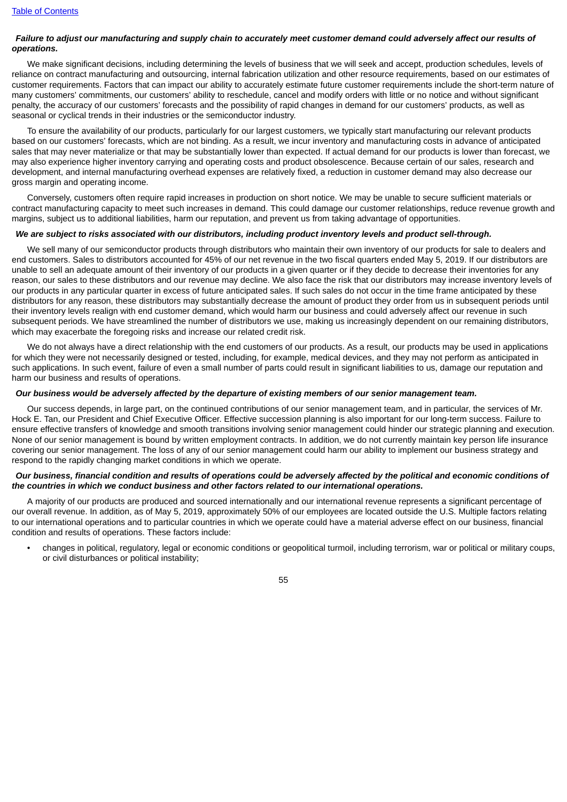### Failure to adjust our manufacturing and supply chain to accurately meet customer demand could adversely affect our results of *operations.*

We make significant decisions, including determining the levels of business that we will seek and accept, production schedules, levels of reliance on contract manufacturing and outsourcing, internal fabrication utilization and other resource requirements, based on our estimates of customer requirements. Factors that can impact our ability to accurately estimate future customer requirements include the short-term nature of many customers' commitments, our customers' ability to reschedule, cancel and modify orders with little or no notice and without significant penalty, the accuracy of our customers' forecasts and the possibility of rapid changes in demand for our customers' products, as well as seasonal or cyclical trends in their industries or the semiconductor industry.

To ensure the availability of our products, particularly for our largest customers, we typically start manufacturing our relevant products based on our customers' forecasts, which are not binding. As a result, we incur inventory and manufacturing costs in advance of anticipated sales that may never materialize or that may be substantially lower than expected. If actual demand for our products is lower than forecast, we may also experience higher inventory carrying and operating costs and product obsolescence. Because certain of our sales, research and development, and internal manufacturing overhead expenses are relatively fixed, a reduction in customer demand may also decrease our gross margin and operating income.

Conversely, customers often require rapid increases in production on short notice. We may be unable to secure sufficient materials or contract manufacturing capacity to meet such increases in demand. This could damage our customer relationships, reduce revenue growth and margins, subject us to additional liabilities, harm our reputation, and prevent us from taking advantage of opportunities.

# We are subject to risks associated with our distributors, including product inventory levels and product sell-through.

We sell many of our semiconductor products through distributors who maintain their own inventory of our products for sale to dealers and end customers. Sales to distributors accounted for 45% of our net revenue in the two fiscal quarters ended May 5, 2019. If our distributors are unable to sell an adequate amount of their inventory of our products in a given quarter or if they decide to decrease their inventories for any reason, our sales to these distributors and our revenue may decline. We also face the risk that our distributors may increase inventory levels of our products in any particular quarter in excess of future anticipated sales. If such sales do not occur in the time frame anticipated by these distributors for any reason, these distributors may substantially decrease the amount of product they order from us in subsequent periods until their inventory levels realign with end customer demand, which would harm our business and could adversely affect our revenue in such subsequent periods. We have streamlined the number of distributors we use, making us increasingly dependent on our remaining distributors, which may exacerbate the foregoing risks and increase our related credit risk.

We do not always have a direct relationship with the end customers of our products. As a result, our products may be used in applications for which they were not necessarily designed or tested, including, for example, medical devices, and they may not perform as anticipated in such applications. In such event, failure of even a small number of parts could result in significant liabilities to us, damage our reputation and harm our business and results of operations.

#### Our business would be adversely affected by the departure of existing members of our senior management team.

Our success depends, in large part, on the continued contributions of our senior management team, and in particular, the services of Mr. Hock E. Tan, our President and Chief Executive Officer. Effective succession planning is also important for our long-term success. Failure to ensure effective transfers of knowledge and smooth transitions involving senior management could hinder our strategic planning and execution. None of our senior management is bound by written employment contracts. In addition, we do not currently maintain key person life insurance covering our senior management. The loss of any of our senior management could harm our ability to implement our business strategy and respond to the rapidly changing market conditions in which we operate.

### Our business, financial condition and results of operations could be adversely affected by the political and economic conditions of *the countries in which we conduct business and other factors related to our international operations.*

A majority of our products are produced and sourced internationally and our international revenue represents a significant percentage of our overall revenue. In addition, as of May 5, 2019, approximately 50% of our employees are located outside the U.S. Multiple factors relating to our international operations and to particular countries in which we operate could have a material adverse effect on our business, financial condition and results of operations. These factors include:

• changes in political, regulatory, legal or economic conditions or geopolitical turmoil, including terrorism, war or political or military coups, or civil disturbances or political instability;

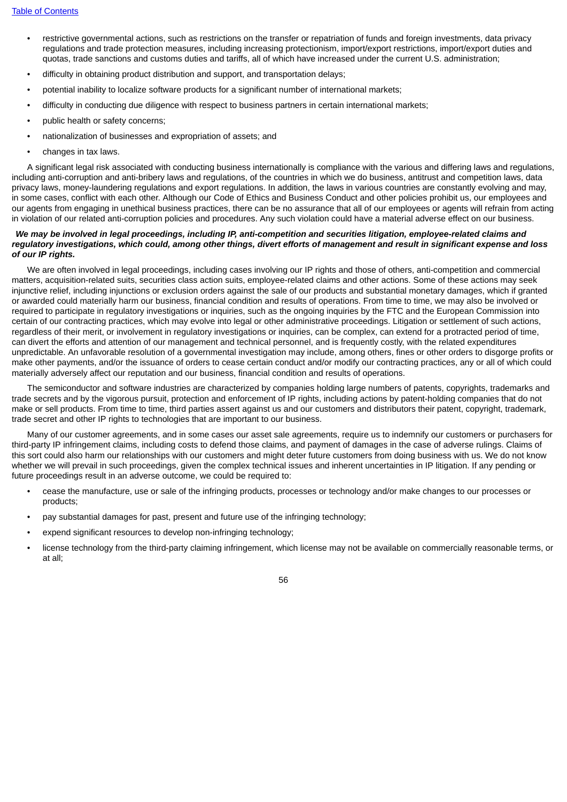- restrictive governmental actions, such as restrictions on the transfer or repatriation of funds and foreign investments, data privacy regulations and trade protection measures, including increasing protectionism, import/export restrictions, import/export duties and quotas, trade sanctions and customs duties and tariffs, all of which have increased under the current U.S. administration;
- difficulty in obtaining product distribution and support, and transportation delays;
- potential inability to localize software products for a significant number of international markets;
- difficulty in conducting due diligence with respect to business partners in certain international markets;
- public health or safety concerns;
- nationalization of businesses and expropriation of assets; and
- changes in tax laws.

A significant legal risk associated with conducting business internationally is compliance with the various and differing laws and regulations, including anti-corruption and anti-bribery laws and regulations, of the countries in which we do business, antitrust and competition laws, data privacy laws, money-laundering regulations and export regulations. In addition, the laws in various countries are constantly evolving and may, in some cases, conflict with each other. Although our Code of Ethics and Business Conduct and other policies prohibit us, our employees and our agents from engaging in unethical business practices, there can be no assurance that all of our employees or agents will refrain from acting in violation of our related anti-corruption policies and procedures. Any such violation could have a material adverse effect on our business.

#### We may be involved in legal proceedings, including IP, anti-competition and securities litigation, employee-related claims and regulatory investigations, which could, among other things, divert efforts of management and result in significant expense and loss *of our IP rights.*

We are often involved in legal proceedings, including cases involving our IP rights and those of others, anti-competition and commercial matters, acquisition-related suits, securities class action suits, employee-related claims and other actions. Some of these actions may seek injunctive relief, including injunctions or exclusion orders against the sale of our products and substantial monetary damages, which if granted or awarded could materially harm our business, financial condition and results of operations. From time to time, we may also be involved or required to participate in regulatory investigations or inquiries, such as the ongoing inquiries by the FTC and the European Commission into certain of our contracting practices, which may evolve into legal or other administrative proceedings. Litigation or settlement of such actions, regardless of their merit, or involvement in regulatory investigations or inquiries, can be complex, can extend for a protracted period of time, can divert the efforts and attention of our management and technical personnel, and is frequently costly, with the related expenditures unpredictable. An unfavorable resolution of a governmental investigation may include, among others, fines or other orders to disgorge profits or make other payments, and/or the issuance of orders to cease certain conduct and/or modify our contracting practices, any or all of which could materially adversely affect our reputation and our business, financial condition and results of operations.

The semiconductor and software industries are characterized by companies holding large numbers of patents, copyrights, trademarks and trade secrets and by the vigorous pursuit, protection and enforcement of IP rights, including actions by patent-holding companies that do not make or sell products. From time to time, third parties assert against us and our customers and distributors their patent, copyright, trademark, trade secret and other IP rights to technologies that are important to our business.

Many of our customer agreements, and in some cases our asset sale agreements, require us to indemnify our customers or purchasers for third-party IP infringement claims, including costs to defend those claims, and payment of damages in the case of adverse rulings. Claims of this sort could also harm our relationships with our customers and might deter future customers from doing business with us. We do not know whether we will prevail in such proceedings, given the complex technical issues and inherent uncertainties in IP litigation. If any pending or future proceedings result in an adverse outcome, we could be required to:

- cease the manufacture, use or sale of the infringing products, processes or technology and/or make changes to our processes or products;
- pay substantial damages for past, present and future use of the infringing technology;
- expend significant resources to develop non-infringing technology;
- license technology from the third-party claiming infringement, which license may not be available on commercially reasonable terms, or at all;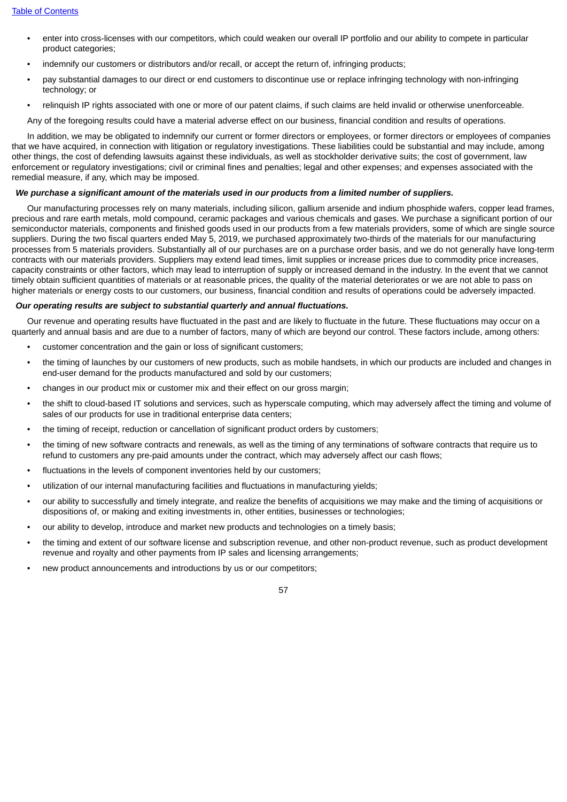- enter into cross-licenses with our competitors, which could weaken our overall IP portfolio and our ability to compete in particular product categories;
- indemnify our customers or distributors and/or recall, or accept the return of, infringing products;
- pay substantial damages to our direct or end customers to discontinue use or replace infringing technology with non-infringing technology; or
- relinquish IP rights associated with one or more of our patent claims, if such claims are held invalid or otherwise unenforceable.

Any of the foregoing results could have a material adverse effect on our business, financial condition and results of operations.

In addition, we may be obligated to indemnify our current or former directors or employees, or former directors or employees of companies that we have acquired, in connection with litigation or regulatory investigations. These liabilities could be substantial and may include, among other things, the cost of defending lawsuits against these individuals, as well as stockholder derivative suits; the cost of government, law enforcement or regulatory investigations; civil or criminal fines and penalties; legal and other expenses; and expenses associated with the remedial measure, if any, which may be imposed.

# We purchase a significant amount of the materials used in our products from a limited number of suppliers.

Our manufacturing processes rely on many materials, including silicon, gallium arsenide and indium phosphide wafers, copper lead frames, precious and rare earth metals, mold compound, ceramic packages and various chemicals and gases. We purchase a significant portion of our semiconductor materials, components and finished goods used in our products from a few materials providers, some of which are single source suppliers. During the two fiscal quarters ended May 5, 2019, we purchased approximately two-thirds of the materials for our manufacturing processes from 5 materials providers. Substantially all of our purchases are on a purchase order basis, and we do not generally have long-term contracts with our materials providers. Suppliers may extend lead times, limit supplies or increase prices due to commodity price increases, capacity constraints or other factors, which may lead to interruption of supply or increased demand in the industry. In the event that we cannot timely obtain sufficient quantities of materials or at reasonable prices, the quality of the material deteriorates or we are not able to pass on higher materials or energy costs to our customers, our business, financial condition and results of operations could be adversely impacted.

#### *Our operating results are subject to substantial quarterly and annual fluctuations.*

Our revenue and operating results have fluctuated in the past and are likely to fluctuate in the future. These fluctuations may occur on a quarterly and annual basis and are due to a number of factors, many of which are beyond our control. These factors include, among others:

- customer concentration and the gain or loss of significant customers;
- the timing of launches by our customers of new products, such as mobile handsets, in which our products are included and changes in end-user demand for the products manufactured and sold by our customers;
- changes in our product mix or customer mix and their effect on our gross margin;
- the shift to cloud-based IT solutions and services, such as hyperscale computing, which may adversely affect the timing and volume of sales of our products for use in traditional enterprise data centers;
- the timing of receipt, reduction or cancellation of significant product orders by customers;
- the timing of new software contracts and renewals, as well as the timing of any terminations of software contracts that require us to refund to customers any pre-paid amounts under the contract, which may adversely affect our cash flows;
- fluctuations in the levels of component inventories held by our customers:
- utilization of our internal manufacturing facilities and fluctuations in manufacturing yields;
- our ability to successfully and timely integrate, and realize the benefits of acquisitions we may make and the timing of acquisitions or dispositions of, or making and exiting investments in, other entities, businesses or technologies;
- our ability to develop, introduce and market new products and technologies on a timely basis;
- the timing and extent of our software license and subscription revenue, and other non-product revenue, such as product development revenue and royalty and other payments from IP sales and licensing arrangements;
- new product announcements and introductions by us or our competitors;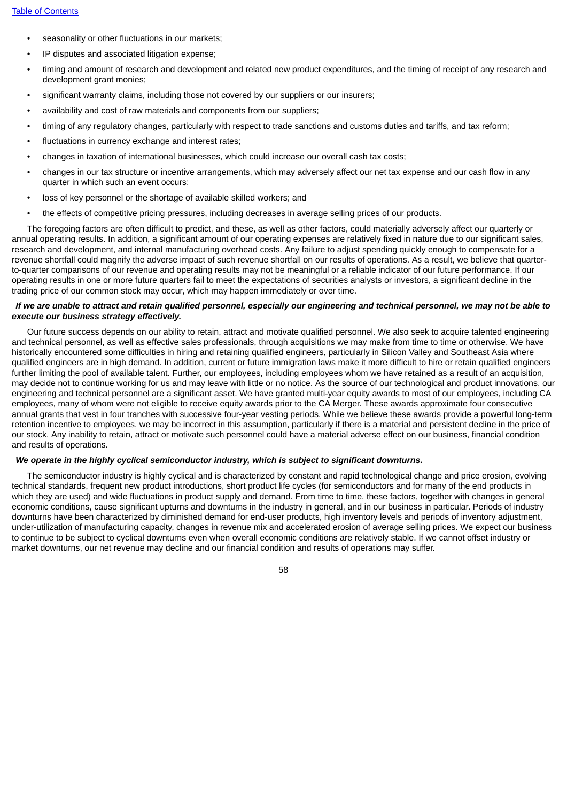- seasonality or other fluctuations in our markets;
- IP disputes and associated litigation expense;
- timing and amount of research and development and related new product expenditures, and the timing of receipt of any research and development grant monies;
- significant warranty claims, including those not covered by our suppliers or our insurers;
- availability and cost of raw materials and components from our suppliers;
- timing of any regulatory changes, particularly with respect to trade sanctions and customs duties and tariffs, and tax reform;
- fluctuations in currency exchange and interest rates;
- changes in taxation of international businesses, which could increase our overall cash tax costs;
- changes in our tax structure or incentive arrangements, which may adversely affect our net tax expense and our cash flow in any quarter in which such an event occurs;
- loss of key personnel or the shortage of available skilled workers; and
- the effects of competitive pricing pressures, including decreases in average selling prices of our products.

The foregoing factors are often difficult to predict, and these, as well as other factors, could materially adversely affect our quarterly or annual operating results. In addition, a significant amount of our operating expenses are relatively fixed in nature due to our significant sales, research and development, and internal manufacturing overhead costs. Any failure to adjust spending quickly enough to compensate for a revenue shortfall could magnify the adverse impact of such revenue shortfall on our results of operations. As a result, we believe that quarterto-quarter comparisons of our revenue and operating results may not be meaningful or a reliable indicator of our future performance. If our operating results in one or more future quarters fail to meet the expectations of securities analysts or investors, a significant decline in the trading price of our common stock may occur, which may happen immediately or over time.

# If we are unable to attract and retain qualified personnel, especially our engineering and technical personnel, we may not be able to *execute our business strategy effectively.*

Our future success depends on our ability to retain, attract and motivate qualified personnel. We also seek to acquire talented engineering and technical personnel, as well as effective sales professionals, through acquisitions we may make from time to time or otherwise. We have historically encountered some difficulties in hiring and retaining qualified engineers, particularly in Silicon Valley and Southeast Asia where qualified engineers are in high demand. In addition, current or future immigration laws make it more difficult to hire or retain qualified engineers further limiting the pool of available talent. Further, our employees, including employees whom we have retained as a result of an acquisition, may decide not to continue working for us and may leave with little or no notice. As the source of our technological and product innovations, our engineering and technical personnel are a significant asset. We have granted multi-year equity awards to most of our employees, including CA employees, many of whom were not eligible to receive equity awards prior to the CA Merger. These awards approximate four consecutive annual grants that vest in four tranches with successive four-year vesting periods. While we believe these awards provide a powerful long-term retention incentive to employees, we may be incorrect in this assumption, particularly if there is a material and persistent decline in the price of our stock. Any inability to retain, attract or motivate such personnel could have a material adverse effect on our business, financial condition and results of operations.

#### *We operate in the highly cyclical semiconductor industry, which is subject to significant downturns.*

The semiconductor industry is highly cyclical and is characterized by constant and rapid technological change and price erosion, evolving technical standards, frequent new product introductions, short product life cycles (for semiconductors and for many of the end products in which they are used) and wide fluctuations in product supply and demand. From time to time, these factors, together with changes in general economic conditions, cause significant upturns and downturns in the industry in general, and in our business in particular. Periods of industry downturns have been characterized by diminished demand for end-user products, high inventory levels and periods of inventory adjustment, under-utilization of manufacturing capacity, changes in revenue mix and accelerated erosion of average selling prices. We expect our business to continue to be subject to cyclical downturns even when overall economic conditions are relatively stable. If we cannot offset industry or market downturns, our net revenue may decline and our financial condition and results of operations may suffer.

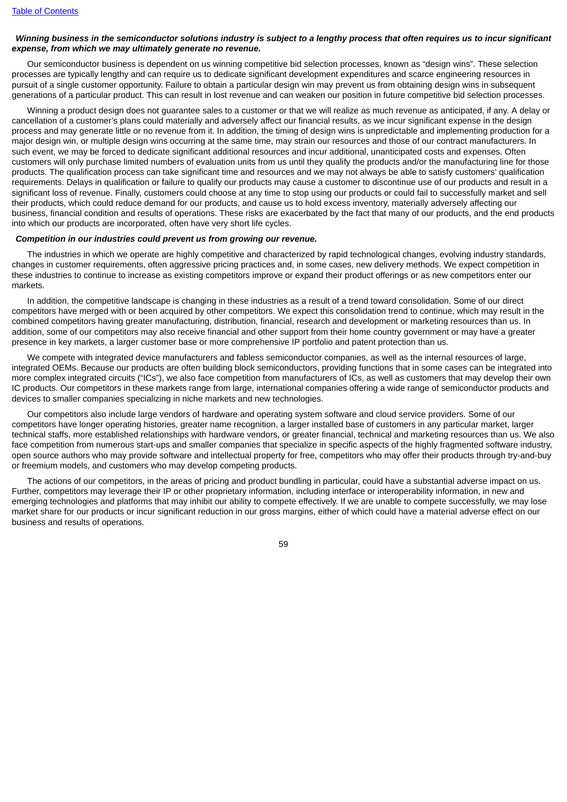# Winnina business in the semiconductor solutions industry is subject to a lengthy process that often requires us to incur significant *expense, from which we may ultimately generate no revenue.*

Our semiconductor business is dependent on us winning competitive bid selection processes, known as "design wins". These selection processes are typically lengthy and can require us to dedicate significant development expenditures and scarce engineering resources in pursuit of a single customer opportunity. Failure to obtain a particular design win may prevent us from obtaining design wins in subsequent generations of a particular product. This can result in lost revenue and can weaken our position in future competitive bid selection processes.

Winning a product design does not guarantee sales to a customer or that we will realize as much revenue as anticipated, if any. A delay or cancellation of a customer's plans could materially and adversely affect our financial results, as we incur significant expense in the design process and may generate little or no revenue from it. In addition, the timing of design wins is unpredictable and implementing production for a major design win, or multiple design wins occurring at the same time, may strain our resources and those of our contract manufacturers. In such event, we may be forced to dedicate significant additional resources and incur additional, unanticipated costs and expenses. Often customers will only purchase limited numbers of evaluation units from us until they qualify the products and/or the manufacturing line for those products. The qualification process can take significant time and resources and we may not always be able to satisfy customers' qualification requirements. Delays in qualification or failure to qualify our products may cause a customer to discontinue use of our products and result in a significant loss of revenue. Finally, customers could choose at any time to stop using our products or could fail to successfully market and sell their products, which could reduce demand for our products, and cause us to hold excess inventory, materially adversely affecting our business, financial condition and results of operations. These risks are exacerbated by the fact that many of our products, and the end products into which our products are incorporated, often have very short life cycles.

#### *Competition in our industries could prevent us from growing our revenue.*

The industries in which we operate are highly competitive and characterized by rapid technological changes, evolving industry standards, changes in customer requirements, often aggressive pricing practices and, in some cases, new delivery methods. We expect competition in these industries to continue to increase as existing competitors improve or expand their product offerings or as new competitors enter our markets.

In addition, the competitive landscape is changing in these industries as a result of a trend toward consolidation. Some of our direct competitors have merged with or been acquired by other competitors. We expect this consolidation trend to continue, which may result in the combined competitors having greater manufacturing, distribution, financial, research and development or marketing resources than us. In addition, some of our competitors may also receive financial and other support from their home country government or may have a greater presence in key markets, a larger customer base or more comprehensive IP portfolio and patent protection than us.

We compete with integrated device manufacturers and fabless semiconductor companies, as well as the internal resources of large, integrated OEMs. Because our products are often building block semiconductors, providing functions that in some cases can be integrated into more complex integrated circuits ("ICs"), we also face competition from manufacturers of ICs, as well as customers that may develop their own IC products. Our competitors in these markets range from large, international companies offering a wide range of semiconductor products and devices to smaller companies specializing in niche markets and new technologies.

Our competitors also include large vendors of hardware and operating system software and cloud service providers. Some of our competitors have longer operating histories, greater name recognition, a larger installed base of customers in any particular market, larger technical staffs, more established relationships with hardware vendors, or greater financial, technical and marketing resources than us. We also face competition from numerous start-ups and smaller companies that specialize in specific aspects of the highly fragmented software industry, open source authors who may provide software and intellectual property for free, competitors who may offer their products through try-and-buy or freemium models, and customers who may develop competing products.

The actions of our competitors, in the areas of pricing and product bundling in particular, could have a substantial adverse impact on us. Further, competitors may leverage their IP or other proprietary information, including interface or interoperability information, in new and emerging technologies and platforms that may inhibit our ability to compete effectively. If we are unable to compete successfully, we may lose market share for our products or incur significant reduction in our gross margins, either of which could have a material adverse effect on our business and results of operations.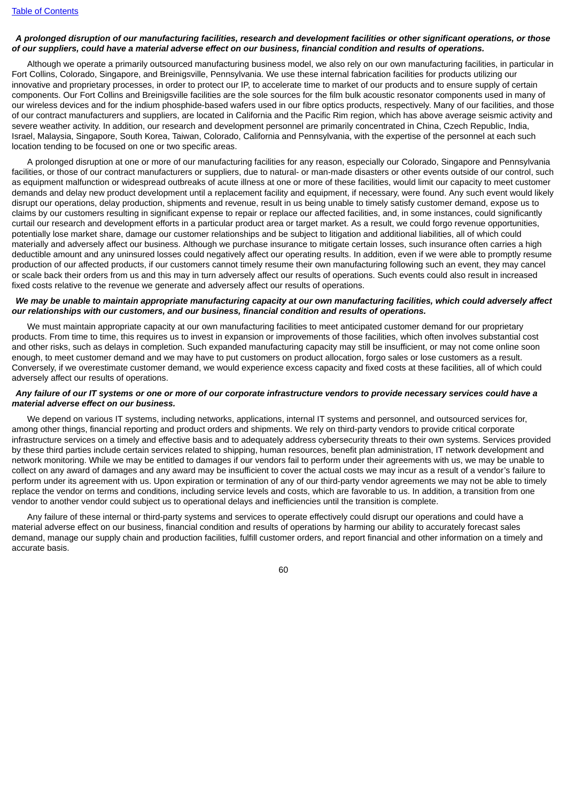### A prolonged disruption of our manufacturing facilities, research and development facilities or other significant operations, or those of our suppliers, could have a material adverse effect on our business, financial condition and results of operations,

Although we operate a primarily outsourced manufacturing business model, we also rely on our own manufacturing facilities, in particular in Fort Collins, Colorado, Singapore, and Breinigsville, Pennsylvania. We use these internal fabrication facilities for products utilizing our innovative and proprietary processes, in order to protect our IP, to accelerate time to market of our products and to ensure supply of certain components. Our Fort Collins and Breinigsville facilities are the sole sources for the film bulk acoustic resonator components used in many of our wireless devices and for the indium phosphide-based wafers used in our fibre optics products, respectively. Many of our facilities, and those of our contract manufacturers and suppliers, are located in California and the Pacific Rim region, which has above average seismic activity and severe weather activity. In addition, our research and development personnel are primarily concentrated in China, Czech Republic, India, Israel, Malaysia, Singapore, South Korea, Taiwan, Colorado, California and Pennsylvania, with the expertise of the personnel at each such location tending to be focused on one or two specific areas.

A prolonged disruption at one or more of our manufacturing facilities for any reason, especially our Colorado, Singapore and Pennsylvania facilities, or those of our contract manufacturers or suppliers, due to natural- or man-made disasters or other events outside of our control, such as equipment malfunction or widespread outbreaks of acute illness at one or more of these facilities, would limit our capacity to meet customer demands and delay new product development until a replacement facility and equipment, if necessary, were found. Any such event would likely disrupt our operations, delay production, shipments and revenue, result in us being unable to timely satisfy customer demand, expose us to claims by our customers resulting in significant expense to repair or replace our affected facilities, and, in some instances, could significantly curtail our research and development efforts in a particular product area or target market. As a result, we could forgo revenue opportunities, potentially lose market share, damage our customer relationships and be subject to litigation and additional liabilities, all of which could materially and adversely affect our business. Although we purchase insurance to mitigate certain losses, such insurance often carries a high deductible amount and any uninsured losses could negatively affect our operating results. In addition, even if we were able to promptly resume production of our affected products, if our customers cannot timely resume their own manufacturing following such an event, they may cancel or scale back their orders from us and this may in turn adversely affect our results of operations. Such events could also result in increased fixed costs relative to the revenue we generate and adversely affect our results of operations.

### We may be unable to maintain appropriate manufacturing capacity at our own manufacturing facilities, which could adversely affect *our relationships with our customers, and our business, financial condition and results of operations.*

We must maintain appropriate capacity at our own manufacturing facilities to meet anticipated customer demand for our proprietary products. From time to time, this requires us to invest in expansion or improvements of those facilities, which often involves substantial cost and other risks, such as delays in completion. Such expanded manufacturing capacity may still be insufficient, or may not come online soon enough, to meet customer demand and we may have to put customers on product allocation, forgo sales or lose customers as a result. Conversely, if we overestimate customer demand, we would experience excess capacity and fixed costs at these facilities, all of which could adversely affect our results of operations.

### Any failure of our IT systems or one or more of our corporate infrastructure vendors to provide necessary services could have a *material adverse effect on our business.*

We depend on various IT systems, including networks, applications, internal IT systems and personnel, and outsourced services for, among other things, financial reporting and product orders and shipments. We rely on third-party vendors to provide critical corporate infrastructure services on a timely and effective basis and to adequately address cybersecurity threats to their own systems. Services provided by these third parties include certain services related to shipping, human resources, benefit plan administration, IT network development and network monitoring. While we may be entitled to damages if our vendors fail to perform under their agreements with us, we may be unable to collect on any award of damages and any award may be insufficient to cover the actual costs we may incur as a result of a vendor's failure to perform under its agreement with us. Upon expiration or termination of any of our third-party vendor agreements we may not be able to timely replace the vendor on terms and conditions, including service levels and costs, which are favorable to us. In addition, a transition from one vendor to another vendor could subject us to operational delays and inefficiencies until the transition is complete.

Any failure of these internal or third-party systems and services to operate effectively could disrupt our operations and could have a material adverse effect on our business, financial condition and results of operations by harming our ability to accurately forecast sales demand, manage our supply chain and production facilities, fulfill customer orders, and report financial and other information on a timely and accurate basis.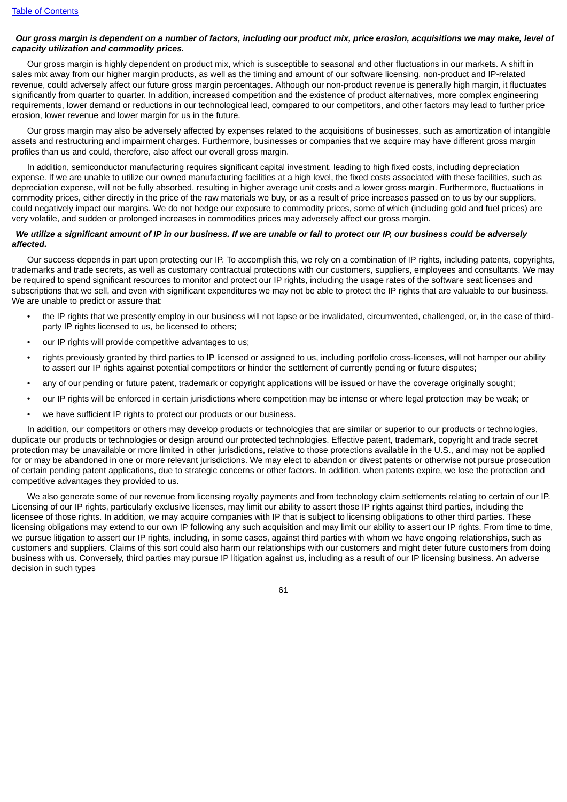### Our gross margin is dependent on a number of factors, including our product mix, price erosion, acquisitions we may make, level of *capacity utilization and commodity prices.*

Our gross margin is highly dependent on product mix, which is susceptible to seasonal and other fluctuations in our markets. A shift in sales mix away from our higher margin products, as well as the timing and amount of our software licensing, non-product and IP-related revenue, could adversely affect our future gross margin percentages. Although our non-product revenue is generally high margin, it fluctuates significantly from quarter to quarter. In addition, increased competition and the existence of product alternatives, more complex engineering requirements, lower demand or reductions in our technological lead, compared to our competitors, and other factors may lead to further price erosion, lower revenue and lower margin for us in the future.

Our gross margin may also be adversely affected by expenses related to the acquisitions of businesses, such as amortization of intangible assets and restructuring and impairment charges. Furthermore, businesses or companies that we acquire may have different gross margin profiles than us and could, therefore, also affect our overall gross margin.

In addition, semiconductor manufacturing requires significant capital investment, leading to high fixed costs, including depreciation expense. If we are unable to utilize our owned manufacturing facilities at a high level, the fixed costs associated with these facilities, such as depreciation expense, will not be fully absorbed, resulting in higher average unit costs and a lower gross margin. Furthermore, fluctuations in commodity prices, either directly in the price of the raw materials we buy, or as a result of price increases passed on to us by our suppliers, could negatively impact our margins. We do not hedge our exposure to commodity prices, some of which (including gold and fuel prices) are very volatile, and sudden or prolonged increases in commodities prices may adversely affect our gross margin.

### We utilize a significant amount of IP in our business. If we are unable or fail to protect our IP, our business could be adversely *affected.*

Our success depends in part upon protecting our IP. To accomplish this, we rely on a combination of IP rights, including patents, copyrights, trademarks and trade secrets, as well as customary contractual protections with our customers, suppliers, employees and consultants. We may be required to spend significant resources to monitor and protect our IP rights, including the usage rates of the software seat licenses and subscriptions that we sell, and even with significant expenditures we may not be able to protect the IP rights that are valuable to our business. We are unable to predict or assure that:

- the IP rights that we presently employ in our business will not lapse or be invalidated, circumvented, challenged, or, in the case of thirdparty IP rights licensed to us, be licensed to others;
- our IP rights will provide competitive advantages to us;
- rights previously granted by third parties to IP licensed or assigned to us, including portfolio cross-licenses, will not hamper our ability to assert our IP rights against potential competitors or hinder the settlement of currently pending or future disputes;
- any of our pending or future patent, trademark or copyright applications will be issued or have the coverage originally sought;
- our IP rights will be enforced in certain jurisdictions where competition may be intense or where legal protection may be weak; or
- we have sufficient IP rights to protect our products or our business.

In addition, our competitors or others may develop products or technologies that are similar or superior to our products or technologies, duplicate our products or technologies or design around our protected technologies. Effective patent, trademark, copyright and trade secret protection may be unavailable or more limited in other jurisdictions, relative to those protections available in the U.S., and may not be applied for or may be abandoned in one or more relevant jurisdictions. We may elect to abandon or divest patents or otherwise not pursue prosecution of certain pending patent applications, due to strategic concerns or other factors. In addition, when patents expire, we lose the protection and competitive advantages they provided to us.

We also generate some of our revenue from licensing royalty payments and from technology claim settlements relating to certain of our IP. Licensing of our IP rights, particularly exclusive licenses, may limit our ability to assert those IP rights against third parties, including the licensee of those rights. In addition, we may acquire companies with IP that is subject to licensing obligations to other third parties. These licensing obligations may extend to our own IP following any such acquisition and may limit our ability to assert our IP rights. From time to time, we pursue litigation to assert our IP rights, including, in some cases, against third parties with whom we have ongoing relationships, such as customers and suppliers. Claims of this sort could also harm our relationships with our customers and might deter future customers from doing business with us. Conversely, third parties may pursue IP litigation against us, including as a result of our IP licensing business. An adverse decision in such types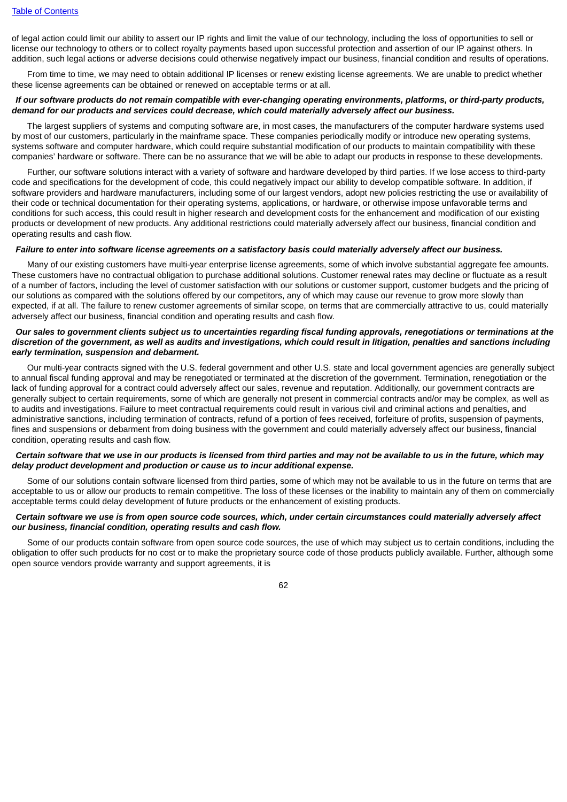of legal action could limit our ability to assert our IP rights and limit the value of our technology, including the loss of opportunities to sell or license our technology to others or to collect royalty payments based upon successful protection and assertion of our IP against others. In addition, such legal actions or adverse decisions could otherwise negatively impact our business, financial condition and results of operations.

From time to time, we may need to obtain additional IP licenses or renew existing license agreements. We are unable to predict whether these license agreements can be obtained or renewed on acceptable terms or at all.

# If our software products do not remain compatible with ever-changing operating environments, platforms, or third-party products, *demand for our products and services could decrease, which could materially adversely affect our business.*

The largest suppliers of systems and computing software are, in most cases, the manufacturers of the computer hardware systems used by most of our customers, particularly in the mainframe space. These companies periodically modify or introduce new operating systems, systems software and computer hardware, which could require substantial modification of our products to maintain compatibility with these companies' hardware or software. There can be no assurance that we will be able to adapt our products in response to these developments.

Further, our software solutions interact with a variety of software and hardware developed by third parties. If we lose access to third-party code and specifications for the development of code, this could negatively impact our ability to develop compatible software. In addition, if software providers and hardware manufacturers, including some of our largest vendors, adopt new policies restricting the use or availability of their code or technical documentation for their operating systems, applications, or hardware, or otherwise impose unfavorable terms and conditions for such access, this could result in higher research and development costs for the enhancement and modification of our existing products or development of new products. Any additional restrictions could materially adversely affect our business, financial condition and operating results and cash flow.

#### Failure to enter into software license agreements on a satisfactory basis could materially adversely affect our business.

Many of our existing customers have multi-year enterprise license agreements, some of which involve substantial aggregate fee amounts. These customers have no contractual obligation to purchase additional solutions. Customer renewal rates may decline or fluctuate as a result of a number of factors, including the level of customer satisfaction with our solutions or customer support, customer budgets and the pricing of our solutions as compared with the solutions offered by our competitors, any of which may cause our revenue to grow more slowly than expected, if at all. The failure to renew customer agreements of similar scope, on terms that are commercially attractive to us, could materially adversely affect our business, financial condition and operating results and cash flow.

# Our sales to government clients subject us to uncertainties regarding fiscal funding approvals, renegotiations or terminations at the discretion of the government, as well as audits and investigations, which could result in litigation, penalties and sanctions including *early termination, suspension and debarment.*

Our multi-year contracts signed with the U.S. federal government and other U.S. state and local government agencies are generally subject to annual fiscal funding approval and may be renegotiated or terminated at the discretion of the government. Termination, renegotiation or the lack of funding approval for a contract could adversely affect our sales, revenue and reputation. Additionally, our government contracts are generally subject to certain requirements, some of which are generally not present in commercial contracts and/or may be complex, as well as to audits and investigations. Failure to meet contractual requirements could result in various civil and criminal actions and penalties, and administrative sanctions, including termination of contracts, refund of a portion of fees received, forfeiture of profits, suspension of payments, fines and suspensions or debarment from doing business with the government and could materially adversely affect our business, financial condition, operating results and cash flow.

# Certain software that we use in our products is licensed from third parties and may not be available to us in the future, which may *delay product development and production or cause us to incur additional expense.*

Some of our solutions contain software licensed from third parties, some of which may not be available to us in the future on terms that are acceptable to us or allow our products to remain competitive. The loss of these licenses or the inability to maintain any of them on commercially acceptable terms could delay development of future products or the enhancement of existing products.

## Certain software we use is from open source code sources, which, under certain circumstances could materially adversely affect *our business, financial condition, operating results and cash flow.*

Some of our products contain software from open source code sources, the use of which may subject us to certain conditions, including the obligation to offer such products for no cost or to make the proprietary source code of those products publicly available. Further, although some open source vendors provide warranty and support agreements, it is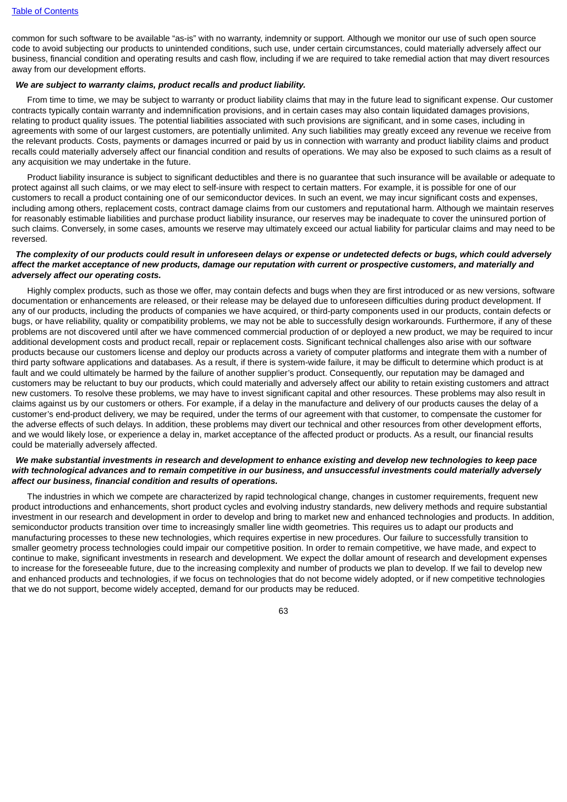common for such software to be available "as-is" with no warranty, indemnity or support. Although we monitor our use of such open source code to avoid subjecting our products to unintended conditions, such use, under certain circumstances, could materially adversely affect our business, financial condition and operating results and cash flow, including if we are required to take remedial action that may divert resources away from our development efforts.

# *We are subject to warranty claims, product recalls and product liability.*

From time to time, we may be subject to warranty or product liability claims that may in the future lead to significant expense. Our customer contracts typically contain warranty and indemnification provisions, and in certain cases may also contain liquidated damages provisions, relating to product quality issues. The potential liabilities associated with such provisions are significant, and in some cases, including in agreements with some of our largest customers, are potentially unlimited. Any such liabilities may greatly exceed any revenue we receive from the relevant products. Costs, payments or damages incurred or paid by us in connection with warranty and product liability claims and product recalls could materially adversely affect our financial condition and results of operations. We may also be exposed to such claims as a result of any acquisition we may undertake in the future.

Product liability insurance is subject to significant deductibles and there is no guarantee that such insurance will be available or adequate to protect against all such claims, or we may elect to self-insure with respect to certain matters. For example, it is possible for one of our customers to recall a product containing one of our semiconductor devices. In such an event, we may incur significant costs and expenses, including among others, replacement costs, contract damage claims from our customers and reputational harm. Although we maintain reserves for reasonably estimable liabilities and purchase product liability insurance, our reserves may be inadequate to cover the uninsured portion of such claims. Conversely, in some cases, amounts we reserve may ultimately exceed our actual liability for particular claims and may need to be reversed.

### The complexity of our products could result in unforeseen delays or expense or undetected defects or bugs, which could adversely affect the market acceptance of new products, damage our reputation with current or prospective customers, and materially and *adversely affect our operating costs.*

Highly complex products, such as those we offer, may contain defects and bugs when they are first introduced or as new versions, software documentation or enhancements are released, or their release may be delayed due to unforeseen difficulties during product development. If any of our products, including the products of companies we have acquired, or third-party components used in our products, contain defects or bugs, or have reliability, quality or compatibility problems, we may not be able to successfully design workarounds. Furthermore, if any of these problems are not discovered until after we have commenced commercial production of or deployed a new product, we may be required to incur additional development costs and product recall, repair or replacement costs. Significant technical challenges also arise with our software products because our customers license and deploy our products across a variety of computer platforms and integrate them with a number of third party software applications and databases. As a result, if there is system-wide failure, it may be difficult to determine which product is at fault and we could ultimately be harmed by the failure of another supplier's product. Consequently, our reputation may be damaged and customers may be reluctant to buy our products, which could materially and adversely affect our ability to retain existing customers and attract new customers. To resolve these problems, we may have to invest significant capital and other resources. These problems may also result in claims against us by our customers or others. For example, if a delay in the manufacture and delivery of our products causes the delay of a customer's end-product delivery, we may be required, under the terms of our agreement with that customer, to compensate the customer for the adverse effects of such delays. In addition, these problems may divert our technical and other resources from other development efforts, and we would likely lose, or experience a delay in, market acceptance of the affected product or products. As a result, our financial results could be materially adversely affected.

### We make substantial investments in research and development to enhance existing and develop new technologies to keep pace with technological advances and to remain competitive in our business, and unsuccessful investments could materially adversely *affect our business, financial condition and results of operations.*

The industries in which we compete are characterized by rapid technological change, changes in customer requirements, frequent new product introductions and enhancements, short product cycles and evolving industry standards, new delivery methods and require substantial investment in our research and development in order to develop and bring to market new and enhanced technologies and products. In addition, semiconductor products transition over time to increasingly smaller line width geometries. This requires us to adapt our products and manufacturing processes to these new technologies, which requires expertise in new procedures. Our failure to successfully transition to smaller geometry process technologies could impair our competitive position. In order to remain competitive, we have made, and expect to continue to make, significant investments in research and development. We expect the dollar amount of research and development expenses to increase for the foreseeable future, due to the increasing complexity and number of products we plan to develop. If we fail to develop new and enhanced products and technologies, if we focus on technologies that do not become widely adopted, or if new competitive technologies that we do not support, become widely accepted, demand for our products may be reduced.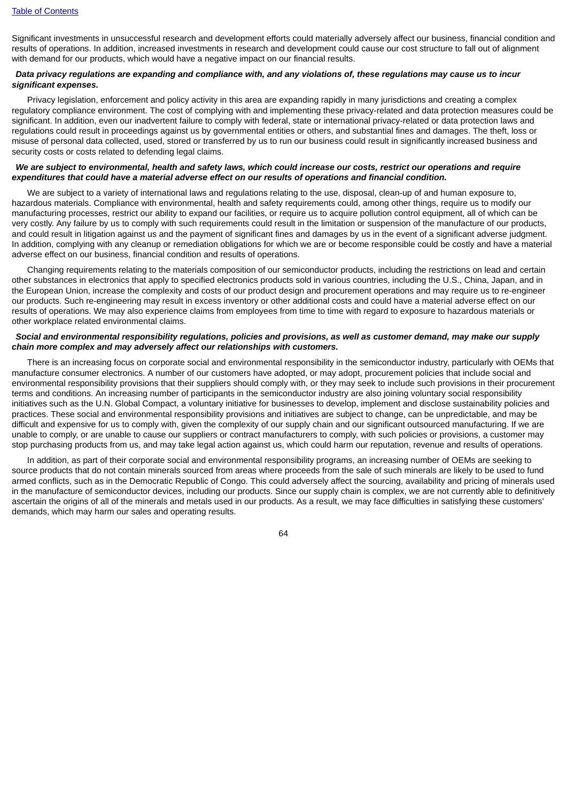Significant investments in unsuccessful research and development efforts could materially adversely affect our business, financial condition and results of operations. In addition, increased investments in research and development could cause our cost structure to fall out of alignment with demand for our products, which would have a negative impact on our financial results.

#### Data privacy regulations are expanding and compliance with, and any violations of, these regulations may cause us to incur *significant expenses.*

Privacy legislation, enforcement and policy activity in this area are expanding rapidly in many jurisdictions and creating a complex regulatory compliance environment. The cost of complying with and implementing these privacy-related and data protection measures could be significant. In addition, even our inadvertent failure to comply with federal, state or international privacy-related or data protection laws and regulations could result in proceedings against us by governmental entities or others, and substantial fines and damages. The theft, loss or misuse of personal data collected, used, stored or transferred by us to run our business could result in significantly increased business and security costs or costs related to defending legal claims.

### We are subject to environmental, health and safety laws, which could increase our costs, restrict our operations and require *expenditures that could have a material adverse effect on our results of operations and financial condition.*

We are subject to a variety of international laws and regulations relating to the use, disposal, clean-up of and human exposure to, hazardous materials. Compliance with environmental, health and safety requirements could, among other things, require us to modify our manufacturing processes, restrict our ability to expand our facilities, or require us to acquire pollution control equipment, all of which can be very costly. Any failure by us to comply with such requirements could result in the limitation or suspension of the manufacture of our products, and could result in litigation against us and the payment of significant fines and damages by us in the event of a significant adverse judgment. In addition, complying with any cleanup or remediation obligations for which we are or become responsible could be costly and have a material adverse effect on our business, financial condition and results of operations.

Changing requirements relating to the materials composition of our semiconductor products, including the restrictions on lead and certain other substances in electronics that apply to specified electronics products sold in various countries, including the U.S., China, Japan, and in the European Union, increase the complexity and costs of our product design and procurement operations and may require us to re-engineer our products. Such re-engineering may result in excess inventory or other additional costs and could have a material adverse effect on our results of operations. We may also experience claims from employees from time to time with regard to exposure to hazardous materials or other workplace related environmental claims.

### Social and environmental responsibility regulations, policies and provisions, as well as customer demand, may make our supply *chain more complex and may adversely affect our relationships with customers.*

There is an increasing focus on corporate social and environmental responsibility in the semiconductor industry, particularly with OEMs that manufacture consumer electronics. A number of our customers have adopted, or may adopt, procurement policies that include social and environmental responsibility provisions that their suppliers should comply with, or they may seek to include such provisions in their procurement terms and conditions. An increasing number of participants in the semiconductor industry are also joining voluntary social responsibility initiatives such as the U.N. Global Compact, a voluntary initiative for businesses to develop, implement and disclose sustainability policies and practices. These social and environmental responsibility provisions and initiatives are subject to change, can be unpredictable, and may be difficult and expensive for us to comply with, given the complexity of our supply chain and our significant outsourced manufacturing. If we are unable to comply, or are unable to cause our suppliers or contract manufacturers to comply, with such policies or provisions, a customer may stop purchasing products from us, and may take legal action against us, which could harm our reputation, revenue and results of operations.

In addition, as part of their corporate social and environmental responsibility programs, an increasing number of OEMs are seeking to source products that do not contain minerals sourced from areas where proceeds from the sale of such minerals are likely to be used to fund armed conflicts, such as in the Democratic Republic of Congo. This could adversely affect the sourcing, availability and pricing of minerals used in the manufacture of semiconductor devices, including our products. Since our supply chain is complex, we are not currently able to definitively ascertain the origins of all of the minerals and metals used in our products. As a result, we may face difficulties in satisfying these customers' demands, which may harm our sales and operating results.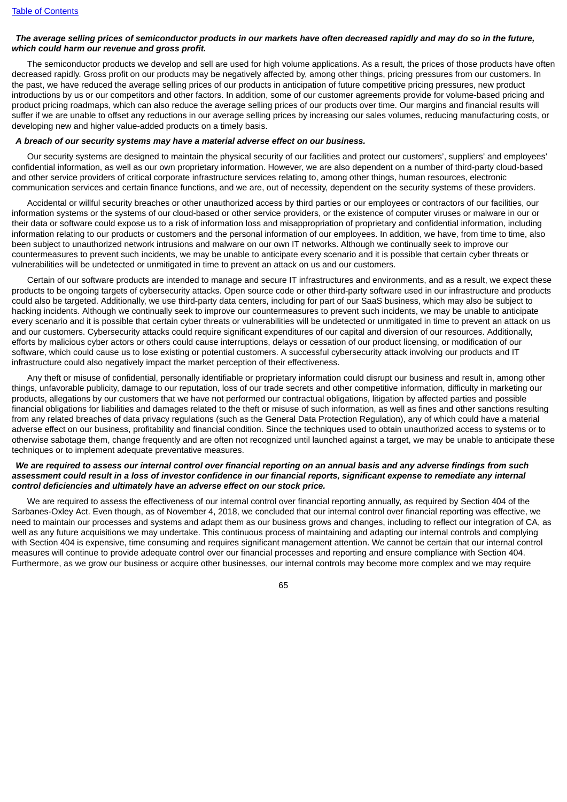### The average selling prices of semiconductor products in our markets have often decreased rapidly and may do so in the future, *which could harm our revenue and gross profit.*

The semiconductor products we develop and sell are used for high volume applications. As a result, the prices of those products have often decreased rapidly. Gross profit on our products may be negatively affected by, among other things, pricing pressures from our customers. In the past, we have reduced the average selling prices of our products in anticipation of future competitive pricing pressures, new product introductions by us or our competitors and other factors. In addition, some of our customer agreements provide for volume-based pricing and product pricing roadmaps, which can also reduce the average selling prices of our products over time. Our margins and financial results will suffer if we are unable to offset any reductions in our average selling prices by increasing our sales volumes, reducing manufacturing costs, or developing new and higher value-added products on a timely basis.

#### *A breach of our security systems may have a material adverse effect on our business.*

Our security systems are designed to maintain the physical security of our facilities and protect our customers', suppliers' and employees' confidential information, as well as our own proprietary information. However, we are also dependent on a number of third-party cloud-based and other service providers of critical corporate infrastructure services relating to, among other things, human resources, electronic communication services and certain finance functions, and we are, out of necessity, dependent on the security systems of these providers.

Accidental or willful security breaches or other unauthorized access by third parties or our employees or contractors of our facilities, our information systems or the systems of our cloud-based or other service providers, or the existence of computer viruses or malware in our or their data or software could expose us to a risk of information loss and misappropriation of proprietary and confidential information, including information relating to our products or customers and the personal information of our employees. In addition, we have, from time to time, also been subject to unauthorized network intrusions and malware on our own IT networks. Although we continually seek to improve our countermeasures to prevent such incidents, we may be unable to anticipate every scenario and it is possible that certain cyber threats or vulnerabilities will be undetected or unmitigated in time to prevent an attack on us and our customers.

Certain of our software products are intended to manage and secure IT infrastructures and environments, and as a result, we expect these products to be ongoing targets of cybersecurity attacks. Open source code or other third-party software used in our infrastructure and products could also be targeted. Additionally, we use third-party data centers, including for part of our SaaS business, which may also be subject to hacking incidents. Although we continually seek to improve our countermeasures to prevent such incidents, we may be unable to anticipate every scenario and it is possible that certain cyber threats or vulnerabilities will be undetected or unmitigated in time to prevent an attack on us and our customers. Cybersecurity attacks could require significant expenditures of our capital and diversion of our resources. Additionally, efforts by malicious cyber actors or others could cause interruptions, delays or cessation of our product licensing, or modification of our software, which could cause us to lose existing or potential customers. A successful cybersecurity attack involving our products and IT infrastructure could also negatively impact the market perception of their effectiveness.

Any theft or misuse of confidential, personally identifiable or proprietary information could disrupt our business and result in, among other things, unfavorable publicity, damage to our reputation, loss of our trade secrets and other competitive information, difficulty in marketing our products, allegations by our customers that we have not performed our contractual obligations, litigation by affected parties and possible financial obligations for liabilities and damages related to the theft or misuse of such information, as well as fines and other sanctions resulting from any related breaches of data privacy regulations (such as the General Data Protection Regulation), any of which could have a material adverse effect on our business, profitability and financial condition. Since the techniques used to obtain unauthorized access to systems or to otherwise sabotage them, change frequently and are often not recognized until launched against a target, we may be unable to anticipate these techniques or to implement adequate preventative measures.

### We are required to assess our internal control over financial reporting on an annual basis and any adverse findings from such assessment could result in a loss of investor confidence in our financial reports, significant expense to remediate any internal *control deficiencies and ultimately have an adverse effect on our stock price.*

We are required to assess the effectiveness of our internal control over financial reporting annually, as required by Section 404 of the Sarbanes-Oxley Act. Even though, as of November 4, 2018, we concluded that our internal control over financial reporting was effective, we need to maintain our processes and systems and adapt them as our business grows and changes, including to reflect our integration of CA, as well as any future acquisitions we may undertake. This continuous process of maintaining and adapting our internal controls and complying with Section 404 is expensive, time consuming and requires significant management attention. We cannot be certain that our internal control measures will continue to provide adequate control over our financial processes and reporting and ensure compliance with Section 404. Furthermore, as we grow our business or acquire other businesses, our internal controls may become more complex and we may require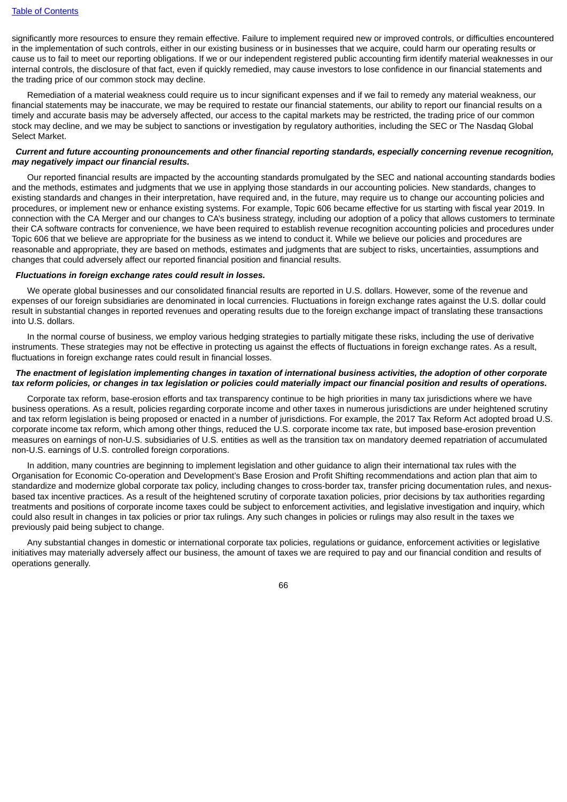significantly more resources to ensure they remain effective. Failure to implement required new or improved controls, or difficulties encountered in the implementation of such controls, either in our existing business or in businesses that we acquire, could harm our operating results or cause us to fail to meet our reporting obligations. If we or our independent registered public accounting firm identify material weaknesses in our internal controls, the disclosure of that fact, even if quickly remedied, may cause investors to lose confidence in our financial statements and the trading price of our common stock may decline.

Remediation of a material weakness could require us to incur significant expenses and if we fail to remedy any material weakness, our financial statements may be inaccurate, we may be required to restate our financial statements, our ability to report our financial results on a timely and accurate basis may be adversely affected, our access to the capital markets may be restricted, the trading price of our common stock may decline, and we may be subject to sanctions or investigation by regulatory authorities, including the SEC or The Nasdaq Global Select Market.

### Current and future accounting pronouncements and other financial reporting standards, especially concerning revenue recognition, *may negatively impact our financial results.*

Our reported financial results are impacted by the accounting standards promulgated by the SEC and national accounting standards bodies and the methods, estimates and judgments that we use in applying those standards in our accounting policies. New standards, changes to existing standards and changes in their interpretation, have required and, in the future, may require us to change our accounting policies and procedures, or implement new or enhance existing systems. For example, Topic 606 became effective for us starting with fiscal year 2019. In connection with the CA Merger and our changes to CA's business strategy, including our adoption of a policy that allows customers to terminate their CA software contracts for convenience, we have been required to establish revenue recognition accounting policies and procedures under Topic 606 that we believe are appropriate for the business as we intend to conduct it. While we believe our policies and procedures are reasonable and appropriate, they are based on methods, estimates and judgments that are subject to risks, uncertainties, assumptions and changes that could adversely affect our reported financial position and financial results.

# *Fluctuations in foreign exchange rates could result in losses.*

We operate global businesses and our consolidated financial results are reported in U.S. dollars. However, some of the revenue and expenses of our foreign subsidiaries are denominated in local currencies. Fluctuations in foreign exchange rates against the U.S. dollar could result in substantial changes in reported revenues and operating results due to the foreign exchange impact of translating these transactions into U.S. dollars.

In the normal course of business, we employ various hedging strategies to partially mitigate these risks, including the use of derivative instruments. These strategies may not be effective in protecting us against the effects of fluctuations in foreign exchange rates. As a result, fluctuations in foreign exchange rates could result in financial losses.

# The enactment of legislation implementing changes in taxation of international business activities, the adoption of other corporate tax reform policies, or changes in tax legislation or policies could materially impact our financial position and results of operations.

Corporate tax reform, base-erosion efforts and tax transparency continue to be high priorities in many tax jurisdictions where we have business operations. As a result, policies regarding corporate income and other taxes in numerous jurisdictions are under heightened scrutiny and tax reform legislation is being proposed or enacted in a number of jurisdictions. For example, the 2017 Tax Reform Act adopted broad U.S. corporate income tax reform, which among other things, reduced the U.S. corporate income tax rate, but imposed base-erosion prevention measures on earnings of non-U.S. subsidiaries of U.S. entities as well as the transition tax on mandatory deemed repatriation of accumulated non-U.S. earnings of U.S. controlled foreign corporations.

In addition, many countries are beginning to implement legislation and other guidance to align their international tax rules with the Organisation for Economic Co-operation and Development's Base Erosion and Profit Shifting recommendations and action plan that aim to standardize and modernize global corporate tax policy, including changes to cross-border tax, transfer pricing documentation rules, and nexusbased tax incentive practices. As a result of the heightened scrutiny of corporate taxation policies, prior decisions by tax authorities regarding treatments and positions of corporate income taxes could be subject to enforcement activities, and legislative investigation and inquiry, which could also result in changes in tax policies or prior tax rulings. Any such changes in policies or rulings may also result in the taxes we previously paid being subject to change.

Any substantial changes in domestic or international corporate tax policies, regulations or guidance, enforcement activities or legislative initiatives may materially adversely affect our business, the amount of taxes we are required to pay and our financial condition and results of operations generally.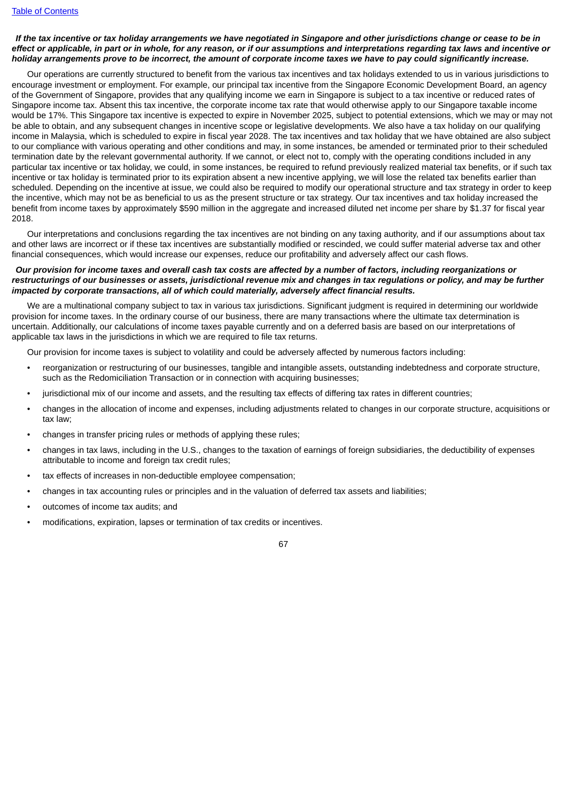# If the tax incentive or tax holiday arrangements we have negotiated in Singapore and other iurisdictions change or cease to be in effect or applicable, in part or in whole, for any reason, or if our assumptions and interpretations regarding tax laws and incentive or holiday arrangements prove to be incorrect, the amount of corporate income taxes we have to pay could significantly increase.

Our operations are currently structured to benefit from the various tax incentives and tax holidays extended to us in various jurisdictions to encourage investment or employment. For example, our principal tax incentive from the Singapore Economic Development Board, an agency of the Government of Singapore, provides that any qualifying income we earn in Singapore is subject to a tax incentive or reduced rates of Singapore income tax. Absent this tax incentive, the corporate income tax rate that would otherwise apply to our Singapore taxable income would be 17%. This Singapore tax incentive is expected to expire in November 2025, subject to potential extensions, which we may or may not be able to obtain, and any subsequent changes in incentive scope or legislative developments. We also have a tax holiday on our qualifying income in Malaysia, which is scheduled to expire in fiscal year 2028. The tax incentives and tax holiday that we have obtained are also subject to our compliance with various operating and other conditions and may, in some instances, be amended or terminated prior to their scheduled termination date by the relevant governmental authority. If we cannot, or elect not to, comply with the operating conditions included in any particular tax incentive or tax holiday, we could, in some instances, be required to refund previously realized material tax benefits, or if such tax incentive or tax holiday is terminated prior to its expiration absent a new incentive applying, we will lose the related tax benefits earlier than scheduled. Depending on the incentive at issue, we could also be required to modify our operational structure and tax strategy in order to keep the incentive, which may not be as beneficial to us as the present structure or tax strategy. Our tax incentives and tax holiday increased the benefit from income taxes by approximately \$590 million in the aggregate and increased diluted net income per share by \$1.37 for fiscal year 2018.

Our interpretations and conclusions regarding the tax incentives are not binding on any taxing authority, and if our assumptions about tax and other laws are incorrect or if these tax incentives are substantially modified or rescinded, we could suffer material adverse tax and other financial consequences, which would increase our expenses, reduce our profitability and adversely affect our cash flows.

### Our provision for income taxes and overall cash tax costs are affected by a number of factors, including reorganizations or restructurings of our businesses or assets, jurisdictional revenue mix and changes in tax regulations or policy, and may be further *impacted by corporate transactions, all of which could materially, adversely affect financial results.*

We are a multinational company subject to tax in various tax jurisdictions. Significant judgment is required in determining our worldwide provision for income taxes. In the ordinary course of our business, there are many transactions where the ultimate tax determination is uncertain. Additionally, our calculations of income taxes payable currently and on a deferred basis are based on our interpretations of applicable tax laws in the jurisdictions in which we are required to file tax returns.

Our provision for income taxes is subject to volatility and could be adversely affected by numerous factors including:

- reorganization or restructuring of our businesses, tangible and intangible assets, outstanding indebtedness and corporate structure, such as the Redomiciliation Transaction or in connection with acquiring businesses;
- jurisdictional mix of our income and assets, and the resulting tax effects of differing tax rates in different countries;
- changes in the allocation of income and expenses, including adjustments related to changes in our corporate structure, acquisitions or tax law;
- changes in transfer pricing rules or methods of applying these rules;
- changes in tax laws, including in the U.S., changes to the taxation of earnings of foreign subsidiaries, the deductibility of expenses attributable to income and foreign tax credit rules;
- tax effects of increases in non-deductible employee compensation:
- changes in tax accounting rules or principles and in the valuation of deferred tax assets and liabilities;
- outcomes of income tax audits; and
- modifications, expiration, lapses or termination of tax credits or incentives.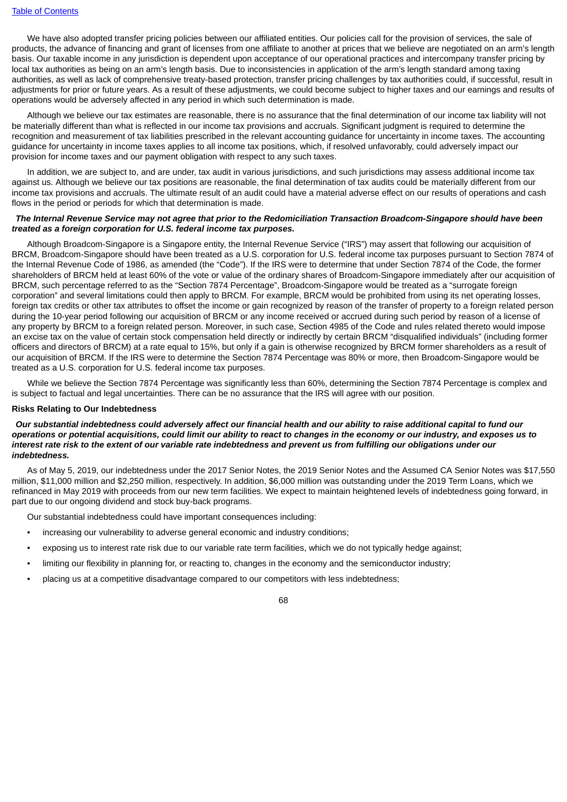We have also adopted transfer pricing policies between our affiliated entities. Our policies call for the provision of services, the sale of products, the advance of financing and grant of licenses from one affiliate to another at prices that we believe are negotiated on an arm's length basis. Our taxable income in any jurisdiction is dependent upon acceptance of our operational practices and intercompany transfer pricing by local tax authorities as being on an arm's length basis. Due to inconsistencies in application of the arm's length standard among taxing authorities, as well as lack of comprehensive treaty-based protection, transfer pricing challenges by tax authorities could, if successful, result in adjustments for prior or future years. As a result of these adjustments, we could become subject to higher taxes and our earnings and results of operations would be adversely affected in any period in which such determination is made.

Although we believe our tax estimates are reasonable, there is no assurance that the final determination of our income tax liability will not be materially different than what is reflected in our income tax provisions and accruals. Significant judgment is required to determine the recognition and measurement of tax liabilities prescribed in the relevant accounting guidance for uncertainty in income taxes. The accounting guidance for uncertainty in income taxes applies to all income tax positions, which, if resolved unfavorably, could adversely impact our provision for income taxes and our payment obligation with respect to any such taxes.

In addition, we are subject to, and are under, tax audit in various jurisdictions, and such jurisdictions may assess additional income tax against us. Although we believe our tax positions are reasonable, the final determination of tax audits could be materially different from our income tax provisions and accruals. The ultimate result of an audit could have a material adverse effect on our results of operations and cash flows in the period or periods for which that determination is made.

### The Internal Revenue Service may not agree that prior to the Redomiciliation Transaction Broadcom-Singapore should have been *treated as a foreign corporation for U.S. federal income tax purposes.*

Although Broadcom-Singapore is a Singapore entity, the Internal Revenue Service ("IRS") may assert that following our acquisition of BRCM, Broadcom-Singapore should have been treated as a U.S. corporation for U.S. federal income tax purposes pursuant to Section 7874 of the Internal Revenue Code of 1986, as amended (the "Code"). If the IRS were to determine that under Section 7874 of the Code, the former shareholders of BRCM held at least 60% of the vote or value of the ordinary shares of Broadcom-Singapore immediately after our acquisition of BRCM, such percentage referred to as the "Section 7874 Percentage", Broadcom-Singapore would be treated as a "surrogate foreign corporation" and several limitations could then apply to BRCM. For example, BRCM would be prohibited from using its net operating losses, foreign tax credits or other tax attributes to offset the income or gain recognized by reason of the transfer of property to a foreign related person during the 10-year period following our acquisition of BRCM or any income received or accrued during such period by reason of a license of any property by BRCM to a foreign related person. Moreover, in such case, Section 4985 of the Code and rules related thereto would impose an excise tax on the value of certain stock compensation held directly or indirectly by certain BRCM "disqualified individuals" (including former officers and directors of BRCM) at a rate equal to 15%, but only if a gain is otherwise recognized by BRCM former shareholders as a result of our acquisition of BRCM. If the IRS were to determine the Section 7874 Percentage was 80% or more, then Broadcom-Singapore would be treated as a U.S. corporation for U.S. federal income tax purposes.

While we believe the Section 7874 Percentage was significantly less than 60%, determining the Section 7874 Percentage is complex and is subject to factual and legal uncertainties. There can be no assurance that the IRS will agree with our position.

#### **Risks Relating to Our Indebtedness**

Our substantial indebtedness could adversely affect our financial health and our ability to raise additional capital to fund our operations or potential acquisitions, could limit our ability to react to changes in the economy or our industry, and exposes us to interest rate risk to the extent of our variable rate indebtedness and prevent us from fulfilling our obligations under our *indebtedness.*

As of May 5, 2019, our indebtedness under the 2017 Senior Notes, the 2019 Senior Notes and the Assumed CA Senior Notes was \$17,550 million, \$11,000 million and \$2,250 million, respectively. In addition, \$6,000 million was outstanding under the 2019 Term Loans, which we refinanced in May 2019 with proceeds from our new term facilities. We expect to maintain heightened levels of indebtedness going forward, in part due to our ongoing dividend and stock buy-back programs.

Our substantial indebtedness could have important consequences including:

- increasing our vulnerability to adverse general economic and industry conditions;
- exposing us to interest rate risk due to our variable rate term facilities, which we do not typically hedge against;
- limiting our flexibility in planning for, or reacting to, changes in the economy and the semiconductor industry;
- placing us at a competitive disadvantage compared to our competitors with less indebtedness;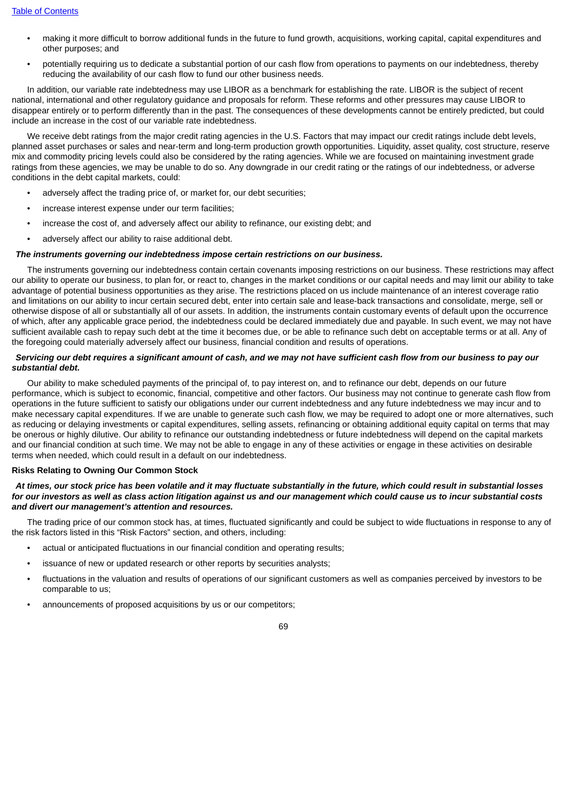- making it more difficult to borrow additional funds in the future to fund growth, acquisitions, working capital, capital expenditures and other purposes; and
- potentially requiring us to dedicate a substantial portion of our cash flow from operations to payments on our indebtedness, thereby reducing the availability of our cash flow to fund our other business needs.

In addition, our variable rate indebtedness may use LIBOR as a benchmark for establishing the rate. LIBOR is the subject of recent national, international and other regulatory guidance and proposals for reform. These reforms and other pressures may cause LIBOR to disappear entirely or to perform differently than in the past. The consequences of these developments cannot be entirely predicted, but could include an increase in the cost of our variable rate indebtedness.

We receive debt ratings from the major credit rating agencies in the U.S. Factors that may impact our credit ratings include debt levels, planned asset purchases or sales and near-term and long-term production growth opportunities. Liquidity, asset quality, cost structure, reserve mix and commodity pricing levels could also be considered by the rating agencies. While we are focused on maintaining investment grade ratings from these agencies, we may be unable to do so. Any downgrade in our credit rating or the ratings of our indebtedness, or adverse conditions in the debt capital markets, could:

- adversely affect the trading price of, or market for, our debt securities;
- increase interest expense under our term facilities;
- increase the cost of, and adversely affect our ability to refinance, our existing debt; and
- adversely affect our ability to raise additional debt.

# *The instruments governing our indebtedness impose certain restrictions on our business.*

The instruments governing our indebtedness contain certain covenants imposing restrictions on our business. These restrictions may affect our ability to operate our business, to plan for, or react to, changes in the market conditions or our capital needs and may limit our ability to take advantage of potential business opportunities as they arise. The restrictions placed on us include maintenance of an interest coverage ratio and limitations on our ability to incur certain secured debt, enter into certain sale and lease-back transactions and consolidate, merge, sell or otherwise dispose of all or substantially all of our assets. In addition, the instruments contain customary events of default upon the occurrence of which, after any applicable grace period, the indebtedness could be declared immediately due and payable. In such event, we may not have sufficient available cash to repay such debt at the time it becomes due, or be able to refinance such debt on acceptable terms or at all. Any of the foregoing could materially adversely affect our business, financial condition and results of operations.

### Servicing our debt requires a significant amount of cash, and we may not have sufficient cash flow from our business to pay our *substantial debt.*

Our ability to make scheduled payments of the principal of, to pay interest on, and to refinance our debt, depends on our future performance, which is subject to economic, financial, competitive and other factors. Our business may not continue to generate cash flow from operations in the future sufficient to satisfy our obligations under our current indebtedness and any future indebtedness we may incur and to make necessary capital expenditures. If we are unable to generate such cash flow, we may be required to adopt one or more alternatives, such as reducing or delaying investments or capital expenditures, selling assets, refinancing or obtaining additional equity capital on terms that may be onerous or highly dilutive. Our ability to refinance our outstanding indebtedness or future indebtedness will depend on the capital markets and our financial condition at such time. We may not be able to engage in any of these activities or engage in these activities on desirable terms when needed, which could result in a default on our indebtedness.

#### **Risks Relating to Owning Our Common Stock**

### At times, our stock price has been volatile and it may fluctuate substantially in the future, which could result in substantial losses for our investors as well as class action litigation against us and our management which could cause us to incur substantial costs *and divert our management's attention and resources.*

The trading price of our common stock has, at times, fluctuated significantly and could be subject to wide fluctuations in response to any of the risk factors listed in this "Risk Factors" section, and others, including:

- actual or anticipated fluctuations in our financial condition and operating results;
- issuance of new or updated research or other reports by securities analysts;
- fluctuations in the valuation and results of operations of our significant customers as well as companies perceived by investors to be comparable to us;
- announcements of proposed acquisitions by us or our competitors;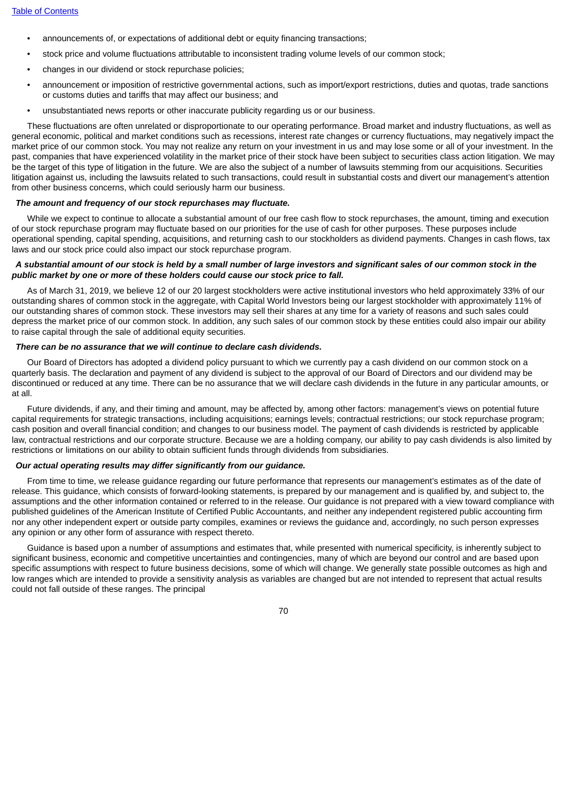- announcements of, or expectations of additional debt or equity financing transactions;
- stock price and volume fluctuations attributable to inconsistent trading volume levels of our common stock;
- changes in our dividend or stock repurchase policies;
- announcement or imposition of restrictive governmental actions, such as import/export restrictions, duties and quotas, trade sanctions or customs duties and tariffs that may affect our business; and
- unsubstantiated news reports or other inaccurate publicity regarding us or our business.

These fluctuations are often unrelated or disproportionate to our operating performance. Broad market and industry fluctuations, as well as general economic, political and market conditions such as recessions, interest rate changes or currency fluctuations, may negatively impact the market price of our common stock. You may not realize any return on your investment in us and may lose some or all of your investment. In the past, companies that have experienced volatility in the market price of their stock have been subject to securities class action litigation. We may be the target of this type of litigation in the future. We are also the subject of a number of lawsuits stemming from our acquisitions. Securities litigation against us, including the lawsuits related to such transactions, could result in substantial costs and divert our management's attention from other business concerns, which could seriously harm our business.

# *The amount and frequency of our stock repurchases may fluctuate.*

While we expect to continue to allocate a substantial amount of our free cash flow to stock repurchases, the amount, timing and execution of our stock repurchase program may fluctuate based on our priorities for the use of cash for other purposes. These purposes include operational spending, capital spending, acquisitions, and returning cash to our stockholders as dividend payments. Changes in cash flows, tax laws and our stock price could also impact our stock repurchase program.

### A substantial amount of our stock is held by a small number of large investors and significant sales of our common stock in the *public market by one or more of these holders could cause our stock price to fall.*

As of March 31, 2019, we believe 12 of our 20 largest stockholders were active institutional investors who held approximately 33% of our outstanding shares of common stock in the aggregate, with Capital World Investors being our largest stockholder with approximately 11% of our outstanding shares of common stock. These investors may sell their shares at any time for a variety of reasons and such sales could depress the market price of our common stock. In addition, any such sales of our common stock by these entities could also impair our ability to raise capital through the sale of additional equity securities.

## *There can be no assurance that we will continue to declare cash dividends.*

Our Board of Directors has adopted a dividend policy pursuant to which we currently pay a cash dividend on our common stock on a quarterly basis. The declaration and payment of any dividend is subject to the approval of our Board of Directors and our dividend may be discontinued or reduced at any time. There can be no assurance that we will declare cash dividends in the future in any particular amounts, or at all.

Future dividends, if any, and their timing and amount, may be affected by, among other factors: management's views on potential future capital requirements for strategic transactions, including acquisitions; earnings levels; contractual restrictions; our stock repurchase program; cash position and overall financial condition; and changes to our business model. The payment of cash dividends is restricted by applicable law, contractual restrictions and our corporate structure. Because we are a holding company, our ability to pay cash dividends is also limited by restrictions or limitations on our ability to obtain sufficient funds through dividends from subsidiaries.

# *Our actual operating results may differ significantly from our guidance.*

From time to time, we release guidance regarding our future performance that represents our management's estimates as of the date of release. This guidance, which consists of forward-looking statements, is prepared by our management and is qualified by, and subject to, the assumptions and the other information contained or referred to in the release. Our guidance is not prepared with a view toward compliance with published guidelines of the American Institute of Certified Public Accountants, and neither any independent registered public accounting firm nor any other independent expert or outside party compiles, examines or reviews the guidance and, accordingly, no such person expresses any opinion or any other form of assurance with respect thereto.

Guidance is based upon a number of assumptions and estimates that, while presented with numerical specificity, is inherently subject to significant business, economic and competitive uncertainties and contingencies, many of which are beyond our control and are based upon specific assumptions with respect to future business decisions, some of which will change. We generally state possible outcomes as high and low ranges which are intended to provide a sensitivity analysis as variables are changed but are not intended to represent that actual results could not fall outside of these ranges. The principal

70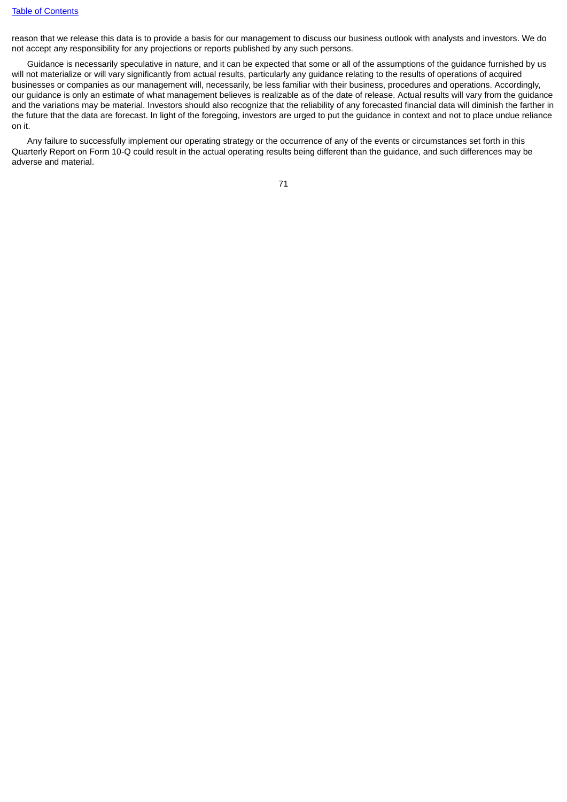reason that we release this data is to provide a basis for our management to discuss our business outlook with analysts and investors. We do not accept any responsibility for any projections or reports published by any such persons.

Guidance is necessarily speculative in nature, and it can be expected that some or all of the assumptions of the guidance furnished by us will not materialize or will vary significantly from actual results, particularly any guidance relating to the results of operations of acquired businesses or companies as our management will, necessarily, be less familiar with their business, procedures and operations. Accordingly, our guidance is only an estimate of what management believes is realizable as of the date of release. Actual results will vary from the guidance and the variations may be material. Investors should also recognize that the reliability of any forecasted financial data will diminish the farther in the future that the data are forecast. In light of the foregoing, investors are urged to put the guidance in context and not to place undue reliance on it.

Any failure to successfully implement our operating strategy or the occurrence of any of the events or circumstances set forth in this Quarterly Report on Form 10-Q could result in the actual operating results being different than the guidance, and such differences may be adverse and material.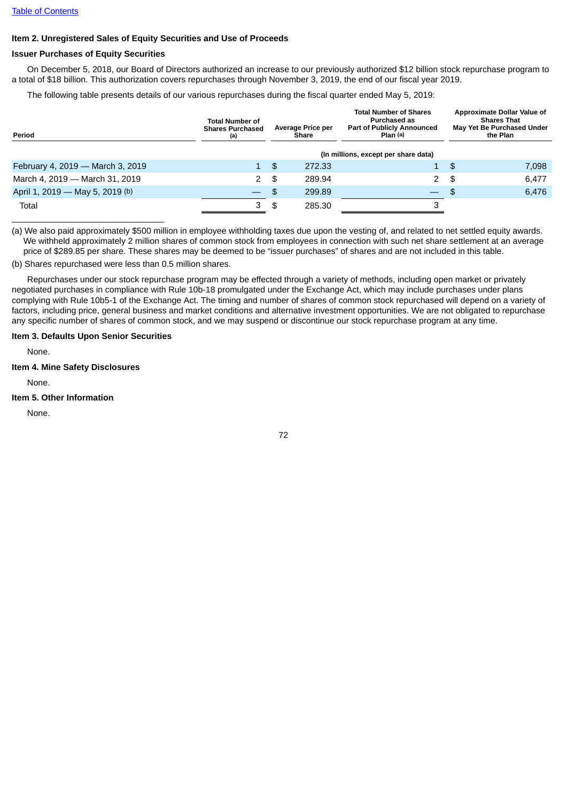### **Item 2. Unregistered Sales of Equity Securities and Use of Proceeds**

### **Issuer Purchases of Equity Securities**

On December 5, 2018, our Board of Directors authorized an increase to our previously authorized \$12 billion stock repurchase program to a total of \$18 billion. This authorization covers repurchases through November 3, 2019, the end of our fiscal year 2019.

The following table presents details of our various repurchases during the fiscal quarter ended May 5, 2019:

| Period                           | <b>Total Number of</b><br><b>Shares Purchased</b><br>(a) |     | <b>Average Price per</b><br><b>Share</b> | <b>Total Number of Shares</b><br><b>Purchased as</b><br><b>Part of Publicly Announced</b><br>Plan (a) |     | Approximate Dollar Value of<br><b>Shares That</b><br>May Yet Be Purchased Under<br>the Plan |
|----------------------------------|----------------------------------------------------------|-----|------------------------------------------|-------------------------------------------------------------------------------------------------------|-----|---------------------------------------------------------------------------------------------|
|                                  | (In millions, except per share data)                     |     |                                          |                                                                                                       |     |                                                                                             |
| February 4, 2019 - March 3, 2019 | $\mathbf{1}$                                             | -\$ | 272.33                                   | 1                                                                                                     | -\$ | 7,098                                                                                       |
| March 4, 2019 - March 31, 2019   | 2                                                        | \$  | 289.94                                   | 2                                                                                                     | \$  | 6,477                                                                                       |
| April 1, 2019 - May 5, 2019 (b)  |                                                          | \$  | 299.89                                   | $\overline{\phantom{0}}$                                                                              | -\$ | 6,476                                                                                       |
| Total                            | 3                                                        | \$  | 285.30                                   |                                                                                                       |     |                                                                                             |

(a) We also paid approximately \$500 million in employee withholding taxes due upon the vesting of, and related to net settled equity awards. We withheld approximately 2 million shares of common stock from employees in connection with such net share settlement at an average price of \$289.85 per share. These shares may be deemed to be "issuer purchases" of shares and are not included in this table.

(b) Shares repurchased were less than 0.5 million shares.

Repurchases under our stock repurchase program may be effected through a variety of methods, including open market or privately negotiated purchases in compliance with Rule 10b-18 promulgated under the Exchange Act, which may include purchases under plans complying with Rule 10b5-1 of the Exchange Act. The timing and number of shares of common stock repurchased will depend on a variety of factors, including price, general business and market conditions and alternative investment opportunities. We are not obligated to repurchase any specific number of shares of common stock, and we may suspend or discontinue our stock repurchase program at any time.

### **Item 3. Defaults Upon Senior Securities**

None.

#### **Item 4. Mine Safety Disclosures**

None.

### **Item 5. Other Information**

None.

72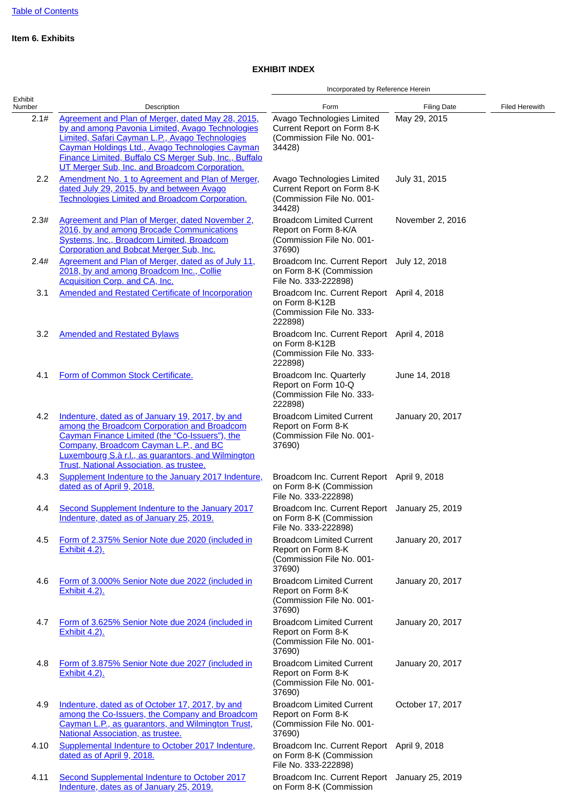# **Item 6. Exhibits**

# **EXHIBIT INDEX**

|                   |                                                                                                                                                                                                                                                                                                                       | Incorporated by Reference Herein                                                                     |                    |                |
|-------------------|-----------------------------------------------------------------------------------------------------------------------------------------------------------------------------------------------------------------------------------------------------------------------------------------------------------------------|------------------------------------------------------------------------------------------------------|--------------------|----------------|
| Exhibit<br>Number | Description                                                                                                                                                                                                                                                                                                           | Form                                                                                                 | <b>Filing Date</b> | Filed Herewith |
| 2.1#              | Agreement and Plan of Merger, dated May 28, 2015,<br>by and among Pavonia Limited, Avago Technologies<br>Limited, Safari Cayman L.P., Avago Technologies<br>Cayman Holdings Ltd., Avago Technologies Cayman<br>Finance Limited, Buffalo CS Merger Sub, Inc., Buffalo<br>UT Merger Sub, Inc. and Broadcom Corporation. | Avago Technologies Limited<br>Current Report on Form 8-K<br>(Commission File No. 001-<br>34428)      | May 29, 2015       |                |
| 2.2               | Amendment No. 1 to Agreement and Plan of Merger,<br>dated July 29, 2015, by and between Avago<br><b>Technologies Limited and Broadcom Corporation.</b>                                                                                                                                                                | Avago Technologies Limited<br>Current Report on Form 8-K<br>(Commission File No. 001-<br>34428)      | July 31, 2015      |                |
| 2.3#              | Agreement and Plan of Merger, dated November 2,<br>2016, by and among Brocade Communications<br>Systems, Inc., Broadcom Limited, Broadcom<br><b>Corporation and Bobcat Merger Sub, Inc.</b>                                                                                                                           | <b>Broadcom Limited Current</b><br>Report on Form 8-K/A<br>(Commission File No. 001-<br>37690)       | November 2, 2016   |                |
| 2.4#              | Agreement and Plan of Merger, dated as of July 11,<br>2018, by and among Broadcom Inc., Collie<br><b>Acquisition Corp. and CA, Inc.</b>                                                                                                                                                                               | Broadcom Inc. Current Report July 12, 2018<br>on Form 8-K (Commission<br>File No. 333-222898)        |                    |                |
| 3.1               | <b>Amended and Restated Certificate of Incorporation</b>                                                                                                                                                                                                                                                              | Broadcom Inc. Current Report April 4, 2018<br>on Form 8-K12B<br>(Commission File No. 333-<br>222898) |                    |                |
| 3.2               | <b>Amended and Restated Bylaws</b>                                                                                                                                                                                                                                                                                    | Broadcom Inc. Current Report April 4, 2018<br>on Form 8-K12B<br>(Commission File No. 333-<br>222898) |                    |                |
| 4.1               | Form of Common Stock Certificate.                                                                                                                                                                                                                                                                                     | Broadcom Inc. Quarterly<br>Report on Form 10-Q<br>(Commission File No. 333-<br>222898)               | June 14, 2018      |                |
| 4.2               | Indenture, dated as of January 19, 2017, by and<br>among the Broadcom Corporation and Broadcom<br>Cayman Finance Limited (the "Co-Issuers"), the<br>Company, Broadcom Cayman L.P., and BC<br><b>Luxembourg S.à r.l., as guarantors, and Wilmington</b><br>Trust, National Association, as trustee.                    | <b>Broadcom Limited Current</b><br>Report on Form 8-K<br>(Commission File No. 001-<br>37690)         | January 20, 2017   |                |
| 4.3               | Supplement Indenture to the January 2017 Indenture,<br>dated as of April 9, 2018.                                                                                                                                                                                                                                     | Broadcom Inc. Current Report April 9, 2018<br>on Form 8-K (Commission<br>File No. 333-222898)        |                    |                |
| 4.4               | Second Supplement Indenture to the January 2017<br>Indenture, dated as of January 25, 2019.                                                                                                                                                                                                                           | Broadcom Inc. Current Report January 25, 2019<br>on Form 8-K (Commission<br>File No. 333-222898)     |                    |                |
| 4.5               | Form of 2.375% Senior Note due 2020 (included in<br><b>Exhibit 4.2).</b>                                                                                                                                                                                                                                              | <b>Broadcom Limited Current</b><br>Report on Form 8-K<br>(Commission File No. 001-<br>37690)         | January 20, 2017   |                |
| 4.6               | Form of 3.000% Senior Note due 2022 (included in<br><b>Exhibit 4.2).</b>                                                                                                                                                                                                                                              | <b>Broadcom Limited Current</b><br>Report on Form 8-K<br>(Commission File No. 001-<br>37690)         | January 20, 2017   |                |
| 4.7               | Form of 3.625% Senior Note due 2024 (included in<br><b>Exhibit 4.2).</b>                                                                                                                                                                                                                                              | <b>Broadcom Limited Current</b><br>Report on Form 8-K<br>(Commission File No. 001-<br>37690)         | January 20, 2017   |                |
| 4.8               | Form of 3.875% Senior Note due 2027 (included in<br><b>Exhibit 4.2).</b>                                                                                                                                                                                                                                              | <b>Broadcom Limited Current</b><br>Report on Form 8-K<br>(Commission File No. 001-<br>37690)         | January 20, 2017   |                |
| 4.9               | Indenture, dated as of October 17, 2017, by and<br>among the Co-Issuers, the Company and Broadcom<br>Cayman L.P., as guarantors, and Wilmington Trust,<br>National Association, as trustee.                                                                                                                           | <b>Broadcom Limited Current</b><br>Report on Form 8-K<br>(Commission File No. 001-<br>37690)         | October 17, 2017   |                |
| 4.10              | Supplemental Indenture to October 2017 Indenture,<br>dated as of April 9, 2018.                                                                                                                                                                                                                                       | Broadcom Inc. Current Report April 9, 2018<br>on Form 8-K (Commission<br>File No. 333-222898)        |                    |                |
| 4.11              | Second Supplemental Indenture to October 2017<br>Indenture, dates as of January 25, 2019.                                                                                                                                                                                                                             | Broadcom Inc. Current Report January 25, 2019<br>on Form 8-K (Commission                             |                    |                |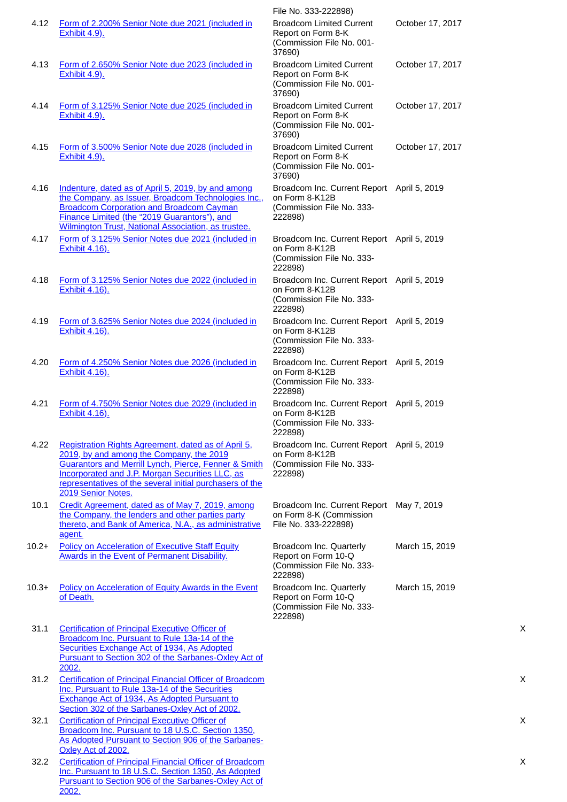| 4.12    | Form of 2.200% Senior Note due 2021 (included in                                                                                                                                                                                                                                                               | File No. 333-222898)<br><b>Broadcom Limited Current</b>                                              | October 17, 2017 |
|---------|----------------------------------------------------------------------------------------------------------------------------------------------------------------------------------------------------------------------------------------------------------------------------------------------------------------|------------------------------------------------------------------------------------------------------|------------------|
|         | Exhibit 4.9).                                                                                                                                                                                                                                                                                                  | Report on Form 8-K<br>(Commission File No. 001-<br>37690)                                            |                  |
| 4.13    | Form of 2.650% Senior Note due 2023 (included in<br><b>Exhibit 4.9).</b>                                                                                                                                                                                                                                       | <b>Broadcom Limited Current</b><br>Report on Form 8-K<br>(Commission File No. 001-<br>37690)         | October 17, 2017 |
| 4.14    | Form of 3.125% Senior Note due 2025 (included in<br><b>Exhibit 4.9).</b>                                                                                                                                                                                                                                       | <b>Broadcom Limited Current</b><br>Report on Form 8-K<br>(Commission File No. 001-<br>37690)         | October 17, 2017 |
| 4.15    | Form of 3.500% Senior Note due 2028 (included in<br><b>Exhibit 4.9).</b>                                                                                                                                                                                                                                       | <b>Broadcom Limited Current</b><br>Report on Form 8-K<br>(Commission File No. 001-<br>37690)         | October 17, 2017 |
| 4.16    | Indenture, dated as of April 5, 2019, by and among<br>the Company, as Issuer, Broadcom Technologies Inc.,<br><b>Broadcom Corporation and Broadcom Cayman</b><br>Finance Limited (the "2019 Guarantors"), and<br>Wilmington Trust, National Association, as trustee.                                            | Broadcom Inc. Current Report April 5, 2019<br>on Form 8-K12B<br>(Commission File No. 333-<br>222898) |                  |
| 4.17    | Form of 3.125% Senior Notes due 2021 (included in<br><b>Exhibit 4.16).</b>                                                                                                                                                                                                                                     | Broadcom Inc. Current Report April 5, 2019<br>on Form 8-K12B<br>(Commission File No. 333-<br>222898) |                  |
| 4.18    | Form of 3.125% Senior Notes due 2022 (included in<br><b>Exhibit 4.16).</b>                                                                                                                                                                                                                                     | Broadcom Inc. Current Report April 5, 2019<br>on Form 8-K12B<br>(Commission File No. 333-<br>222898) |                  |
| 4.19    | Form of 3.625% Senior Notes due 2024 (included in<br><b>Exhibit 4.16).</b>                                                                                                                                                                                                                                     | Broadcom Inc. Current Report April 5, 2019<br>on Form 8-K12B<br>(Commission File No. 333-<br>222898) |                  |
| 4.20    | Form of 4.250% Senior Notes due 2026 (included in<br><b>Exhibit 4.16).</b>                                                                                                                                                                                                                                     | Broadcom Inc. Current Report April 5, 2019<br>on Form 8-K12B<br>(Commission File No. 333-<br>222898) |                  |
| 4.21    | Form of 4.750% Senior Notes due 2029 (included in<br>Exhibit 4.16).                                                                                                                                                                                                                                            | Broadcom Inc. Current Report April 5, 2019<br>on Form 8-K12B<br>(Commission File No. 333-<br>222898) |                  |
| 4.22    | Registration Rights Agreement, dated as of April 5,<br>2019, by and among the Company, the 2019<br><b>Guarantors and Merrill Lynch, Pierce, Fenner &amp; Smith</b><br><b>Incorporated and J.P. Morgan Securities LLC, as</b><br>representatives of the several initial purchasers of the<br>2019 Senior Notes. | Broadcom Inc. Current Report April 5, 2019<br>on Form 8-K12B<br>(Commission File No. 333-<br>222898) |                  |
| 10.1    | Credit Agreement, dated as of May 7, 2019, among<br>the Company, the lenders and other parties party<br>thereto, and Bank of America, N.A., as administrative<br>agent.                                                                                                                                        | Broadcom Inc. Current Report May 7, 2019<br>on Form 8-K (Commission<br>File No. 333-222898)          |                  |
| $10.2+$ | <b>Policy on Acceleration of Executive Staff Equity</b><br><b>Awards in the Event of Permanent Disability.</b>                                                                                                                                                                                                 | Broadcom Inc. Quarterly<br>Report on Form 10-Q<br>(Commission File No. 333-<br>222898)               | March 15, 2019   |
| $10.3+$ | <b>Policy on Acceleration of Equity Awards in the Event</b><br>of Death.                                                                                                                                                                                                                                       | Broadcom Inc. Quarterly<br>Report on Form 10-Q<br>(Commission File No. 333-<br>222898)               | March 15, 2019   |
| 31.1    | <b>Certification of Principal Executive Officer of</b><br>Broadcom Inc. Pursuant to Rule 13a-14 of the<br>Securities Exchange Act of 1934, As Adopted<br>Pursuant to Section 302 of the Sarbanes-Oxley Act of<br>2002.                                                                                         |                                                                                                      |                  |
| 31.2    | <b>Certification of Principal Financial Officer of Broadcom</b><br>Inc. Pursuant to Rule 13a-14 of the Securities<br>Exchange Act of 1934, As Adopted Pursuant to<br>Section 302 of the Sarbanes-Oxley Act of 2002.                                                                                            |                                                                                                      |                  |
| 32.1    | <b>Certification of Principal Executive Officer of</b><br>Broadcom Inc. Pursuant to 18 U.S.C. Section 1350,<br>As Adopted Pursuant to Section 906 of the Sarbanes-<br>Oxley Act of 2002.                                                                                                                       |                                                                                                      |                  |
| 32.2    | <b>Certification of Principal Financial Officer of Broadcom</b><br>Inc. Pursuant to 18 U.S.C. Section 1350, As Adopted<br>Pursuant to Section 906 of the Sarbanes-Oxley Act of<br>2002.                                                                                                                        |                                                                                                      |                  |

X

X

X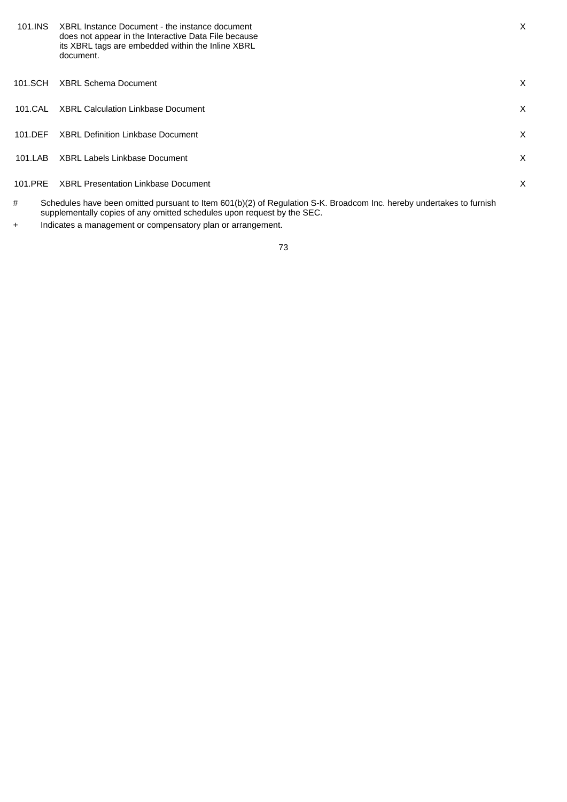| 101.INS   | XBRL Instance Document - the instance document<br>does not appear in the Interactive Data File because<br>its XBRL tags are embedded within the Inline XBRL<br>document.                        | X. |
|-----------|-------------------------------------------------------------------------------------------------------------------------------------------------------------------------------------------------|----|
| 101.SCH   | <b>XBRL Schema Document</b>                                                                                                                                                                     | X  |
| 101.CAL   | <b>XBRL Calculation Linkbase Document</b>                                                                                                                                                       | X  |
| $101$ DFF | XBRL Definition Linkbase Document                                                                                                                                                               | X  |
| 101.LAB   | XBRL Labels Linkbase Document                                                                                                                                                                   | X  |
| 101.PRE   | <b>XBRL Presentation Linkbase Document</b>                                                                                                                                                      | X  |
| #         | Schedules have been omitted pursuant to Item 601(b)(2) of Regulation S-K. Broadcom Inc. hereby undertakes to furnish<br>supplementally copies of any omitted schedules upon request by the SEC. |    |

+ Indicates a management or compensatory plan or arrangement.

73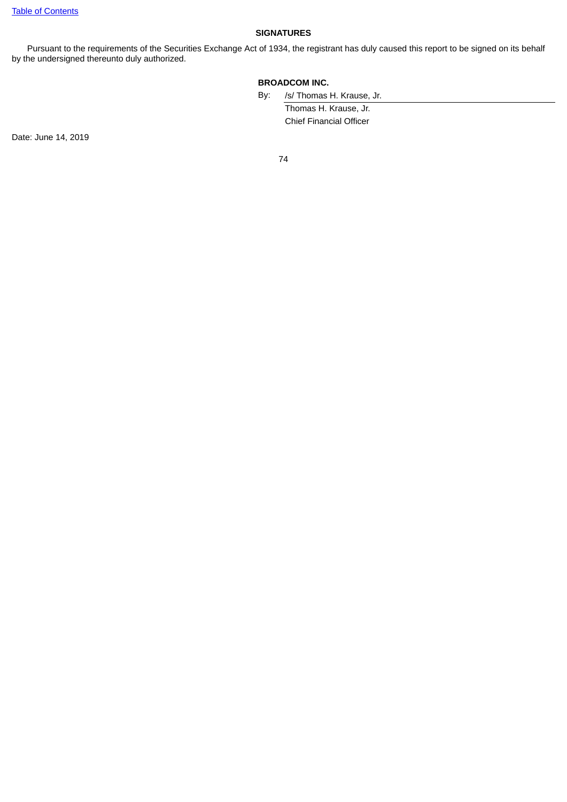### **SIGNATURES**

Pursuant to the requirements of the Securities Exchange Act of 1934, the registrant has duly caused this report to be signed on its behalf by the undersigned thereunto duly authorized.

## **BROADCOM INC.**

By: /s/ Thomas H. Krause, Jr.

Thomas H. Krause, Jr. Chief Financial Officer

Date: June 14, 2019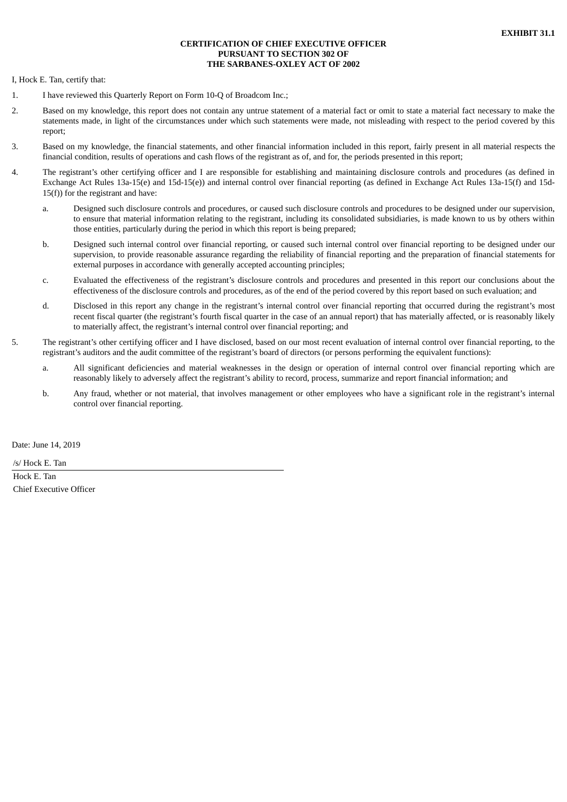### **CERTIFICATION OF CHIEF EXECUTIVE OFFICER PURSUANT TO SECTION 302 OF THE SARBANES-OXLEY ACT OF 2002**

<span id="page-79-0"></span>I, Hock E. Tan, certify that:

- 1. I have reviewed this Quarterly Report on Form 10-Q of Broadcom Inc.;
- 2. Based on my knowledge, this report does not contain any untrue statement of a material fact or omit to state a material fact necessary to make the statements made, in light of the circumstances under which such statements were made, not misleading with respect to the period covered by this report;
- 3. Based on my knowledge, the financial statements, and other financial information included in this report, fairly present in all material respects the financial condition, results of operations and cash flows of the registrant as of, and for, the periods presented in this report;
- 4. The registrant's other certifying officer and I are responsible for establishing and maintaining disclosure controls and procedures (as defined in Exchange Act Rules 13a-15(e) and 15d-15(e)) and internal control over financial reporting (as defined in Exchange Act Rules 13a-15(f) and 15d-15(f)) for the registrant and have:
	- a. Designed such disclosure controls and procedures, or caused such disclosure controls and procedures to be designed under our supervision, to ensure that material information relating to the registrant, including its consolidated subsidiaries, is made known to us by others within those entities, particularly during the period in which this report is being prepared;
	- b. Designed such internal control over financial reporting, or caused such internal control over financial reporting to be designed under our supervision, to provide reasonable assurance regarding the reliability of financial reporting and the preparation of financial statements for external purposes in accordance with generally accepted accounting principles;
	- c. Evaluated the effectiveness of the registrant's disclosure controls and procedures and presented in this report our conclusions about the effectiveness of the disclosure controls and procedures, as of the end of the period covered by this report based on such evaluation; and
	- d. Disclosed in this report any change in the registrant's internal control over financial reporting that occurred during the registrant's most recent fiscal quarter (the registrant's fourth fiscal quarter in the case of an annual report) that has materially affected, or is reasonably likely to materially affect, the registrant's internal control over financial reporting; and
- 5. The registrant's other certifying officer and I have disclosed, based on our most recent evaluation of internal control over financial reporting, to the registrant's auditors and the audit committee of the registrant's board of directors (or persons performing the equivalent functions):
	- a. All significant deficiencies and material weaknesses in the design or operation of internal control over financial reporting which are reasonably likely to adversely affect the registrant's ability to record, process, summarize and report financial information; and
	- b. Any fraud, whether or not material, that involves management or other employees who have a significant role in the registrant's internal control over financial reporting.

Date: June 14, 2019

/s/ Hock E. Tan

Hock E. Tan Chief Executive Officer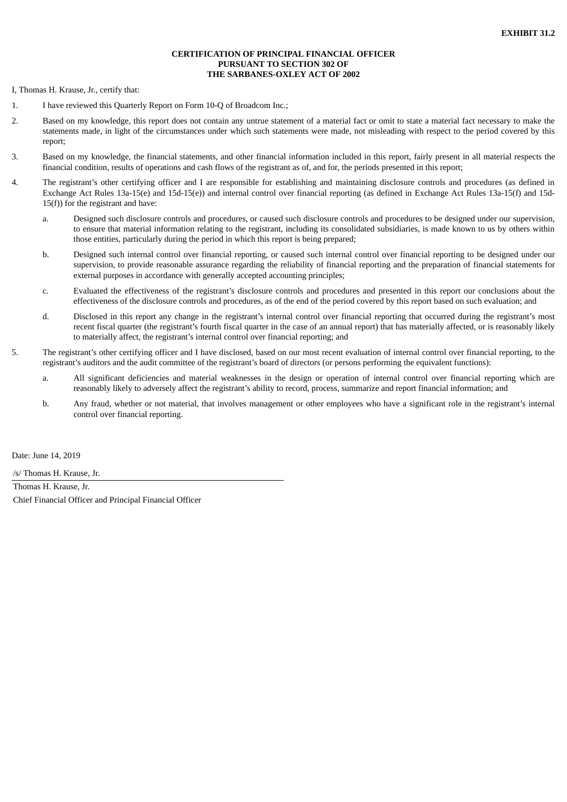#### **CERTIFICATION OF PRINCIPAL FINANCIAL OFFICER PURSUANT TO SECTION 302 OF THE SARBANES-OXLEY ACT OF 2002**

<span id="page-80-0"></span>I, Thomas H. Krause, Jr., certify that:

- 1. I have reviewed this Quarterly Report on Form 10-Q of Broadcom Inc.;
- 2. Based on my knowledge, this report does not contain any untrue statement of a material fact or omit to state a material fact necessary to make the statements made, in light of the circumstances under which such statements were made, not misleading with respect to the period covered by this report;
- 3. Based on my knowledge, the financial statements, and other financial information included in this report, fairly present in all material respects the financial condition, results of operations and cash flows of the registrant as of, and for, the periods presented in this report;
- 4. The registrant's other certifying officer and I are responsible for establishing and maintaining disclosure controls and procedures (as defined in Exchange Act Rules 13a-15(e) and 15d-15(e)) and internal control over financial reporting (as defined in Exchange Act Rules 13a-15(f) and 15d-15(f)) for the registrant and have:
	- a. Designed such disclosure controls and procedures, or caused such disclosure controls and procedures to be designed under our supervision, to ensure that material information relating to the registrant, including its consolidated subsidiaries, is made known to us by others within those entities, particularly during the period in which this report is being prepared;
	- b. Designed such internal control over financial reporting, or caused such internal control over financial reporting to be designed under our supervision, to provide reasonable assurance regarding the reliability of financial reporting and the preparation of financial statements for external purposes in accordance with generally accepted accounting principles;
	- c. Evaluated the effectiveness of the registrant's disclosure controls and procedures and presented in this report our conclusions about the effectiveness of the disclosure controls and procedures, as of the end of the period covered by this report based on such evaluation; and
	- d. Disclosed in this report any change in the registrant's internal control over financial reporting that occurred during the registrant's most recent fiscal quarter (the registrant's fourth fiscal quarter in the case of an annual report) that has materially affected, or is reasonably likely to materially affect, the registrant's internal control over financial reporting; and
- 5. The registrant's other certifying officer and I have disclosed, based on our most recent evaluation of internal control over financial reporting, to the registrant's auditors and the audit committee of the registrant's board of directors (or persons performing the equivalent functions):
	- a. All significant deficiencies and material weaknesses in the design or operation of internal control over financial reporting which are reasonably likely to adversely affect the registrant's ability to record, process, summarize and report financial information; and
	- b. Any fraud, whether or not material, that involves management or other employees who have a significant role in the registrant's internal control over financial reporting.

Date: June 14, 2019

/s/ Thomas H. Krause, Jr.

Thomas H. Krause, Jr. Chief Financial Officer and Principal Financial Officer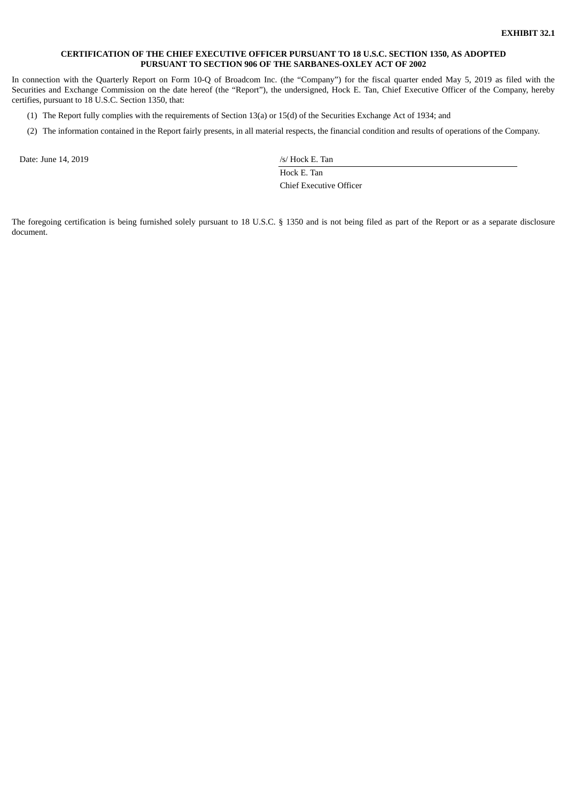#### <span id="page-81-0"></span>**CERTIFICATION OF THE CHIEF EXECUTIVE OFFICER PURSUANT TO 18 U.S.C. SECTION 1350, AS ADOPTED PURSUANT TO SECTION 906 OF THE SARBANES-OXLEY ACT OF 2002**

In connection with the Quarterly Report on Form 10-Q of Broadcom Inc. (the "Company") for the fiscal quarter ended May 5, 2019 as filed with the Securities and Exchange Commission on the date hereof (the "Report"), the undersigned, Hock E. Tan, Chief Executive Officer of the Company, hereby certifies, pursuant to 18 U.S.C. Section 1350, that:

- (1) The Report fully complies with the requirements of Section 13(a) or 15(d) of the Securities Exchange Act of 1934; and
- (2) The information contained in the Report fairly presents, in all material respects, the financial condition and results of operations of the Company.

Date: June 14, 2019 /s/ Hock E. Tan

Hock E. Tan Chief Executive Officer

The foregoing certification is being furnished solely pursuant to 18 U.S.C. § 1350 and is not being filed as part of the Report or as a separate disclosure document.